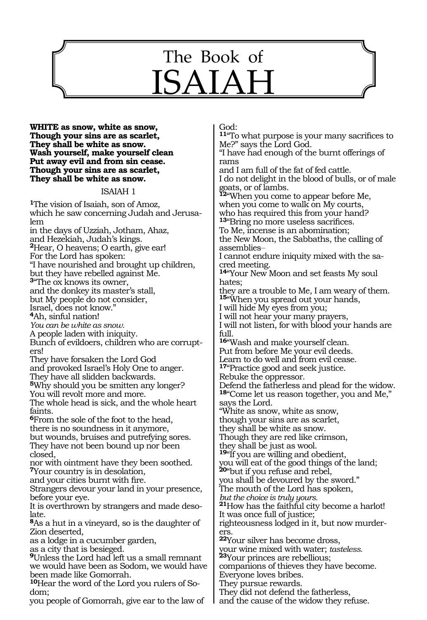

**White as snow, white as snow, Though your sins are as scarlet, They shall be white as snow. Wash yourself, make yourself clean Put away evil and from sin cease. Though your sins are as scarlet, They shall be white as snow.**

### ISAIAH 1

**<sup>1</sup>**The vision of Isaiah, son of Amoz, which he saw concerning Judah and Jerusalem in the days of Uzziah, Jotham, Ahaz, and Hezekiah, Judah's kings. **<sup>2</sup>**Hear, O heavens; O earth, give ear! For the Lord has spoken: "I have nourished and brought up children, but they have rebelled against Me. **<sup>3</sup>**"The ox knows its owner, and the donkey its master's stall, but My people do not consider, Israel, does not know." **<sup>4</sup>**Ah, sinful nation! *You can be white as snow.* A people laden with iniquity. Bunch of evildoers, children who are corrupters! They have forsaken the Lord God and provoked Israel's Holy One to anger. They have all slidden backwards. **<sup>5</sup>**Why should you be smitten any longer? You will revolt more and more. The whole head is sick, and the whole heart faints. **<sup>6</sup>**From the sole of the foot to the head, there is no soundness in it anymore, but wounds, bruises and putrefying sores. They have not been bound up nor been closed, nor with ointment have they been soothed. **<sup>7</sup>**Your country is in desolation, and your cities burnt with fire. Strangers devour your land in your presence, before your eye. It is overthrown by strangers and made desolate. **<sup>8</sup>**As a hut in a vineyard, so is the daughter of Zion deserted, as a lodge in a cucumber garden, as a city that is besieged. **<sup>9</sup>**Unless the Lord had left us a small remnant we would have been as Sodom, we would have been made like Gomorrah. **10**Hear the word of the Lord you rulers of Sodom;

you people of Gomorrah, give ear to the law of

God:

**<sup>11</sup>**"To what purpose is your many sacrifices to Me?" says the Lord God.

"I have had enough of the burnt offerings of rams

and I am full of the fat of fed cattle. I do not delight in the blood of bulls, or of male goats, or of lambs. **<sup>12</sup>**"When you come to appear before Me, when you come to walk on My courts, who has required this from your hand? **<sup>13</sup>**"Bring no more useless sacrifices. To Me, incense is an abomination; the New Moon, the Sabbaths, the calling of assemblies\_\_

I cannot endure iniquity mixed with the sacred meeting.

**<sup>14</sup>**"Your New Moon and set feasts My soul hates;

they are a trouble to Me, I am weary of them. **<sup>15</sup>**"When you spread out your hands,

I will hide My eyes from you;

I will not hear your many prayers,

I will not listen, for with blood your hands are full.

**<sup>16</sup>**"Wash and make yourself clean. Put from before Me your evil deeds.

Learn to do well and from evil cease.

**<sup>17</sup>**"Practice good and seek justice.

Rebuke the oppressor.

Defend the fatherless and plead for the widow. **<sup>18</sup>**"Come let us reason together, you and Me," says the Lord.

"White as snow, white as snow,

though your sins are as scarlet,

they shall be white as snow.

Though they are red like crimson,

they shall be just as wool.

**<sup>19</sup>**"If you are willing and obedient, you will eat of the good things of the land;

**<sup>20</sup>**"but if you refuse and rebel, you shall be devoured by the sword."

The mouth of the Lord has spoken,

*but the choice is truly yours.*

**<sup>21</sup>**How has the faithful city become a harlot! It was once full of justice;

righteousness lodged in it, but now murderers.

**<sup>22</sup>**Your silver has become dross,

your wine mixed with water; *tasteless.*

**<sup>23</sup>**Your princes are rebellious;

companions of thieves they have become.

Everyone loves bribes. They pursue rewards.

They did not defend the fatherless,

and the cause of the widow they refuse.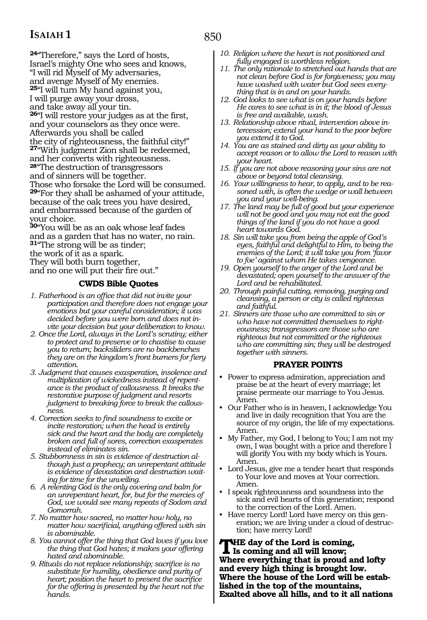**<sup>24</sup>**"Therefore," says the Lord of hosts, Israel's mighty One who sees and knows, "I will rid Myself of My adversaries, and avenge Myself of My enemies. **<sup>25</sup>**"I will turn My hand against you, I will purge away your dross, and take away all your tin. **<sup>26</sup>**"I will restore your judges as at the first, and your counselors as they once were. Afterwards you shall be called the city of righteousness, the faithful city!" **<sup>27</sup>**"With judgment Zion shall be redeemed, and her converts with righteousness. **<sup>28</sup>**"The destruction of transgressors and of sinners will be together. Those who forsake the Lord will be consumed. **<sup>29</sup>**"For they shall be ashamed of your attitude, because of the oak trees you have desired, and embarrassed because of the garden of your choice.

**<sup>30</sup>**"You will be as an oak whose leaf fades and as a garden that has no water, no rain. **<sup>31</sup>**"The strong will be as tinder; the work of it as a spark. They will both burn together, and no one will put their fire out."

### **CWDS Bible Quotes**

- *1. Fatherhood is an office that did not invite your participation and therefore does not engage your emotions but your careful consideration; it was decided before you were born and does not invite your decision but your deliberation to know.*
- *2. Once the Lord, always in the Lord's scrutiny; either to protect and to preserve or to chastise to cause you to return; backsliders are no backbenches they are on the kingdom's front burners for fiery attention.*
- *3. Judgment that causes exasperation, insolence and multiplication of wickedness instead of repentance is the product of callousness. It breaks the restorative purpose of judgment and resorts judgment to breaking force to break the callousness.*
- *4. Correction seeks to find soundness to excite or incite restoration; when the head is entirely sick and the heart and the body are completely broken and full of sores, correction exasperates instead of eliminates sin.*
- *5. Stubbornness in sin is evidence of destruction although just a prophecy; an unrepentant attitude is evidence of devastation and destruction waiting for time for the unveiling.*
- *6. A relenting God is the only covering and balm for an unrepentant heart, for, but for the mercies of God, we would see many repeats of Sodom and Gomorrah.*
- *7. No matter how sacred, no matter how holy, no matter how sacrificial, anything offered with sin is abominable.*
- *8. You cannot offer the thing that God loves if you love the thing that God hates; it makes your offering hated and abominable.*
- *9. Rituals do not replace relationship; sacrifice is no substitute for humility, obedience and purity of heart; position the heart to present the sacrifice for the offering is presented by the heart not the hands.*
- *10. Religion where the heart is not positioned and fully engaged is worthless religion.*
- *11. The only rationale to stretched out hands that are not clean before God is for forgiveness; you may have washed with water but God sees everything that is in and on your hands.*
- *12. God looks to see what is on your hands before He cares to see what is in it; the blood of Jesus is free and available, wash.*
- *13. Relationship above ritual, intervention above intercession; extend your hand to the poor before you extend it to God.*
- *14. You are as stained and dirty as your ability to accept reason or to allow the Lord to reason with your heart.*
- *15. If you are not above reasoning your sins are not above or beyond total cleansing.*
- *16. Your willingness to hear, to apply, and to be reasoned with, is often the wedge or wall between you and your well-being.*
- *17. The land may be full of good but your experience will not be good and you may not eat the good things of the land if you do not have a good heart towards God.*
- *18. Sin will take you from being the apple of God's eyes, faithful and delightful to Him, to being the enemies of the Lord; it will take you from 'favor to foe' against whom He takes vengeance.*
- *19. Open yourself to the anger of the Lord and be devastated; open yourself to the answer of the Lord and be rehabilitated.*
- *20. Through painful cutting, removing, purging and cleansing, a person or city is called righteous and faithful.*
- *21. Sinners are those who are committed to sin or who have not committed themselves to righteousness; transgressors are those who are righteous but not committed or the righteous who are committing sin; they will be destroyed together with sinners.*

### **PRAYER POINTS**

- Power to express admiration, appreciation and praise be at the heart of every marriage; let praise permeate our marriage to You Jesus. Amen.
- Our Father who is in heaven, I acknowledge You and live in daily recognition that You are the source of my origin, the life of my expectations. Amen.
- My Father, my God, I belong to You; I am not my own, I was bought with a price and therefore I will glorify You with my body which is Yours. Amen.
- Lord Jesus, give me a tender heart that responds to Your love and moves at Your correction. Amen.
- I speak righteousness and soundness into the sick and evil hearts of this generation; respond to the correction of the Lord. Amen.
- Have mercy Lord! Lord have mercy on this generation; we are living under a cloud of destruction; have mercy Lord!

**THE day of the Lord is coming, Is coming and all will know; Where everything that is proud and lofty and every high thing is brought low. Where the house of the Lord will be established in the top of the mountains, Exalted above all hills, and to it all nations** 

### 850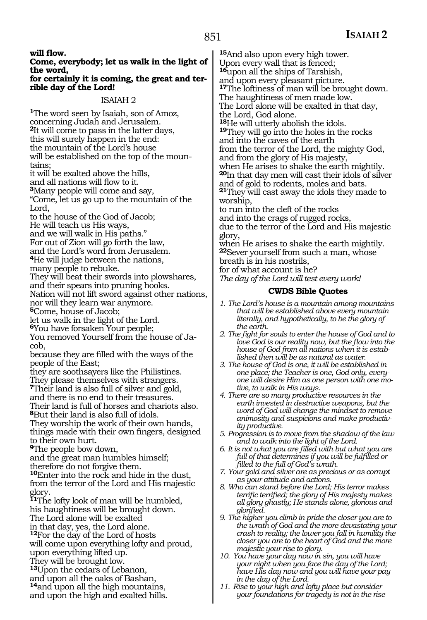**will flow.** 

### **Come, everybody; let us walk in the light of the word,**

### **for certainly it is coming, the great and ter rible day of the Lord!**

### ISAIAH 2

**<sup>1</sup>**The word seen by Isaiah, son of Amoz, concerning Judah and Jerusalem. **<sup>2</sup>**It will come to pass in the latter days, this will surely happen in the end: the mountain of the Lord's house will be established on the top of the mountains;

it will be exalted above the hills,

and all nations will flow to it.

**<sup>3</sup>**Many people will come and say,

"Come, let us go up to the mountain of the Lord,

to the house of the God of Jacob; He will teach us His ways, and we will walk in His paths." For out of Zion will go forth the law,

and the Lord's word from Jerusalem. **<sup>4</sup>**He will judge between the nations,

many people to rebuke.

They will beat their swords into plowshares, and their spears into pruning hooks. Nation will not lift sword against other nations, nor will they learn war anymore.

**<sup>5</sup>**Come, house of Jacob;

let us walk in the light of the Lord.

**<sup>6</sup>**You have forsaken Your people;

You removed Yourself from the house of Ja- cob,

because they are filled with the ways of the people of the East;

they are soothsayers like the Philistines. They please themselves with strangers.

**<sup>7</sup>**Their land is also full of silver and gold,

and there is no end to their treasures. Their land is full of horses and chariots also. **<sup>8</sup>**But their land is also full of idols.

They worship the work of their own hands, things made with their own fingers, designed to their own hurt.

**<sup>9</sup>**The people bow down,

and the great man humbles himself; therefore do not forgive them.

**<sup>10</sup>**Enter into the rock and hide in the dust, from the terror of the Lord and His majestic glory.

**<sup>11</sup>**The lofty look of man will be humbled, his haughtiness will be brought down. The Lord alone will be exalted in that day, yes, the Lord alone.

**<sup>12</sup>**For the day of the Lord of hosts will come upon everything lofty and proud, upon everything lifted up.

They will be brought low.

**<sup>13</sup>**Upon the cedars of Lebanon,

and upon all the oaks of Bashan,

**<sup>14</sup>**and upon all the high mountains, and upon the high and exalted hills. **<sup>15</sup>**And also upon every high tower. Upon every wall that is fenced;

**<sup>16</sup>**upon all the ships of Tarshish,

and upon every pleasant picture.

**<sup>17</sup>**The loftiness of man will be brought down.

The haughtiness of men made low.

The Lord alone will be exalted in that day, the Lord, God alone.<br><sup>18</sup>He will utterly abolish the idols.

**19**They will go into the holes in the rocks and into the caves of the earth

from the terror of the Lord, the mighty God, and from the glory of His majesty,

when He arises to shake the earth mightily. **<sup>20</sup>**In that day men will cast their idols of silver and of gold to rodents, moles and bats. **<sup>21</sup>**They will cast away the idols they made to

worship, to run into the cleft of the rocks and into the crags of rugged rocks, due to the terror of the Lord and His majestic glory,

when He arises to shake the earth mightily. **<sup>22</sup>**Sever yourself from such a man, whose breath is in his nostrils,

for of what account is he?

*The day of the Lord will test every work!*

### **CWDS Bible Quotes**

- *1. The Lord's house is a mountain among mountains that will be established above every mountain literally, and hypothetically, to be the glory of the earth.*
- *2. The fight for souls to enter the house of God and to love God is our reality now, but the flow into the house of God from all nations when it is established then will be as natural as water.*
- *3. The house of God is one, it will be established in one place; the Teacher is one, God only, everyone will desire Him as one person with one motive, to walk in His ways.*
- *4. There are so many productive resources in the earth invested in destructive weapons, but the word of God will change the mindset to remove animosity and suspicions and make productivity productive.*
- *5. Progression is to move from the shadow of the law and to walk into the light of the Lord.*
- *6. It is not what you are filled with but what you are full of that determines if you will be fulfilled or filled to the full of God's wrath.*
- *7. Your gold and silver are as precious or as corrupt as your attitude and actions.*
- *8. Who can stand before the Lord; His terror makes terrific terrified; the glory of His majesty makes all glory ghastly; He stands alone, glorious and glorified.*
- *9. The higher you climb in pride the closer you are to the wrath of God and the more devastating your crash to reality; the lower you fall in humility the closer you are to the heart of God and the more majestic your rise to glory.*
- *10. You have your day now in sin, you will have your night when you face the day of the Lord; have His day now and you will have your pay in the day of the Lord.*
- *11. Rise to your high and lofty place but consider your foundations for tragedy is not in the rise*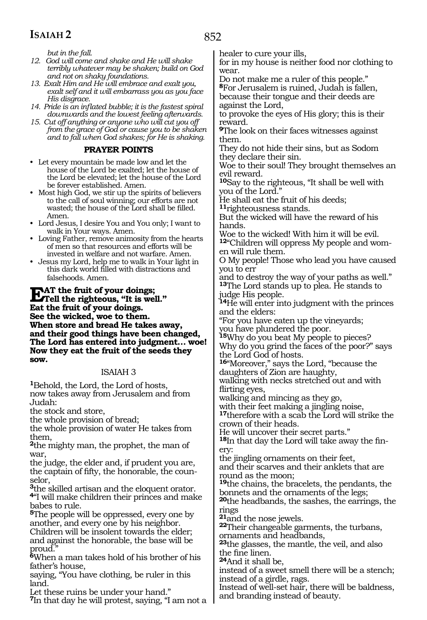852

*but in the fall.*

- *12. God will come and shake and He will shake terribly whatever may be shaken; build on God and not on shaky foundations.*
- *13. Exalt Him and He will embrace and exalt you, exalt self and it will embarrass you as you face His disgrace.*
- *14. Pride is an inflated bubble; it is the fastest spiral downwards and the lowest feeling afterwards.*
- *15. Cut off anything or anyone who will cut you off from the grace of God or cause you to be shaken and to fall when God shakes; for He is shaking.*

### **PRAYER POINTS**

- Let every mountain be made low and let the house of the Lord be exalted; let the house of the Lord be elevated; let the house of the Lord be forever established. Amen.
- Most high God, we stir up the spirits of believers to the call of soul winning; our efforts are not wasted; the house of the Lord shall be filled. Amen.
- Lord Jesus, I desire You and You only; I want to walk in Your ways. Amen.
- Loving Father, remove animosity from the hearts of men so that resources and efforts will be invested in welfare and not warfare. Amen.
- Jesus my Lord, help me to walk in Your light in this dark world filled with distractions and falsehoods. Amen.

**EAT the fruit of your doings;**<br>Tell the righteous, "It is well." **Eat the fruit of your doings. See the wicked, woe to them. When store and bread He takes away, and their good things have been changed, The Lord has entered into judgment… woe! Now they eat the fruit of the seeds they sow.**

### ISAIAH 3

**<sup>1</sup>**Behold, the Lord, the Lord of hosts, now takes away from Jerusalem and from Judah:

the stock and store,

the whole provision of bread;

the whole provision of water He takes from them,

**<sup>2</sup>**the mighty man, the prophet, the man of war,

the judge, the elder and, if prudent you are, the captain of fifty, the honorable, the counselor,

**<sup>3</sup>**the skilled artisan and the eloquent orator. **<sup>4</sup>**"I will make children their princes and make babes to rule.

**<sup>5</sup>**The people will be oppressed, every one by another, and every one by his neighbor. Children will be insolent towards the elder; and against the honorable, the base will be proud."

**<sup>6</sup>**When a man takes hold of his brother of his father's house,

saying, "You have clothing, be ruler in this land.

Let these ruins be under your hand."

**<sup>7</sup>**In that day he will protest, saying, "I am not a

healer to cure your ills,

for in my house is neither food nor clothing to wear.

Do not make me a ruler of this people." **<sup>8</sup>**For Jerusalem is ruined, Judah is fallen, because their tongue and their deeds are against the Lord,

to provoke the eyes of His glory; this is their reward.

**<sup>9</sup>**The look on their faces witnesses against them.

They do not hide their sins, but as Sodom they declare their sin.

Woe to their soul! They brought themselves an evil reward.

**<sup>10</sup>**Say to the righteous, "It shall be well with you of the Lord."

He shall eat the fruit of his deeds; **<sup>11</sup>**righteousness stands.

But the wicked will have the reward of his hands.

Woe to the wicked! With him it will be evil. **12**"Children will oppress My people and women will rule them.

O My people! Those who lead you have caused you to err

and to destroy the way of your paths as well." **<sup>13</sup>**The Lord stands up to plea. He stands to judge His people.

**<sup>14</sup>**He will enter into judgment with the princes and the elders:

"For you have eaten up the vineyards;

you have plundered the poor.

**<sup>15</sup>**Why do you beat My people to pieces? Why do you grind the faces of the poor?" says the Lord God of hosts.

**<sup>16</sup>**"Moreover," says the Lord, "because the daughters of Zion are haughty,

walking with necks stretched out and with flirting eyes,

walking and mincing as they go,

with their feet making a jingling noise, **<sup>17</sup>**therefore with a scab the Lord will strike the

crown of their heads. He will uncover their secret parts."

**18**In that day the Lord will take away the finery:

the jingling ornaments on their feet, and their scarves and their anklets that are round as the moon;

**<sup>19</sup>**the chains, the bracelets, the pendants, the bonnets and the ornaments of the legs;

**<sup>20</sup>**the headbands, the sashes, the earrings, the rings<br><sup>21</sup>and the nose jewels.

**22**Their changeable garments, the turbans, ornaments and headbands,

**<sup>23</sup>**the glasses, the mantle, the veil, and also the fine linen.

**<sup>24</sup>**And it shall be,

instead of a sweet smell there will be a stench; instead of a girdle, rags.

Instead of well-set hair, there will be baldness, and branding instead of beauty.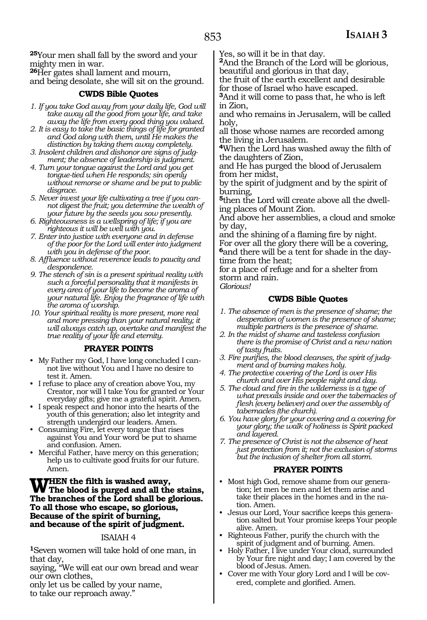**<sup>25</sup>**Your men shall fall by the sword and your mighty men in war.

**<sup>26</sup>**Her gates shall lament and mourn,

and being desolate, she will sit on the ground.

### **CWDS Bible Quotes**

- *1. If you take God away from your daily life, God will take away all the good from your life, and take away the life from every good thing you valued.*
- *2. It is easy to take the basic things of life for granted and God along with them, until He makes the distinction by taking them away completely.*
- *3. Insolent children and dishonor are signs of judgment; the absence of leadership is judgment.*
- *4. Turn your tongue against the Lord and you get tongue-tied when He responds; sin openly without remorse or shame and be put to public disgrace.*
- *5. Never invest your life cultivating a tree if you cannot digest the fruit; you determine the wealth of your future by the seeds you sow presently.*
- *6. Righteousness is a wellspring of life; if you are righteous it will be well with you.*
- *7. Enter into justice with everyone and in defense of the poor for the Lord will enter into judgment with you in defense of the poor.*
- *8. Affluence without reverence leads to paucity and despondence.*
- *9. The stench of sin is a present spiritual reality with such a forceful personality that it manifests in every area of your life to become the aroma of your natural life. Enjoy the fragrance of life with the aroma of worship.*
- *10. Your spiritual reality is more present, more real and more pressing than your natural reality; it will always catch up, overtake and manifest the true reality of your life and eternity.*

### **PRAYER POINTS**

- My Father my God, I have long concluded I cannot live without You and I have no desire to test it. Amen.
- I refuse to place any of creation above You, my Creator, nor will I take You for granted or Your everyday gifts; give me a grateful spirit. Amen.
- I speak respect and honor into the hearts of the youth of this generation; also let integrity and strength undergird our leaders. Amen.
- Consuming Fire, let every tongue that rises against You and Your word be put to shame and confusion. Amen.
- Merciful Father, have mercy on this generation; help us to cultivate good fruits for our future. Amen.

WHEN the filth is washed away,<br>The blood is purged and all the stains,<br>The bunnelas of the Land shall be claricized **The branches of the Lord shall be glorious. To all those who escape, so glorious, Because of the spirit of burning, and because of the spirit of judgment.**

### ISAIAH 4

**<sup>1</sup>**Seven women will take hold of one man, in that day,

saying, "We will eat our own bread and wear our own clothes,

only let us be called by your name,

to take our reproach away."

Yes, so will it be in that day.

**<sup>2</sup>**And the Branch of the Lord will be glorious, beautiful and glorious in that day,

the fruit of the earth excellent and desirable for those of Israel who have escaped.

**<sup>3</sup>**And it will come to pass that, he who is left in Zion,

and who remains in Jerusalem, will be called holy,

all those whose names are recorded among the living in Jerusalem.

**<sup>4</sup>**When the Lord has washed away the filth of the daughters of Zion,

and He has purged the blood of Jerusalem from her midst,

by the spirit of judgment and by the spirit of burning,

**5**then the Lord will create above all the dwelling places of Mount Zion.

And above her assemblies, a cloud and smoke by day,

and the shining of a flaming fire by night. For over all the glory there will be a covering, **6**and there will be a tent for shade in the daytime from the heat;

for a place of refuge and for a shelter from storm and rain.

*Glorious!*

### **CWDS Bible Quotes**

- *1. The absence of men is the presence of shame; the desperation of women is the presence of shame; multiple partners is the presence of shame.*
- *2. In the midst of shame and tasteless confusion there is the promise of Christ and a new nation of tasty fruits.*
- *3. Fire purifies, the blood cleanses, the spirit of judgment and of burning makes holy.*
- *4. The protective covering of the Lord is over His church and over His people night and day.*
- *5. The cloud and fire in the wilderness is a type of what prevails inside and over the tabernacles of flesh (every believer) and over the assembly of tabernacles (the church).*
- *6. You have glory for your covering and a covering for your glory; the walk of holiness is Spirit packed and layered.*
- *7. The presence of Christ is not the absence of heat just protection from it; not the exclusion of storms but the inclusion of shelter from all storm.*

### **PRAYER POINTS**

- Most high God, remove shame from our generation; let men be men and let them arise and take their places in the homes and in the nation. Amen.
- Jesus our Lord, Your sacrifice keeps this generation salted but Your promise keeps Your people alive. Amen.
- Righteous Father, purify the church with the spirit of judgment and of burning. Amen.
- Holy Father, I live under Your cloud, surrounded by Your fire night and day; I am covered by the blood of Jesus. Amen.
- Cover me with Your glory Lord and I will be covered, complete and glorified. Amen.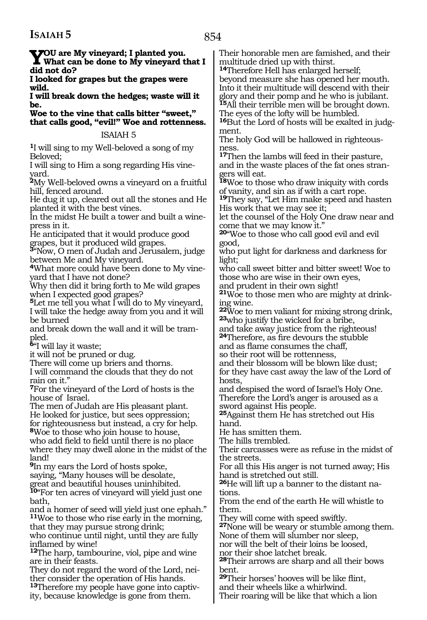854

**You are My vineyard; I planted you. What can be done to My vineyard that I did not do?**

**I looked for grapes but the grapes were wild.**

**I will break down the hedges; waste will it be.**

**Woe to the vine that calls bitter "sweet," that calls good, "evil!" Woe and rottenness.**

### ISAIAH 5

**<sup>1</sup>**I will sing to my Well-beloved a song of my Beloved;

I will sing to Him a song regarding His vineyard.

**<sup>2</sup>**My Well-beloved owns a vineyard on a fruitful hill, fenced around.

He dug it up, cleared out all the stones and He planted it with the best vines.

In the midst He built a tower and built a winepress in it.

He anticipated that it would produce good grapes, but it produced wild grapes.

**<sup>3</sup>**"Now, O men of Judah and Jerusalem, judge between Me and My vineyard.

**4**What more could have been done to My vineyard that I have not done?

Why then did it bring forth to Me wild grapes when I expected good grapes?

**<sup>5</sup>**Let me tell you what I will do to My vineyard, I will take the hedge away from you and it will be burned

and break down the wall and it will be trampled.

**<sup>6</sup>**"I will lay it waste;

it will not be pruned or dug.

There will come up briers and thorns.

I will command the clouds that they do not rain on it."

**<sup>7</sup>**For the vineyard of the Lord of hosts is the house of Israel.

The men of Judah are His pleasant plant. He looked for justice, but sees oppression; for righteousness but instead, a cry for help.

**<sup>8</sup>**Woe to those who join house to house, who add field to field until there is no place where they may dwell alone in the midst of the land!

**<sup>9</sup>**In my ears the Lord of hosts spoke, saying, "Many houses will be desolate,

great and beautiful houses uninhibited.

**<sup>10</sup>**"For ten acres of vineyard will yield just one bath,

and a homer of seed will yield just one ephah." **<sup>11</sup>**Woe to those who rise early in the morning, that they may pursue strong drink;

who continue until night, until they are fully inflamed by wine!

**<sup>12</sup>**The harp, tambourine, viol, pipe and wine are in their feasts.

They do not regard the word of the Lord, neither consider the operation of His hands.

**13**Therefore my people have gone into captivity, because knowledge is gone from them.

Their honorable men are famished, and their multitude dried up with thirst.

**<sup>14</sup>**Therefore Hell has enlarged herself; beyond measure she has opened her mouth. Into it their multitude will descend with their glory and their pomp and he who is jubilant. **<sup>15</sup>**All their terrible men will be brought down. The eyes of the lofty will be humbled.

**16**But the Lord of hosts will be exalted in judgment.

The holy God will be hallowed in righteousness.

**<sup>17</sup>**Then the lambs will feed in their pasture, and in the waste places of the fat ones strangers will eat.

**<sup>18</sup>**Woe to those who draw iniquity with cords of vanity, and sin as if with a cart rope.

**<sup>19</sup>**They say, "Let Him make speed and hasten His work that we may see it;

let the counsel of the Holy One draw near and come that we may know it."

**<sup>20</sup>**"Woe to those who call good evil and evil good,

who put light for darkness and darkness for light;

who call sweet bitter and bitter sweet! Woe to those who are wise in their own eyes,

and prudent in their own sight!

**21**Woe to those men who are mighty at drinking wine.

**<sup>22</sup>**Woe to men valiant for mixing strong drink, **<sup>23</sup>**who justify the wicked for a bribe,

and take away justice from the righteous! **<sup>24</sup>**Therefore, as fire devours the stubble and as flame consumes the chaff,

so their root will be rottenness,

and their blossom will be blown like dust;

for they have cast away the law of the Lord of hosts,

and despised the word of Israel's Holy One. Therefore the Lord's anger is aroused as a sword against His people.

**<sup>25</sup>**Against them He has stretched out His hand.

He has smitten them.

The hills trembled.

Their carcasses were as refuse in the midst of the streets.

For all this His anger is not turned away; His hand is stretched out still.

**26**He will lift up a banner to the distant nations.

From the end of the earth He will whistle to them.

They will come with speed swiftly.

**<sup>27</sup>**None will be weary or stumble among them. None of them will slumber nor sleep,

nor will the belt of their loins be loosed, nor their shoe latchet break.

**<sup>28</sup>**Their arrows are sharp and all their bows bent.

**<sup>29</sup>**Their horses' hooves will be like flint, and their wheels like a whirlwind.

Their roaring will be like that which a lion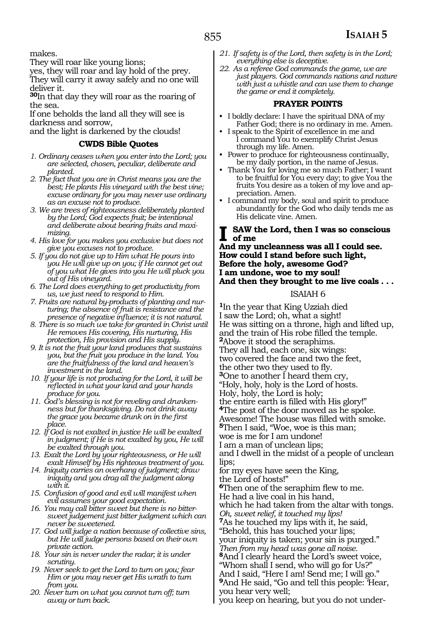makes.

They will roar like young lions;

yes, they will roar and lay hold of the prey. They will carry it away safely and no one will deliver it.

**<sup>30</sup>**In that day they will roar as the roaring of the sea.

If one beholds the land all they will see is darkness and sorrow,

and the light is darkened by the clouds!

### **CWDS Bible Quotes**

- *1. Ordinary ceases when you enter into the Lord; you are selected, chosen, peculiar, deliberate and planted.*
- *2. The fact that you are in Christ means you are the best; He plants His vineyard with the best vine; excuse ordinary for you may never use ordinary as an excuse not to produce.*
- *3. We are trees of righteousness deliberately planted by the Lord; God expects fruit; be intentional and deliberate about bearing fruits and maximizing.*
- *4. His love for you makes you exclusive but does not give you excuses not to produce.*
- *5. If you do not give up to Him what He pours into you He will give up on you; if He cannot get out of you what He gives into you He will pluck you out of His vineyard.*
- *6. The Lord does everything to get productivity from us, we just need to respond to Him.*
- *7. Fruits are natural by-products of planting and nurturing; the absence of fruit is resistance and the presence of negative influence; it is not natural.*
- *8. There is so much we take for granted in Christ until He removes His covering, His nurturing, His protection, His provision and His supply.*
- *9. It is not the fruit your land produces that sustains you, but the fruit you produce in the land. You are the fruitfulness of the land and heaven's investment in the land.*
- *10. If your life is not producing for the Lord, it will be reflected in what your land and your hands produce for you.*
- *11. God's blessing is not for reveling and drunkenness but for thanksgiving. Do not drink away the grace you became drunk on in the first place.*
- *12. If God is not exalted in justice He will be exalted in judgment; if He is not exalted by you, He will be exalted through you.*
- *13. Exalt the Lord by your righteousness, or He will exalt Himself by His righteous treatment of you.*
- *14. Iniquity carries an overhang of judgment; draw iniquity and you drag all the judgment along with it.*
- *15. Confusion of good and evil will manifest when evil assumes your good expectation.*
- *16. You may call bitter sweet but there is no bittersweet judgement just bitter judgment which can never be sweetened.*
- *17. God will judge a nation because of collective sins, but He will judge persons based on their own private action.*
- *18. Your sin is never under the radar; it is under scrutiny.*
- *19. Never seek to get the Lord to turn on you; fear Him or you may never get His wrath to turn from you.*
- *20. Never turn on what you cannot turn off; turn away or turn back.*
- *21. If safety is of the Lord, then safety is in the Lord; everything else is deceptive.*
- *22. As a referee God commands the game, we are just players. God commands nations and nature with just a whistle and can use them to change the game or end it completely.*

### **PRAYER POINTS**

- I boldly declare: I have the spiritual DNA of my Father God; there is no ordinary in me. Amen.
- I speak to the Spirit of excellence in me and I command You to exemplify Christ Jesus through my life. Amen.
- Power to produce for righteousness continually, be my daily portion, in the name of Jesus.
- Thank You for loving me so much Father; I want to be fruitful for You every day; to give You the fruits You desire as a token of my love and appreciation. Amen.
- I command my body, soul and spirit to produce abundantly for the God who daily tends me as His delicate vine. Amen.

### **I saw the Lord, then I was so conscious of me**

**And my uncleanness was all I could see. How could I stand before such light, Before the holy, awesome God? I am undone, woe to my soul! And then they brought to me live coals . . .** 

### ISAIAH 6

**<sup>1</sup>**In the year that King Uzziah died I saw the Lord; oh, what a sight! He was sitting on a throne, high and lifted up, and the train of His robe filled the temple. **2**Above it stood the seraphims. They all had, each one, six wings: two covered the face and two the feet, the other two they used to fly. **3**One to another I heard them cry, "Holy, holy, holy is the Lord of hosts. Holy, holy, the Lord is holy; the entire earth is filled with His glory!" **<sup>4</sup>**The post of the door moved as he spoke. Awesome! The house was filled with smoke. **<sup>5</sup>**Then I said, "Woe, woe is this man; woe is me for I am undone! I am a man of unclean lips; and I dwell in the midst of a people of unclean lips; for my eyes have seen the King, the Lord of hosts!" **<sup>6</sup>**Then one of the seraphim flew to me. He had a live coal in his hand, which he had taken from the altar with tongs. *Oh, sweet relief, it touched my lips!* **<sup>7</sup>**As he touched my lips with it, he said, "Behold, this has touched your lips; your iniquity is taken; your sin is purged." *Then from my head was gone all noise.*  **<sup>8</sup>**And I clearly heard the Lord's sweet voice, "Whom shall I send, who will go for Us?" And I said, "Here I am! Send me; I will go." **<sup>9</sup>**And He said, "Go and tell this people: 'Hear, you hear very well; you keep on hearing, but you do not under-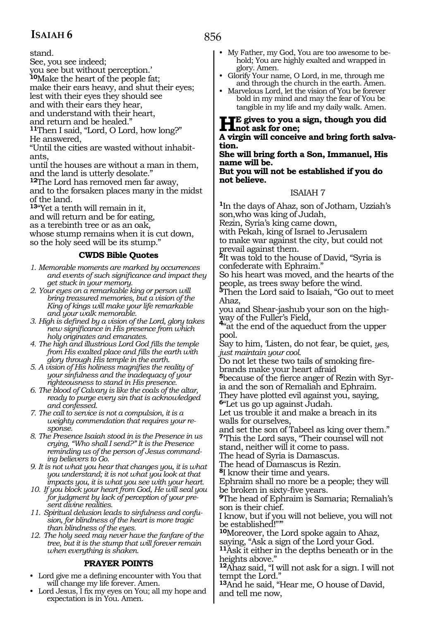stand.

See, you see indeed;

you see but without perception.'

**<sup>10</sup>**Make the heart of the people fat;

make their ears heavy, and shut their eyes; lest with their eyes they should see

and with their ears they hear,

and understand with their heart,

and return and be healed."

**<sup>11</sup>**Then I said, "Lord, O Lord, how long?"

He answered,

"Until the cities are wasted without inhabitants,

until the houses are without a man in them, and the land is utterly desolate."

**<sup>12</sup>**The Lord has removed men far away, and to the forsaken places many in the midst

of the land.

**<sup>13</sup>**"Yet a tenth will remain in it,

and will return and be for eating,

as a terebinth tree or as an oak,

whose stump remains when it is cut down, so the holy seed will be its stump."

### **CWDS Bible Quotes**

*1. Memorable moments are marked by occurrences and events of such significance and impact they get stuck in your memory.* 

*2. Your eyes on a remarkable king or person will bring treasured memories, but a vision of the King of kings will make your life remarkable and your walk memorable.* 

*3. High is defined by a vision of the Lord, glory takes new significance in His presence from which holy originates and emanates.*

*4. The high and illustrious Lord God fills the temple from His exalted place and fills the earth with glory through His temple in the earth.*

*5. A vision of His holiness magnifies the reality of your sinfulness and the inadequacy of your righteousness to stand in His presence.* 

*6. The blood of Calvary is like the coals of the altar, ready to purge every sin that is acknowledged and confessed.*

*7. The call to service is not a compulsion, it is a weighty commendation that requires your response.* 

*8. The Presence Isaiah stood in is the Presence in us crying, "Who shall I send?" It is the Presence reminding us of the person of Jesus commanding believers to Go.*

*9. It is not what you hear that changes you, it is what you understand; it is not what you look at that impacts you, it is what you see with your heart.*

*10. If you block your heart from God, He will seal you for judgment by lack of perception of your present divine realities.* 

*11. Spiritual delusion leads to sinfulness and confusion, for blindness of the heart is more tragic than blindness of the eyes.* 

*12. The holy seed may never have the fanfare of the tree, but it is the stump that will forever remain when everything is shaken.*

### **PRAYER POINTS**

• Lord give me a defining encounter with You that will change my life forever. Amen.

• Lord Jesus, I fix my eyes on You; all my hope and expectation is in You. Amen.

- My Father, my God, You are too awesome to behold; You are highly exalted and wrapped in glory. Amen.
- Glorify Your name, O Lord, in me, through me and through the church in the earth. Amen.
- Marvelous Lord, let the vision of You be forever bold in my mind and may the fear of You be tangible in my life and my daily walk. Amen.

**HE** gives to you a sign, though you did<br> **not** ask for one;<br>
A signin will aspective and bring facth salve

**A virgin will conceive and bring forth salva- tion.**

**She will bring forth a Son, Immanuel, His name will be.**

**But you will not be established if you do not believe.**

### ISAIAH 7

**<sup>1</sup>**In the days of Ahaz, son of Jotham, Uzziah's son,who was king of Judah,

Rezin, Syria's king came down,

with Pekah, king of Israel to Jerusalem to make war against the city, but could not prevail against them.

**<sup>2</sup>**It was told to the house of David, "Syria is confederate with Ephraim."

So his heart was moved, and the hearts of the people, as trees sway before the wind.

**<sup>3</sup>**Then the Lord said to Isaiah, "Go out to meet Ahaz,

you and Shear-jashub your son on the high-<br>way of the Fuller's Field,

<sup>4"at the end of the aqueduct from the upper</sup> pool.

Say to him, 'Listen, do not fear, be quiet, *yes, just maintain your cool.*

Do not let these two tails of smoking fire- brands make your heart afraid

**<sup>5</sup>**because of the fierce anger of Rezin with Syr- ia and the son of Remaliah and Ephraim. They have plotted evil against you, saying,

**<sup>6</sup>**"Let us go up against Judah.

Let us trouble it and make a breach in its walls for ourselves,

and set the son of Tabeel as king over them." **<sup>7</sup>**'This the Lord says, "Their counsel will not

stand, neither will it come to pass.

The head of Syria is Damascus.

The head of Damascus is Rezin.

**<sup>8</sup>**I know their time and years.

Ephraim shall no more be a people; they will be broken in sixty-five years.

**<sup>9</sup>**The head of Ephraim is Samaria; Remaliah's son is their chief.

I know, but if you will not believe, you will not be established!""

**<sup>10</sup>**Moreover, the Lord spoke again to Ahaz, saying, "Ask a sign of the Lord your God.

**<sup>11</sup>**Ask it either in the depths beneath or in the heights above."

**<sup>12</sup>**Ahaz said, "I will not ask for a sign. I will not tempt the Lord."

**<sup>13</sup>**And he said, "Hear me, O house of David, and tell me now,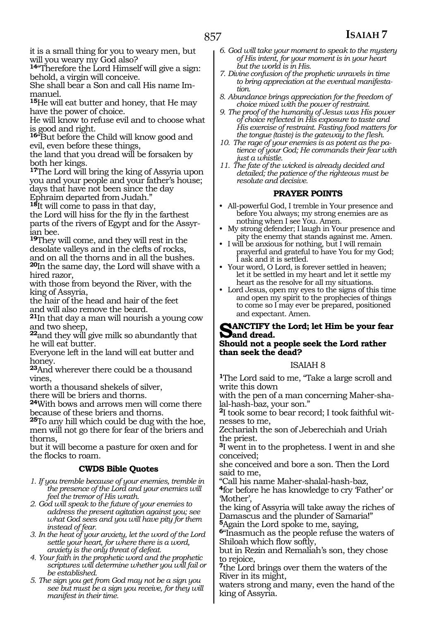**<sup>14</sup>**"Therefore the Lord Himself will give a sign: behold, a virgin will conceive.

She shall bear a Son and call His name Immanuel.

**<sup>15</sup>**He will eat butter and honey, that He may have the power of choice.

He will know to refuse evil and to choose what is good and right.

**<sup>16</sup>**"But before the Child will know good and evil, even before these things,

the land that you dread will be forsaken by both her kings.

**<sup>17</sup>**The Lord will bring the king of Assyria upon you and your people and your father's house; days that have not been since the day Ephraim departed from Judah."

**<sup>18</sup>**It will come to pass in that day,

the Lord will hiss for the fly in the farthest parts of the rivers of Egypt and for the Assyrian bee.

**<sup>19</sup>**They will come, and they will rest in the desolate valleys and in the clefts of rocks, and on all the thorns and in all the bushes. **<sup>20</sup>**In the same day, the Lord will shave with a

hired razor,

with those from beyond the River, with the king of Assyria,

the hair of the head and hair of the feet and will also remove the beard.

**<sup>21</sup>**In that day a man will nourish a young cow and two sheep,

**<sup>22</sup>**and they will give milk so abundantly that he will eat butter.

Everyone left in the land will eat butter and honey.

**<sup>23</sup>**And wherever there could be a thousand vines,

worth a thousand shekels of silver,

there will be briers and thorns.

**<sup>24</sup>**With bows and arrows men will come there because of these briers and thorns.

**<sup>25</sup>**To any hill which could be dug with the hoe, men will not go there for fear of the briers and thorns,

but it will become a pasture for oxen and for the flocks to roam.

### **CWDS Bible Quotes**

- *1. If you tremble because of your enemies, tremble in the presence of the Lord and your enemies will feel the tremor of His wrath.*
- *2. God will speak to the future of your enemies to address the present agitation against you; see what God sees and you will have pity for them instead of fear.*
- *3. In the heat of your anxiety, let the word of the Lord settle your heart, for where there is a word, anxiety is the only threat of defeat.*
- *4. Your faith in the prophetic word and the prophetic scriptures will determine whether you will fail or be established.*
- *5. The sign you get from God may not be a sign you see but must be a sign you receive, for they will manifest in their time.*
- *6. God will take your moment to speak to the mystery of His intent, for your moment is in your heart but the world is in His.*
- *7. Divine confusion of the prophetic unravels in time to bring appreciation at the eventual manifestation.*
- *8. Abundance brings appreciation for the freedom of choice mixed with the power of restraint.*
- *9. The proof of the humanity of Jesus was His power of choice reflected in His exposure to taste and His exercise of restraint. Fasting food matters for the tongue (taste) is the gateway to the flesh.*
- *10. The rage of your enemies is as potent as the patience of your God; He commands their fear with just a whistle.*
- *11. The fate of the wicked is already decided and detailed; the patience of the righteous must be resolute and decisive.*

### **PRAYER POINTS**

- All-powerful God, I tremble in Your presence and before You always; my strong enemies are as nothing when I see You. Amen.
- My strong defender; I laugh in Your presence and pity the enemy that stands against me. Amen.
- I will be anxious for nothing, but I will remain prayerful and grateful to have You for my God; I ask and it is settled.
- Your word, O Lord, is forever settled in heaven; let it be settled in my heart and let it settle my heart as the resolve for all my situations.
- Lord Jesus, open my eyes to the signs of this time and open my spirit to the prophecies of things to come so I may ever be prepared, positioned and expectant. Amen.

### **Sanctify the Lord; let Him be your fear**   $\sum$ and dread. **Should not a people seek the Lord rather than seek the dead?**

### ISAIAH 8

**<sup>1</sup>**The Lord said to me, "Take a large scroll and write this down

with the pen of a man concerning Maher-shalal-hash-baz, your son."

**2**I took some to bear record; I took faithful witnesses to me,

Zechariah the son of Jeberechiah and Uriah the priest.

**<sup>3</sup>**I went in to the prophetess. I went in and she conceived;

she conceived and bore a son. Then the Lord said to me,

"Call his name Maher-shalal-hash-baz,

**<sup>4</sup>**for before he has knowledge to cry 'Father' or 'Mother',

the king of Assyria will take away the riches of Damascus and the plunder of Samaria!"

**<sup>5</sup>**Again the Lord spoke to me, saying,

**<sup>6</sup>**"Inasmuch as the people refuse the waters of Shiloah which flow softly,

but in Rezin and Remaliah's son, they chose to rejoice,

**<sup>7</sup>**the Lord brings over them the waters of the River in its might,

waters strong and many, even the hand of the king of Assyria.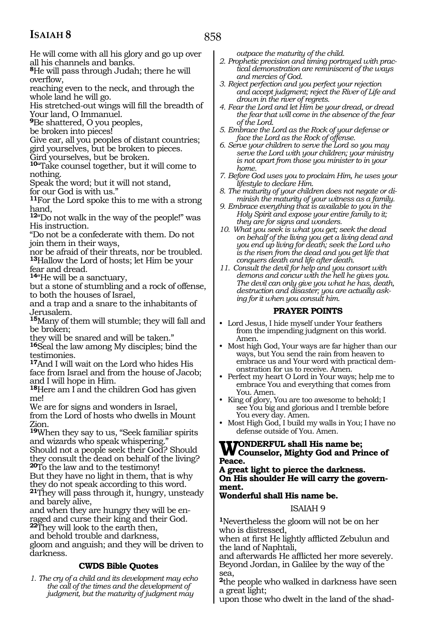He will come with all his glory and go up over all his channels and banks.

**<sup>8</sup>**He will pass through Judah; there he will overflow,

reaching even to the neck, and through the whole land he will go.

His stretched-out wings will fill the breadth of Your land, O Immanuel.

**<sup>9</sup>**Be shattered, O you peoples,

be broken into pieces!

Give ear, all you peoples of distant countries; gird yourselves, but be broken to pieces.

Gird yourselves, but be broken.

**<sup>10</sup>**"Take counsel together, but it will come to nothing.

Speak the word; but it will not stand,

for our God is with us."

**<sup>11</sup>**For the Lord spoke this to me with a strong hand,

**<sup>12</sup>**"Do not walk in the way of the people!" was His instruction.

"Do not be a confederate with them. Do not join them in their ways,

nor be afraid of their threats, nor be troubled. **<sup>13</sup>**Hallow the Lord of hosts; let Him be your fear and dread.

**<sup>14</sup>**"He will be a sanctuary,

but a stone of stumbling and a rock of offense, to both the houses of Israel,

and a trap and a snare to the inhabitants of Jerusalem.

**<sup>15</sup>**Many of them will stumble; they will fall and be broken;

they will be snared and will be taken."

**<sup>16</sup>**Seal the law among My disciples; bind the testimonies.

**<sup>17</sup>**And I will wait on the Lord who hides His face from Israel and from the house of Jacob; and I will hope in Him.

**<sup>18</sup>**Here am I and the children God has given me!

We are for signs and wonders in Israel, from the Lord of hosts who dwells in Mount Zion.

**<sup>19</sup>**When they say to us, "Seek familiar spirits and wizards who speak whispering." Should not a people seek their God? Should

they consult the dead on behalf of the living? **<sup>20</sup>**To the law and to the testimony!

But they have no light in them, that is why they do not speak according to this word.

**<sup>21</sup>**They will pass through it, hungry, unsteady and barely alive,

and when they are hungry they will be enraged and curse their king and their God. **<sup>22</sup>**They will look to the earth then,

and behold trouble and darkness,

gloom and anguish; and they will be driven to darkness.

### **CWDS Bible Quotes**

*1. The cry of a child and its development may echo the call of the times and the development of judgment, but the maturity of judgment may* 

*outpace the maturity of the child.*

- *2. Prophetic precision and timing portrayed with practical demonstration are reminiscent of the ways and mercies of God.*
- *3. Reject perfection and you perfect your rejection and accept judgment; reject the River of Life and drown in the river of regrets.*
- *4. Fear the Lord and let Him be your dread, or dread the fear that will come in the absence of the fear of the Lord.*
- *5. Embrace the Lord as the Rock of your defense or face the Lord as the Rock of offense.*
- *6. Serve your children to serve the Lord so you may serve the Lord with your children; your ministry is not apart from those you minister to in your home.*
- *7. Before God uses you to proclaim Him, he uses your lifestyle to declare Him.*
- *8. The maturity of your children does not negate or diminish the maturity of your witness as a family.*
- *9. Embrace everything that is available to you in the Holy Spirit and expose your entire family to it; they are for signs and wonders.*
- *10. What you seek is what you get; seek the dead on behalf of the living you get a living dead and you end up living for death; seek the Lord who is the risen from the dead and you get life that conquers death and life after death.*
- *11. Consult the devil for help and you consort with demons and concur with the hell he gives you. The devil can only give you what he has, death, destruction and disaster; you are actually asking for it when you consult him.*

### **PRAYER POINTS**

- Lord Jesus, I hide myself under Your feathers from the impending judgment on this world. Amen.
- Most high God, Your ways are far higher than our ways, but You send the rain from heaven to embrace us and Your word with practical demonstration for us to receive. Amen.
- Perfect my heart O Lord in Your ways; help me to embrace You and everything that comes from You. Amen.
- King of glory, You are too awesome to behold; I see You big and glorious and I tremble before You every day. Amen.
- Most High God, I build my walls in You; I have no defense outside of You. Amen.

## **WONDERFUL shall His name be;**<br> **Counselor, Mighty God and Prince of Peace.**

**A great light to pierce the darkness. On His shoulder He will carry the government.**

### **Wonderful shall His name be.**

### ISAIAH 9

**<sup>1</sup>**Nevertheless the gloom will not be on her who is distressed,

when at first He lightly afflicted Zebulun and the land of Naphtali,

and afterwards He afflicted her more severely. Beyond Jordan, in Galilee by the way of the sea,

**<sup>2</sup>**the people who walked in darkness have seen a great light;

upon those who dwelt in the land of the shad-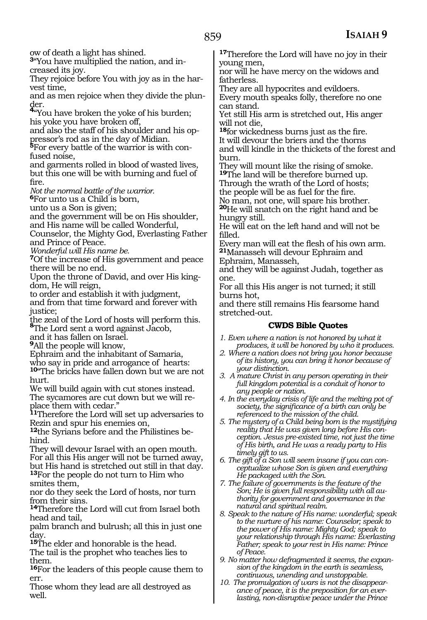ow of death a light has shined.

**3**"You have multiplied the nation, and increased its joy.

They rejoice before You with joy as in the harvest time,

and as men rejoice when they divide the plun-

der. **<sup>4</sup>**"You have broken the yoke of his burden; his yoke you have broken off,

and also the staff of his shoulder and his oppressor's rod as in the day of Midian.

**<sup>5</sup>**For every battle of the warrior is with con- fused noise,

and garments rolled in blood of wasted lives, but this one will be with burning and fuel of fire.

*Not the normal battle of the warrior.*

**<sup>6</sup>**For unto us a Child is born,

unto us a Son is given;

and the government will be on His shoulder, and His name will be called Wonderful,

Counselor, the Mighty God, Everlasting Father and Prince of Peace.

*Wonderful will His name be.*

**<sup>7</sup>**Of the increase of His government and peace there will be no end.

Upon the throne of David, and over His kingdom, He will reign,

to order and establish it with judgment, and from that time forward and forever with

justice;

the zeal of the Lord of hosts will perform this. **<sup>8</sup>**The Lord sent a word against Jacob,

and it has fallen on Israel.

**<sup>9</sup>**All the people will know,

Ephraim and the inhabitant of Samaria,

who say in pride and arrogance of hearts:

**<sup>10</sup>**"The bricks have fallen down but we are not hurt.

We will build again with cut stones instead. The sycamores are cut down but we will replace them with cedar."

**<sup>11</sup>**Therefore the Lord will set up adversaries to Rezin and spur his enemies on,

**12**the Syrians before and the Philistines behind.

They will devour Israel with an open mouth. For all this His anger will not be turned away, but His hand is stretched out still in that day. **<sup>13</sup>**For the people do not turn to Him who smites them,

nor do they seek the Lord of hosts, nor turn from their sins.

**<sup>14</sup>**Therefore the Lord will cut from Israel both head and tail,

palm branch and bulrush; all this in just one day.

**<sup>15</sup>**The elder and honorable is the head.

The tail is the prophet who teaches lies to them.

**<sup>16</sup>**For the leaders of this people cause them to err.

Those whom they lead are all destroyed as well.

**<sup>17</sup>**Therefore the Lord will have no joy in their young men,

nor will he have mercy on the widows and fatherless.

They are all hypocrites and evildoers. Every mouth speaks folly, therefore no one can stand.

Yet still His arm is stretched out, His anger will not die,

**<sup>18</sup>**for wickedness burns just as the fire. It will devour the briers and the thorns and will kindle in the thickets of the forest and burn.

They will mount like the rising of smoke. **<sup>19</sup>**The land will be therefore burned up.

Through the wrath of the Lord of hosts; the people will be as fuel for the fire.

No man, not one, will spare his brother.

**<sup>20</sup>**He will snatch on the right hand and be hungry still.

He will eat on the left hand and will not be filled.

Every man will eat the flesh of his own arm. **<sup>21</sup>**Manasseh will devour Ephraim and

Ephraim, Manasseh,

and they will be against Judah, together as one.

For all this His anger is not turned; it still burns hot,

and there still remains His fearsome hand stretched-out.

### **CWDS Bible Quotes**

- *1. Even where a nation is not honored by what it produces, it will be honored by who it produces.*
- *2. Where a nation does not bring you honor because of its history, you can bring it honor because of your distinction.*
- *3. A mature Christ in any person operating in their full kingdom potential is a conduit of honor to any people or nation.*
- *4. In the everyday crisis of life and the melting pot of society, the significance of a birth can only be referenced to the mission of the child.*
- *5. The mystery of a Child being born is the mystifying reality that He was given long before His conception. Jesus pre-existed time, not just the time of His birth, and He was a ready party to His timely gift to us.*
- *6. The gift of a Son will seem insane if you can conceptualize whose Son is given and everything He packaged with the Son.*
- *7. The failure of governments is the feature of the Son; He is given full responsibility with all authority for government and governance in the natural and spiritual realm.*
- *8. Speak to the nature of His name: wonderful; speak to the nurture of his name: Counselor; speak to the power of His name: Mighty God; speak to your relationship through His name: Everlasting Father; speak to your rest in His name: Prince of Peace.*
- *9. No matter how defragmented it seems, the expansion of the kingdom in the earth is seamless, continuous, unending and unstoppable.*
- *10. The promulgation of wars is not the disappearance of peace, it is the preposition for an everlasting, non-disruptive peace under the Prince*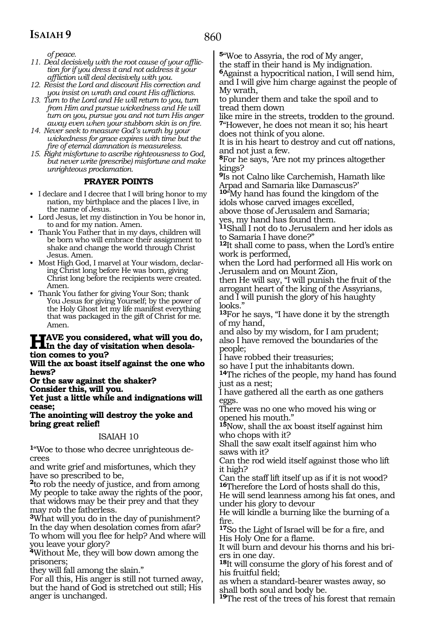*of peace.*

- *11. Deal decisively with the root cause of your affliction for if you dress it and not address it your affliction will deal decisively with you.*
- *12. Resist the Lord and discount His correction and you insist on wrath and count His afflictions.*
- *13. Turn to the Lord and He will return to you, turn from Him and pursue wickedness and He will turn on you, pursue you and not turn His anger away even when your stubborn skin is on fire.*
- *14. Never seek to measure God's wrath by your wickedness for grace expires with time but the fire of eternal damnation is measureless.*
- *15. Right misfortune to ascribe righteousness to God, but never write (prescribe) misfortune and make unrighteous proclamation.*

### **PRAYER POINTS**

- I declare and I decree that I will bring honor to my nation, my birthplace and the places I live, in the name of Jesus.
- Lord Jesus, let my distinction in You be honor in, to and for my nation. Amen.
- Thank You Father that in my days, children will be born who will embrace their assignment to shake and change the world through Christ Jesus. Amen.
- Most High God, I marvel at Your wisdom, declaring Christ long before He was born, giving Christ long before the recipients were created. Amen.
- Thank You father for giving Your Son; thank You Jesus for giving Yourself; by the power of the Holy Ghost let my life manifest everything that was packaged in the gift of Christ for me. Amen.

## **HAVE** you considered, what will you do,<br> **In the day of visitation when desolation comes to you?**

**Will the ax boast itself against the one who hews?**

**Or the saw against the shaker?** 

**Consider this, will you.**

**Yet just a little while and indignations will cease;**

**The anointing will destroy the yoke and bring great relief!**

### ISAIAH 10

**<sup>1</sup>**"Woe to those who decree unrighteous de- crees

and write grief and misfortunes, which they have so prescribed to be,

**<sup>2</sup>**to rob the needy of justice, and from among My people to take away the rights of the poor, that widows may be their prey and that they may rob the fatherless.

**<sup>3</sup>**What will you do in the day of punishment? In the day when desolation comes from afar? To whom will you flee for help? And where will you leave your glory?

**<sup>4</sup>**Without Me, they will bow down among the prisoners;

they will fall among the slain."

For all this, His anger is still not turned away, but the hand of God is stretched out still; His anger is unchanged.

**<sup>5</sup>**"Woe to Assyria, the rod of My anger, the staff in their hand is My indignation.

**<sup>6</sup>**Against a hypocritical nation, I will send him, and I will give him charge against the people of My wrath,

to plunder them and take the spoil and to tread them down

like mire in the streets, trodden to the ground. **<sup>7</sup>**"However, he does not mean it so; his heart does not think of you alone.

It is in his heart to destroy and cut off nations, and not just a few.

**<sup>8</sup>**For he says, 'Are not my princes altogether kings?

**<sup>9</sup>**Is not Calno like Carchemish, Hamath like Arpad and Samaria like Damascus?'

**<sup>10</sup>**"My hand has found the kingdom of the idols whose carved images excelled,

above those of Jerusalem and Samaria; yes, my hand has found them.

**<sup>11</sup>**Shall I not do to Jerusalem and her idols as to Samaria I have done?"

**<sup>12</sup>**It shall come to pass, when the Lord's entire work is performed,

when the Lord had performed all His work on Jerusalem and on Mount Zion,

then He will say, "I will punish the fruit of the arrogant heart of the king of the Assyrians, and I will punish the glory of his haughty looks.'

**<sup>13</sup>**For he says, "I have done it by the strength of my hand,

and also by my wisdom, for I am prudent; also I have removed the boundaries of the people;

I have robbed their treasuries;

so have I put the inhabitants down.

**<sup>14</sup>**The riches of the people, my hand has found just as a nest;

I have gathered all the earth as one gathers eggs.

There was no one who moved his wing or opened his mouth."

**<sup>15</sup>**Now, shall the ax boast itself against him who chops with it?

Shall the saw exalt itself against him who saws with it?

Can the rod wield itself against those who lift it high?

Can the staff lift itself up as if it is not wood? **<sup>16</sup>**Therefore the Lord of hosts shall do this,

He will send leanness among his fat ones, and under his glory to devour

He will kindle a burning like the burning of a fire.

**<sup>17</sup>**So the Light of Israel will be for a fire, and His Holy One for a flame.

It will burn and devour his thorns and his briers in one day.

**<sup>18</sup>**It will consume the glory of his forest and of his fruitful field;

as when a standard-bearer wastes away, so shall both soul and body be.

**<sup>19</sup>**The rest of the trees of his forest that remain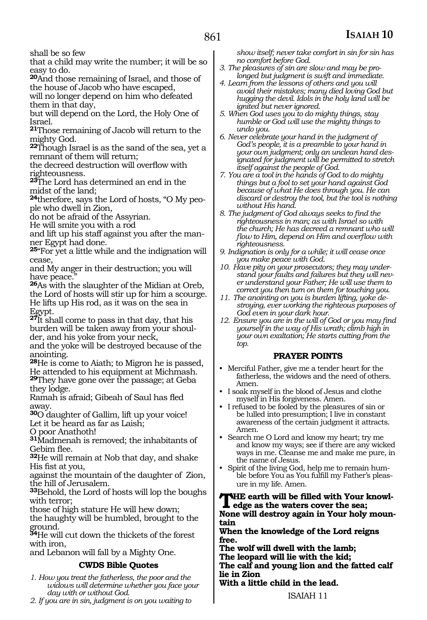shall be so few

that a child may write the number; it will be so easy to do.

**<sup>20</sup>**And those remaining of Israel, and those of the house of Jacob who have escaped, will no longer depend on him who defeated them in that day,

but will depend on the Lord, the Holy One of Israel.

**<sup>21</sup>**Those remaining of Jacob will return to the mighty God.

**<sup>22</sup>**Though Israel is as the sand of the sea, yet a remnant of them will return;

the decreed destruction will overflow with righteousness.

**<sup>23</sup>**The Lord has determined an end in the midst of the land;

**24**therefore, says the Lord of hosts, "O My people who dwell in Zion,

do not be afraid of the Assyrian.

He will smite you with a rod

and lift up his staff against you after the manner Egypt had done.

**<sup>25</sup>**"For yet a little while and the indignation will cease,

and My anger in their destruction; you will have peace.

**<sup>26</sup>**As with the slaughter of the Midian at Oreb, the Lord of hosts will stir up for him a scourge. He lifts up His rod, as it was on the sea in Egypt.

**<sup>27</sup>**It shall come to pass in that day, that his burden will be taken away from your shoulder, and his yoke from your neck,

and the yoke will be destroyed because of the anointing.

**<sup>28</sup>**He is come to Aiath; to Migron he is passed, He attended to his equipment at Michmash.

**<sup>29</sup>**They have gone over the passage; at Geba they lodge.

Ramah is afraid; Gibeah of Saul has fled away.

**<sup>30</sup>**O daughter of Gallim, lift up your voice! Let it be heard as far as Laish;

O poor Anathoth!

**<sup>31</sup>**Madmenah is removed; the inhabitants of Gebim flee.

**<sup>32</sup>**He will remain at Nob that day, and shake His fist at you,

against the mountain of the daughter of Zion, the hill of Jerusalem.

**<sup>33</sup>**Behold, the Lord of hosts will lop the boughs with terror;

those of high stature He will hew down; the haughty will be humbled, brought to the ground.

**<sup>34</sup>**He will cut down the thickets of the forest with iron,

and Lebanon will fall by a Mighty One.

### **CWDS Bible Quotes**

*1. How you treat the fatherless, the poor and the widows will determine whether you face your day with or without God.*

*2. If you are in sin, judgment is on you waiting to* 

*show itself; never take comfort in sin for sin has no comfort before God.* 

- *3. The pleasures of sin are slow and may be prolonged but judgment is swift and immediate.*
- *4. Learn from the lessons of others and you will avoid their mistakes; many died loving God but hugging the devil. Idols in the holy land will be ignited but never ignored.*
- *5. When God uses you to do mighty things, stay humble or God will use the mighty things to undo you.*
- *6. Never celebrate your hand in the judgment of God's people, it is a preamble to your hand in your own judgment; only an unclean hand designated for judgment will be permitted to stretch itself against the people of God.*
- *7. You are a tool in the hands of God to do mighty things but a fool to set your hand against God because of what He does through you. He can discard or destroy the tool, but the tool is nothing without His hand.*
- *8. The judgment of God always seeks to find the righteousness in man; as with Israel so with the church; He has decreed a remnant who will flow to Him, depend on Him and overflow with righteousness.*
- *9. Indignation is only for a while; it will cease once you make peace with God.*
- *10. Have pity on your prosecutors; they may understand your faults and failures but they will never understand your Father; He will use them to correct you then turn on them for touching you.*
- *11. The anointing on you is burden lifting, yoke destroying, ever working the righteous purposes of God even in your dark hour.*
- *12. Ensure you are in the will of God or you may find yourself in the way of His wrath; climb high in your own exaltation; He starts cutting from the top.*

### **PRAYER POINTS**

- Merciful Father, give me a tender heart for the fatherless, the widows and the need of others. Amen.
- I soak myself in the blood of Jesus and clothe myself in His forgiveness. Amen.
- I refused to be fooled by the pleasures of sin or be lulled into presumption; I live in constant awareness of the certain judgment it attracts. Amen.
- Search me O Lord and know my heart; try me and know my ways; see if there are any wicked ways in me. Cleanse me and make me pure, in the name of Jesus.
- Spirit of the living God, help me to remain humble before You as You fulfill my Father's pleasure in my life. Amen.

**The earth will be filled with Your knowledge as the waters cover the sea; None will destroy again in Your holy mountain** 

**When the knowledge of the Lord reigns free.** 

**The wolf will dwell with the lamb;** 

**The leopard will lie with the kid;** 

**The calf and young lion and the fatted calf lie in Zion** 

**With a little child in the lead.**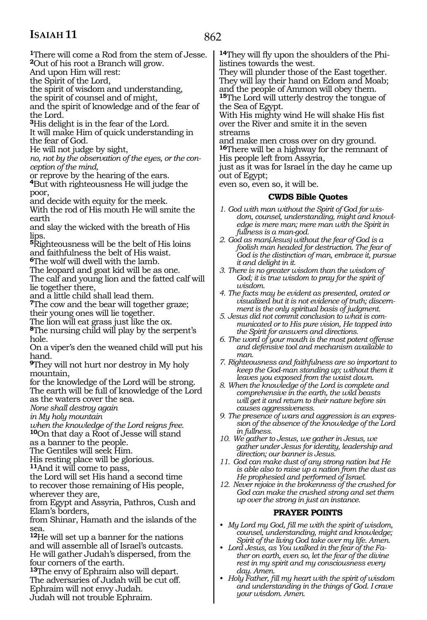862

**<sup>1</sup>**There will come a Rod from the stem of Jesse. **<sup>2</sup>**Out of his root a Branch will grow. And upon Him will rest:

the Spirit of the Lord,

the spirit of wisdom and understanding,

the spirit of counsel and of might,

and the spirit of knowledge and of the fear of the Lord.

**<sup>3</sup>**His delight is in the fear of the Lord. It will make Him of quick understanding in the fear of God.

He will not judge by sight,

*no, not by the observation of the eyes, or the conception of the mind,*

or reprove by the hearing of the ears.

**<sup>4</sup>**But with righteousness He will judge the poor,

and decide with equity for the meek. With the rod of His mouth He will smite the

earth and slay the wicked with the breath of His

lips.

**<sup>5</sup>**Righteousness will be the belt of His loins and faithfulness the belt of His waist.

**<sup>6</sup>**The wolf will dwell with the lamb.

The leopard and goat kid will be as one. The calf and young lion and the fatted calf will lie together there,

and a little child shall lead them.

**<sup>7</sup>**The cow and the bear will together graze; their young ones will lie together.

The lion will eat grass just like the ox.

**<sup>8</sup>**The nursing child will play by the serpent's hole.

On a viper's den the weaned child will put his hand.

**<sup>9</sup>**They will not hurt nor destroy in My holy mountain,

for the knowledge of the Lord will be strong. The earth will be full of knowledge of the Lord as the waters cover the sea.

*None shall destroy again* 

*in My holy mountain* 

*when the knowledge of the Lord reigns free.*  **<sup>10</sup>**On that day a Root of Jesse will stand

as a banner to the people.

The Gentiles will seek Him.

His resting place will be glorious.

**<sup>11</sup>**And it will come to pass,

the Lord will set His hand a second time to recover those remaining of His people, wherever they are,

from Egypt and Assyria, Pathros, Cush and Elam's borders,

from Shinar, Hamath and the islands of the sea.

**<sup>12</sup>**He will set up a banner for the nations and will assemble all of Israel's outcasts. He will gather Judah's dispersed, from the four corners of the earth.

**<sup>13</sup>**The envy of Ephraim also will depart. The adversaries of Judah will be cut off. Ephraim will not envy Judah.

Judah will not trouble Ephraim.

**14**They will fly upon the shoulders of the Philistines towards the west.

They will plunder those of the East together. They will lay their hand on Edom and Moab; and the people of Ammon will obey them. **<sup>15</sup>**The Lord will utterly destroy the tongue of the Sea of Egypt.

With His mighty wind He will shake His fist over the River and smite it in the seven streams

and make men cross over on dry ground. **<sup>16</sup>**There will be a highway for the remnant of His people left from Assyria,

just as it was for Israel in the day he came up out of Egypt;

even so, even so, it will be.

### **CWDS Bible Quotes**

- *1. God with man without the Spirit of God for wisdom, counsel, understanding, might and knowledge is mere man; mere man with the Spirit in fullness is a man-god.*
- *2. God as man(Jesus) without the fear of God is a foolish man headed for destruction. The fear of God is the distinction of man, embrace it, pursue it and delight in it.*
- *3. There is no greater wisdom than the wisdom of God; it is true wisdom to pray for the spirit of wisdom.*
- *4. The facts may be evident as presented, orated or visualized but it is not evidence of truth; discernment is the only spiritual basis of judgment.*
- *5. Jesus did not commit conclusion to what is communicated or to His pure vision, He tapped into the Spirit for answers and directions.*
- *6. The word of your mouth is the most potent offense and defensive tool and mechanism available to man.*
- *7. Righteousness and faithfulness are so important to keep the God-man standing up; without them it leaves you exposed from the waist down.*
- *8. When the knowledge of the Lord is complete and comprehensive in the earth, the wild beasts will get it and return to their nature before sin causes aggressiveness.*
- *9. The presence of wars and aggression is an expression of the absence of the knowledge of the Lord in fullness.*
- *10. We gather to Jesus, we gather in Jesus, we gather under Jesus for identity, leadership and direction; our banner is Jesus.*
- *11. God can make dust of any strong nation but He is able also to raise up a nation from the dust as He prophesied and performed of Israel.*
- *12. Never rejoice in the brokenness of the crushed for God can make the crushed strong and set them up over the strong in just an instance.*

### **PRAYER POINTS**

- *• My Lord my God, fill me with the spirit of wisdom, counsel, understanding, might and knowledge; Spirit of the living God take over my life. Amen.*
- *• Lord Jesus, as You walked in the fear of the Father on earth, even so, let the fear of the divine rest in my spirit and my consciousness every day. Amen.*
- *• Holy Father, fill my heart with the spirit of wisdom and understanding in the things of God. I crave your wisdom. Amen.*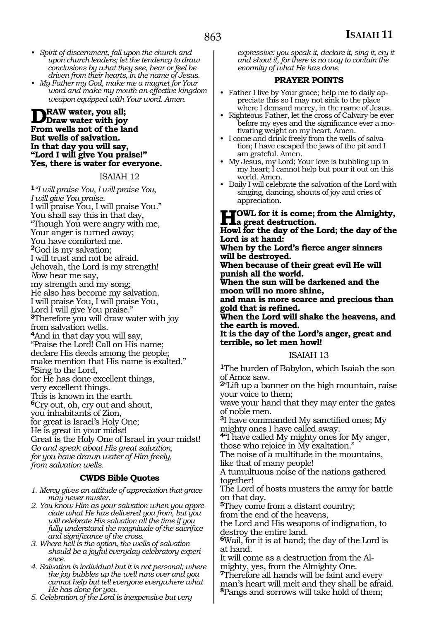- *• Spirit of discernment, fall upon the church and upon church leaders; let the tendency to draw conclusions by what they see, hear or feel be driven from their hearts, in the name of Jesus.*
- *• My Father my God, make me a magnet for Your word and make my mouth an effective kingdom weapon equipped with Your word. Amen.*

### **Draw water, you all; Draw water with joy From wells not of the land But wells of salvation. In that day you will say, "Lord I will give You praise!" Yes, there is water for everyone.**

### ISAIAH 12

**<sup>1</sup>***"I will praise You, I will praise You, I will give You praise.* I will praise You, I will praise You." You shall say this in that day, "Though You were angry with me, Your anger is turned away; You have comforted me. **<sup>2</sup>**God is my salvation; I will trust and not be afraid. Jehovah, the Lord is my strength! *N*ow hear me say, my strength and my song; He also has become my salvation. I will praise You, I will praise You, Lord I will give You praise." **<sup>3</sup>**Therefore you will draw water with joy from salvation wells. **<sup>4</sup>**And in that day you will say, "Praise the Lord! Call on His name; declare His deeds among the people; make mention that His name is exalted." **<sup>5</sup>**Sing to the Lord, for He has done excellent things, very excellent things. This is known in the earth. **<sup>6</sup>**Cry out, oh, cry out and shout, you inhabitants of Zion, for great is Israel's Holy One; He is great in your midst! Great is the Holy One of Israel in your midst! *Go and speak about His great salvation, for you have drawn water of Him freely, from salvation wells.*

### **CWDS Bible Quotes**

- *1. Mercy gives an attitude of appreciation that grace may never muster.*
- *2. You know Him as your salvation when you appreciate what He has delivered you from, but you will celebrate His salvation all the time if you fully understand the magnitude of the sacrifice and significance of the cross.*
- *3. Where hell is the option, the wells of salvation should be a joyful everyday celebratory experience.*
- *4. Salvation is individual but it is not personal; where the joy bubbles up the well runs over and you cannot help but tell everyone everywhere what He has done for you.*

*5. Celebration of the Lord is inexpensive but very* 

*expressive: you speak it, declare it, sing it, cry it and shout it, for there is no way to contain the enormity of what He has done.*

### **PRAYER POINTS**

- Father I live by Your grace; help me to daily appreciate this so I may not sink to the place where I demand mercy, in the name of Jesus.
- Righteous Father, let the cross of Calvary be ever before my eyes and the significance ever a motivating weight on my heart. Amen.
- I come and drink freely from the wells of salvation; I have escaped the jaws of the pit and I am grateful. Amen.
- My Jesus, my Lord; Your love is bubbling up in my heart; I cannot help but pour it out on this world. Amen.
- Daily I will celebrate the salvation of the Lord with singing, dancing, shouts of joy and cries of appreciation.

### **Howl for it is come; from the Almighty, a great destruction.**

**Howl for the day of the Lord; the day of the Lord is at hand:**

**When by the Lord's fierce anger sinners will be destroyed.**

**When because of their great evil He will punish all the world.**

**When the sun will be darkened and the moon will no more shine,**

**and man is more scarce and precious than gold that is refined.**

**When the Lord will shake the heavens, and the earth is moved.**

**It is the day of the Lord's anger, great and terrible, so let men howl!**

### ISAIAH 13

**<sup>1</sup>**The burden of Babylon, which Isaiah the son of Amoz saw.

**<sup>2</sup>**"Lift up a banner on the high mountain, raise your voice to them;

wave your hand that they may enter the gates of noble men.

**<sup>3</sup>**I have commanded My sanctified ones; My mighty ones I have called away.

**<sup>4</sup>**"I have called My mighty ones for My anger, those who rejoice in My exaltation."

The noise of a multitude in the mountains, like that of many people!

A tumultuous noise of the nations gathered together!

The Lord of hosts musters the army for battle on that day.

**<sup>5</sup>**They come from a distant country;

from the end of the heavens,

the Lord and His weapons of indignation, to destroy the entire land.

**<sup>6</sup>**Wail, for it is at hand; the day of the Lord is

at hand.<br>It will come as a destruction from the Almighty, yes, from the Almighty One.

**<sup>7</sup>**Therefore all hands will be faint and every man's heart will melt and they shall be afraid. **<sup>8</sup>**Pangs and sorrows will take hold of them;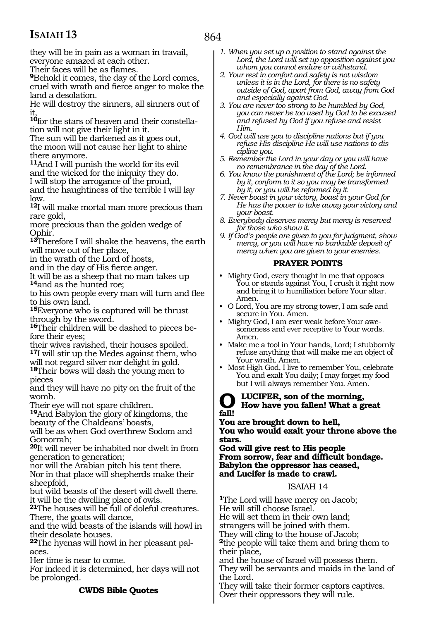864

they will be in pain as a woman in travail, everyone amazed at each other.

Their faces will be as flames.

**<sup>9</sup>**Behold it comes, the day of the Lord comes, cruel with wrath and fierce anger to make the land a desolation.

He will destroy the sinners, all sinners out of it,

**10**for the stars of heaven and their constellation will not give their light in it.

The sun will be darkened as it goes out, the moon will not cause her light to shine there anymore.

**<sup>11</sup>**And I will punish the world for its evil and the wicked for the iniquity they do.

I will stop the arrogance of the proud, and the haughtiness of the terrible I will lay low.

**<sup>12</sup>**I will make mortal man more precious than rare gold,

more precious than the golden wedge of Ophir.

**<sup>13</sup>**Therefore I will shake the heavens, the earth will move out of her place,

in the wrath of the Lord of hosts,

and in the day of His fierce anger.

It will be as a sheep that no man takes up **<sup>14</sup>**and as the hunted roe;

to his own people every man will turn and flee to his own land.

**<sup>15</sup>**Everyone who is captured will be thrust through by the sword.

**16**Their children will be dashed to pieces before their eyes;

their wives ravished, their houses spoiled. **<sup>17</sup>**I will stir up the Medes against them, who will not regard silver nor delight in gold.

**<sup>18</sup>**Their bows will dash the young men to pieces

and they will have no pity on the fruit of the womb.

Their eye will not spare children.

**<sup>19</sup>**And Babylon the glory of kingdoms, the beauty of the Chaldeans' boasts,

will be as when God overthrew Sodom and Gomorrah;

**<sup>20</sup>**It will never be inhabited nor dwelt in from generation to generation;

nor will the Arabian pitch his tent there. Nor in that place will shepherds make their sheepfold,

but wild beasts of the desert will dwell there. It will be the dwelling place of owls.

**<sup>21</sup>**The houses will be full of doleful creatures. There, the goats will dance,

and the wild beasts of the islands will howl in their desolate houses.

**<sup>22</sup>**The hyenas will howl in her pleasant pal- aces.

Her time is near to come.

For indeed it is determined, her days will not be prolonged.

### **CWDS Bible Quotes**

*1. When you set up a position to stand against the Lord, the Lord will set up opposition against you whom you cannot endure or withstand.*

*2. Your rest in comfort and safety is not wisdom unless it is in the Lord, for there is no safety outside of God, apart from God, away from God and especially against God.*

- *3. You are never too strong to be humbled by God, you can never be too used by God to be excused and refused by God if you refuse and resist Him.*
- *4. God will use you to discipline nations but if you refuse His discipline He will use nations to discipline you.*
- *5. Remember the Lord in your day or you will have no remembrance in the day of the Lord.*
- *6. You know the punishment of the Lord; be informed by it, conform to it so you may be transformed by it, or you will be reformed by it.*
- *7. Never boast in your victory, boast in your God for He has the power to take away your victory and your boast.*
- *8. Everybody deserves mercy but mercy is reserved for those who show it.*
- *9. If God's people are given to you for judgment, show mercy, or you will have no bankable deposit of mercy when you are given to your enemies.*

### **PRAYER POINTS**

- Mighty God, every thought in me that opposes You or stands against You, I crush it right now and bring it to humiliation before Your altar. Amen.
- O Lord, You are my strong tower, I am safe and secure in You. Amen.
- Mighty God, I am ever weak before Your awesomeness and ever receptive to Your words. Amen.
- Make me a tool in Your hands, Lord; I stubbornly refuse anything that will make me an object of Your wrath. Amen.
- Most High God, I live to remember You, celebrate You and exalt You daily; I may forget my food but I will always remember You. Amen.

### **O Lucifer, son of the morning, How have you fallen! What a great fall!**

**You are brought down to hell, You who would exalt your throne above the stars.**

**God will give rest to His people From sorrow, fear and difficult bondage. Babylon the oppressor has ceased, and Lucifer is made to crawl.**

### ISAIAH 14

**<sup>1</sup>**The Lord will have mercy on Jacob; He will still choose Israel.

He will set them in their own land;

strangers will be joined with them.

They will cling to the house of Jacob;

**<sup>2</sup>**the people will take them and bring them to their place,

and the house of Israel will possess them. They will be servants and maids in the land of the Lord.

They will take their former captors captives. Over their oppressors they will rule.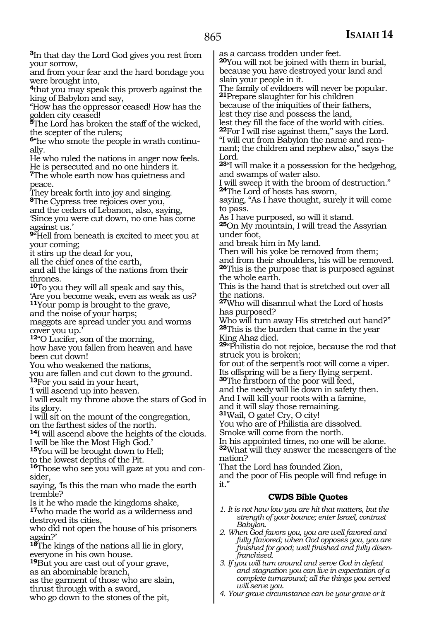**<sup>3</sup>**In that day the Lord God gives you rest from your sorrow,

and from your fear and the hard bondage you were brought into,

**<sup>4</sup>**that you may speak this proverb against the king of Babylon and say,

"How has the oppressor ceased! How has the golden city ceased!

**<sup>5</sup>**The Lord has broken the staff of the wicked, the scepter of the rulers;

**6**"he who smote the people in wrath continually.

He who ruled the nations in anger now feels. He is persecuted and no one hinders it.

**<sup>7</sup>**The whole earth now has quietness and peace.

They break forth into joy and singing.

**<sup>8</sup>**The Cypress tree rejoices over you,

and the cedars of Lebanon, also, saying, 'Since you were cut down, no one has come against us.'

**<sup>9</sup>**"Hell from beneath is excited to meet you at your coming;

it stirs up the dead for you,

all the chief ones of the earth,

and all the kings of the nations from their thrones.

**<sup>10</sup>**To you they will all speak and say this, 'Are you become weak, even as weak as us?

**<sup>11</sup>**Your pomp is brought to the grave,

and the noise of your harps;

maggots are spread under you and worms cover you up.'

**<sup>12</sup>**"O Lucifer, son of the morning,

how have you fallen from heaven and have been cut down!

You who weakened the nations,

you are fallen and cut down to the ground. **<sup>13</sup>**For you said in your heart,

'I will ascend up into heaven.

I will exalt my throne above the stars of God in its glory.

I will sit on the mount of the congregation,

on the farthest sides of the north.

**<sup>14</sup>**I will ascend above the heights of the clouds. I will be like the Most High God.'

**<sup>15</sup>**You will be brought down to Hell;

to the lowest depths of the Pit.

**16**Those who see you will gaze at you and consider,

saying, 'Is this the man who made the earth tremble?

Is it he who made the kingdoms shake,

**<sup>17</sup>**who made the world as a wilderness and destroyed its cities,

who did not open the house of his prisoners again?'

**<sup>18</sup>**The kings of the nations all lie in glory, everyone in his own house.

**<sup>19</sup>**But you are cast out of your grave,

as an abominable branch,

as the garment of those who are slain,

thrust through with a sword,

who go down to the stones of the pit,

as a carcass trodden under feet.

**<sup>20</sup>**You will not be joined with them in burial, because you have destroyed your land and slain your people in it.

The family of evildoers will never be popular. **<sup>21</sup>**Prepare slaughter for his children

because of the iniquities of their fathers,

lest they rise and possess the land,

lest they fill the face of the world with cities. **<sup>22</sup>**For I will rise against them," says the Lord. "I will cut from Babylon the name and remnant; the children and nephew also," says the Lord.

**<sup>23</sup>**"I will make it a possession for the hedgehog, and swamps of water also.

I will sweep it with the broom of destruction." **<sup>24</sup>**The Lord of hosts has sworn,

saying, "As I have thought, surely it will come to pass.

As I have purposed, so will it stand.

**<sup>25</sup>**On My mountain, I will tread the Assyrian under foot,

and break him in My land.

Then will his yoke be removed from them; and from their shoulders, his will be removed.

**<sup>26</sup>**This is the purpose that is purposed against the whole earth.

This is the hand that is stretched out over all the nations.

**<sup>27</sup>**Who will disannul what the Lord of hosts has purposed?

Who will turn away His stretched out hand?" **<sup>28</sup>**This is the burden that came in the year King Ahaz died.

**<sup>29</sup>**"Philistia do not rejoice, because the rod that struck you is broken;

for out of the serpent's root will come a viper. Its offspring will be a fiery flying serpent.

**<sup>30</sup>**The firstborn of the poor will feed,

and the needy will lie down in safety then.

And I will kill your roots with a famine,

and it will slay those remaining.

**<sup>31</sup>**Wail, O gate! Cry, O city!

You who are of Philistia are dissolved.

Smoke will come from the north.

In his appointed times, no one will be alone. **<sup>32</sup>**What will they answer the messengers of the nation?

That the Lord has founded Zion,

and the poor of His people will find refuge in it."

### **CWDS Bible Quotes**

- *1. It is not how low you are hit that matters, but the strength of your bounce; enter Israel, contrast Babylon.*
- *2. When God favors you, you are well favored and fully flavored; when God opposes you, you are finished for good; well finished and fully disenfranchised.*
- *3. If you will turn around and serve God in defeat and stagnation you can live in expectation of a complete turnaround; all the things you served will serve you.*
- *4. Your grave circumstance can be your grave or it*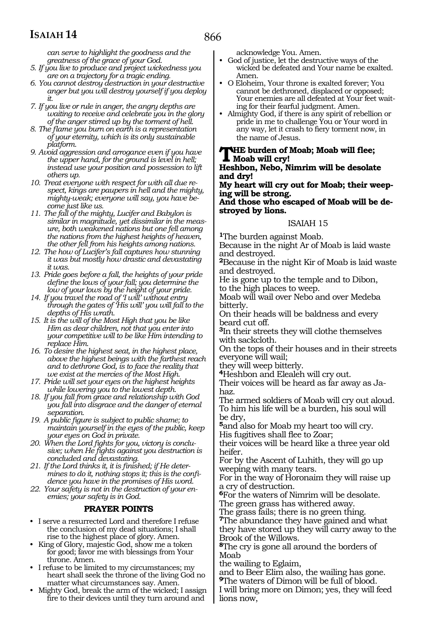*can serve to highlight the goodness and the greatness of the grace of your God.*

- *5. If you live to produce and project wickedness you are on a trajectory for a tragic ending.*
- *6. You cannot destroy destruction in your destructive anger but you will destroy yourself if you deploy it.*
- *7. If you live or rule in anger, the angry depths are waiting to receive and celebrate you in the glory of the anger stirred up by the torment of hell.*
- *8. The flame you burn on earth is a representation of your eternity, which is its only sustainable platform.*
- *9. Avoid aggression and arrogance even if you have the upper hand, for the ground is level in hell; instead use your position and possession to lift others up.*
- *10. Treat everyone with respect for with all due respect, kings are paupers in hell and the mighty, mighty-weak; everyone will say, you have become just like us.*
- *11. The fall of the mighty, Lucifer and Babylon is similar in magnitude, yet dissimilar in the measure, both weakened nations but one fell among the nations from the highest heights of heaven, the other fell from his heights among nations.*
- *12. The how of Lucifer's fall captures how stunning it was but mostly how drastic and devastating it was.*
- *13. Pride goes before a fall, the heights of your pride define the lows of your fall; you determine the low of your lows by the height of your pride.*
- *14. If you travel the road of 'I will' without entry through the gates of 'His will' you will fall to the depths of His wrath.*
- *15. It is the will of the Most High that you be like Him as dear children, not that you enter into your competitive will to be like Him intending to replace Him.*
- *16. To desire the highest seat, in the highest place, above the highest beings with the farthest reach and to dethrone God, is to face the reality that we exist at the mercies of the Most High.*
- *17. Pride will set your eyes on the highest heights while lowering you to the lowest depth.*
- *18. If you fall from grace and relationship with God you fall into disgrace and the danger of eternal separation.*
- *19. A public figure is subject to public shame; to maintain yourself in the eyes of the public, keep your eyes on God in private.*
- *20. When the Lord fights for you, victory is conclusive; when He fights against you destruction is concluded and devastating.*
- *21. If the Lord thinks it, it is finished; if He determines to do it, nothing stops it; this is the confidence you have in the promises of His word.*
- *22. Your safety is not in the destruction of your enemies; your safety is in God.*

### **PRAYER POINTS**

- I serve a resurrected Lord and therefore I refuse the conclusion of my dead situations; I shall rise to the highest place of glory. Amen.
- King of Glory, majestic God, show me a token for good; favor me with blessings from Your throne. Amen.
- I refuse to be limited to my circumstances; my heart shall seek the throne of the living God no matter what circumstances say. Amen.
- Mighty God, break the arm of the wicked; I assign fire to their devices until they turn around and

acknowledge You. Amen.

- God of justice, let the destructive ways of the wicked be defeated and Your name be exalted. Amen.
- O Eloheim, Your throne is exalted forever; You cannot be dethroned, displaced or opposed; Your enemies are all defeated at Your feet waiting for their fearful judgment. Amen.
- Almighty God, if there is any spirit of rebellion or pride in me to challenge You or Your word in any way, let it crash to fiery torment now, in the name of Jesus.

### **The burden of Moab; Moab will flee; Moab will cry! Heshbon, Nebo, Nimrim will be desolate**

**and dry!**

**My heart will cry out for Moab; their weeping will be strong.**

### **And those who escaped of Moab will be destroyed by lions.**

### ISAIAH 15

**<sup>1</sup>**The burden against Moab.

Because in the night Ar of Moab is laid waste and destroyed.

**<sup>2</sup>**Because in the night Kir of Moab is laid waste and destroyed.

He is gone up to the temple and to Dibon, to the high places to weep.

Moab will wail over Nebo and over Medeba bitterly.

On their heads will be baldness and every beard cut off.

**<sup>3</sup>**In their streets they will clothe themselves with sackcloth.

On the tops of their houses and in their streets everyone will wail;

they will weep bitterly.

**<sup>4</sup>**Heshbon and Elealeh will cry out.

Their voices will be heard as far away as Ja- haz.

The armed soldiers of Moab will cry out aloud. To him his life will be a burden, his soul will be dry,

**<sup>5</sup>**and also for Moab my heart too will cry. His fugitives shall flee to Zoar;

their voices will be heard like a three year old heifer.

For by the Ascent of Luhith, they will go up weeping with many tears.

For in the way of Horonaim they will raise up a cry of destruction.

**<sup>6</sup>**For the waters of Nimrim will be desolate. The green grass has withered away.

The grass fails; there is no green thing.

**<sup>7</sup>**The abundance they have gained and what they have stored up they will carry away to the Brook of the Willows.

**<sup>8</sup>**The cry is gone all around the borders of Moab

the wailing to Eglaim,

and to Beer Elim also, the wailing has gone. **<sup>9</sup>**The waters of Dimon will be full of blood. I will bring more on Dimon; yes, they will feed lions now,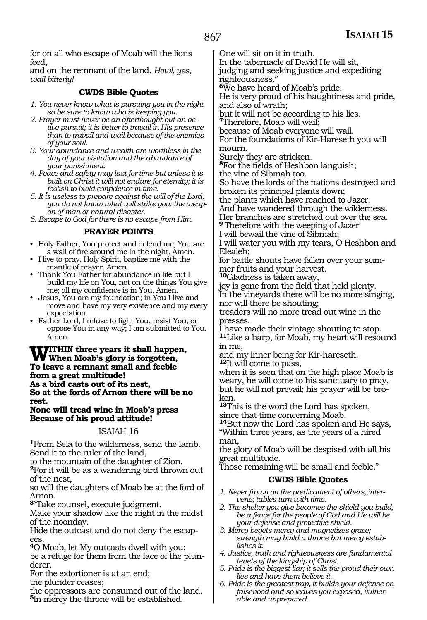for on all who escape of Moab will the lions feed,

and on the remnant of the land. *Howl, yes, wail bitterly!*

### **CWDS Bible Quotes**

- *1. You never know what is pursuing you in the night so be sure to know who is keeping you.*
- *2. Prayer must never be an afterthought but an active pursuit; it is better to travail in His presence than to travail and wail because of the enemies of your soul.*
- *3. Your abundance and wealth are worthless in the day of your visitation and the abundance of your punishment.*
- *4. Peace and safety may last for time but unless it is built on Christ it will not endure for eternity; it is foolish to build confidence in time.*
- *5. It is useless to prepare against the will of the Lord, you do not know what will strike you: the weapon of man or natural disaster.*

*6. Escape to God for there is no escape from Him.*

### **PRAYER POINTS**

- Holy Father, You protect and defend me; You are a wall of fire around me in the night. Amen.
- I live to pray. Holy Spirit, baptize me with the mantle of prayer. Amen.
- Thank You Father for abundance in life but I build my life on You, not on the things You give me; all my confidence is in You. Amen.
- Jesus, You are my foundation; in You I live and move and have my very existence and my every expectation.
- Father Lord, I refuse to fight You, resist You, or oppose You in any way; I am submitted to You. Amen.

**WITHIN** three years it shall happen,<br>WWhen Moab's glory is forgotten,<br>Te leave a remnant small and fachle **To leave a remnant small and feeble from a great multitude! As a bird casts out of its nest, So at the fords of Arnon there will be no rest.**

### **None will tread wine in Moab's press Because of his proud attitude!**

### ISAIAH 16

**<sup>1</sup>**From Sela to the wilderness, send the lamb. Send it to the ruler of the land,

to the mountain of the daughter of Zion.

**<sup>2</sup>**For it will be as a wandering bird thrown out of the nest,

so will the daughters of Moab be at the ford of Arnon.

**<sup>3</sup>**"Take counsel, execute judgment.

Make your shadow like the night in the midst of the noonday.

Hide the outcast and do not deny the escap-

**<sup>4</sup>**O Moab, let My outcasts dwell with you; be a refuge for them from the face of the plun- derer.

For the extortioner is at an end;

the plunder ceases;

the oppressors are consumed out of the land. **<sup>5</sup>**In mercy the throne will be established.

One will sit on it in truth.

In the tabernacle of David He will sit, judging and seeking justice and expediting righteousness."

**<sup>6</sup>**We have heard of Moab's pride.

He is very proud of his haughtiness and pride, and also of wrath;

but it will not be according to his lies.

**<sup>7</sup>**Therefore, Moab will wail;

because of Moab everyone will wail.

For the foundations of Kir-Hareseth you will mourn.<br>Surely they are stricken.

<sup>8</sup>For the fields of Heshbon languish;

the vine of Sibmah too. So have the lords of the nations destroyed and broken its principal plants down;

the plants which have reached to Jazer.

And have wandered through the wilderness. Her branches are stretched out over the sea.

**<sup>9</sup>**Therefore with the weeping of Jazer I will bewail the vine of Sibmah;

I will water you with my tears, O Heshbon and Elealeh;

for battle shouts have fallen over your summer fruits and your harvest.

**<sup>10</sup>**Gladness is taken away,

joy is gone from the field that held plenty. In the vineyards there will be no more singing, nor will there be shouting;

treaders will no more tread out wine in the presses.

I have made their vintage shouting to stop. **<sup>11</sup>**Like a harp, for Moab, my heart will resound in me,

and my inner being for Kir-hareseth.

**<sup>12</sup>**It will come to pass,

when it is seen that on the high place Moab is weary, he will come to his sanctuary to pray, but he will not prevail; his prayer will be broken.

**<sup>13</sup>**This is the word the Lord has spoken, since that time concerning Moab.

**<sup>14</sup>**But now the Lord has spoken and He says, "Within three years, as the years of a hired man,

the glory of Moab will be despised with all his great multitude.

Those remaining will be small and feeble."

### **CWDS Bible Quotes**

- *1. Never frown on the predicament of others, intervene; tables turn with time.*
- *2. The shelter you give becomes the shield you build; be a fence for the people of God and He will be your defense and protective shield.*
- *3. Mercy begets mercy and magnetizes grace; strength may build a throne but mercy establishes it.*
- *4. Justice, truth and righteousness are fundamental tenets of the kingship of Christ.*
- *5. Pride is the biggest liar; it sells the proud their own lies and have them believe it.*
- *6. Pride is the greatest trap, it builds your defense on falsehood and so leaves you exposed, vulnerable and unprepared.*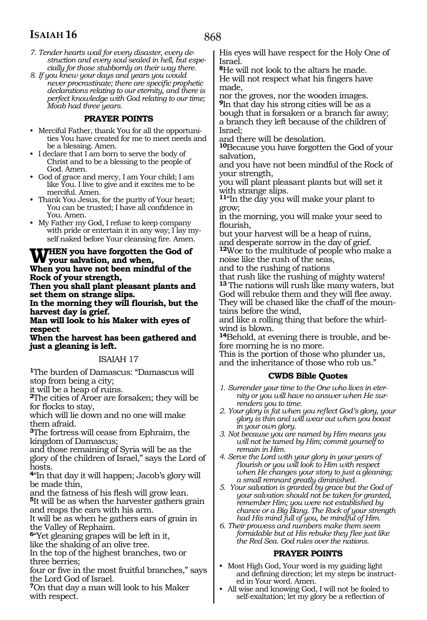- *7. Tender hearts wail for every disaster, every destruction and every soul sealed in hell, but especially for those stubbornly on their way there.*
- *8. If you knew your days and years you would never procrastinate; there are specific prophetic declarations relating to our eternity, and there is perfect knowledge with God relating to our time; Moab had three years.*

### **PRAYER POINTS**

- Merciful Father, thank You for all the opportunities You have created for me to meet needs and be a blessing. Amen.
- I declare that I am born to serve the body of Christ and to be a blessing to the people of God. Amen.
- God of grace and mercy, I am Your child; I am like You. I live to give and it excites me to be merciful. Amen.
- Thank You Jesus, for the purity of Your heart; You can be trusted; I have all confidence in You. Amen.
- My Father my God, I refuse to keep company with pride or entertain it in any way; I lay myself naked before Your cleansing fire. Amen.

# **WHEN** you have forgotten the God of your salvation, and when,

**When you have not been mindful of the Rock of your strength,**

**Then you shall plant pleasant plants and set them on strange slips.**

**In the morning they will flourish, but the harvest day is grief.**

**Man will look to his Maker with eyes of respect**

**When the harvest has been gathered and just a gleaning is left.** 

### ISAIAH 17

**<sup>1</sup>**The burden of Damascus: "Damascus will stop from being a city;

it will be a heap of ruins.

**<sup>2</sup>**The cities of Aroer are forsaken; they will be for flocks to stay,

which will lie down and no one will make them afraid.

**<sup>3</sup>**The fortress will cease from Ephraim, the kingdom of Damascus;

and those remaining of Syria will be as the

glory of the children of Israel," says the Lord of hosts.

**<sup>4</sup>**"In that day it will happen; Jacob's glory will be made thin,

and the fatness of his flesh will grow lean. **<sup>5</sup>**It will be as when the harvester gathers grain and reaps the ears with his arm.

It will be as when he gathers ears of grain in the Valley of Rephaim.

**<sup>6</sup>**"Yet gleaning grapes will be left in it, like the shaking of an olive tree.

In the top of the highest branches, two or three berries;

four or five in the most fruitful branches," says the Lord God of Israel.

**<sup>7</sup>**On that day a man will look to his Maker with respect.

His eyes will have respect for the Holy One of Israel.

**<sup>8</sup>**He will not look to the altars he made. He will not respect what his fingers have made,

nor the groves, nor the wooden images. **<sup>9</sup>**In that day his strong cities will be as a bough that is forsaken or a branch far away; a branch they left because of the children of Israel;

and there will be desolation.

**<sup>10</sup>**Because you have forgotten the God of your salvation,

and you have not been mindful of the Rock of your strength,

you will plant pleasant plants but will set it with strange slips.

**<sup>11</sup>**"In the day you will make your plant to grow;

in the morning, you will make your seed to flourish,

but your harvest will be a heap of ruins, and desperate sorrow in the day of grief.

**<sup>12</sup>**Woe to the multitude of people who make a noise like the rush of the seas,

and to the rushing of nations

that rush like the rushing of mighty waters! **<sup>13</sup>**The nations will rush like many waters, but God will rebuke them and they will flee away. They will be chased like the chaff of the mountains before the wind,

and like a rolling thing that before the whirlwind is blown.

**14**Behold, at evening there is trouble, and before morning he is no more.

This is the portion of those who plunder us, and the inheritance of those who rob us."

### **CWDS Bible Quotes**

- *1. Surrender your time to the One who lives in eternity or you will have no answer when He surrenders you to time.*
- *2. Your glory is fat when you reflect God's glory, your glory is thin and will wear out when you boast in your own glory.*
- *3. Not because you are named by Him means you will not be tamed by Him; commit yourself to remain in Him.*
- *4. Serve the Lord with your glory in your years of flourish or you will look to Him with respect when He changes your story to just a gleaning; a small remnant greatly diminished.*
- *5. Your salvation is granted by grace but the God of your salvation should not be taken for granted, remember Him; you were not established by chance or a Big Bang. The Rock of your strength had His mind full of you, be mindful of Him.*
- *6. Their prowess and numbers make them seem formidable but at His rebuke they flee just like the Red Sea. God rules over the nations.*

### **PRAYER POINTS**

- Most High God, Your word is my guiding light and defining direction; let my steps be instructed in Your word. Amen.
- All wise and knowing God, I will not be fooled to self-exaltation; let my glory be a reflection of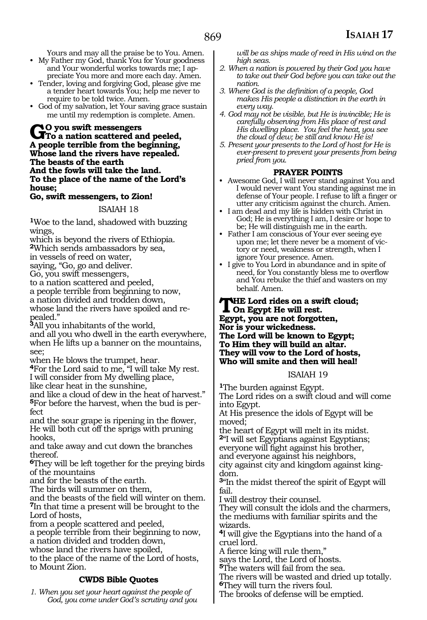Yours and may all the praise be to You. Amen.

- My Father my God, thank You for Your goodness and Your wonderful works towards me; I appreciate You more and more each day. Amen.
- Tender, loving and forgiving God, please give me a tender heart towards You; help me never to require to be told twice. Amen.
- God of my salvation, let Your saving grace sustain me until my redemption is complete. Amen.

**Go you swift messengers To a nation scattered and peeled, A people terrible from the beginning, Whose land the rivers have repealed. The beasts of the earth And the fowls will take the land. To the place of the name of the Lord's house;**

### **Go, swift messengers, to Zion!**

### ISAIAH 18

**<sup>1</sup>**Woe to the land, shadowed with buzzing wings,

which is beyond the rivers of Ethiopia. **<sup>2</sup>**Which sends ambassadors by sea,

in vessels of reed on water,

saying, "Go, go and deliver.

Go, you swift messengers,

to a nation scattered and peeled,

a people terrible from beginning to now,

a nation divided and trodden down,

whose land the rivers have spoiled and re-**<sup>3</sup>**All you inhabitants of the world,

and all you who dwell in the earth everywhere, when He lifts up a banner on the mountains, see;

when He blows the trumpet, hear.

**<sup>4</sup>**For the Lord said to me, "I will take My rest. I will consider from My dwelling place, like clear heat in the sunshine,

and like a cloud of dew in the heat of harvest." **5**For before the harvest, when the bud is perfect

and the sour grape is ripening in the flower, He will both cut off the sprigs with pruning hooks,

and take away and cut down the branches thereof.

**<sup>6</sup>**They will be left together for the preying birds of the mountains

and for the beasts of the earth.

The birds will summer on them,

and the beasts of the field will winter on them. **<sup>7</sup>**In that time a present will be brought to the Lord of hosts,

from a people scattered and peeled,

a people terrible from their beginning to now,

a nation divided and trodden down,

whose land the rivers have spoiled,

to the place of the name of the Lord of hosts, to Mount Zion.

### **CWDS Bible Quotes**

*1. When you set your heart against the people of God, you come under God's scrutiny and you*  *will be as ships made of reed in His wind on the high seas.* 

- *2. When a nation is powered by their God you have to take out their God before you can take out the nation.*
- *3. Where God is the definition of a people, God makes His people a distinction in the earth in every way.*
- *4. God may not be visible, but He is invincible; He is carefully observing from His place of rest and His dwelling place. You feel the heat, you see the cloud of dew; be still and know He is!*
- *5. Present your presents to the Lord of host for He is ever-present to prevent your presents from being pried from you.*

- **PRAYER POINTS** Awesome God, I will never stand against You and I would never want You standing against me in defense of Your people. I refuse to lift a finger or utter any criticism against the church. Amen.
- I am dead and my life is hidden with Christ in God; He is everything I am, I desire or hope to be; He will distinguish me in the earth.
- Father I am conscious of Your ever seeing eye upon me; let there never be a moment of victory or need, weakness or strength, when I ignore Your presence. Amen.
- I give to You Lord in abundance and in spite of need, for You constantly bless me to overflow and You rebuke the thief and wasters on my behalf. Amen.

### **THE Lord rides on a swift cloud;**<br>On Egypt He will rest.<br>Frant process at formation **Egypt, you are not forgotten, Nor is your wickedness. The Lord will be known to Egypt; To Him they will build an altar. They will vow to the Lord of hosts, Who will smite and then will heal!**

ISAIAH 19

**<sup>1</sup>**The burden against Egypt. The Lord rides on a swift cloud and will come into Egypt.

At His presence the idols of Egypt will be moved;

the heart of Egypt will melt in its midst. **<sup>2</sup>**"I will set Egyptians against Egyptians; everyone will fight against his brother, and everyone against his neighbors,

city against city and kingdom against king- dom.

**<sup>3</sup>**"In the midst thereof the spirit of Egypt will fail.

I will destroy their counsel.

They will consult the idols and the charmers, the mediums with familiar spirits and the wizards.

**<sup>4</sup>**I will give the Egyptians into the hand of a cruel lord.

A fierce king will rule them,"

says the Lord, the Lord of hosts.

**<sup>5</sup>**The waters will fail from the sea.

The rivers will be wasted and dried up totally. **<sup>6</sup>**They will turn the rivers foul.

The brooks of defense will be emptied.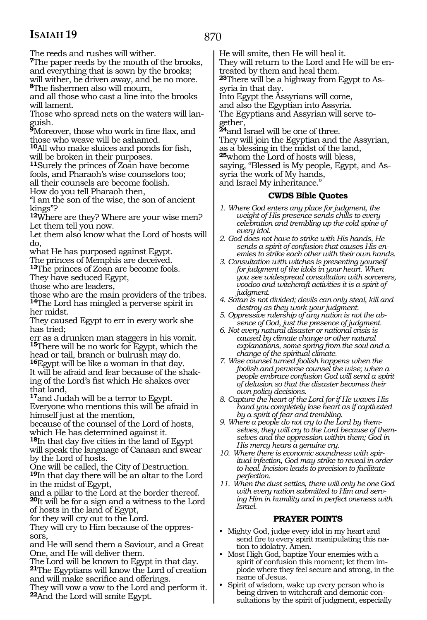870

The reeds and rushes will wither.

**<sup>7</sup>**The paper reeds by the mouth of the brooks, and everything that is sown by the brooks; will wither, be driven away, and be no more. **<sup>8</sup>**The fishermen also will mourn,

and all those who cast a line into the brooks will lament.

Those who spread nets on the waters will languish.

**<sup>9</sup>**Moreover, those who work in fine flax, and those who weave will be ashamed.

**<sup>10</sup>**All who make sluices and ponds for fish, will be broken in their purposes.

**<sup>11</sup>**Surely the princes of Zoan have become fools, and Pharaoh's wise counselors too; all their counsels are become foolish.

How do you tell Pharaoh then,

"I am the son of the wise, the son of ancient kings"?

**<sup>12</sup>**Where are they? Where are your wise men? Let them tell you now.

Let them also know what the Lord of hosts will do,

what He has purposed against Egypt.

The princes of Memphis are deceived.

**<sup>13</sup>**The princes of Zoan are become fools.

They have seduced Egypt,

those who are leaders,

those who are the main providers of the tribes. **<sup>14</sup>**The Lord has mingled a perverse spirit in her midst.

They caused Egypt to err in every work she has tried;

err as a drunken man staggers in his vomit. **<sup>15</sup>**There will be no work for Egypt, which the head or tail, branch or bulrush may do. **<sup>16</sup>**Egypt will be like a woman in that day. It will be afraid and fear because of the shak- ing of the Lord's fist which He shakes over

that land,

**<sup>17</sup>**and Judah will be a terror to Egypt. Everyone who mentions this will be afraid in himself just at the mention,

because of the counsel of the Lord of hosts, which He has determined against it.

**<sup>18</sup>**In that day five cities in the land of Egypt will speak the language of Canaan and swear by the Lord of hosts.

One will be called, the City of Destruction. **<sup>19</sup>**In that day there will be an altar to the Lord in the midst of Egypt,

and a pillar to the Lord at the border thereof. **<sup>20</sup>**It will be for a sign and a witness to the Lord of hosts in the land of Egypt,

for they will cry out to the Lord.

They will cry to Him because of the oppressors,

and He will send them a Saviour, and a Great One, and He will deliver them.

The Lord will be known to Egypt in that day. **<sup>21</sup>**The Egyptians will know the Lord of creation and will make sacrifice and offerings.

They will vow a vow to the Lord and perform it. **<sup>22</sup>**And the Lord will smite Egypt.

He will smite, then He will heal it. They will return to the Lord and He will be entreated by them and heal them. **23**There will be a highway from Egypt to Assyria in that day. Into Egypt the Assyrians will come, and also the Egyptian into Assyria. The Egyptians and Assyrian will serve together, **<sup>24</sup>**and Israel will be one of three. They will join the Egyptian and the Assyrian, as a blessing in the midst of the land,

**<sup>25</sup>**whom the Lord of hosts will bless, saying, "Blessed is My people, Egypt, and Assyria the work of My hands,

and Israel My inheritance."

### **CWDS Bible Quotes**

- *1. Where God enters any place for judgment, the weight of His presence sends chills to every celebration and trembling up the cold spine of every idol.*
- *2. God does not have to strike with His hands, He sends a spirit of confusion that causes His enemies to strike each other with their own hands.*
- *3. Consultation with witches is presenting yourself for judgment of the idols in your heart. When you see widespread consultation with sorcerers, voodoo and witchcraft activities it is a spirit of judgment.*
- *4. Satan is not divided; devils can only steal, kill and destroy as they work your judgment.*
- *5. Oppressive rulership of any nation is not the absence of God, just the presence of judgment.*
- *6. Not every natural disaster or national crisis is caused by climate change or other natural explanations, some spring from the soul and a change of the spiritual climate.*
- *7. Wise counsel turned foolish happens when the foolish and perverse counsel the wise; when a people embrace confusion God will send a spirit of delusion so that the disaster becomes their own policy decisions.*
- *8. Capture the heart of the Lord for if He waves His hand you completely lose heart as if captivated by a spirit of fear and trembling.*
- *9. Where a people do not cry to the Lord by themselves, they will cry to the Lord because of themselves and the oppression within them; God in His mercy hears a genuine cry.*
- *10. Where there is economic soundness with spiritual infection, God may strike to reveal in order to heal. Incision leads to precision to facilitate perfection.*
- *11. When the dust settles, there will only be one God with every nation submitted to Him and serving Him in humility and in perfect oneness with Israel.*

### **PRAYER POINTS**

- Mighty God, judge every idol in my heart and send fire to every spirit manipulating this nation to idolatry. Amen.
- Most High God, baptize Your enemies with a spirit of confusion this moment; let them implode where they feel secure and strong, in the name of Jesus.
	- Spirit of wisdom, wake up every person who is being driven to witchcraft and demonic consultations by the spirit of judgment, especially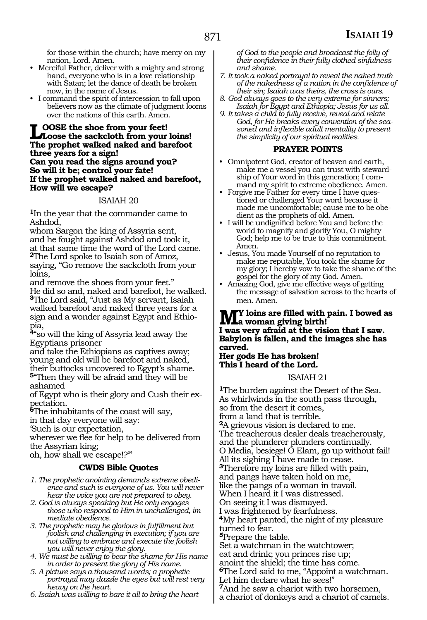for those within the church; have mercy on my nation, Lord. Amen.

- Merciful Father, deliver with a mighty and strong hand, everyone who is in a love relationship with Satan; let the dance of death be broken now, in the name of Jesus.
- I command the spirit of intercession to fall upon believers now as the climate of judgment looms over the nations of this earth. Amen.

### **LOOSE** the shoe from your feet! **Loose the sackcloth from your loins! The prophet walked naked and barefoot three years for a sign! Can you read the signs around you? So will it be; control your fate! If the prophet walked naked and barefoot, How will we escape?**

### ISAIAH 20

**<sup>1</sup>**In the year that the commander came to Ashdod,

whom Sargon the king of Assyria sent, and he fought against Ashdod and took it, at that same time the word of the Lord came. **<sup>2</sup>**The Lord spoke to Isaiah son of Amoz, saying, "Go remove the sackcloth from your loins,

and remove the shoes from your feet." He did so and, naked and barefoot, he walked. **<sup>3</sup>**The Lord said, "Just as My servant, Isaiah walked barefoot and naked three years for a sign and a wonder against Egypt and Ethiopia,

**<sup>4</sup>**"so will the king of Assyria lead away the Egyptians prisoner

and take the Ethiopians as captives away; young and old will be barefoot and naked, their buttocks uncovered to Egypt's shame. **<sup>5</sup>**"Then they will be afraid and they will be

ashamed

of Egypt who is their glory and Cush their expectation.

**<sup>6</sup>**The inhabitants of the coast will say,

in that day everyone will say:

'Such is our expectation,

wherever we flee for help to be delivered from the Assyrian king;

oh, how shall we escape!?'"

### **CWDS Bible Quotes**

- *1. The prophetic anointing demands extreme obedience and such is everyone of us. You will never hear the voice you are not prepared to obey.*
- *2. God is always speaking but He only engages those who respond to Him in unchallenged, immediate obedience.*
- *3. The prophetic may be glorious in fulfillment but foolish and challenging in execution; if you are not willing to embrace and execute the foolish you will never enjoy the glory.*
- *4. We must be willing to bear the shame for His name in order to present the glory of His name.*
- *5. A picture says a thousand words; a prophetic portrayal may dazzle the eyes but will rest very heavy on the heart.*
- *6. Isaiah was willing to bare it all to bring the heart*

*of God to the people and broadcast the folly of their confidence in their fully clothed sinfulness and shame.*

- *7. It took a naked portrayal to reveal the naked truth of the nakedness of a nation in the confidence of their sin; Isaiah was theirs, the cross is ours.*
- *8. God always goes to the very extreme for sinners; Isaiah for Egypt and Ethiopia; Jesus for us all.*
- *9. It takes a child to fully receive, reveal and relate God, for He breaks every convention of the seasoned and inflexible adult mentality to present the simplicity of our spiritual realities.*

### **PRAYER POINTS**

- Omnipotent God, creator of heaven and earth, make me a vessel you can trust with stewardship of Your word in this generation; I command my spirit to extreme obedience. Amen.
- Forgive me Father for every time I have questioned or challenged Your word because it made me uncomfortable; cause me to be obedient as the prophets of old. Amen.
- I will be undignified before You and before the world to magnify and glorify You, O mighty God; help me to be true to this commitment. Amen.
- Jesus, You made Yourself of no reputation to make me reputable, You took the shame for my glory; I hereby vow to take the shame of the gospel for the glory of my God. Amen.
- Amazing God, give me effective ways of getting the message of salvation across to the hearts of men. Amen.

### **My loins are filled with pain. I bowed as a woman giving birth! I was very afraid at the vision that I saw. Babylon is fallen, and the images she has carved.**

**Her gods He has broken! This I heard of the Lord.**

### ISAIAH 21

**<sup>1</sup>**The burden against the Desert of the Sea. As whirlwinds in the south pass through, so from the desert it comes, from a land that is terrible. **<sup>2</sup>**A grievous vision is declared to me. The treacherous dealer deals treacherously, and the plunderer plunders continually. O Media, besiege! O Elam, go up without fail! All its sighing I have made to cease. **<sup>3</sup>**Therefore my loins are filled with pain, and pangs have taken hold on me, like the pangs of a woman in travail. When I heard it I was distressed. On seeing it I was dismayed. I was frightened by fearfulness. **<sup>4</sup>**My heart panted, the night of my pleasure turned to fear. **<sup>5</sup>**Prepare the table. Set a watchman in the watchtower; eat and drink; you princes rise up; anoint the shield; the time has come. **<sup>6</sup>**The Lord said to me, "Appoint a watchman. Let him declare what he sees!" **<sup>7</sup>**And he saw a chariot with two horsemen, a chariot of donkeys and a chariot of camels.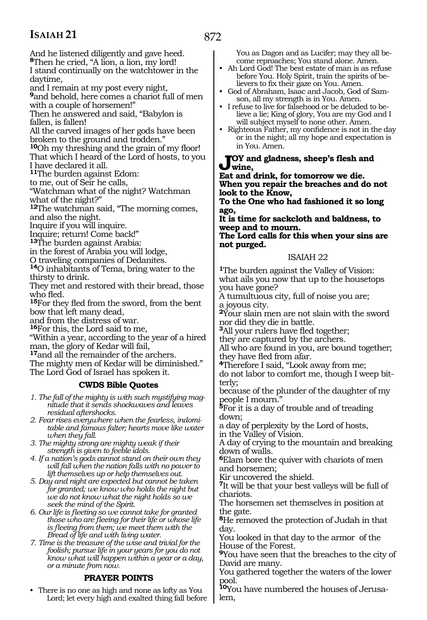And he listened diligently and gave heed. **<sup>8</sup>**Then he cried, "A lion, a lion, my lord! I stand continually on the watchtower in the daytime,

and I remain at my post every night, **<sup>9</sup>**and behold, here comes a chariot full of men

with a couple of horsemen!"

Then he answered and said, "Babylon is fallen, is fallen!

All the carved images of her gods have been broken to the ground and trodden."

**<sup>10</sup>**Oh my threshing and the grain of my floor! That which I heard of the Lord of hosts, to you I have declared it all.

**<sup>11</sup>**The burden against Edom:

to me, out of Seir he calls,

"Watchman what of the night? Watchman what of the night?"

**<sup>12</sup>**The watchman said, "The morning comes, and also the night.

Inquire if you will inquire.

Inquire; return! Come back!"

**<sup>13</sup>**The burden against Arabia:

in the forest of Arabia you will lodge,

O traveling companies of Dedanites.

**<sup>14</sup>**O inhabitants of Tema, bring water to the thirsty to drink.

They met and restored with their bread, those who fled.

**<sup>15</sup>**For they fled from the sword, from the bent bow that left many dead,

and from the distress of war.

**<sup>16</sup>**For this, the Lord said to me,

"Within a year, according to the year of a hired man, the glory of Kedar will fail,

**<sup>17</sup>**and all the remainder of the archers.

The mighty men of Kedar will be diminished." The Lord God of Israel has spoken it.

### **CWDS Bible Quotes**

*1. The fall of the mighty is with such mystifying magnitude that it sends shockwaves and leaves residual aftershocks.* 

*2. Fear rises everywhere when the fearless, indomitable and famous falter; hearts move like water when they fall.*

*3. The mighty strong are mighty weak if their strength is given to feeble idols.*

*4. If a nation's gods cannot stand on their own they will fall when the nation falls with no power to lift themselves up or help themselves out.*

*5. Day and night are expected but cannot be taken for granted; we know who holds the night but we do not know what the night holds so we seek the mind of the Spirit.*

*6. Our life is fleeting so we cannot take for granted those who are fleeing for their life or whose life is fleeing from them; we meet them with the Bread of life and with living water.* 

*7. Time is the treasure of the wise and trivial for the foolish; pursue life in your years for you do not know what will happen within a year or a day, or a minute from now.*

### **PRAYER POINTS**

• There is no one as high and none as lofty as You Lord; let every high and exalted thing fall before You as Dagon and as Lucifer; may they all become reproaches; You stand alone. Amen.

- Ah Lord God! The best estate of man is as refuse before You. Holy Spirit, train the spirits of believers to fix their gaze on You. Amen.
- God of Abraham, Isaac and Jacob, God of Samson, all my strength is in You. Amen.
- I refuse to live for falsehood or be deluded to believe a lie; King of glory, You are my God and I<br>will subject myself to none other. Amen.
- Righteous Father, my confidence is not in the day or in the night; all my hope and expectation is in You. Amen.

**Joy and gladness, sheep's flesh and wine,**

**Eat and drink, for tomorrow we die. When you repair the breaches and do not look to the Know,**

**To the One who had fashioned it so long ago,**

**It is time for sackcloth and baldness, to weep and to mourn.**

**The Lord calls for this when your sins are not purged.**

### ISAIAH 22

**<sup>1</sup>**The burden against the Valley of Vision: what ails you now that up to the housetops you have gone?

A tumultuous city, full of noise you are; a joyous city.

**<sup>2</sup>**Your slain men are not slain with the sword nor did they die in battle.

**<sup>3</sup>**All your rulers have fled together;

they are captured by the archers.

All who are found in you, are bound together; they have fled from afar.

**<sup>4</sup>**Therefore I said, "Look away from me;

do not labor to comfort me, though I weep bitterly;

because of the plunder of the daughter of my people I mourn."

**<sup>5</sup>**For it is a day of trouble and of treading down;

a day of perplexity by the Lord of hosts, in the Valley of Vision.

A day of crying to the mountain and breaking down of walls.

**<sup>6</sup>**Elam bore the quiver with chariots of men and horsemen;

Kir uncovered the shield.

**<sup>7</sup>**It will be that your best valleys will be full of chariots.

The horsemen set themselves in position at the gate.

**<sup>8</sup>**He removed the protection of Judah in that day.

You looked in that day to the armor of the House of the Forest.

**<sup>9</sup>**You have seen that the breaches to the city of David are many.

You gathered together the waters of the lower pool.

**10**You have numbered the houses of Jerusalem,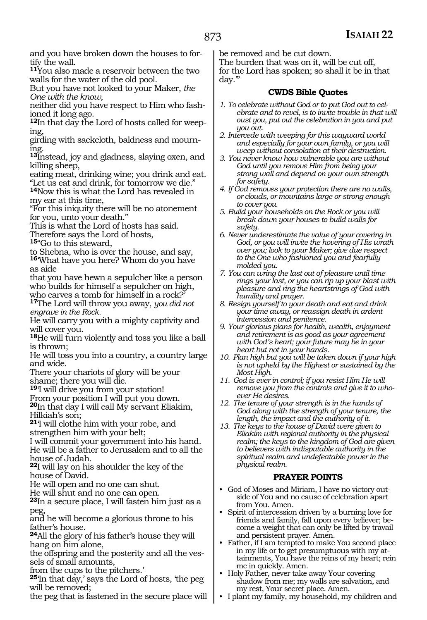and you have broken down the houses to fortify the wall.

**<sup>11</sup>**You also made a reservoir between the two walls for the water of the old pool.

But you have not looked to your Maker, *the One with the know,*

neither did you have respect to Him who fash- ioned it long ago.

**<sup>12</sup>**In that day the Lord of hosts called for weep- ing,

girding with sackcloth, baldness and mourn- ing.

**<sup>13</sup>**Instead, joy and gladness, slaying oxen, and killing sheep,

eating meat, drinking wine; you drink and eat.

"Let us eat and drink, for tomorrow we die." **<sup>14</sup>**Now this is what the Lord has revealed in my ear at this time,

"For this iniquity there will be no atonement for you, unto your death."

This is what the Lord of hosts has said.

Therefore says the Lord of hosts,

**<sup>15</sup>**"Go to this steward,

to Shebna, who is over the house, and say, **<sup>16</sup>**'What have you here? Whom do you have as aide

that you have hewn a sepulcher like a person who builds for himself a sepulcher on high, who carves a tomb for himself in a rock?'

**<sup>17</sup>**The Lord will throw you away, *you did not engrave in the Rock.*

He will carry you with a mighty captivity and will cover you.

**<sup>18</sup>**He will turn violently and toss you like a ball is thrown;

He will toss you into a country, a country large and wide.

There your chariots of glory will be your shame; there you will die.

**<sup>19</sup>**'I will drive you from your station!

From your position I will put you down.

**<sup>20</sup>**In that day I will call My servant Eliakim, Hilkiah's son;

**<sup>21</sup>**'I will clothe him with your robe, and strengthen him with your belt;

I will commit your government into his hand. He will be a father to Jerusalem and to all the house of Judah.

**<sup>22</sup>**I will lay on his shoulder the key of the house of David.

He will open and no one can shut.

He will shut and no one can open.

**<sup>23</sup>**In a secure place, I will fasten him just as a peg,

and he will become a glorious throne to his father's house.

**<sup>24</sup>**All the glory of his father's house they will hang on him alone,

the offspring and the posterity and all the ves- sels of small amounts,

from the cups to the pitchers.'

**<sup>25</sup>**'In that day,' says the Lord of hosts, 'the peg will be removed;

the peg that is fastened in the secure place will

be removed and be cut down.

The burden that was on it, will be cut off, for the Lord has spoken; so shall it be in that day.'"

### **CWDS Bible Quotes**

- *1. To celebrate without God or to put God out to celebrate and to revel, is to invite trouble in that will oust you, put out the celebration in you and put you out.*
- *2. Intercede with weeping for this wayward world and especially for your own family, or you will weep without consolation at their destruction.*
- *3. You never know how vulnerable you are without God until you remove Him from being your strong wall and depend on your own strength for safety.*
- *4. If God removes your protection there are no walls, or clouds, or mountains large or strong enough to cover you.*
- *5. Build your households on the Rock or you will break down your houses to build walls for safety.*
- *6. Never underestimate the value of your covering in God, or you will invite the hovering of His wrath over you; look to your Maker; give due respect to the One who fashioned you and fearfully molded you.*
- *7. You can wring the last out of pleasure until time rings your last, or you can rip up your blast with pleasure and ring the heartstrings of God with humility and prayer.*
- *8. Resign yourself to your death and eat and drink your time away, or reassign death in ardent intercession and penitence.*
- *9. Your glorious plans for health, wealth, enjoyment and retirement is as good as your agreement with God's heart; your future may be in your heart but not in your hands.*
- *10. Plan high but you will be taken down if your high is not upheld by the Highest or sustained by the Most High.*
- *11. God is ever in control; if you resist Him He will remove you from the controls and give it to whoever He desires.*
- *12. The tenure of your strength is in the hands of God along with the strength of your tenure, the length, the impact and the authority of it.*
- *13. The keys to the house of David were given to Eliakim with regional authority in the physical realm; the keys to the kingdom of God are given to believers with indisputable authority in the spiritual realm and undefeatable power in the physical realm.*

### **PRAYER POINTS**

- God of Moses and Miriam, I have no victory outside of You and no cause of celebration apart from You. Amen.
- Spirit of intercession driven by a burning love for friends and family, fall upon every believer; become a weight that can only be lifted by travail and persistent prayer. Amen.
- Father, if I am tempted to make You second place in my life or to get presumptuous with my attainments, You have the reins of my heart; rein me in quickly. Amen.
- Holy Father, never take away Your covering shadow from me; my walls are salvation, and my rest, Your secret place. Amen.
- I plant my family, my household, my children and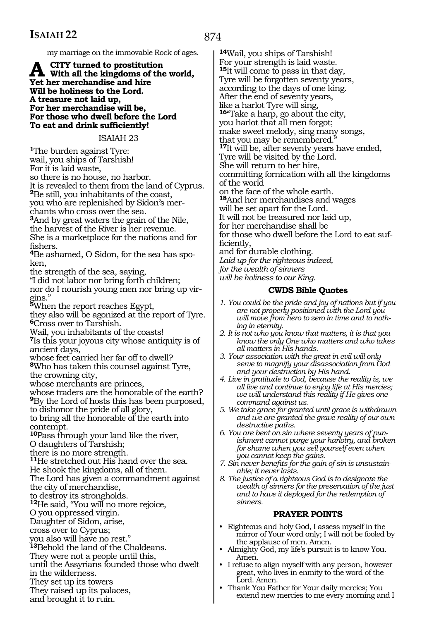874

my marriage on the immovable Rock of ages.

### **A city turned to prostitution With all the kingdoms of the world, Yet her merchandise and hire Will be holiness to the Lord. A treasure not laid up, For her merchandise will be, For those who dwell before the Lord To eat and drink sufficiently!**

### ISAIAH 23

**<sup>1</sup>**The burden against Tyre: wail, you ships of Tarshish!

For it is laid waste,

so there is no house, no harbor.

It is revealed to them from the land of Cyprus. **<sup>2</sup>**Be still, you inhabitants of the coast,

you who are replenished by Sidon's merchants who cross over the sea.

**<sup>3</sup>**And by great waters the grain of the Nile, the harvest of the River is her revenue. She is a marketplace for the nations and for fishers.

**4**Be ashamed, O Sidon, for the sea has spoken,

the strength of the sea, saying,

"I did not labor nor bring forth children; nor do I nourish young men nor bring up vir-

gins." **<sup>5</sup>**When the report reaches Egypt,

they also will be agonized at the report of Tyre. **<sup>6</sup>**Cross over to Tarshish.

Wail, you inhabitants of the coasts!

**<sup>7</sup>**Is this your joyous city whose antiquity is of ancient days,

whose feet carried her far off to dwell? **<sup>8</sup>**Who has taken this counsel against Tyre, the crowning city,

whose merchants are princes,

whose traders are the honorable of the earth? **<sup>9</sup>**By the Lord of hosts this has been purposed, to dishonor the pride of all glory, to bring all the honorable of the earth into

contempt.

**<sup>10</sup>**Pass through your land like the river, O daughters of Tarshish;

there is no more strength.

**<sup>11</sup>**He stretched out His hand over the sea.

He shook the kingdoms, all of them.

The Lord has given a commandment against

the city of merchandise, to destroy its strongholds.

**<sup>12</sup>**He said, "You will no more rejoice,

O you oppressed virgin.

Daughter of Sidon, arise,

cross over to Cyprus;

you also will have no rest."

**<sup>13</sup>**Behold the land of the Chaldeans.

They were not a people until this,

until the Assyrians founded those who dwelt

in the wilderness.

They set up its towers They raised up its palaces,

and brought it to ruin.

**<sup>14</sup>**Wail, you ships of Tarshish! For your strength is laid waste. **<sup>15</sup>**It will come to pass in that day, Tyre will be forgotten seventy years, according to the days of one king. After the end of seventy years, like a harlot Tyre will sing, **<sup>16</sup>**"Take a harp, go about the city, you harlot that all men forgot; make sweet melody, sing many songs, that you may be remembered." **<sup>17</sup>**It will be, after seventy years have ended, Tyre will be visited by the Lord. She will return to her hire, committing fornication with all the kingdoms of the world on the face of the whole earth. **<sup>18</sup>**And her merchandises and wages will be set apart for the Lord. It will not be treasured nor laid up, for her merchandise shall be for those who dwell before the Lord to eat sufficiently, and for durable clothing. *Laid up for the righteous indeed, for the wealth of sinners will be holiness to our King.*

### **CWDS Bible Quotes**

- *1. You could be the pride and joy of nations but if you are not properly positioned with the Lord you will move from hero to zero in time and to nothing in eternity.*
- *2. It is not who you know that matters, it is that you know the only One who matters and who takes all matters in His hands.*
- *3. Your association with the great in evil will only serve to magnify your disassociation from God and your destruction by His hand.*
- *4. Live in gratitude to God, because the reality is, we all live and continue to enjoy life at His mercies; we will understand this reality if He gives one command against us.*
- *5. We take grace for granted until grace is withdrawn and we are granted the grave reality of our own destructive paths.*
- *6. You are bent on sin where seventy years of punishment cannot purge your harlotry, and broken for shame when you sell yourself even when you cannot keep the gains.*
- *7. Sin never benefits for the gain of sin is unsustainable; it never lasts.*
- *8. The justice of a righteous God is to designate the wealth of sinners for the preservation of the just and to have it deployed for the redemption of sinners.*

### **PRAYER POINTS**

- Righteous and holy God, I assess myself in the mirror of Your word only; I will not be fooled by the applause of men. Amen.
- Almighty God, my life's pursuit is to know You. Amen.
- I refuse to align myself with any person, however great, who lives in enmity to the word of the Lord. Amen.
- Thank You Father for Your daily mercies; You extend new mercies to me every morning and I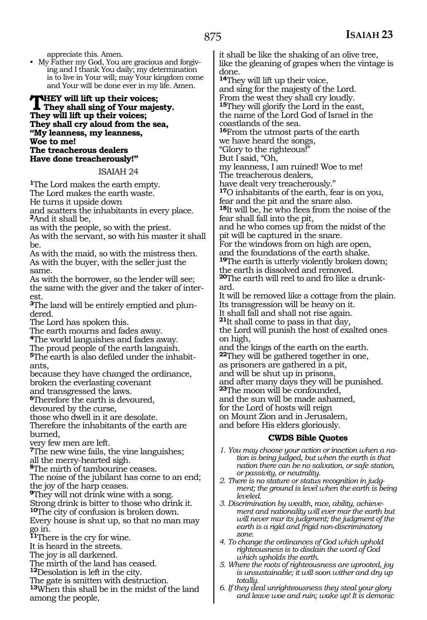appreciate this. Amen.

• My Father my God, You are gracious and forgiving and I thank You daily; my determination is to live in Your will; may Your kingdom come and Your will be done ever in my life. Amen.

**THEY will lift up their voices;**<br>They shall sing of Your majesty.<br>They will lift up their voices: **They will lift up their voices; They shall cry aloud from the sea, "My leanness, my leanness, Woe to me! The treacherous dealers Have done treacherously!"**

### ISAIAH 24

**<sup>1</sup>**The Lord makes the earth empty. The Lord makes the earth waste. He turns it upside down and scatters the inhabitants in every place. **<sup>2</sup>**And it shall be,

as with the people, so with the priest.

As with the servant, so with his master it shall be.

As with the maid, so with the mistress then. As with the buyer, with the seller just the same.

As with the borrower, so the lender will see; the same with the giver and the taker of interest.

**3**The land will be entirely emptied and plundered.

The Lord has spoken this.

The earth mourns and fades away.

**<sup>4</sup>**The world languishes and fades away.

The proud people of the earth languish.

**5**The earth is also defiled under the inhabitants,

because they have changed the ordinance, broken the everlasting covenant

and transgressed the laws.

**<sup>6</sup>**Therefore the earth is devoured,

devoured by the curse,

those who dwell in it are desolate.

Therefore the inhabitants of the earth are burned,

very few men are left.

**<sup>7</sup>**The new wine fails, the vine languishes; all the merry-hearted sigh.

**<sup>8</sup>**The mirth of tambourine ceases.

The noise of the jubilant has come to an end; the joy of the harp ceases.

**<sup>9</sup>**They will not drink wine with a song.

Strong drink is bitter to those who drink it.

**<sup>10</sup>**The city of confusion is broken down.

Every house is shut up, so that no man may go in.

**<sup>11</sup>**There is the cry for wine.

It is heard in the streets.

The joy is all darkened.

The mirth of the land has ceased.

**<sup>12</sup>**Desolation is left in the city.

The gate is smitten with destruction.

**<sup>13</sup>**When this shall be in the midst of the land among the people,

it shall be like the shaking of an olive tree, like the gleaning of grapes when the vintage is done.

**<sup>14</sup>**They will lift up their voice,

and sing for the majesty of the Lord. From the west they shall cry loudly. **<sup>15</sup>**They will glorify the Lord in the east, the name of the Lord God of Israel in the coastlands of the sea. **<sup>16</sup>**From the utmost parts of the earth we have heard the songs, "Glory to the righteous!" But I said, "Oh, my leanness, I am ruined! Woe to me! The treacherous dealers, have dealt very treacherously." **<sup>17</sup>**O inhabitants of the earth, fear is on you, fear and the pit and the snare also. **<sup>18</sup>**It will be, he who flees from the noise of the fear shall fall into the pit, and he who comes up from the midst of the pit will be captured in the snare. For the windows from on high are open, and the foundations of the earth shake. **<sup>19</sup>**The earth is utterly violently broken down; the earth is dissolved and removed. **20**The earth will reel to and fro like a drunkard. It will be removed like a cottage from the plain. Its transgression will be heavy on it. It shall fall and shall not rise again. **<sup>21</sup>**It shall come to pass in that day, the Lord will punish the host of exalted ones on high, and the kings of the earth on the earth. **<sup>22</sup>**They will be gathered together in one, as prisoners are gathered in a pit, and will be shut up in prisons, and after many days they will be punished. **<sup>23</sup>**The moon will be confounded, and the sun will be made ashamed, for the Lord of hosts will reign on Mount Zion and in Jerusalem, and before His elders gloriously.

### **CWDS Bible Quotes**

- *1. You may choose your action or inaction when a nation is being judged, but when the earth is that nation there can be no salvation, or safe station, or passivity, or neutrality.*
- *2. There is no stature or status recognition in judgment; the ground is level when the earth is being leveled.*
- *3. Discrimination by wealth, race, ability, achievement and nationality will ever mar the earth but will never mar its judgment; the judgment of the earth is a rigid and frigid non-discriminatory zone.*
- *4. To change the ordinances of God which uphold righteousness is to disdain the word of God which upholds the earth.*
- *5. Where the roots of righteousness are uprooted, joy is unsustainable; it will soon wither and dry up totally.*
- *6. If they deal unrighteousness they steal your glory and leave woe and ruin; wake up! It is demonic*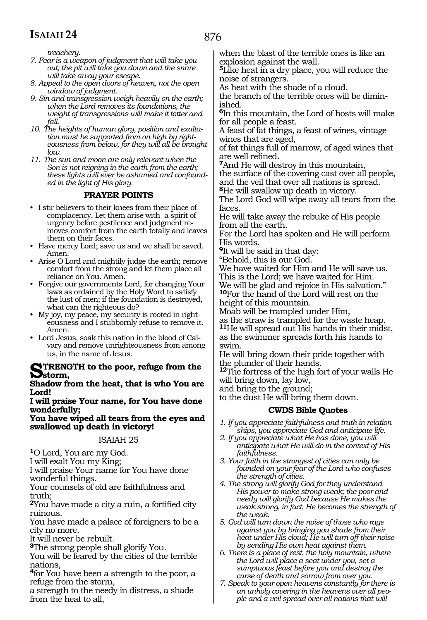876

*treachery.* 

- *7. Fear is a weapon of judgment that will take you out; the pit will take you down and the snare will take away your escape.*
- *8. Appeal to the open doors of heaven, not the open window of judgment.*
- *9. Sin and transgression weigh heavily on the earth; when the Lord removes its foundations, the weight of transgressions will make it totter and fall.*
- *10. The heights of human glory, position and exaltation must be supported from on high by righteousness from below, for they will all be brought low.*
- *11. The sun and moon are only relevant when the Son is not reigning in the earth from the earth; these lights will ever be ashamed and confounded in the light of His glory.*

### **PRAYER POINTS**

- I stir believers to their knees from their place of complacency. Let them arise with a spirit of urgency before pestilence and judgment removes comfort from the earth totally and leaves them on their faces.
- Have mercy Lord; save us and we shall be saved. Amen.
- Arise O Lord and mightily judge the earth; remove comfort from the strong and let them place all reliance on You. Amen.
- Forgive our governments Lord, for changing Your laws as ordained by the Holy Word to satisfy the lust of men; if the foundation is destroyed, what can the righteous do?
- My joy, my peace, my security is rooted in righteousness and I stubbornly refuse to remove it. Amen.
- Lord Jesus, soak this nation in the blood of Calvary and remove unrighteousness from among us, in the name of Jesus.

### **STRENGTH** to the poor, refuge from the **storm,**

**Shadow from the heat, that is who You are Lord!**

**I will praise Your name, for You have done wonderfully;**

**You have wiped all tears from the eyes and swallowed up death in victory!**

### ISAIAH 25

**<sup>1</sup>**O Lord, You are my God.

I will exalt You my King;

I will praise Your name for You have done wonderful things.

Your counsels of old are faithfulness and truth;

**<sup>2</sup>**You have made a city a ruin, a fortified city ruinous.

You have made a palace of foreigners to be a city no more.

It will never be rebuilt.

**<sup>3</sup>**The strong people shall glorify You.

You will be feared by the cities of the terrible nations,

**<sup>4</sup>**for You have been a strength to the poor, a refuge from the storm,

a strength to the needy in distress, a shade from the heat to all,

when the blast of the terrible ones is like an explosion against the wall.

**<sup>5</sup>**Like heat in a dry place, you will reduce the noise of strangers.

As heat with the shade of a cloud,

the branch of the terrible ones will be diminished.

**<sup>6</sup>**In this mountain, the Lord of hosts will make for all people a feast.

A feast of fat things, a feast of wines, vintage wines that are aged,

of fat things full of marrow, of aged wines that are well refined.

**<sup>7</sup>**And He will destroy in this mountain,

the surface of the covering cast over all people, and the veil that over all nations is spread.

**<sup>8</sup>**He will swallow up death in victory. The Lord God will wipe away all tears from the faces.

He will take away the rebuke of His people from all the earth.

For the Lord has spoken and He will perform His words.

**<sup>9</sup>**It will be said in that day:

"Behold, this is our God.

We have waited for Him and He will save us. This is the Lord; we have waited for Him. We will be glad and rejoice in His salvation." **<sup>10</sup>**For the hand of the Lord will rest on the

height of this mountain.

Moab will be trampled under Him, as the straw is trampled for the waste heap.

**<sup>11</sup>**He will spread out His hands in their midst, as the swimmer spreads forth his hands to

swim. He will bring down their pride together with

the plunder of their hands.

**<sup>12</sup>**The fortress of the high fort of your walls He will bring down, lay low,

and bring to the ground; to the dust He will bring them down.

### **CWDS Bible Quotes**

- *1. If you appreciate faithfulness and truth in relationships, you appreciate God and anticipate life.*
- *2. If you appreciate what He has done, you will anticipate what He will do in the context of His faithfulness.*
- *3. Your faith in the strongest of cities can only be founded on your fear of the Lord who confuses the strength of cities.*
- *4. The strong will glorify God for they understand His power to make strong weak; the poor and needy will glorify God because He makes the weak strong, in fact, He becomes the strength of the weak.*
- *5. God will turn down the noise of those who rage against you by bringing you shade from their heat under His cloud; He will turn off their noise by sending His own heat against them.*
- *6. There is a place of rest, the holy mountain, where the Lord will place a seat under you, set a sumptuous feast before you and destroy the curse of death and sorrow from over you.*
- *7. Speak to your open heavens constantly for there is an unholy covering in the heavens over all people and a veil spread over all nations that will*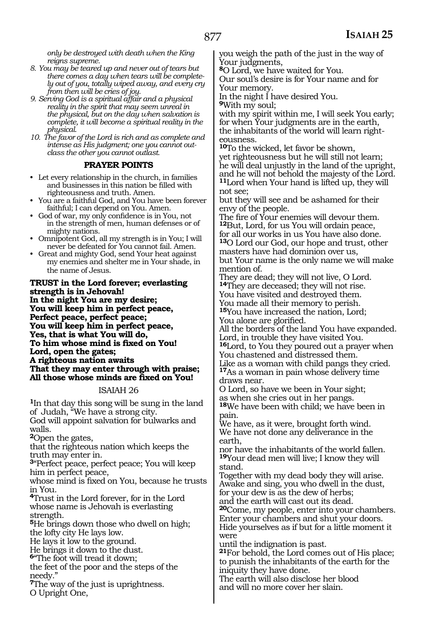*only be destroyed with death when the King reigns supreme.*

- *8. You may be teared up and never out of tears but there comes a day when tears will be completely out of you, totally wiped away, and every cry from then will be cries of joy.*
- *9. Serving God is a spiritual affair and a physical reality in the spirit that may seem unreal in the physical, but on the day when salvation is complete, it will become a spiritual reality in the physical.*
- *10. The favor of the Lord is rich and as complete and intense as His judgment; one you cannot outclass the other you cannot outlast.*

### **PRAYER POINTS**

- Let every relationship in the church, in families and businesses in this nation be filled with righteousness and truth. Amen.
- You are a faithful God, and You have been forever faithful; I can depend on You. Amen.
- God of war, my only confidence is in You, not in the strength of men, human defenses or of mighty nations.
- Omnipotent God, all my strength is in You; I will never be defeated for You cannot fail. Amen.
- Great and mighty God, send Your heat against my enemies and shelter me in Your shade, in the name of Jesus.

**Trust in the Lord forever; everlasting strength is in Jehovah! In the night You are my desire; You will keep him in perfect peace, Perfect peace, perfect peace; You will keep him in perfect peace, Yes, that is what You will do, To him whose mind is fixed on You! Lord, open the gates; A righteous nation awaits That they may enter through with praise; All those whose minds are fixed on You!**

### ISAIAH 26

**<sup>1</sup>**In that day this song will be sung in the land of Judah, "We have a strong city. God will appoint salvation for bulwarks and walls.

**<sup>2</sup>**Open the gates,

that the righteous nation which keeps the truth may enter in.

**<sup>3</sup>**"Perfect peace, perfect peace; You will keep him in perfect peace,

whose mind is fixed on You, because he trusts in You.

**<sup>4</sup>**Trust in the Lord forever, for in the Lord whose name is Jehovah is everlasting strength.

**<sup>5</sup>**He brings down those who dwell on high; the lofty city He lays low.

He lays it low to the ground.

He brings it down to the dust.

**<sup>6</sup>**"The foot will tread it down;

the feet of the poor and the steps of the needy."

**<sup>7</sup>**The way of the just is uprightness. O Upright One,

you weigh the path of the just in the way of Your judgments,

**<sup>8</sup>**O Lord, we have waited for You.

Our soul's desire is for Your name and for Your memory.

In the night I have desired You.

**<sup>9</sup>**With my soul;

with my spirit within me, I will seek You early; for when Your judgments are in the earth, the inhabitants of the world will learn righteousness.

**<sup>10</sup>**To the wicked, let favor be shown, yet righteousness but he will still not learn; he will deal unjustly in the land of the upright, and he will not behold the majesty of the Lord. **<sup>11</sup>**Lord when Your hand is lifted up, they will not see;

but they will see and be ashamed for their envy of the people.

The fire of Your enemies will devour them. **<sup>12</sup>**But, Lord, for us You will ordain peace, for all our works in us You have also done. **<sup>13</sup>**O Lord our God, our hope and trust, other masters have had dominion over us, but Your name is the only name we will make mention of.

They are dead; they will not live, O Lord. **<sup>14</sup>**They are deceased; they will not rise. You have visited and destroyed them. You made all their memory to perish.

**<sup>15</sup>**You have increased the nation, Lord; You alone are glorified.

All the borders of the land You have expanded. Lord, in trouble they have visited You.

**<sup>16</sup>**Lord, to You they poured out a prayer when You chastened and distressed them.

Like as a woman with child pangs they cried. **<sup>17</sup>**As a woman in pain whose delivery time draws near.

O Lord, so have we been in Your sight; as when she cries out in her pangs.

**<sup>18</sup>**We have been with child; we have been in pain.

We have, as it were, brought forth wind. We have not done any deliverance in the earth,

nor have the inhabitants of the world fallen. **<sup>19</sup>**Your dead men will live; I know they will stand.

Together with my dead body they will arise. Awake and sing, you who dwell in the dust, for your dew is as the dew of herbs;

and the earth will cast out its dead. **<sup>20</sup>**Come, my people, enter into your chambers. Enter your chambers and shut your doors. Hide yourselves as if but for a little moment it were

until the indignation is past.

**<sup>21</sup>**For behold, the Lord comes out of His place; to punish the inhabitants of the earth for the iniquity they have done.

The earth will also disclose her blood and will no more cover her slain.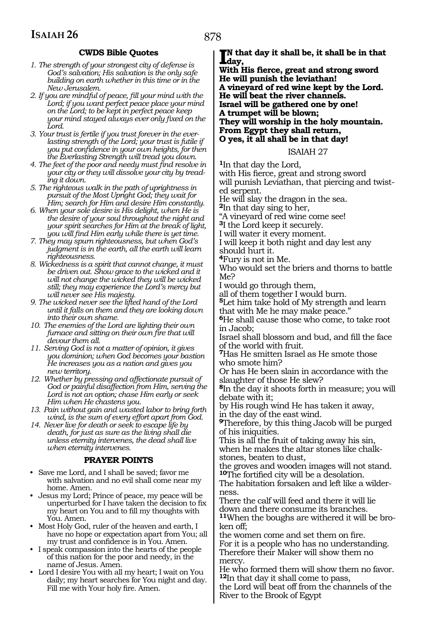### **CWDS Bible Quotes**

- *1. The strength of your strongest city of defense is God's salvation; His salvation is the only safe building on earth whether in this time or in the New Jerusalem.*
- *2. If you are mindful of peace, fill your mind with the Lord; if you want perfect peace place your mind on the Lord; to be kept in perfect peace keep your mind stayed always ever only fixed on the Lord.*
- *3. Your trust is fertile if you trust forever in the everlasting strength of the Lord; your trust is futile if you put confidence in your own heights, for then the Everlasting Strength will tread you down.*
- *4. The feet of the poor and needy must find resolve in your city or they will dissolve your city by treading it down.*
- *5. The righteous walk in the path of uprightness in pursuit of the Most Upright God; they wait for Him; search for Him and desire Him constantly.*
- *6. When your sole desire is His delight, when He is the desire of your soul throughout the night and your spirit searches for Him at the break of light, you will find Him early while there is yet time.*
- *7. They may spurn righteousness, but when God's judgment is in the earth, all the earth will learn righteousness.*
- *8. Wickedness is a spirit that cannot change, it must be driven out. Show grace to the wicked and it will not change the wicked they will be wicked still; they may experience the Lord's mercy but will never see His majesty.*
- *9. The wicked never see the lifted hand of the Lord until it falls on them and they are looking down into their own shame.*
- *10. The enemies of the Lord are lighting their own furnace and sitting on their own fire that will devour them all.*
- *11. Serving God is not a matter of opinion, it gives you dominion; when God becomes your bastion He increases you as a nation and gives you new territory.*
- *12. Whether by pressing and affectionate pursuit of God or painful disaffection from Him, serving the Lord is not an option; chase Him early or seek Him when He chastens you.*
- *13. Pain without gain and wasted labor to bring forth wind, is the sum of every effort apart from God.*
- *14. Never live for death or seek to escape life by death, for just as sure as the living shall die unless eternity intervenes, the dead shall live when eternity intervenes.*

### **PRAYER POINTS**

- Save me Lord, and I shall be saved; favor me with salvation and no evil shall come near my home. Amen.
- Jesus my Lord; Prince of peace, my peace will be unperturbed for I have taken the decision to fix my heart on You and to fill my thoughts with You. Amen.
- Most Holy God, ruler of the heaven and earth, I have no hope or expectation apart from You; all my trust and confidence is in You. Amen.
- I speak compassion into the hearts of the people of this nation for the poor and needy, in the name of Jesus. Amen.
- Lord I desire You with all my heart; I wait on You daily; my heart searches for You night and day. Fill me with Your holy fire. Amen.

**I**N that day it shall be, it shall be in that day,<br>With His figure, great and strang sweed **day,**

**With His fierce, great and strong sword He will punish the leviathan! A vineyard of red wine kept by the Lord. He will beat the river channels. Israel will be gathered one by one! A trumpet will be blown; They will worship in the holy mountain. From Egypt they shall return, O yes, it all shall be in that day!**

### ISAIAH 27

**<sup>1</sup>**In that day the Lord,

with His fierce, great and strong sword will punish Leviathan, that piercing and twist-

ed serpent.

He will slay the dragon in the sea.

**<sup>2</sup>**In that day sing to her,

"A vineyard of red wine come see!

**<sup>3</sup>**I the Lord keep it securely.

I will water it every moment.

I will keep it both night and day lest any should hurt it.

**<sup>4</sup>**Fury is not in Me.

Who would set the briers and thorns to battle Me?

I would go through them,

all of them together I would burn.

**<sup>5</sup>**Let him take hold of My strength and learn that with Me he may make peace."

**<sup>6</sup>**He shall cause those who come, to take root in Jacob;

Israel shall blossom and bud, and fill the face of the world with fruit.

**<sup>7</sup>**Has He smitten Israel as He smote those who smote him?

Or has He been slain in accordance with the slaughter of those He slew?

**<sup>8</sup>**In the day it shoots forth in measure; you will debate with it;

by His rough wind He has taken it away,

in the day of the east wind. **<sup>9</sup>**Therefore, by this thing Jacob will be purged of his iniquities.

This is all the fruit of taking away his sin, when he makes the altar stones like chalkstones, beaten to dust,

the groves and wooden images will not stand. **<sup>10</sup>**The fortified city will be a desolation.

The habitation forsaken and left like a wilderness.

There the calf will feed and there it will lie down and there consume its branches.

**11**When the boughs are withered it will be broken off;

the women come and set them on fire. For it is a people who has no understanding. Therefore their Maker will show them no mercy.

He who formed them will show them no favor. **<sup>12</sup>**In that day it shall come to pass,

the Lord will beat off from the channels of the River to the Brook of Egypt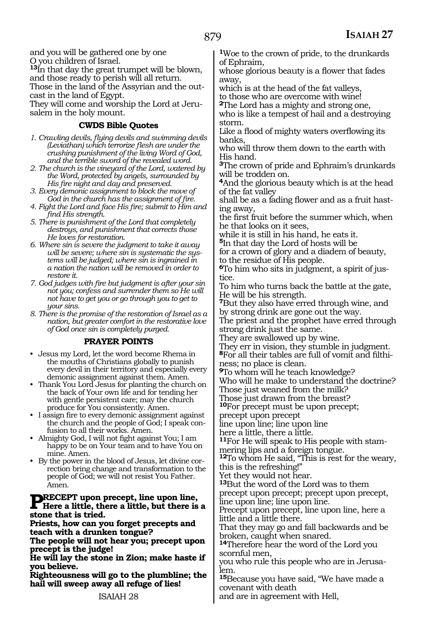and you will be gathered one by one O you children of Israel.

**<sup>13</sup>**In that day the great trumpet will be blown, and those ready to perish will all return.

Those in the land of the Assyrian and the outcast in the land of Egypt.

They will come and worship the Lord at Jerusalem in the holy mount.

### **CWDS Bible Quotes**

- *1. Crawling devils, flying devils and swimming devils (Leviathan) which terrorize flesh are under the crushing punishment of the living Word of God, and the terrible sword of the revealed word.*
- *2. The church is the vineyard of the Lord, watered by the Word, protected by angels, surrounded by His fire night and day and preserved.*
- *3. Every demonic assignment to block the move of God in the church has the assignment of fire.*
- *4. Fight the Lord and face His fire; submit to Him and find His strength.*
- *5. There is punishment of the Lord that completely destroys, and punishment that corrects those He loves for restoration.*
- *6. Where sin is severe the judgment to take it away will be severe; where sin is systematic the systems will be judged; where sin is ingrained in a nation the nation will be removed in order to restore it.*
- *7. God judges with fire but judgment is after your sin not you; confess and surrender them so He will not have to get you or go through you to get to your sins.*
- *8. There is the promise of the restoration of Israel as a nation, but greater comfort in the restorative love of God once sin is completely purged.*

### **PRAYER POINTS**

- Jesus my Lord, let the word become Rhema in the mouths of Christians globally to punish every devil in their territory and especially every demonic assignment against them. Amen.
- Thank You Lord Jesus for planting the church on the back of Your own life and for tending her with gentle persistent care; may the church produce for You consistently. Amen.
- I assign fire to every demonic assignment against the church and the people of God; I speak confusion to all their works. Amen.
- Almighty God, I will not fight against You; I am happy to be on Your team and to have You on mine. Amen.
- By the power in the blood of Jesus, let divine correction bring change and transformation to the people of God; we will not resist You Father. Amen.

## **PRECEPT upon precept, line upon line,**<br>Here a little, there a little, but there is a **stone that is tried.**

**Priests, how can you forget precepts and teach with a drunken tongue?**

**The people will not hear you; precept upon precept is the judge!**

**He will lay the stone in Zion; make haste if you believe.**

**Righteousness will go to the plumbline; the hail will sweep away all refuge of lies!**

**<sup>1</sup>**Woe to the crown of pride, to the drunkards of Ephraim,

whose glorious beauty is a flower that fades away,

which is at the head of the fat valleys, to those who are overcome with wine!

**<sup>2</sup>**The Lord has a mighty and strong one, who is like a tempest of hail and a destroying storm.

Like a flood of mighty waters overflowing its banks,

who will throw them down to the earth with His hand.

**<sup>3</sup>**The crown of pride and Ephraim's drunkards will be trodden on.

**<sup>4</sup>**And the glorious beauty which is at the head of the fat valley

shall be as a fading flower and as a fruit hasting away,

the first fruit before the summer which, when he that looks on it sees,

while it is still in his hand, he eats it.

**<sup>5</sup>**In that day the Lord of hosts will be for a crown of glory and a diadem of beauty, to the residue of His people.

**6**To him who sits in judgment, a spirit of jus-

tice.

To him who turns back the battle at the gate, He will be his strength.

**<sup>7</sup>**But they also have erred through wine, and by strong drink are gone out the way.

The priest and the prophet have erred through strong drink just the same.

They are swallowed up by wine.

They err in vision, they stumble in judgment. **8**For all their tables are full of vomit and filthi-

ness; no place is clean.

**<sup>9</sup>**To whom will he teach knowledge?

Who will he make to understand the doctrine?

Those just weaned from the milk?

Those just drawn from the breast? **<sup>10</sup>**For precept must be upon precept;

precept upon precept

line upon line; line upon line

here a little, there a little.

**11**For He will speak to His people with stammering lips and a foreign tongue.

**<sup>12</sup>**To whom He said, "This is rest for the weary, this is the refreshing!"

Yet they would not hear.

**<sup>13</sup>**But the word of the Lord was to them precept upon precept; precept upon precept, line upon line; line upon line.

Precept upon precept, line upon line, here a little and a little there.

That they may go and fall backwards and be broken, caught when snared.

**<sup>14</sup>**Therefore hear the word of the Lord you scornful men,

you who rule this people who are in Jerusa-<br>lem.

**<sup>15</sup>**Because you have said, "We have made a covenant with death

and are in agreement with Hell,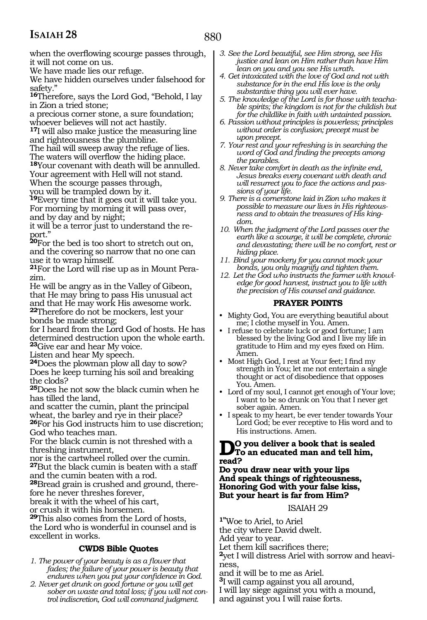when the overflowing scourge passes through, it will not come on us.

We have made lies our refuge.

We have hidden ourselves under falsehood for safety."

**<sup>16</sup>**Therefore, says the Lord God, "Behold, I lay in Zion a tried stone;

a precious corner stone, a sure foundation; whoever believes will not act hastily.

**<sup>17</sup>**I will also make justice the measuring line and righteousness the plumbline.

The hail will sweep away the refuge of lies.

The waters will overflow the hiding place. **<sup>18</sup>**Your covenant with death will be annulled. Your agreement with Hell will not stand.

When the scourge passes through,

you will be trampled down by it.

**<sup>19</sup>**Every time that it goes out it will take you. For morning by morning it will pass over, and by day and by night;

it will be a terror just to understand the report."

**<sup>20</sup>**For the bed is too short to stretch out on, and the covering so narrow that no one can use it to wrap himself.

**21**For the Lord will rise up as in Mount Perazim.

He will be angry as in the Valley of Gibeon, that He may bring to pass His unusual act and that He may work His awesome work.

**<sup>22</sup>**Therefore do not be mockers, lest your bonds be made strong;

for I heard from the Lord God of hosts. He has determined destruction upon the whole earth. **<sup>23</sup>**Give ear and hear My voice.

Listen and hear My speech.

**<sup>24</sup>**Does the plowman plow all day to sow? Does he keep turning his soil and breaking the clods?

**<sup>25</sup>**Does he not sow the black cumin when he has tilled the land,

and scatter the cumin, plant the principal wheat, the barley and rye in their place? **<sup>26</sup>**For his God instructs him to use discretion; God who teaches man.

For the black cumin is not threshed with a threshing instrument,

nor is the cartwheel rolled over the cumin. **<sup>27</sup>**But the black cumin is beaten with a staff and the cumin beaten with a rod.

**28**Bread grain is crushed and ground, therefore he never threshes forever,

break it with the wheel of his cart,

or crush it with his horsemen.

**<sup>29</sup>**This also comes from the Lord of hosts, the Lord who is wonderful in counsel and is excellent in works.

### **CWDS Bible Quotes**

- *1. The power of your beauty is as a flower that fades; the failure of your power is beauty that endures when you put your confidence in God.*
- *2. Never get drunk on good fortune or you will get sober on waste and total loss; if you will not control indiscretion, God will command judgment.*
- *3. See the Lord beautiful, see Him strong, see His justice and lean on Him rather than have Him lean on you and you see His wrath.*
- *4. Get intoxicated with the love of God and not with substance for in the end His love is the only substantive thing you will ever have.*
- *5. The knowledge of the Lord is for those with teachable spirits; the kingdom is not for the childish but for the childlike in faith with untainted passion.*
- *6. Passion without principles is powerless; principles without order is confusion; precept must be upon precept.*
- *7. Your rest and your refreshing is in searching the word of God and finding the precepts among the parables.*
- *8. Never take comfort in death as the infinite end, Jesus breaks every covenant with death and will resurrect you to face the actions and passions of your life.*
- *9. There is a cornerstone laid in Zion who makes it possible to measure our lives in His righteousness and to obtain the treasures of His kingdom.*
- *10. When the judgment of the Lord passes over the earth like a scourge, it will be complete, chronic and devastating; there will be no comfort, rest or hiding place.*
- *11. Bind your mockery for you cannot mock your bonds, you only magnify and tighten them.*
- *12. Let the God who instructs the farmer with knowledge for good harvest, instruct you to life with the precision of His counsel and guidance.*

### **PRAYER POINTS**

- Mighty God, You are everything beautiful about me; I clothe myself in You. Amen.
- I refuse to celebrate luck or good fortune; I am blessed by the living God and I live my life in gratitude to Him and my eyes fixed on Him. Amen.
- Most High God, I rest at Your feet; I find my strength in You; let me not entertain a single thought or act of disobedience that opposes You. Amen.
- Lord of my soul, I cannot get enough of Your love; I want to be so drunk on You that I never get sober again. Amen.
- I speak to my heart, be ever tender towards Your Lord God; be ever receptive to His word and to His instructions. Amen.

### **Do you deliver a book that is sealed To an educated man and tell him, read?**

**Do you draw near with your lips And speak things of righteousness, Honoring God with your false kiss, But your heart is far from Him?**

### ISAIAH 29

**1"**Woe to Ariel, to Ariel the city where David dwelt. Add year to year. Let them kill sacrifices there; **2**yet I will distress Ariel with sorrow and heaviness, and it will be to me as Ariel.

**<sup>3</sup>**I will camp against you all around, I will lay siege against you with a mound, and against you I will raise forts.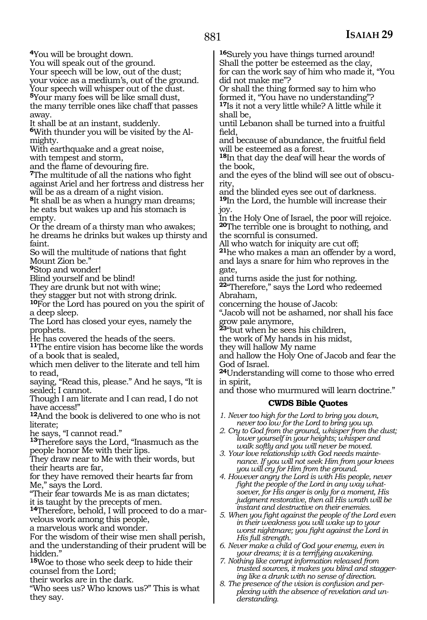**<sup>4</sup>**You will be brought down. You will speak out of the ground. Your speech will be low, out of the dust; your voice as a medium's, out of the ground. Your speech will whisper out of the dust.

**<sup>5</sup>**Your many foes will be like small dust, the many terrible ones like chaff that passes away.

It shall be at an instant, suddenly.

**<sup>6</sup>**With thunder you will be visited by the Al- mighty.

With earthquake and a great noise, with tempest and storm,

and the flame of devouring fire.

**<sup>7</sup>**The multitude of all the nations who fight against Ariel and her fortress and distress her will be as a dream of a night vision.

**<sup>8</sup>**It shall be as when a hungry man dreams; he eats but wakes up and his stomach is empty.

Or the dream of a thirsty man who awakes; he dreams he drinks but wakes up thirsty and faint.

So will the multitude of nations that fight Mount Zion be."

**<sup>9</sup>**Stop and wonder!

Blind yourself and be blind!

They are drunk but not with wine;

they stagger but not with strong drink.

**<sup>10</sup>**For the Lord has poured on you the spirit of a deep sleep.

The Lord has closed your eyes, namely the prophets.

He has covered the heads of the seers.

**<sup>11</sup>**The entire vision has become like the words of a book that is sealed,

which men deliver to the literate and tell him to read,

saying, "Read this, please." And he says, "It is sealed; I cannot.

Though I am literate and I can read, I do not have access!"

**<sup>12</sup>**And the book is delivered to one who is not literate;

he says, "I cannot read."

**<sup>13</sup>**Therefore says the Lord, "Inasmuch as the people honor Me with their lips.

They draw near to Me with their words, but their hearts are far,

for they have removed their hearts far from Me," says the Lord.

"Their fear towards Me is as man dictates; it is taught by the precepts of men.

**<sup>14</sup>**Therefore, behold, I will proceed to do a mar- velous work among this people,

a marvelous work and wonder.

For the wisdom of their wise men shall perish, and the understanding of their prudent will be hidden."

**<sup>15</sup>**Woe to those who seek deep to hide their counsel from the Lord;

their works are in the dark.

"Who sees us? Who knows us?" This is what they say.

**<sup>16</sup>**Surely you have things turned around! Shall the potter be esteemed as the clay, for can the work say of him who made it, "You did not make me"?

Or shall the thing formed say to him who formed it, "You have no understanding"? **<sup>17</sup>**Is it not a very little while? A little while it shall be,

until Lebanon shall be turned into a fruitful field,

and because of abundance, the fruitful field will be esteemed as a forest.

**<sup>18</sup>**In that day the deaf will hear the words of the book,

and the eyes of the blind will see out of obscu- rity,

and the blinded eyes see out of darkness. **<sup>19</sup>**In the Lord, the humble will increase their joy.

In the Holy One of Israel, the poor will rejoice. **<sup>20</sup>**The terrible one is brought to nothing, and the scornful is consumed.

All who watch for iniquity are cut off; **<sup>21</sup>**he who makes a man an offender by a word, and lays a snare for him who reproves in the gate,

and turns aside the just for nothing. **<sup>22</sup>**"Therefore," says the Lord who redeemed

Abraham,

concerning the house of Jacob:

"Jacob will not be ashamed, nor shall his face grow pale anymore,

**<sup>23</sup>**"but when he sees his children,

the work of My hands in his midst,

they will hallow My name

and hallow the Holy One of Jacob and fear the God of Israel.

**<sup>24</sup>**Understanding will come to those who erred in spirit,

and those who murmured will learn doctrine."

### **CWDS Bible Quotes**

*1. Never too high for the Lord to bring you down, never too low for the Lord to bring you up.* 

*2. Cry to God from the ground, whisper from the dust; lower yourself in your heights; whisper and walk softly and you will never be moved.*

*3. Your love relationship with God needs maintenance. If you will not seek Him from your knees you will cry for Him from the ground.*

*4. However angry the Lord is with His people, never fight the people of the Lord in any way whatsoever, for His anger is only for a moment, His judgment restorative, then all His wrath will be instant and destructive on their enemies.* 

*5. When you fight against the people of the Lord even in their weakness you will wake up to your worst nightmare; you fight against the Lord in His full strength.*

*6. Never make a child of God your enemy, even in your dreams; it is a terrifying awakening.* 

*7. Nothing like corrupt information released from trusted sources, it makes you blind and staggering like a drunk with no sense of direction.*

*8. The presence of the vision is confusion and perplexing with the absence of revelation and understanding.*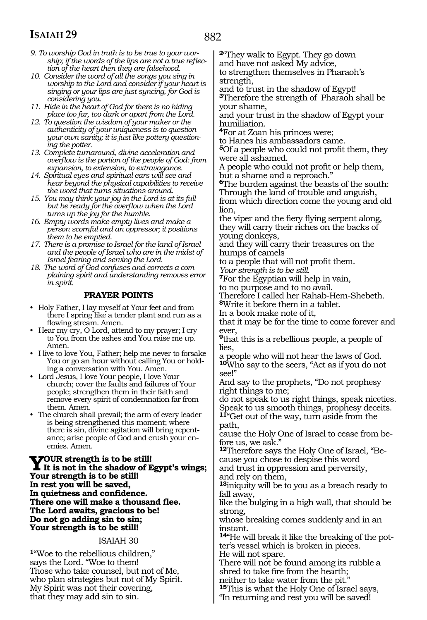- *9. To worship God in truth is to be true to your worship; if the words of the lips are not a true reflection of the heart then they are falsehood.*
- *10. Consider the word of all the songs you sing in worship to the Lord and consider if your heart is singing or your lips are just syncing, for God is considering you.*
- *11. Hide in the heart of God for there is no hiding place too far, too dark or apart from the Lord.*
- *12. To question the wisdom of your maker or the authenticity of your uniqueness is to question your own sanity; it is just like pottery questioning the potter.*
- *13. Complete turnaround, divine acceleration and overflow is the portion of the people of God: from expansion, to extension, to extravagance.*
- *14. Spiritual eyes and spiritual ears will see and hear beyond the physical capabilities to receive the word that turns situations around.*
- *15. You may think your joy in the Lord is at its full but be ready for the overflow when the Lord turns up the joy for the humble.*
- *16. Empty words make empty lives and make a person scornful and an oppressor; it positions them to be emptied.*
- *17. There is a promise to Israel for the land of Israel and the people of Israel who are in the midst of Israel fearing and serving the Lord.*
- *18. The word of God confuses and corrects a complaining spirit and understanding removes error in spirit.*

### **PRAYER POINTS**

- Holy Father, I lay myself at Your feet and from there I spring like a tender plant and run as a flowing stream. Amen.
- Hear my cry, O Lord, attend to my prayer; I cry to You from the ashes and You raise me up. Amen.
- I live to love You, Father; help me never to forsake You or go an hour without calling You or holding a conversation with You. Amen.
- Lord Jesus, I love Your people, I love Your church; cover the faults and failures of Your people; strengthen them in their faith and remove every spirit of condemnation far from them. Amen.
- The church shall prevail; the arm of every leader is being strengthened this moment; where there is sin, divine agitation will bring repentance; arise people of God and crush your enemies. Amen.

**YOUR strength is to be still!**<br>It is not in the shadow of Egypt's wings;<br>Your strength is to be still! **Your strength is to be still! In rest you will be saved, In quietness and confidence. There one will make a thousand flee. The Lord awaits, gracious to be! Do not go adding sin to sin; Your strength is to be still!**

### ISAIAH 30

**<sup>1</sup>**"Woe to the rebellious children," says the Lord. "Woe to them! Those who take counsel, but not of Me, who plan strategies but not of My Spirit. My Spirit was not their covering, that they may add sin to sin.

**<sup>2</sup>**"They walk to Egypt. They go down and have not asked My advice,

to strengthen themselves in Pharaoh's strength,

and to trust in the shadow of Egypt! **<sup>3</sup>**Therefore the strength of Pharaoh shall be your shame,

and your trust in the shadow of Egypt your humiliation.

**<sup>4</sup>**For at Zoan his princes were;

to Hanes his ambassadors came.

**<sup>5</sup>**Of a people who could not profit them, they were all ashamed.

A people who could not profit or help them, but a shame and a reproach."

**<sup>6</sup>**The burden against the beasts of the south: Through the land of trouble and anguish, from which direction come the young and old lion,

the viper and the fiery flying serpent along, they will carry their riches on the backs of young donkeys,

and they will carry their treasures on the humps of camels

to a people that will not profit them. *Your strength is to be still.*

**<sup>7</sup>**For the Egyptian will help in vain,

to no purpose and to no avail.

Therefore I called her Rahab-Hem-Shebeth*.* **<sup>8</sup>**Write it before them in a tablet.

In a book make note of it,

that it may be for the time to come forever and ever,

**<sup>9</sup>**that this is a rebellious people, a people of lies,

a people who will not hear the laws of God. **<sup>10</sup>**Who say to the seers, "Act as if you do not see!"

And say to the prophets, "Do not prophesy right things to me;

do not speak to us right things, speak niceties. Speak to us smooth things, prophesy deceits. **<sup>11</sup>**"Get out of the way, turn aside from the

path,

cause the Holy One of Israel to cease from before us, we ask."

**12**Therefore says the Holy One of Israel, "Because you chose to despise this word

and trust in oppression and perversity, and rely on them,

**<sup>13</sup>**iniquity will be to you as a breach ready to fall away,

like the bulging in a high wall, that should be strong,

whose breaking comes suddenly and in an instant.

**14**"He will break it like the breaking of the potter's vessel which is broken in pieces. He will not spare.

There will not be found among its rubble a shred to take fire from the hearth;

neither to take water from the pit." **<sup>15</sup>**This is what the Holy One of Israel says,

"In returning and rest you will be saved!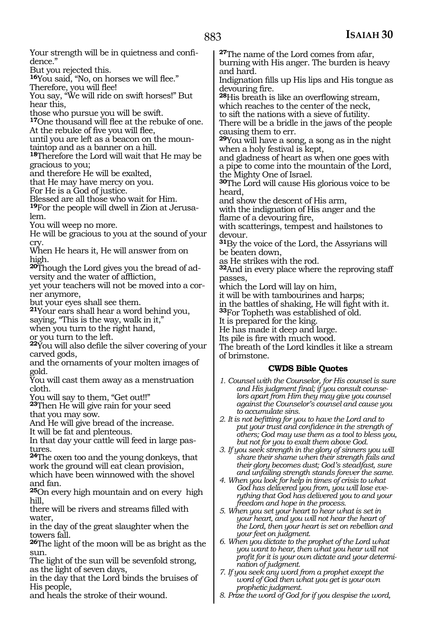Your strength will be in quietness and confidence." But you rejected this. **<sup>16</sup>**You said, "No, on horses we will flee." Therefore, you will flee! You say, "We will ride on swift horses!" But hear this, those who pursue you will be swift. **<sup>17</sup>**One thousand will flee at the rebuke of one. At the rebuke of five you will flee, until you are left as a beacon on the moun- taintop and as a banner on a hill. **<sup>18</sup>**Therefore the Lord will wait that He may be gracious to you; and therefore He will be exalted, that He may have mercy on you. For He is a God of justice. Blessed are all those who wait for Him. **19**For the people will dwell in Zion at Jerusalem. You will weep no more. He will be gracious to you at the sound of your cry. When He hears it, He will answer from on high. **20**Though the Lord gives you the bread of adversity and the water of affliction, yet your teachers will not be moved into a corner anymore, but your eyes shall see them. **<sup>21</sup>**Your ears shall hear a word behind you, saying, "This is the way, walk in it," when you turn to the right hand, or you turn to the left. **<sup>22</sup>**You will also defile the silver covering of your carved gods, and the ornaments of your molten images of gold. You will cast them away as a menstruation cloth. You will say to them, "Get out!!" **<sup>23</sup>**Then He will give rain for your seed that you may sow. And He will give bread of the increase. It will be fat and plenteous. In that day your cattle will feed in large pastures. **<sup>24</sup>**The oxen too and the young donkeys, that work the ground will eat clean provision, which have been winnowed with the shovel and fan. **<sup>25</sup>**On every high mountain and on every high hill, there will be rivers and streams filled with water, in the day of the great slaughter when the towers fall. **<sup>26</sup>**The light of the moon will be as bright as the sun. The light of the sun will be sevenfold strong, **<sup>27</sup>**The name of the Lord comes from afar, burning with His anger. The burden is heavy and hard. Indignation fills up His lips and His tongue as devouring fire. **<sup>28</sup>**His breath is like an overflowing stream, which reaches to the center of the neck, to sift the nations with a sieve of futility. There will be a bridle in the jaws of the people causing them to err. **<sup>29</sup>**You will have a song, a song as in the night when a holy festival is kept, and gladness of heart as when one goes with a pipe to come into the mountain of the Lord, the Mighty One of Israel. **<sup>30</sup>**The Lord will cause His glorious voice to be heard, and show the descent of His arm, with the indignation of His anger and the flame of a devouring fire, with scatterings, tempest and hailstones to devour. **<sup>31</sup>**By the voice of the Lord, the Assyrians will be beaten down, as He strikes with the rod. **<sup>32</sup>**And in every place where the reproving staff passes, which the Lord will lay on him, it will be with tambourines and harps; in the battles of shaking, He will fight with it. **<sup>33</sup>**For Topheth was established of old. It is prepared for the king. He has made it deep and large. Its pile is fire with much wood. The breath of the Lord kindles it like a stream of brimstone. **CWDS Bible Quotes** *1. Counsel with the Counselor, for His counsel is sure and His judgment final; if you consult counselors apart from Him they may give you counsel against the Counselor's counsel and cause you to accumulate sins. 2. It is not befitting for you to have the Lord and to put your trust and confidence in the strength of others; God may use them as a tool to bless you, but not for you to exalt them above God. 3. If you seek strength in the glory of sinners you will share their shame when their strength fails and their glory becomes dust; God's steadfast, sure and unfailing strength stands forever the same. 4. When you look for help in times of crisis to what God has delivered you from, you will lose everything that God has delivered you to and your freedom and hope in the process. 5. When you set your heart to hear what is set in your heart, and you will not hear the heart of the Lord, then your heart is set on rebellion and your feet on judgment. 6. When you dictate to the prophet of the Lord what you want to hear, then what you hear will not profit for it is your own dictate and your determination of judgment.*

as the light of seven days,

His people,

in the day that the Lord binds the bruises of

and heals the stroke of their wound.

*7. If you seek any word from a prophet except the word of God then what you get is your own prophetic judgment.*

*8. Prize the word of God for if you despise the word,*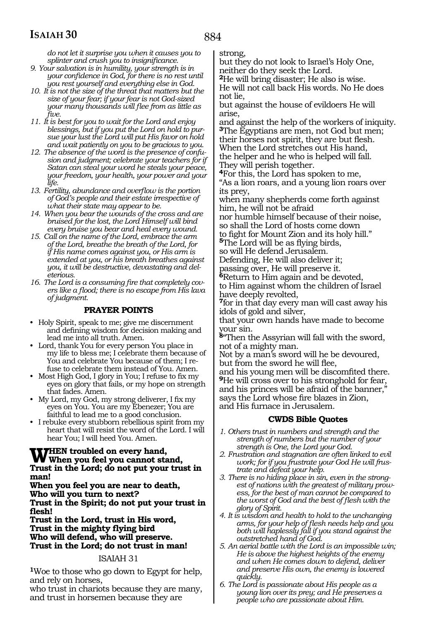884

*do not let it surprise you when it causes you to splinter and crush you to insignificance.*

- *9. Your salvation is in humility, your strength is in your confidence in God, for there is no rest until you rest yourself and everything else in God.*
- *10. It is not the size of the threat that matters but the size of your fear; if your fear is not God-sized your many thousands will flee from as little as five.*
- *11. It is best for you to wait for the Lord and enjoy blessings, but if you put the Lord on hold to pursue your lust the Lord will put His favor on hold and wait patiently on you to be gracious to you.*
- *12. The absence of the word is the presence of confusion and judgment; celebrate your teachers for if Satan can steal your word he steals your peace, your freedom, your health, your power and your life.*
- *13. Fertility, abundance and overflow is the portion of God's people and their estate irrespective of what their state may appear to be.*
- *14. When you bear the wounds of the cross and are bruised for the lost, the Lord Himself will bind every bruise you bear and heal every wound.*
- *15. Call on the name of the Lord, embrace the arm of the Lord, breathe the breath of the Lord, for if His name comes against you, or His arm is extended at you, or his breath breathes against you, it will be destructive, devastating and deleterious.*
- *16. The Lord is a consuming fire that completely covers like a flood; there is no escape from His lava of judgment.*

### **PRAYER POINTS**

- Holy Spirit, speak to me; give me discernment and defining wisdom for decision making and lead me into all truth. Amen.
- Lord, thank You for every person You place in my life to bless me; I celebrate them because of You and celebrate You because of them; I refuse to celebrate them instead of You. Amen.
- Most High God, I glory in You; I refuse to fix my eyes on glory that fails, or my hope on strength that fades. Amen.
- My Lord, my God, my strong deliverer, I fix my eyes on You. You are my Ebenezer; You are faithful to lead me to a good conclusion.
- I rebuke every stubborn rebellious spirit from my heart that will resist the word of the Lord. I will hear You; I will heed You. Amen.

### **WHEN troubled on every hand,<br>
When you feel you cannot stand,<br>
Trust in the Lard de not nut your trust Trust in the Lord; do not put your trust in man!**

**When you feel you are near to death, Who will you turn to next?** 

**Trust in the Spirit; do not put your trust in flesh!** 

**Trust in the Lord, trust in His word, Trust in the mighty flying bird Who will defend, who will preserve. Trust in the Lord; do not trust in man!** 

### ISAIAH 31

**<sup>1</sup>**Woe to those who go down to Egypt for help, and rely on horses,

who trust in chariots because they are many, and trust in horsemen because they are

strong,

but they do not look to Israel's Holy One, neither do they seek the Lord.

**<sup>2</sup>**He will bring disaster; He also is wise. He will not call back His words. No He does not lie,

but against the house of evildoers He will arise,

and against the help of the workers of iniquity. **<sup>3</sup>**The Egyptians are men, not God but men; their horses not spirit, they are but flesh. When the Lord stretches out His hand, the helper and he who is helped will fall. They will perish together.

**<sup>4</sup>**For this, the Lord has spoken to me, "As a lion roars, and a young lion roars over its prey,

when many shepherds come forth against him, he will not be afraid

nor humble himself because of their noise, so shall the Lord of hosts come down

to fight for Mount Zion and its holy hill." **5**The Lord will be as flying birds,

so will He defend Jerusalem*.* 

Defending, He will also deliver it;

passing over, He will preserve it. **<sup>6</sup>**Return to Him again and be devoted, to Him against whom the children of Israel have deeply revolted,

**<sup>7</sup>**for in that day every man will cast away his idols of gold and silver,

that your own hands have made to become your sin.

**<sup>8</sup>**"Then the Assyrian will fall with the sword, not of a mighty man.

Not by a man's sword will he be devoured, but from the sword he will flee,

and his young men will be discomfited there. **<sup>9</sup>**He will cross over to his stronghold for fear, and his princes will be afraid of the banner," says the Lord whose fire blazes in Zion, and His furnace in Jerusalem.

### **CWDS Bible Quotes**

- *1. Others trust in numbers and strength and the strength of numbers but the number of your strength is One, the Lord your God.*
- *2. Frustration and stagnation are often linked to evil work; for if you frustrate your God He will frustrate and defeat your help.*
- *3. There is no hiding place in sin, even in the strongest of nations with the greatest of military prowess, for the best of man cannot be compared to the worst of God and the best of flesh with the glory of Spirit.*
- *4. It is wisdom and health to hold to the unchanging arms, for your help of flesh needs help and you both will haplessly fall if you stand against the outstretched hand of God.*

*5. An aerial battle with the Lord is an impossible win; He is above the highest heights of the enemy and when He comes down to defend, deliver and preserve His own, the enemy is lowered quickly.* 

*6. The Lord is passionate about His people as a young lion over its prey; and He preserves a people who are passionate about Him.*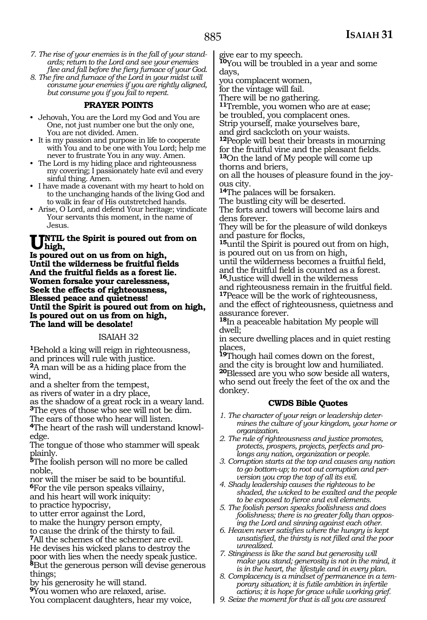- *7. The rise of your enemies is in the fall of your standards; return to the Lord and see your enemies flee and fall before the fiery furnace of your God.*
- *8. The fire and furnace of the Lord in your midst will consume your enemies if you are rightly aligned, but consume you if you fail to repent.*

#### **PRAYER POINTS**

- Jehovah, You are the Lord my God and You are One, not just number one but the only one, You are not divided. Amen.
- It is my passion and purpose in life to cooperate with You and to be one with You Lord; help me never to frustrate You in any way. Amen.
- The Lord is my hiding place and righteousness my covering; I passionately hate evil and every sinful thing. Amen.
- I have made a covenant with my heart to hold on to the unchanging hands of the living God and to walk in fear of His outstretched hands.
- Arise, O Lord, and defend Your heritage; vindicate Your servants this moment, in the name of Jesus.

#### **INTIL the Spirit is poured out from on high,**

**Is poured out on us from on high, Until the wilderness be fruitful fields And the fruitful fields as a forest lie. Women forsake your carelessness, Seek the effects of righteousness, Blessed peace and quietness! Until the Spirit is poured out from on high, Is poured out on us from on high, The land will be desolate!**

#### ISAIAH 32

**<sup>1</sup>**Behold a king will reign in righteousness, and princes will rule with justice.

**<sup>2</sup>**A man will be as a hiding place from the wind,

and a shelter from the tempest,

as rivers of water in a dry place,

as the shadow of a great rock in a weary land. **<sup>3</sup>**The eyes of those who see will not be dim.

The ears of those who hear will listen.

**4**The heart of the rash will understand knowledge.

The tongue of those who stammer will speak plainly.

**<sup>5</sup>**The foolish person will no more be called noble,

nor will the miser be said to be bountiful.

**<sup>6</sup>**For the vile person speaks villainy, and his heart will work iniquity:

to practice hypocrisy,

to utter error against the Lord,

to make the hungry person empty,

to cause the drink of the thirsty to fail.

**<sup>7</sup>**All the schemes of the schemer are evil. He devises his wicked plans to destroy the poor with lies when the needy speak justice. **<sup>8</sup>**But the generous person will devise generous

things; by his generosity he will stand.

**<sup>9</sup>**You women who are relaxed, arise.

You complacent daughters, hear my voice,

give ear to my speech.

**<sup>10</sup>**You will be troubled in a year and some days,

you complacent women,

for the vintage will fail.

There will be no gathering.

**<sup>11</sup>**Tremble, you women who are at ease;

be troubled, you complacent ones.

Strip yourself, make yourselves bare, and gird sackcloth on your waists.

**<sup>12</sup>**People will beat their breasts in mourning for the fruitful vine and the pleasant fields. **<sup>13</sup>**On the land of My people will come up thorns and briers,

on all the houses of pleasure found in the joyous city.

**<sup>14</sup>**The palaces will be forsaken.

The bustling city will be deserted.

The forts and towers will become lairs and dens forever.

They will be for the pleasure of wild donkeys and pasture for flocks,

**<sup>15</sup>**until the Spirit is poured out from on high, is poured out on us from on high,

until the wilderness becomes a fruitful field, and the fruitful field is counted as a forest. **<sup>16</sup>**Justice will dwell in the wilderness

and righteousness remain in the fruitful field. **<sup>17</sup>**Peace will be the work of righteousness,

and the effect of righteousness, quietness and assurance forever.

**<sup>18</sup>**In a peaceable habitation My people will dwell;

in secure dwelling places and in quiet resting places,

**<sup>19</sup>**Though hail comes down on the forest, and the city is brought low and humiliated. **<sup>20</sup>**Blessed are you who sow beside all waters, who send out freely the feet of the ox and the donkey.

#### **CWDS Bible Quotes**

*1. The character of your reign or leadership determines the culture of your kingdom, your home or organization.*

- *2. The rule of righteousness and justice promotes, protects, prospers, projects, perfects and prolongs any nation, organization or people.*
- *3. Corruption starts at the top and causes any nation to go bottom-up; to root out corruption and perversion you crop the top of all its evil.*
- *4. Shady leadership causes the righteous to be shaded, the wicked to be exalted and the people to be exposed to fierce and evil elements.*
- *5. The foolish person speaks foolishness and does foolishness; there is no greater folly than opposing the Lord and sinning against each other.*
- *6. Heaven never satisfies where the hungry is kept unsatisfied, the thirsty is not filled and the poor unrealized.*
- *7. Stinginess is like the sand but generosity will make you stand; generosity is not in the mind, it is in the heart, the lifestyle and in every plan.*
- *8. Complacency is a mindset of permanence in a temporary situation; it is futile ambition in infertile actions; it is hope for grace while working grief.*
- *9. Seize the moment for that is all you are assured*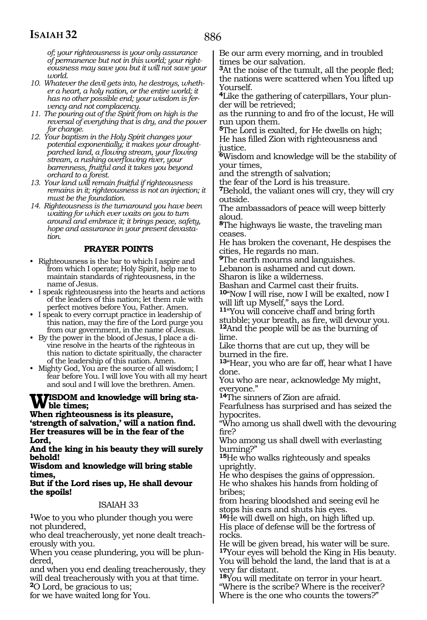886

*of; your righteousness is your only assurance of permanence but not in this world; your righteousness may save you but it will not save your world.*

- *10. Whatever the devil gets into, he destroys, whether a heart, a holy nation, or the entire world; it has no other possible end; your wisdom is fervency and not complacency.*
- *11. The pouring out of the Spirit from on high is the reversal of everything that is dry, and the power for change.*
- *12. Your baptism in the Holy Spirit changes your potential exponentially; it makes your droughtparched land, a flowing stream, your flowing stream, a rushing overflowing river, your barrenness, fruitful and it takes you beyond orchard to a forest.*
- *13. Your land will remain fruitful if righteousness remains in it; righteousness is not an injection; it must be the foundation.*
- *14. Righteousness is the turnaround you have been waiting for which ever waits on you to turn around and embrace it; it brings peace, safety, hope and assurance in your present devastation.*

#### **PRAYER POINTS**

- Righteousness is the bar to which I aspire and from which I operate; Holy Spirit, help me to maintain standards of righteousness, in the name of Jesus.
- I speak righteousness into the hearts and actions of the leaders of this nation; let them rule with perfect motives before You, Father. Amen.
- I speak to every corrupt practice in leadership of this nation, may the fire of the Lord purge you from our government, in the name of Jesus.
- By the power in the blood of Jesus, I place a divine resolve in the hearts of the righteous in this nation to dictate spiritually, the character of the leadership of this nation. Amen.
- Mighty God, You are the source of all wisdom; I fear before You. I will love You with all my heart and soul and I will love the brethren. Amen.

# **Wisdom and knowledge will bring sta- ble times;**

**When righteousness is its pleasure, 'strength of salvation,' will a nation find. Her treasures will be in the fear of the Lord,**

**And the king in his beauty they will surely behold!**

**Wisdom and knowledge will bring stable times,**

**But if the Lord rises up, He shall devour the spoils!**

#### ISAIAH 33

**<sup>1</sup>**Woe to you who plunder though you were not plundered,

who deal treacherously, yet none dealt treacherously with you.

When you cease plundering, you will be plundered,

and when you end dealing treacherously, they will deal treacherously with you at that time.

**<sup>2</sup>**O Lord, be gracious to us;

for we have waited long for You.

Be our arm every morning, and in troubled times be our salvation.

**<sup>3</sup>**At the noise of the tumult, all the people fled; the nations were scattered when You lifted up Yourself.

**4**Like the gathering of caterpillars, Your plunder will be retrieved;

as the running to and fro of the locust, He will run upon them.

**<sup>5</sup>**The Lord is exalted, for He dwells on high; He has filled Zion with righteousness and justice.

**<sup>6</sup>**Wisdom and knowledge will be the stability of your times,

and the strength of salvation;

the fear of the Lord is his treasure.

**<sup>7</sup>**Behold, the valiant ones will cry, they will cry outside.

The ambassadors of peace will weep bitterly aloud.

**<sup>8</sup>**The highways lie waste, the traveling man ceases.

He has broken the covenant, He despises the cities, He regards no man.

**<sup>9</sup>**The earth mourns and languishes.

Lebanon is ashamed and cut down.

Sharon is like a wilderness.

Bashan and Carmel cast their fruits. **<sup>10</sup>**"Now I will rise, now I will be exalted, now I will lift up Myself," says the Lord.

**<sup>11</sup>**"You will conceive chaff and bring forth stubble; your breath, as fire, will devour you. **<sup>12</sup>**And the people will be as the burning of

lime. Like thorns that are cut up, they will be

burned in the fire.

**<sup>13</sup>**"Hear, you who are far off, hear what I have done.

You who are near, acknowledge My might, everyone."

**<sup>14</sup>**The sinners of Zion are afraid.

Fearfulness has surprised and has seized the hypocrites.

"Who among us shall dwell with the devouring fire?

Who among us shall dwell with everlasting burning?"

**<sup>15</sup>**He who walks righteously and speaks uprightly.

He who despises the gains of oppression. He who shakes his hands from holding of bribes;

from hearing bloodshed and seeing evil he stops his ears and shuts his eyes.

**<sup>16</sup>**He will dwell on high, on high lifted up. His place of defense will be the fortress of rocks.

He will be given bread, his water will be sure. **<sup>17</sup>**Your eyes will behold the King in His beauty. You will behold the land, the land that is at a very far distant.

**<sup>18</sup>**You will meditate on terror in your heart. "Where is the scribe? Where is the receiver? Where is the one who counts the towers?"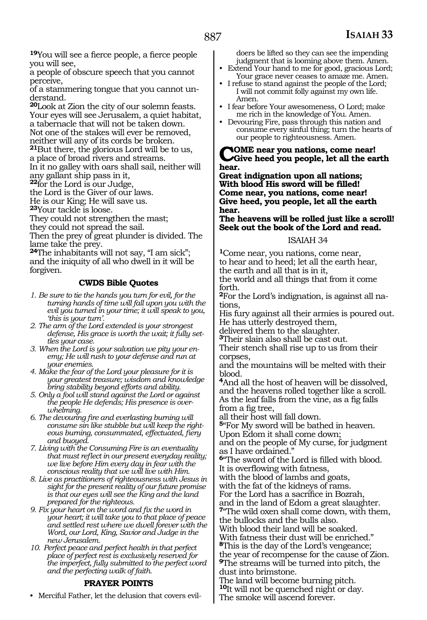**<sup>19</sup>**You will see a fierce people, a fierce people you will see,

a people of obscure speech that you cannot perceive,

of a stammering tongue that you cannot understand.

**<sup>20</sup>**Look at Zion the city of our solemn feasts. Your eyes will see Jerusalem, a quiet habitat, a tabernacle that will not be taken down. Not one of the stakes will ever be removed, neither will any of its cords be broken.

**<sup>21</sup>**But there, the glorious Lord will be to us,

a place of broad rivers and streams. In it no galley with oars shall sail, neither will

any gallant ship pass in it,

**<sup>22</sup>**for the Lord is our Judge,

the Lord is the Giver of our laws.

He is our King; He will save us.

**<sup>23</sup>**Your tackle is loose.

They could not strengthen the mast;

they could not spread the sail.

Then the prey of great plunder is divided. The lame take the prey.

**<sup>24</sup>**The inhabitants will not say, "I am sick"; and the iniquity of all who dwell in it will be forgiven.

#### **CWDS Bible Quotes**

- *1. Be sure to tie the hands you turn for evil, for the turning hands of time will fall upon you with the evil you turned in your time; it will speak to you, 'this is your turn'.*
- *2. The arm of the Lord extended is your strongest defense, His grace is worth the wait; it fully settles your case.*
- *3. When the Lord is your salvation we pity your enemy; He will rush to your defense and run at your enemies.*
- *4. Make the fear of the Lord your pleasure for it is your greatest treasure; wisdom and knowledge bring stability beyond efforts and ability.*
- *5. Only a fool will stand against the Lord or against the people He defends; His presence is overwhelming.*
- *6. The devouring fire and everlasting burning will consume sin like stubble but will keep the righteous burning, consummated, effectuated, fiery and buoyed.*
- *7. Living with the Consuming Fire is an eventuality that must reflect in our present everyday reality; we live before Him every day in fear with the conscious reality that we will live with Him.*
- *8. Live as practitioners of righteousness with Jesus in sight for the present reality of our future promise is that our eyes will see the King and the land prepared for the righteous.*
- *9. Fix your heart on the word and fix the word in your heart; it will take you to that place of peace and settled rest where we dwell forever with the Word, our Lord, King, Savior and Judge in the new Jerusalem.*
- *10. Perfect peace and perfect health in that perfect place of perfect rest is exclusively reserved for the imperfect, fully submitted to the perfect word and the perfecting walk of faith.*

#### **PRAYER POINTS**

• Merciful Father, let the delusion that covers evil-

doers be lifted so they can see the impending judgment that is looming above them. Amen.

- Extend Your hand to me for good, gracious Lord; Your grace never ceases to amaze me. Amen.
- I refuse to stand against the people of the Lord; I will not commit folly against my own life. Amen.
- I fear before Your awesomeness, O Lord; make me rich in the knowledge of You. Amen.
- Devouring Fire, pass through this nation and consume every sinful thing; turn the hearts of our people to righteousness. Amen.

**Come near you nations, come near! Give heed you people, let all the earth hear.**

**Great indignation upon all nations; With blood His sword will be filled! Come near, you nations, come near! Give heed, you people, let all the earth hear.**

**The heavens will be rolled just like a scroll! Seek out the book of the Lord and read.** 

#### ISAIAH 34

**<sup>1</sup>**Come near, you nations, come near, to hear and to heed; let all the earth hear, the earth and all that is in it,

the world and all things that from it come forth.

**2**For the Lord's indignation, is against all nations,

His fury against all their armies is poured out. He has utterly destroyed them,

delivered them to the slaughter.

**<sup>3</sup>**Their slain also shall be cast out.

Their stench shall rise up to us from their corpses,

and the mountains will be melted with their blood.

**<sup>4</sup>**And all the host of heaven will be dissolved, and the heavens rolled together like a scroll. As the leaf falls from the vine, as a fig falls from a fig tree,

all their host will fall down.

**<sup>5</sup>**"For My sword will be bathed in heaven. Upon Edom it shall come down;

and on the people of My curse, for judgment as I have ordained."

**<sup>6</sup>**"The sword of the Lord is filled with blood. It is overflowing with fatness,

with the blood of lambs and goats,

with the fat of the kidneys of rams.

For the Lord has a sacrifice in Bozrah, and in the land of Edom a great slaughter.

**<sup>7</sup>**"The wild oxen shall come down, with them, the bullocks and the bulls also.

With blood their land will be soaked. With fatness their dust will be enriched." **<sup>8</sup>**This is the day of the Lord's vengeance; the year of recompense for the cause of Zion.

**<sup>9</sup>**The streams will be turned into pitch, the dust into brimstone.

The land will become burning pitch.

**<sup>10</sup>**It will not be quenched night or day.

The smoke will ascend forever.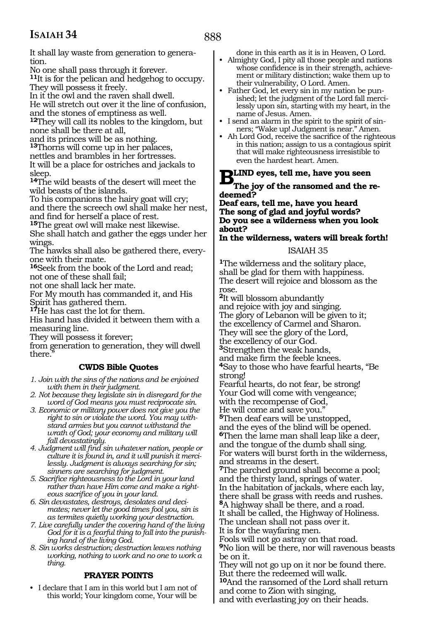It shall lay waste from generation to generation.

No one shall pass through it forever.

**<sup>11</sup>**It is for the pelican and hedgehog to occupy. They will possess it freely.

In it the owl and the raven shall dwell. He will stretch out over it the line of confusion,

and the stones of emptiness as well.

**<sup>12</sup>**They will call its nobles to the kingdom, but none shall be there at all,

and its princes will be as nothing.

**<sup>13</sup>**Thorns will come up in her palaces,

nettles and brambles in her fortresses.

It will be a place for ostriches and jackals to sleep.

**<sup>14</sup>**The wild beasts of the desert will meet the wild beasts of the islands.

To his companions the hairy goat will cry; and there the screech owl shall make her nest, and find for herself a place of rest.

**<sup>15</sup>**The great owl will make nest likewise.

She shall hatch and gather the eggs under her wings.

The hawks shall also be gathered there, everyone with their mate.

**<sup>16</sup>**Seek from the book of the Lord and read; not one of these shall fail;

not one shall lack her mate.

For My mouth has commanded it, and His Spirit has gathered them.

**<sup>17</sup>**He has cast the lot for them.

His hand has divided it between them with a measuring line.

They will possess it forever;

from generation to generation, they will dwell there.

### **CWDS Bible Quotes**

*1. Join with the sins of the nations and be enjoined with them in their judgment.*

*2. Not because they legislate sin in disregard for the word of God means you must reciprocate sin.* 

- *3. Economic or military power does not give you the right to sin or violate the word. You may withstand armies but you cannot withstand the wrath of God; your economy and military will fall devastatingly.*
- *4. Judgment will find sin whatever nation, people or culture it is found in, and it will punish it mercilessly. Judgment is always searching for sin; sinners are searching for judgment.*
- *5. Sacrifice righteousness to the Lord in your land rather than have Him come and make a righteous sacrifice of you in your land.*
- *6. Sin devastates, destroys, desolates and decimates; never let the good times fool you, sin is as termites quietly working your destruction.*
- *7. Live carefully under the covering hand of the living God for it is a fearful thing to fall into the punishing hand of the living God.*

*8. Sin works destruction; destruction leaves nothing working, nothing to work and no one to work a thing.*

### **PRAYER POINTS**

• I declare that I am in this world but I am not of this world; Your kingdom come, Your will be

done in this earth as it is in Heaven, O Lord.

- Almighty God, I pity all those people and nations whose confidence is in their strength, achievement or military distinction; wake them up to their vulnerability, O Lord. Amen.
- Father God, let every sin in my nation be punished; let the judgment of the Lord fall mercilessly upon sin, starting with my heart, in the name of Jesus. Amen.<br>• I send an alarm in the spirit to the spirit of sin-
- ners; "Wake up! Judgment is near." Amen.
- Ah Lord God, receive the sacrifice of the righteous in this nation; assign to us a contagious spirit that will make righteousness irresistible to even the hardest heart. Amen.

**BLIND** eyes, tell me, have you seen<br>The joy of the ransomed and the i **The joy of the ransomed and the re- deemed?**

**Deaf ears, tell me, have you heard The song of glad and joyful words? Do you see a wilderness when you look about?**

**In the wilderness, waters will break forth!**

#### ISAIAH 35

**<sup>1</sup>**The wilderness and the solitary place, shall be glad for them with happiness. The desert will rejoice and blossom as the rose.

**<sup>2</sup>**It will blossom abundantly and rejoice with joy and singing. The glory of Lebanon will be given to it; the excellency of Carmel and Sharon.

They will see the glory of the Lord,

the excellency of our God.

**<sup>3</sup>**Strengthen the weak hands,

and make firm the feeble knees.

**<sup>4</sup>**Say to those who have fearful hearts, "Be strong!

Fearful hearts, do not fear, be strong! Your God will come with vengeance; with the recompense of God, He will come and save you."

**<sup>5</sup>**Then deaf ears will be unstopped, and the eyes of the blind will be opened. **<sup>6</sup>**Then the lame man shall leap like a deer, and the tongue of the dumb shall sing. For waters will burst forth in the wilderness, and streams in the desert.

**<sup>7</sup>**The parched ground shall become a pool; and the thirsty land, springs of water. In the habitation of jackals, where each lay, there shall be grass with reeds and rushes. **<sup>8</sup>**A highway shall be there, and a road. It shall be called, the Highway of Holiness.

The unclean shall not pass over it.

It is for the wayfaring men.

Fools will not go astray on that road. **<sup>9</sup>**No lion will be there, nor will ravenous beasts be on it.

They will not go up on it nor be found there. But there the redeemed will walk. **<sup>10</sup>**And the ransomed of the Lord shall return

and come to Zion with singing, and with everlasting joy on their heads.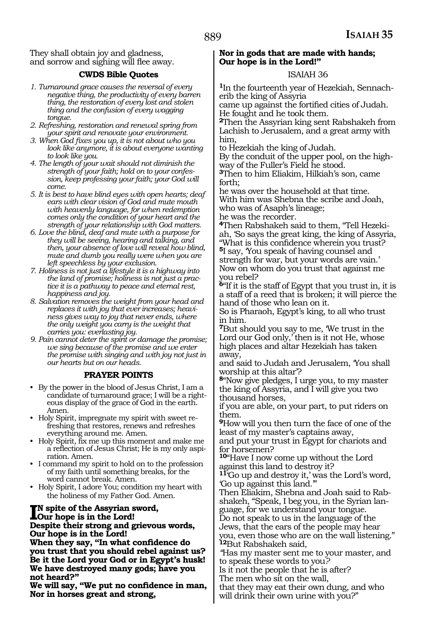They shall obtain joy and gladness, and sorrow and sighing will flee away.

#### **CWDS Bible Quotes**

- *1. Turnaround grace causes the reversal of every negative thing, the productivity of every barren thing, the restoration of every lost and stolen thing and the confusion of every wagging tongue.*
- *2. Refreshing, restoration and renewal spring from your spirit and renovate your environment.*
- *3. When God fixes you up, it is not about who you look like anymore, it is about everyone wanting to look like you.*
- *4. The length of your wait should not diminish the strength of your faith; hold on to your confession, keep professing your faith; your God will come.*
- *5. It is best to have blind eyes with open hearts; deaf ears with clear vision of God and mute mouth with heavenly language, for when redemption comes only the condition of your heart and the strength of your relationship with God matters.*
- *6. Love the blind, deaf and mute with a purpose for they will be seeing, hearing and talking, and then, your absence of love will reveal how blind, mute and dumb you really were when you are left speechless by your exclusion.*
- *7. Holiness is not just a lifestyle it is a highway into the land of promise; holiness is not just a practice it is a pathway to peace and eternal rest, happiness and joy.*
- *8. Salvation removes the weight from your head and replaces it with joy that ever increases; heaviness gives way to joy that never ends, where the only weight you carry is the weight that carries you: everlasting joy.*
- *9. Pain cannot deter the spirit or damage the promise; we sing because of the promise and we enter the promise with singing and with joy not just in our hearts but on our heads.*

#### **PRAYER POINTS**

- By the power in the blood of Jesus Christ, I am a candidate of turnaround grace; I will be a righteous display of the grace of God in the earth. Amen.
- Holy Spirit, impregnate my spirit with sweet refreshing that restores, renews and refreshes everything around me. Amen.
- Holy Spirit, fix me up this moment and make me a reflection of Jesus Christ; He is my only aspiration. Amen.
- I command my spirit to hold on to the profession of my faith until something breaks, for the word cannot break. Amen.
- Holy Spirit, I adore You; condition my heart with the holiness of my Father God. Amen.

#### **I**N spite of the Assyrian sword,<br>Our hope is in the Lord!<br>Despite their strangend grisses **Our hope is in the Lord! Despite their strong and grievous words, Our hope is in the Lord!**

**When they say, "In what confidence do you trust that you should rebel against us? Be it the Lord your God or in Egypt's husk! We have destroyed many gods; have you not heard?"**

**We will say, "We put no confidence in man, Nor in horses great and strong,** 

#### **Nor in gods that are made with hands; Our hope is in the Lord!"**

#### ISAIAH 36

**<sup>1</sup>**In the fourteenth year of Hezekiah, Sennach- erib the king of Assyria

came up against the fortified cities of Judah. He fought and he took them.

**<sup>2</sup>**Then the Assyrian king sent Rabshakeh from Lachish to Jerusalem, and a great army with him,

to Hezekiah the king of Judah.

By the conduit of the upper pool, on the high- way of the Fuller's Field he stood.

**<sup>3</sup>**Then to him Eliakim, Hilkiah's son, came forth;

he was over the household at that time. With him was Shebna the scribe and Joah, who was of Asaph's lineage; he was the recorder.

**4**Then Rabshakeh said to them, "Tell Hezekiah, 'So says the great king, the king of Assyria, "What is this confidence wherein you trust? **<sup>5</sup>**I say, 'You speak of having counsel and

strength for war, but your words are vain.' Now on whom do you trust that against me you rebel?

**<sup>6</sup>**"If it is the staff of Egypt that you trust in, it is a staff of a reed that is broken; it will pierce the hand of those who lean on it.

So is Pharaoh, Egypt's king, to all who trust in him.

**<sup>7</sup>**But should you say to me, 'We trust in the Lord our God only, then is it not He, whose high places and altar Hezekiah has taken away,

and said to Judah and Jerusalem, 'You shall worship at this altar'?

**<sup>8</sup>**"Now give pledges, I urge you, to my master the king of Assyria, and I will give you two thousand horses,

if you are able, on your part, to put riders on them.

**<sup>9</sup>**How will you then turn the face of one of the least of my master's captains away,

and put your trust in Egypt for chariots and for horsemen?

**<sup>10</sup>**"Have I now come up without the Lord against this land to destroy it?

**<sup>11</sup>**'Go up and destroy it,' was the Lord's word,

'Go up against this land.'" shakeh, "Speak, I beg you, in the Syrian lan-<br>guage, for we understand your tongue.

Do not speak to us in the language of the Jews, that the ears of the people may hear

you, even those who are on the wall listening." **<sup>12</sup>**But Rabshakeh said,

*"*Has my master sent me to your master, and to speak these words to you*?* 

Is it not the people that he is after?

The men who sit on the wall,

that they may eat their own dung, and who will drink their own urine with you?"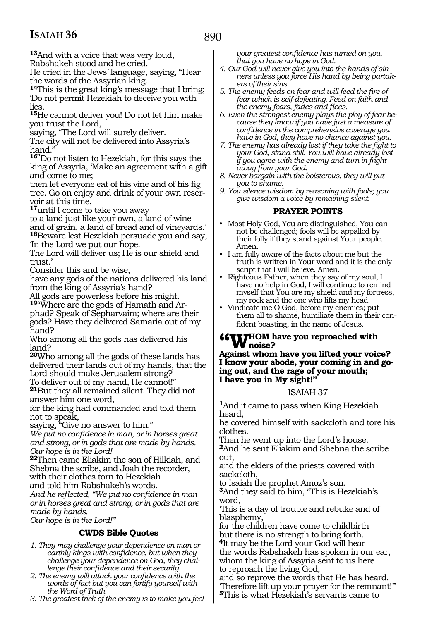**<sup>13</sup>**And with a voice that was very loud,

Rabshakeh stood and he cried.

He cried in the Jews' language, saying, "Hear the words of the Assyrian king.

**<sup>14</sup>**This is the great king's message that I bring; 'Do not permit Hezekiah to deceive you with lies.

**<sup>15</sup>**He cannot deliver you! Do not let him make you trust the Lord,

saying, "The Lord will surely deliver.

The city will not be delivered into Assyria's hand."

**16"**Do not listen to Hezekiah, for this says the king of Assyria, 'Make an agreement with a gift and come to me;

then let everyone eat of his vine and of his fig tree. Go on enjoy and drink of your own reser- voir at this time,

**<sup>17</sup>**until I come to take you away

to a land just like your own, a land of wine and of grain, a land of bread and of vineyards.' **<sup>18</sup>**Beware lest Hezekiah persuade you and say, 'In the Lord we put our hope.

The Lord will deliver us; He is our shield and trust.'

Consider this and be wise,

have any gods of the nations delivered his land from the king of Assyria's hand?

All gods are powerless before his might. **<sup>19</sup>**"Where are the gods of Hamath and Ar- phad? Speak of Sepharvaim; where are their gods? Have they delivered Samaria out of my hand?

Who among all the gods has delivered his land?

**<sup>20</sup>**Who among all the gods of these lands has delivered their lands out of my hands, that the Lord should make Jerusalem strong?

To deliver out of my hand, He cannot!"

**<sup>21</sup>**But they all remained silent. They did not answer him one word,

for the king had commanded and told them not to speak,

saying, "Give no answer to him."

*We put no confidence in man, or in horses great and strong, or in gods that are made by hands. Our hope is in the Lord!*

**<sup>22</sup>**Then came Eliakim the son of Hilkiah, and Shebna the scribe, and Joah the recorder, with their clothes torn to Hezekiah

and told him Rabshakeh's words.

*And he reflected, "We put no confidence in man or in horses great and strong, or in gods that are made by hands.*

*Our hope is in the Lord!"* 

### **CWDS Bible Quotes**

- *1. They may challenge your dependence on man or earthly kings with confidence, but when they challenge your dependence on God, they challenge their confidence and their security.*
- *2. The enemy will attack your confidence with the words of fact but you can fortify yourself with the Word of Truth.*
- *3. The greatest trick of the enemy is to make you feel*

*your greatest confidence has turned on you, that you have no hope in God.*

- *4. Our God will never give you into the hands of sinners unless you force His hand by being partakers of their sins.*
- *5. The enemy feeds on fear and will feed the fire of fear which is self-defeating. Feed on faith and the enemy fears, fades and flees.*
- *6. Even the strongest enemy plays the ploy of fear because they know if you have just a measure of confidence in the comprehensive coverage you have in God, they have no chance against you.*
- *7. The enemy has already lost if they take the fight to your God, stand still. You will have already lost if you agree with the enemy and turn in fright away from your God.*
- *8. Never bargain with the boisterous, they will put you to shame.*
- *9. You silence wisdom by reasoning with fools; you give wisdom a voice by remaining silent.*

#### **PRAYER POINTS**

- Most Holy God, You are distinguished, You cannot be challenged; fools will be appalled by their folly if they stand against Your people. Amen.
- I am fully aware of the facts about me but the truth is written in Your word and it is the only script that I will believe. Amen.
- Righteous Father, when they say of my soul, I have no help in God, I will continue to remind myself that You are my shield and my fortress, my rock and the one who lifts my head.
- Vindicate me O God, before my enemies; put them all to shame, humiliate them in their confident boasting, in the name of Jesus.

# **"Whom have you reproached with noise?**<br>Against whom have you lifted your voice

**Against whom have you lifted your voice? I know your abode, your coming in and go- ing out, and the rage of your mouth; I have you in My sight!"**

#### ISAIAH 37

**<sup>1</sup>**And it came to pass when King Hezekiah heard,

he covered himself with sackcloth and tore his clothes.

Then he went up into the Lord's house.

**<sup>2</sup>**And he sent Eliakim and Shebna the scribe out,

and the elders of the priests covered with sackcloth,

to Isaiah the prophet Amoz's son. **<sup>3</sup>**And they said to him, "This is Hezekiah's word,

'This is a day of trouble and rebuke and of blasphemy,

for the children have come to childbirth but there is no strength to bring forth. **<sup>4</sup>**It may be the Lord your God will hear the words Rabshakeh has spoken in our ear, whom the king of Assyria sent to us here to reproach the living God,

and so reprove the words that He has heard. 'Therefore lift up your prayer for the remnant!'" **<sup>5</sup>**This is what Hezekiah's servants came to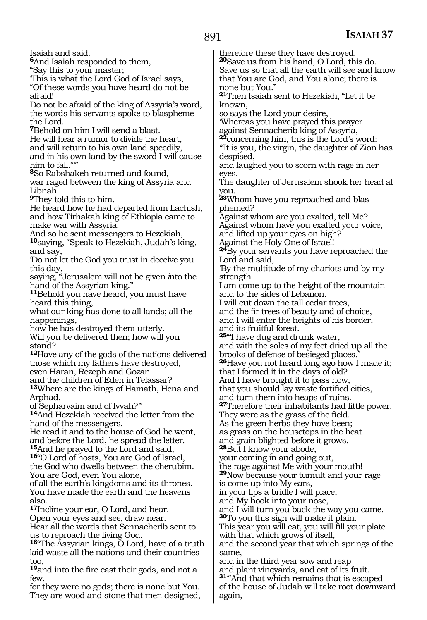Isaiah and said. **<sup>6</sup>**And Isaiah responded to them, "Say this to your master; 'This is what the Lord God of Israel says, "Of these words you have heard do not be afraid! Do not be afraid of the king of Assyria's word, the words his servants spoke to blaspheme the Lord. **<sup>7</sup>**Behold on him I will send a blast. He will hear a rumor to divide the heart, and will return to his own land speedily, and in his own land by the sword I will cause him to fall."\* **<sup>8</sup>**So Rabshakeh returned and found, war raged between the king of Assyria and Libnah. **<sup>9</sup>**They told this to him. He heard how he had departed from Lachish, and how Tirhakah king of Ethiopia came to make war with Assyria. And so he sent messengers to Hezekiah, **<sup>10</sup>**saying, "Speak to Hezekiah, Judah's king, and say, 'Do not let the God you trust in deceive you this day, saying, "Jerusalem will not be given *i*nto the hand of the Assyrian king." **<sup>11</sup>**Behold you have heard, you must have heard this thing, what our king has done to all lands; all the happenings, how he has destroyed them utterly. Will you be delivered then; how will you stand? **<sup>12</sup>**Have any of the gods of the nations delivered those which my fathers have destroyed, even Haran, Rezeph and Gozan and the children of Eden in Telassar? **<sup>13</sup>**Where are the kings of Hamath, Hena and Arphad, of Sepharvaim and of Ivvah?'" **<sup>14</sup>**And Hezekiah received the letter from the hand of the messengers. He read it and to the house of God he went, and before the Lord, he spread the letter. **<sup>15</sup>**And he prayed to the Lord and said, **16**"O Lord of hosts, You are God of Israel, the God who dwells between the cherubim. You are God, even You alone, of all the earth's kingdoms and its thrones. You have made the earth and the heavens **<sup>17</sup>**Incline your ear, O Lord, and hear. Open your eyes and see, draw near. Hear all the words that Sennacherib sent to us to reproach the living God. **<sup>18</sup>**"The Assyrian kings, O Lord, have of a truth laid waste all the nations and their countries **<sup>19</sup>**and into the fire cast their gods, and not a therefore these they have destroyed. **<sup>20</sup>**Save us from his hand, O Lord, this do. Save us so that all the earth will see and know that You are God, and You alone; there is none but You." **<sup>21</sup>**Then Isaiah sent to Hezekiah, "Let it be known, so says the Lord your desire, 'Whereas you have prayed this prayer against Sennacherib king of Assyria, **<sup>22</sup>**concerning him, this is the Lord's word: '"It is you, the virgin, the daughter of Zion has despised, and laughed you to scorn with rage in her eyes. The daughter of Jerusalem shook her head at you. **23**Whom have you reproached and blasphemed? Against whom are you exalted, tell Me? Against whom have you exalted your voice, and lifted up your eyes on high? Against the Holy One of Israel! **<sup>24</sup>**By your servants you have reproached the Lord and said, 'By the multitude of my chariots and by my strength I am come up to the height of the mountain and to the sides of Lebanon. I will cut down the tall cedar trees, and the fir trees of beauty and of choice, and I will enter the heights of his border, and its fruitful forest. **<sup>25</sup>**"'I have dug and drunk water, and with the soles of my feet dried up all the brooks of defense of besieged places.' **<sup>26</sup>**Have you not heard long ago how I made it; that I formed it in the days of old? And I have brought it to pass now, that you should lay waste fortified cities, and turn them into heaps of ruins. **<sup>27</sup>**Therefore their inhabitants had little power. They were as the grass of the field. As the green herbs they have been; as grass on the housetops in the heat and grain blighted before it grows. **<sup>28</sup>**But I know your abode, your coming in and going out, the rage against Me with your mouth! **<sup>29</sup>**Now because your tumult and your rage is come up into My ears, in your lips a bridle I will place, and My hook into your nose, and I will turn you back the way you came. **<sup>30</sup>**To you this sign will make it plain. This year you will eat, you will fill your plate with that which grows of itself, and the second year that which springs of the same, and in the third year sow and reap and plant vineyards, and eat of its fruit. **<sup>31</sup>**'"And that which remains that is escaped of the house of Judah will take root downward

again,

for they were no gods; there is none but You. They are wood and stone that men designed,

also.

too,

few,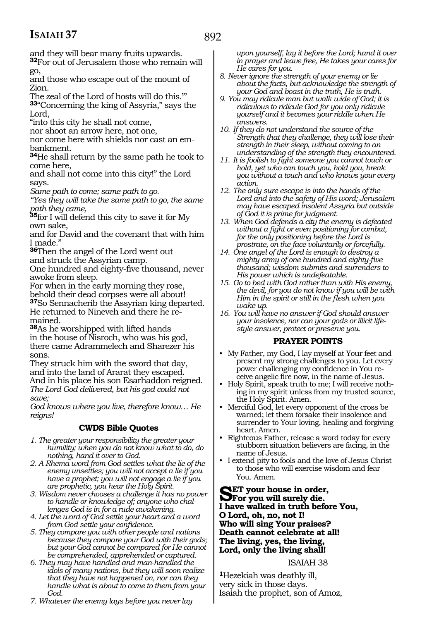892

and they will bear many fruits upwards. **<sup>32</sup>**For out of Jerusalem those who remain will

go, and those who escape out of the mount of Zion.

The zeal of the Lord of hosts will do this."' **<sup>33</sup>**"Concerning the king of Assyria," says the Lord,

"into this city he shall not come,

nor shoot an arrow here, not one,

nor come here with shields nor cast an embankment.

**<sup>34</sup>**He shall return by the same path he took to come here,

and shall not come into this city!" the Lord says.

*Same path to come; same path to go.*

*"Yes they will take the same path to go, the same path they came,*

**<sup>35</sup>**for I will defend this city to save it for My own sake,

and for David and the covenant that with him I made."

**<sup>36</sup>**Then the angel of the Lord went out and struck the Assyrian camp.

One hundred and eighty-five thousand, never awoke from sleep.

For when in the early morning they rose,

behold their dead corpses were all about! **<sup>37</sup>**So Sennacherib the Assyrian king departed. He returned to Nineveh and there he remained.

**<sup>38</sup>**As he worshipped with lifted hands in the house of Nisroch, who was his god, there came Adrammelech and Sharezer his sons.

They struck him with the sword that day, and into the land of Ararat they escaped. And in his place his son Esarhaddon reigned. *The Lord God delivered, but his god could not save;*

*God knows where you live, therefore know… He reigns!*

#### **CWDS Bible Quotes**

- *1. The greater your responsibility the greater your humility; when you do not know what to do, do nothing, hand it over to God.*
- *2. A Rhema word from God settles what the lie of the enemy unsettles; you will not accept a lie if you have a prophet; you will not engage a lie if you are prophetic, you hear the Holy Spirit.*
- *3. Wisdom never chooses a challenge it has no power to handle or knowledge of; anyone who challenges God is in for a rude awakening.*
- *4. Let the word of God settle your heart and a word from God settle your confidence.*
- *5. They compare you with other people and nations because they compare your God with their gods; but your God cannot be compared for He cannot be comprehended, apprehended or captured.*
- *6. They may have handled and man-handled the idols of many nations, but they will soon realize that they have not happened on, nor can they handle what is about to come to them from your God.*

*7. Whatever the enemy lays before you never lay* 

*upon yourself, lay it before the Lord; hand it over in prayer and leave free, He takes your cares for He cares for you.*

- *8. Never ignore the strength of your enemy or lie about the facts, but acknowledge the strength of your God and boast in the truth, He is truth.*
- *9. You may ridicule man but walk wide of God; it is ridiculous to ridicule God for you only ridicule yourself and it becomes your riddle when He*
- *answers. 10. If they do not understand the source of the Strength that they challenge, they will lose their strength in their sleep, without coming to an understanding of the strength they encountered.*
- *11. It is foolish to fight someone you cannot touch or hold, yet who can touch you, hold you, break you without a touch and who knows your every action.*
- *12. The only sure escape is into the hands of the Lord and into the safety of His word; Jerusalem may have escaped insolent Assyria but outside of God it is prime for judgment.*
- *13. When God defends a city the enemy is defeated without a fight or even positioning for combat, for the only positioning before the Lord is prostrate, on the face voluntarily or forcefully.*
- *14. One angel of the Lord is enough to destroy a mighty army of one hundred and eighty-five thousand; wisdom submits and surrenders to His power which is undefeatable.*
- *15. Go to bed with God rather than with His enemy, the devil, for you do not know if you will be with Him in the spirit or still in the flesh when you wake up.*
- *16. You will have no answer if God should answer your insolence, nor can your gods or illicit lifestyle answer, protect or preserve you.*

#### **PRAYER POINTS**

- My Father, my God, I lay myself at Your feet and present my strong challenges to you. Let every power challenging my confidence in You receive angelic fire now, in the name of Jesus.
- Holy Spirit, speak truth to me; I will receive nothing in my spirit unless from my trusted source, the Holy Spirit. Amen.
- Merciful God, let every opponent of the cross be warned; let them forsake their insolence and surrender to Your loving, healing and forgiving heart. Amen.
- Righteous Father, release a word today for every stubborn situation believers are facing, in the name of Jesus.
- I extend pity to fools and the love of Jesus Christ to those who will exercise wisdom and fear You. Amen.

**SET your house in order,<br>
For you will surely die.**<br> **I have walled in truth hofe I have walked in truth before You, O Lord, oh, no, not I! Who will sing Your praises? Death cannot celebrate at all! The living, yes, the living, Lord, only the living shall!**

#### ISAIAH 38

**<sup>1</sup>**Hezekiah was deathly ill, very sick in those days. Isaiah the prophet, son of Amoz,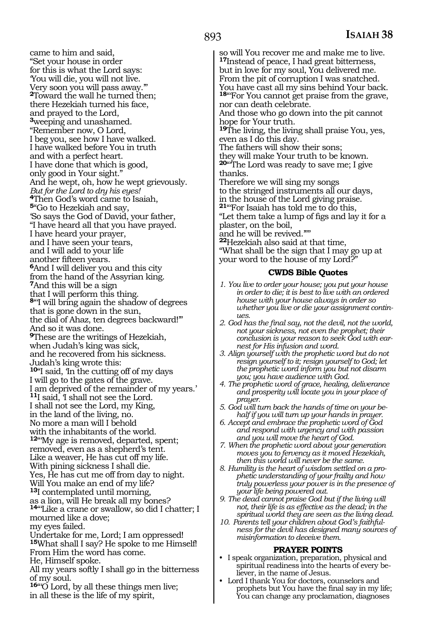came to him and said, "Set your house in order for this is what the Lord says: 'You will die, you will not live. Very soon you will pass away.'" **<sup>2</sup>**Toward the wall he turned then; there Hezekiah turned his face, and prayed to the Lord, **<sup>3</sup>**weeping and unashamed. "Remember now, O Lord, I beg you, see how I have walked. I have walked before You in truth and with a perfect heart. I have done that which is good, only good in Your sight." And he wept, oh, how he wept grievously. *But for the Lord to dry his eyes!*  **<sup>4</sup>**Then God's word came to Isaiah, **<sup>5</sup>**"Go to Hezekiah and say, 'So says the God of David, your father, "I have heard all that you have prayed. I have heard your prayer, and I have seen your tears, and I will add to your life another fifteen years. **6**And I will deliver you and this city from the hand of the Assyrian king. **<sup>7</sup>**And this will be a sign that I will perform this thing. **<sup>8</sup>**"'I will bring again the shadow of degrees that is gone down in the sun, the dial of Ahaz, ten degrees backward!'" And so it was done. **<sup>9</sup>**These are the writings of Hezekiah, when Judah's king was sick, and he recovered from his sickness. Judah's king wrote this: **<sup>10</sup>**"I said, 'In the cutting off of my days I will go to the gates of the grave. I am deprived of the remainder of my years.' **<sup>11</sup>**I said, 'I shall not see the Lord. I shall not see the Lord, my King, in the land of the living, no. No more a man will I behold with the inhabitants of the world. **<sup>12</sup>**"'My age is removed, departed, spent; removed, even as a shepherd's tent. Like a weaver, He has cut off my life. With pining sickness I shall die. Yes, He has cut me off from day to night. Will You make an end of my life? **<sup>13</sup>**I contemplated until morning, as a lion, will He break all my bones? 14"Like a crane or swallow, so did I chatter; I mourned like a dove; my eyes failed. Undertake for me, Lord; I am oppressed! **<sup>15</sup>**What shall I say? He spoke to me Himself! From Him the word has come. He, Himself spoke. All my years softly I shall go in the bitterness of my soul.

**<sup>16</sup>**"'O Lord, by all these things men live; in all these is the life of my spirit,

so will You recover me and make me to live. **<sup>17</sup>**Instead of peace, I had great bitterness, but in love for my soul, You delivered me. From the pit of corruption I was snatched. You have cast all my sins behind Your back. 18"For You cannot get praise from the grave,

nor can death celebrate. And those who go down into the pit cannot hope for Your truth.

**<sup>19</sup>**The living, the living shall praise You, yes, even as I do this day.

The fathers will show their sons;

they will make Your truth to be known. **<sup>20</sup>**"'The Lord was ready to save me; I give thanks.

Therefore we will sing my songs to the stringed instruments all our days, in the house of the Lord giving praise. **<sup>21</sup>**"'For Isaiah has told me to do this,

"Let them take a lump of figs and lay it for a plaster, on the boil,

and he will be revived.'""

**<sup>22</sup>**Hezekiah also said at that time,

"What shall be the sign that I may go up at your word to the house of my Lord?"

#### **CWDS Bible Quotes**

- *1. You live to order your house; you put your house in order to die; it is best to live with an ordered house with your house always in order so whether you live or die your assignment continues.*
- *2. God has the final say, not the devil, not the world, not your sickness, not even the prophet; their conclusion is your reason to seek God with earnest for His infusion and word.*
- *3. Align yourself with the prophetic word but do not resign yourself to it; resign yourself to God; let the prophetic word inform you but not disarm you; you have audience with God.*
- *4. The prophetic word of grace, healing, deliverance and prosperity will locate you in your place of prayer.*
- *5. God will turn back the hands of time on your behalf if you will turn up your hands in prayer.*
- *6. Accept and embrace the prophetic word of God and respond with urgency and with passion and you will move the heart of God.*
- *7. When the prophetic word about your generation moves you to fervency as it moved Hezekiah, then this world will never be the same.*
- *8. Humility is the heart of wisdom settled on a prophetic understanding of your frailty and how truly powerless your power is in the presence of your life being powered out.*
- *9. The dead cannot praise God but if the living will not, their life is as effective as the dead; in the spiritual world they are seen as the living dead.*
- *10. Parents tell your children about God's faithfulness for the devil has designed many sources of misinformation to deceive them.*

- **PRAYER POINTS** I speak organization, preparation, physical and spiritual readiness into the hearts of every believer, in the name of Jesus.
- Lord I thank You for doctors, counselors and prophets but You have the final say in my life; You can change any proclamation, diagnoses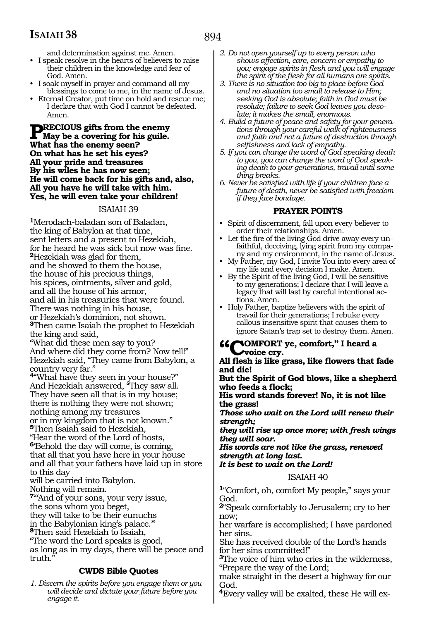and determination against me. Amen.

- I speak resolve in the hearts of believers to raise their children in the knowledge and fear of God. Amen.
- I soak myself in prayer and command all my blessings to come to me, in the name of Jesus.
- Eternal Creator, put time on hold and rescue me; I declare that with God I cannot be defeated. Amen.

**PRECIOUS gifts from the enemy**<br>What has the enemy seem? **What has the enemy seen? On what has he set his eyes? All your pride and treasures By his wiles he has now seen; He will come back for his gifts and, also, All you have he will take with him. Yes, he will even take your children!**

#### ISAIAH 39

**<sup>1</sup>**Merodach-baladan son of Baladan, the king of Babylon at that time, sent letters and a present to Hezekiah, for he heard he was sick but now was fine. **<sup>2</sup>**Hezekiah was glad for them, and he showed to them the house, the house of his precious things, his spices, ointments, silver and gold, and all the house of his armor, and all in his treasuries that were found. There was nothing in his house, or Hezekiah's dominion, not shown. **<sup>3</sup>**Then came Isaiah the prophet to Hezekiah the king and said, "What did these men say to you? And where did they come from? Now tell!" Hezekiah said, "They came from Babylon, a country very far." **<sup>4</sup>**"What have they seen in your house?" And Hezekiah answered, "They saw all. They have seen all that is in my house; there is nothing they were not shown; nothing among my treasures or in my kingdom that is not known." **<sup>5</sup>**Then Isaiah said to Hezekiah, "Hear the word of the Lord of hosts, **<sup>6</sup>**'Behold the day will come, is coming, that all that you have here in your house and all that your fathers have laid up in store to this day will be carried into Babylon. Nothing will remain. **<sup>7</sup>**"'And of your sons, your very issue, the sons whom you beget, they will take to be their eunuchs in the Babylonian king's palace.'" **<sup>8</sup>**Then said Hezekiah to Isaiah, "The word the Lord speaks is good, as long as in my days, there will be peace and truth." **CWDS Bible Quotes**

*1. Discern the spirits before you engage them or you will decide and dictate your future before you engage it.*

- *2. Do not open yourself up to every person who shows affection, care, concern or empathy to you; engage spirits in flesh and you will engage the spirit of the flesh for all humans are spirits.*
- *3. There is no situation too big to place before God and no situation too small to release to Him; seeking God is absolute; faith in God must be resolute; failure to seek God leaves you desolate; it makes the small, enormous.*
- *4. Build a future of peace and safety for your generations through your careful walk of righteousness and faith and not a future of destruction through selfishness and lack of empathy.*
- *5. If you can change the word of God speaking death to you, you can change the word of God speaking death to your generations, travail until something breaks.*
- *6. Never be satisfied with life if your children face a future of death, never be satisfied with freedom if they face bondage.*

#### **PRAYER POINTS**

- Spirit of discernment, fall upon every believer to order their relationships. Amen.
- Let the fire of the living God drive away every unfaithful, deceiving, lying spirit from my company and my environment, in the name of Jesus.
- My Father, my God, I invite You into every area of my life and every decision I make. Amen.
- By the Spirit of the living God, I will be sensitive to my generations; I declare that I will leave a legacy that will last by careful intentional actions. Amen.
- Holy Father, baptize believers with the spirit of travail for their generations; I rebuke every callous insensitive spirit that causes them to ignore Satan's trap set to destroy them. Amen.

#### *GOMFORT* ve, comfort," I heard a **voice cry.**

**All flesh is like grass, like flowers that fade and die!**

**But the Spirit of God blows, like a shepherd who feeds a flock;**

**His word stands forever! No, it is not like the grass!**

*Those who wait on the Lord will renew their strength;*

*they will rise up once more; with fresh wings they will soar.*

*His words are not like the grass, renewed strength at long last.*

*It is best to wait on the Lord!*

ISAIAH 40

**<sup>1</sup>**"Comfort, oh, comfort My people," says your God.

**<sup>2</sup>**"Speak comfortably to Jerusalem; cry to her now;

her warfare is accomplished; I have pardoned her sins.

She has received double of the Lord's hands for her sins committed!"

**<sup>3</sup>**The voice of him who cries in the wilderness, "Prepare the way of the Lord;

make straight in the desert a highway for our God.

**4**Every valley will be exalted, these He will ex-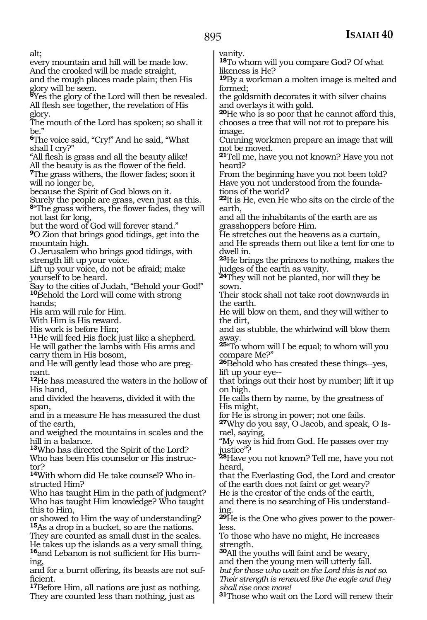alt;

every mountain and hill will be made low. And the crooked will be made straight, and the rough places made plain; then His glory will be seen.

**<sup>5</sup>**Yes the glory of the Lord will then be revealed. All flesh see together, the revelation of His glory.

The mouth of the Lord has spoken; so shall it be."

**<sup>6</sup>**The voice said, "Cry!" And he said, "What shall I cry?"

"All flesh is grass and all the beauty alike! All the beauty is as the flower of the field.

**<sup>7</sup>**The grass withers, the flower fades; soon it will no longer be,

because the Spirit of God blows on it.

Surely the people are grass, even just as this. **<sup>8</sup>**"The grass withers, the flower fades, they will not last for long,

but the word of God will forever stand."

**<sup>9</sup>**O Zion that brings good tidings, get into the mountain high.

O Jerusalem who brings good tidings, with strength lift up your voice.

Lift up your voice, do not be afraid; make yourself to be heard.

Say to the cities of Judah, "Behold your God!" 10<sup>B</sup>ehold the Lord will come with strong hands;

His arm will rule for Him.

With Him is His reward.

His work is before Him;

**<sup>11</sup>**He will feed His flock just like a shepherd. He will gather the lambs with His arms and carry them in His bosom,

and He will gently lead those who are preg- nant.

**<sup>12</sup>**He has measured the waters in the hollow of His hand,

and divided the heavens, divided it with the span,

and in a measure He has measured the dust of the earth,

and weighed the mountains in scales and the hill in a balance.

**<sup>13</sup>**Who has directed the Spirit of the Lord?

Who has been His counselor or His instructor?

**14**With whom did He take counsel? Who instructed Him?

Who has taught Him in the path of judgment? Who has taught Him knowledge? Who taught this to Him,

or showed to Him the way of understanding? **<sup>15</sup>**As a drop in a bucket, so are the nations. They are counted as small dust in the scales. He takes up the islands as a very small thing, **16**and Lebanon is not sufficient for His burn-

ing, and for a burnt offering, its beasts are not sufficient.

**<sup>17</sup>**Before Him, all nations are just as nothing. They are counted less than nothing, just as

vanity.

**<sup>18</sup>**To whom will you compare God? Of what likeness is He?

**<sup>19</sup>**By a workman a molten image is melted and formed;

the goldsmith decorates it with silver chains and overlays it with gold.

**<sup>20</sup>**He who is so poor that he cannot afford this, chooses a tree that will not rot to prepare his image.

Cunning workmen prepare an image that will not be moved.

**<sup>21</sup>**Tell me, have you not known? Have you not heard?

From the beginning have you not been told? Have you not understood from the foundations of the world?

**<sup>22</sup>**It is He, even He who sits on the circle of the earth,

and all the inhabitants of the earth are as grasshoppers before Him.

He stretches out the heavens as a curtain,

and He spreads them out like a tent for one to dwell in.

**<sup>23</sup>**He brings the princes to nothing, makes the judges of the earth as vanity.

**<sup>24</sup>**They will not be planted, nor will they be sown.

Their stock shall not take root downwards in the earth.

He will blow on them, and they will wither to the dirt,

and as stubble, the whirlwind will blow them away.

**<sup>25</sup>**"To whom will I be equal; to whom will you compare Me?"

**<sup>26</sup>**Behold who has created these things--yes, lift up your eye--

that brings out their host by number; lift it up on high.

He calls them by name, by the greatness of His might,

for He is strong in power; not one fails.

**27**Why do you say, O Jacob, and speak, O Israel, saying,

"My way is hid from God. He passes over my justice"?

**<sup>28</sup>**Have you not known? Tell me, have you not heard,

that the Everlasting God, the Lord and creator of the earth does not faint or get weary?

He is the creator of the ends of the earth,

and there is no searching of His understanding.

**29**He is the One who gives power to the powerless.

To those who have no might, He increases strength.

**<sup>30</sup>**All the youths will faint and be weary, and then the young men will utterly fall. *but for those who wait on the Lord this is not so. Their strength is renewed like the eagle and they shall rise once more!* 

**<sup>31</sup>**Those who wait on the Lord will renew their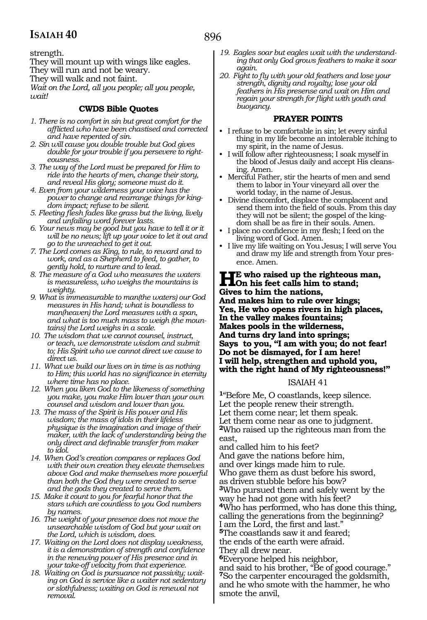strength.

They will mount up with wings like eagles.

They will run and not be weary.

They will walk and not faint.

*Wait on the Lord, all you people; all you people, wait!*

#### **CWDS Bible Quotes**

- *1. There is no comfort in sin but great comfort for the afflicted who have been chastised and corrected and have repented of sin.*
- *2. Sin will cause you double trouble but God gives double for your trouble if you persevere to righteousness.*
- *3. The way of the Lord must be prepared for Him to ride into the hearts of men, change their story, and reveal His glory; someone must do it.*
- *4. Even from your wilderness your voice has the power to change and rearrange things for kingdom impact; refuse to be silent.*
- *5. Fleeting flesh fades like grass but the living, lively and unfailing word forever lasts.*
- *6. Your news may be good but you have to tell it or it will be no news; lift up your voice to let it out and go to the unreached to get it out.*
- *7. The Lord comes as King, to rule, to reward and to work, and as a Shepherd to feed, to gather, to gently hold, to nurture and to lead.*
- *8. The measure of a God who measures the waters is measureless, who weighs the mountains is weighty.*
- *9. What is immeasurable to man(the waters) our God measures in His hand; what is boundless to man(heaven) the Lord measures with a span, and what is too much mass to weigh (the mountains) the Lord weighs in a scale.*
- *10. The wisdom that we cannot counsel, instruct, or teach, we demonstrate wisdom and submit to; His Spirit who we cannot direct we cause to direct us.*
- *11. What we build our lives on in time is as nothing to Him; this world has no significance in eternity where time has no place.*
- *12. When you liken God to the likeness of something you make, you make Him lower than your own counsel and wisdom and lower than you.*
- *13. The mass of the Spirit is His power and His wisdom; the mass of idols in their lifeless physique is the imagination and image of their maker, with the lack of understanding being the only direct and definable transfer from maker to idol.*
- *14. When God's creation compares or replaces God with their own creation they elevate themselves above God and make themselves more powerful than both the God they were created to serve and the gods they created to serve them.*
- *15. Make it count to you for fearful honor that the stars which are countless to you God numbers by names.*
- *16. The weight of your presence does not move the unsearchable wisdom of God but your wait on the Lord, which is wisdom, does.*
- *17. Waiting on the Lord does not display weakness, it is a demonstration of strength and confidence in the renewing power of His presence and in your take-off velocity from that experience.*
- *18. Waiting on God is pursuance not passivity; waiting on God is service like a waiter not sedentary or slothfulness; waiting on God is renewal not removal.*
- *19. Eagles soar but eagles wait with the understanding that only God grows feathers to make it soar again.*
- *20. Fight to fly with your old feathers and lose your strength, dignity and royalty; lose your old feathers in His presense and wait on Him and regain your strength for flight with youth and buoyancy.*

#### **PRAYER POINTS**

- I refuse to be comfortable in sin; let every sinful thing in my life become an intolerable itching to my spirit, in the name of Jesus.
- I will follow after righteousness; I soak myself in the blood of Jesus daily and accept His cleansing. Amen.
- Merciful Father, stir the hearts of men and send them to labor in Your vineyard all over the world today, in the name of Jesus.
- Divine discomfort, displace the complacent and send them into the field of souls. From this day they will not be silent; the gospel of the kingdom shall be as fire in their souls. Amen.
- I place no confidence in my flesh; I feed on the living word of God. Amen.
- I live my life waiting on You Jesus; I will serve You and draw my life and strength from Your presence. Amen.

**He** who raised up the righteous man,<br> **On** his feet calls him to stand;<br>
Given to him the nations **Gives to him the nations, And makes him to rule over kings; Yes, He who opens rivers in high places, In the valley makes fountains; Makes pools in the wilderness, And turns dry land into springs; Says to you, "I am with you; do not fear! Do not be dismayed, for I am here! I will help, strengthen and uphold you, with the right hand of My righteousness!"**

#### ISAIAH 41

**<sup>1</sup>**"Before Me, O coastlands, keep silence. Let the people renew their strength. Let them come near; let them speak. Let them come near as one to judgment. **<sup>2</sup>**Who raised up the righteous man from the east,

and called him to his feet? And gave the nations before him, and over kings made him to rule. Who gave them as dust before his sword, as driven stubble before his bow? **<sup>3</sup>**Who pursued them and safely went by the way he had not gone with his feet? **<sup>4</sup>**Who has performed, who has done this thing, calling the generations from the beginning? I am the Lord, the first and last." **<sup>5</sup>**The coastlands saw it and feared; the ends of the earth were afraid. They all drew near. **<sup>6</sup>**Everyone helped his neighbor,

and said to his brother, "Be of good courage." **<sup>7</sup>**So the carpenter encouraged the goldsmith, and he who smote with the hammer, he who smote the anvil,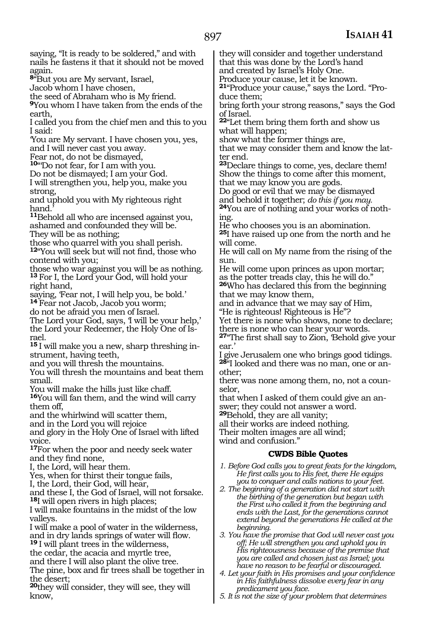saying, "It is ready to be soldered," and with nails he fastens it that it should not be moved again. **<sup>8</sup>**"But you are My servant, Israel, Jacob whom I have chosen, the seed of Abraham who is My friend. **<sup>9</sup>**You whom I have taken from the ends of the earth, I called you from the chief men and this to you I said: 'You are My servant. I have chosen you, yes, and I will never cast you away. Fear not, do not be dismayed, **<sup>10</sup>**"'Do not fear, for I am with you. Do not be dismayed; I am your God. I will strengthen you, help you, make you strong, and uphold you with My righteous right hand. **<sup>11</sup>**Behold all who are incensed against you, ashamed and confounded they will be. They will be as nothing; those who quarrel with you shall perish. **<sup>12</sup>**"You will seek but will not find, those who contend with you; those who war against you will be as nothing. **<sup>13</sup>**For I, the Lord your God, will hold your right hand, saying, 'Fear not, I will help you, be bold.' **<sup>14</sup>**Fear not Jacob, Jacob you worm; do not be afraid you men of Israel. The Lord your God, says, I will be your help,' the Lord your Redeemer, the Holy One of Israel. **15** I will make you a new, sharp threshing instrument, having teeth, and you will thresh the mountains. You will thresh the mountains and beat them small. You will make the hills just like chaff. **<sup>16</sup>**You will fan them, and the wind will carry them off, and the whirlwind will scatter them, and in the Lord you will rejoice and glory in the Holy One of Israel with lifted voice. **<sup>17</sup>**For when the poor and needy seek water and they find none, I, the Lord, will hear them. Yes, when for thirst their tongue fails, I, the Lord, their God, will hear, and these I, the God of Israel, will not forsake. **<sup>18</sup>**I will open rivers in high places; I will make fountains in the midst of the low valleys. I will make a pool of water in the wilderness, and in dry lands springs of water will flow. **<sup>19</sup>**I will plant trees in the wilderness, the cedar, the acacia and myrtle tree, and there I will also plant the olive tree. The pine, box and fir trees shall be together in the desert; they will consider and together understand that this was done by the Lord's hand and created by Israel's Holy One. Produce your cause, let it be known. **21**"Produce your cause," says the Lord. "Produce them; bring forth your strong reasons," says the God of Israel. **<sup>22</sup>**"Let them bring them forth and show us what will happen; show what the former things are, that we may consider them and know the latter end. **<sup>23</sup>**Declare things to come, yes, declare them! Show the things to come after this moment, that we may know you are gods. Do good or evil that we may be dismayed<br>and behold it together; do this if you may. <sup>24</sup>You are of nothing and your works of nothing. He who chooses you is an abomination. **<sup>25</sup>**I have raised up one from the north and he will come. He will call on My name from the rising of the  $sinn$ He will come upon princes as upon mortar; as the potter treads clay, this he will do." **<sup>26</sup>**Who has declared this from the beginning that we may know them, and in advance that we may say of Him, "He is righteous! Righteous is He"? Yet there is none who shows, none to declare; there is none who can hear your words. **<sup>27</sup>**"The first shall say to Zion, 'Behold give your ear.' I give Jerusalem one who brings good tidings. **28**"I looked and there was no man, one or another; there was none among them, no, not a counselor, that when I asked of them could give an answer; they could not answer a word. **<sup>29</sup>**Behold, they are all vanity; all their works are indeed nothing. Their molten images are all wind; wind and confusion." **CWDS Bible Quotes** *1. Before God calls you to great feats for the kingdom, He first calls you to His feet, there He equips you to conquer and calls nations to your feet. 2. The beginning of a generation did not start with the birthing of the generation but began with the First who called it from the beginning and ends with the Last, for the generations cannot extend beyond the generations He called at the beginning. 3. You have the promise that God will never cast you off; He will strengthen you and uphold you in His righteousness because of the premise that you are called and chosen just as Israel; you have no reason to be fearful or discouraged. 4. Let your faith in His promises and your confidence in His faithfulness dissolve every fear in any* 

**<sup>20</sup>**they will consider, they will see, they will know,

*predicament you face. 5. It is not the size of your problem that determines*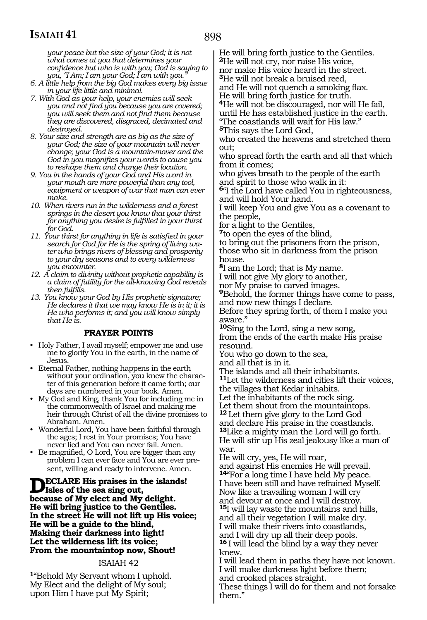*your peace but the size of your God; it is not what comes at you that determines your confidence but who is with you; God is saying to you, "I Am; I am your God; I am with you."*

- *6. A little help from the big God makes every big issue in your life little and minimal.*
- *7. With God as your help, your enemies will seek you and not find you because you are covered; you will seek them and not find them because they are discovered, disgraced, decimated and destroyed.*
- *8. Your size and strength are as big as the size of your God; the size of your mountain will never change; your God is a mountain-mover and the God in you magnifies your words to cause you to reshape them and change their location.*
- *9. You in the hands of your God and His word in your mouth are more powerful than any tool, equipment or weapon of war that man can ever make.*
- *10. When rivers run in the wilderness and a forest springs in the desert you know that your thirst for anything you desire is fulfilled in your thirst for God.*
- *11. Your thirst for anything in life is satisfied in your search for God for He is the spring of living water who brings rivers of blessing and prosperity to your dry seasons and to every wilderness you encounter.*
- *12. A claim to divinity without prophetic capability is a claim of futility for the all-knowing God reveals then fulfills.*
- *13. You know your God by His prophetic signature; He declares it that we may know He is in it; it is He who performs it; and you will know simply that He is.*

#### **PRAYER POINTS**

- Holy Father, I avail myself; empower me and use me to glorify You in the earth, in the name of Jesus.
- Eternal Father, nothing happens in the earth without your ordination, you knew the character of this generation before it came forth; our days are numbered in your book. Amen.
- My God and King, thank You for including me in the commonwealth of Israel and making me heir through Christ of all the divine promises to Abraham. Amen.
- Wonderful Lord, You have been faithful through the ages; I rest in Your promises; You have never lied and You can never fail. Amen.
- Be magnified, O Lord, You are bigger than any problem I can ever face and You are ever present, willing and ready to intervene. Amen.

**DECLARE** His praises in the islands!<br> **ISLES** of the sea sing out,<br> **ISLES** and Mr. delight. **because of My elect and My delight. He will bring justice to the Gentiles. In the street He will not lift up His voice; He will be a guide to the blind, Making their darkness into light! Let the wilderness lift its voice; From the mountaintop now, Shout!**

#### ISAIAH 42

**<sup>1</sup>**"Behold My Servant whom I uphold. My Elect and the delight of My soul; upon Him I have put My Spirit;

He will bring forth justice to the Gentiles. **<sup>2</sup>**He will not cry, nor raise His voice,

nor make His voice heard in the street.

**<sup>3</sup>**He will not break a bruised reed,

and He will not quench a smoking flax. He will bring forth justice for truth.

**<sup>4</sup>**He will not be discouraged, nor will He fail, until He has established justice in the earth. "The coastlands will wait for His law."

**<sup>5</sup>**This says the Lord God,

who created the heavens and stretched them out;

who spread forth the earth and all that which from it comes;

who gives breath to the people of the earth and spirit to those who walk in it:

**<sup>6</sup>**"I the Lord have called You in righteousness, and will hold Your hand.

I will keep You and give You as a covenant to the people,

for a light to the Gentiles,

**<sup>7</sup>**to open the eyes of the blind,

to bring out the prisoners from the prison, those who sit in darkness from the prison house.

**<sup>8</sup>**I am the Lord; that is My name.

I will not give My glory to another,

nor My praise to carved images.

**<sup>9</sup>**Behold, the former things have come to pass, and now new things I declare.

Before they spring forth, of them I make you aware."

**<sup>10</sup>**Sing to the Lord, sing a new song, from the ends of the earth make His praise resound.

You who go down to the sea,

and all that is in it.

The islands and all their inhabitants.

**<sup>11</sup>**Let the wilderness and cities lift their voices, the villages that Kedar inhabits.

Let the inhabitants of the rock sing.

Let them shout from the mountaintops.

**<sup>12</sup>**Let them give glory to the Lord God and declare His praise in the coastlands. **<sup>13</sup>**Like a mighty man the Lord will go forth. He will stir up His zeal jealousy like a man of war.

He will cry, yes, He will roar,

and against His enemies He will prevail. **<sup>14</sup>**"For a long time I have held My peace. I have been still and have refrained Myself. Now like a travailing woman I will cry and devour at once and I will destroy.

**<sup>15</sup>**I will lay waste the mountains and hills, and all their vegetation I will make dry. I will make their rivers into coastlands, and I will dry up all their deep pools. **<sup>16</sup>**I will lead the blind by a way they never knew.

I will lead them in paths they have not known. I will make darkness light before them; and crooked places straight.

These things I will do for them and not forsake them."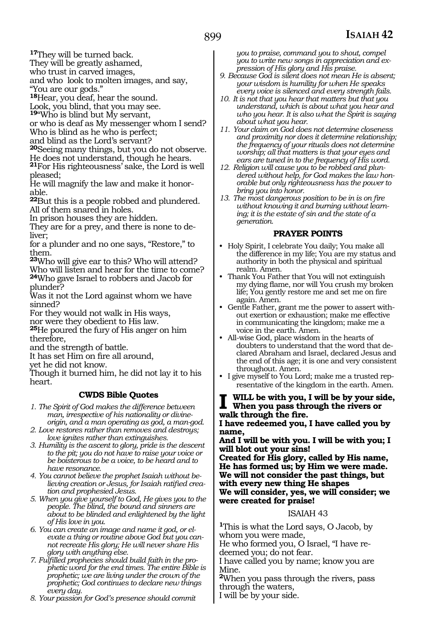**<sup>17</sup>**They will be turned back.

They will be greatly ashamed,

who trust in carved images,

and who look to molten images, and say,

"You are our gods."

**<sup>18</sup>**Hear, you deaf, hear the sound.

Look, you blind, that you may see.

**<sup>19</sup>**"Who is blind but My servant,

or who is deaf as My messenger whom I send? Who is blind as he who is perfect;

and blind as the Lord's servant?

**<sup>20</sup>**Seeing many things, but you do not observe.

He does not understand, though he hears.

**<sup>21</sup>**For His righteousness' sake, the Lord is well pleased;

He will magnify the law and make it honorable.

**<sup>22</sup>**But this is a people robbed and plundered. All of them snared in holes.

In prison houses they are hidden.

They are for a prey, and there is none to deliver;

for a plunder and no one says, "Restore," to them.

**<sup>23</sup>**Who will give ear to this? Who will attend?

Who will listen and hear for the time to come? **<sup>24</sup>**Who gave Israel to robbers and Jacob for plunder?

Was it not the Lord against whom we have sinned?

For they would not walk in His ways,

nor were they obedient to His law.

**<sup>25</sup>**He poured the fury of His anger on him therefore,

and the strength of battle.

It has set Him on fire all around,

yet he did not know.

Though it burned him, he did not lay it to his heart.

#### **CWDS Bible Quotes**

- *1. The Spirit of God makes the difference between man, irrespective of his nationality or divineorigin, and a man operating as god, a man-god.*
- *2. Love restores rather than removes and destroys; love ignites rather than extinguishes.*
- *3. Humility is the ascent to glory, pride is the descent to the pit; you do not have to raise your voice or be boisterous to be a voice, to be heard and to have resonance.*
- *4. You cannot believe the prophet Isaiah without believing creation or Jesus, for Isaiah ratified creation and prophesied Jesus.*
- *5. When you give yourself to God, He gives you to the people. The blind, the bound and sinners are about to be blinded and enlightened by the light of His love in you.*
- *6. You can create an image and name it god, or elevate a thing or routine above God but you cannot recreate His glory; He will never share His glory with anything else.*
- *7. Fulfilled prophecies should build faith in the prophetic word for the end times. The entire Bible is prophetic; we are living under the crown of the prophetic; God continues to declare new things every day.*

*8. Your passion for God's presence should commit* 

*you to praise, command you to shout, compel you to write new songs in appreciation and expression of His glory and His praise.* 

- *9. Because God is silent does not mean He is absent; your wisdom is humility for when He speaks every voice is silenced and every strength fails.*
- *10. It is not that you hear that matters but that you understand, which is about what you hear and who you hear. It is also what the Spirit is saying about what you hear.*
- *11. Your claim on God does not determine closeness and proximity nor does it determine relationship; the frequency of your rituals does not determine worship; all that matters is that your eyes and ears are tuned in to the frequency of His word.*
- *12. Religion will cause you to be robbed and plundered without help, for God makes the law honorable but only righteousness has the power to bring you into honor.*
- *13. The most dangerous position to be in is on fire without knowing it and burning without learning; it is the estate of sin and the state of a generation.*

#### **PRAYER POINTS**

- Holy Spirit, I celebrate You daily; You make all the difference in my life; You are my status and authority in both the physical and spiritual realm. Amen.
- Thank You Father that You will not extinguish my dying flame, nor will You crush my broken life; You gently restore me and set me on fire again. Amen.
- Gentle Father, grant me the power to assert without exertion or exhaustion; make me effective in communicating the kingdom; make me a voice in the earth. Amen.
- All-wise God, place wisdom in the hearts of doubters to understand that the word that declared Abraham and Israel, declared Jesus and the end of this age; it is one and very consistent throughout. Amen.
- I give myself to You Lord; make me a trusted representative of the kingdom in the earth. Amen.

### **I Will be with you, I will be by your side, When you pass through the rivers or walk through the fire.**

**I have redeemed you, I have called you by name,**

**And I will be with you. I will be with you; I will blot out your sins!**

**Created for His glory, called by His name, He has formed us; by Him we were made. We will not consider the past things, but with every new thing He shapes We will consider, yes, we will consider; we were created for praise!**

#### ISAIAH 43

**<sup>1</sup>**This is what the Lord says, O Jacob, by whom you were made,

He who formed you, O Israel, "I have redeemed you; do not fear.

I have called you by name; know you are Mine.

**<sup>2</sup>**When you pass through the rivers, pass through the waters,

I will be by your side.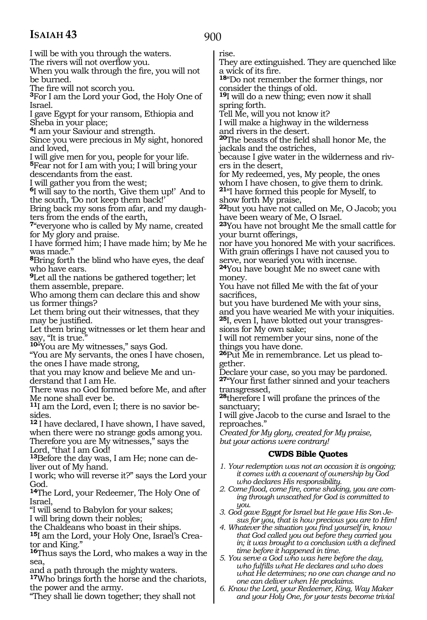900

I will be with you through the waters.

The rivers will not overflow you.

When you walk through the fire, you will not be burned.

The fire will not scorch you.

**<sup>3</sup>**For I am the Lord your God, the Holy One of Israel.

I gave Egypt for your ransom, Ethiopia and Sheba in your place;

**<sup>4</sup>**I am your Saviour and strength.

Since you were precious in My sight, honored and loved,

I will give men for you, people for your life.

**<sup>5</sup>**Fear not for I am with you; I will bring your descendants from the east.

I will gather you from the west;

**<sup>6</sup>**I will say to the north, 'Give them up!' And to the south, 'Do not keep them back!'

Bring back my sons from afar, and my daughters from the ends of the earth,

**<sup>7</sup>**"everyone who is called by My name, created for My glory and praise.

I have formed him; I have made him; by Me he was made."

**<sup>8</sup>**Bring forth the blind who have eyes, the deaf who have ears.

**<sup>9</sup>**Let all the nations be gathered together; let them assemble, prepare.

Who among them can declare this and show us former things?

Let them bring out their witnesses, that they may be justified.

Let them bring witnesses or let them hear and say, "It is true.

**<sup>10</sup>**"You are My witnesses," says God.

"You are My servants, the ones I have chosen, the ones I have made strong,

that you may know and believe Me and un- derstand that I am He.

There was no God formed before Me, and after Me none shall ever be.

**11**I am the Lord, even I; there is no savior besides.

**<sup>12</sup>**I have declared, I have shown, I have saved, when there were no strange gods among you. Therefore you are My witnesses," says the

Lord, "that I am God!

**13**Before the day was, I am He; none can deliver out of My hand.

I work; who will reverse it?" says the Lord your God.

**<sup>14</sup>**The Lord, your Redeemer, The Holy One of Israel,

"I will send to Babylon for your sakes;

I will bring down their nobles;

the Chaldeans who boast in their ships.

**15**I am the Lord, your Holy One, Israel's Creator and King.

**<sup>16</sup>**Thus says the Lord, who makes a way in the sea,

and a path through the mighty waters.

**<sup>17</sup>**Who brings forth the horse and the chariots, the power and the army.

"They shall lie down together; they shall not

rise.

They are extinguished. They are quenched like a wick of its fire.

**<sup>18</sup>**"Do not remember the former things, nor consider the things of old.

**<sup>19</sup>**I will do a new thing; even now it shall spring forth.

Tell Me, will you not know it?

I will make a highway in the wilderness and rivers in the desert.

**<sup>20</sup>**The beasts of the field shall honor Me, the jackals and the ostriches,

because I give water in the wilderness and rivers in the desert,

for My redeemed, yes, My people, the ones whom I have chosen, to give them to drink. **<sup>21</sup>**"I have formed this people for Myself, to show forth My praise,

**<sup>22</sup>**but you have not called on Me, O Jacob; you have been weary of Me, O Israel.

**<sup>23</sup>**You have not brought Me the small cattle for your burnt offerings,

nor have you honored Me with your sacrifices. With grain offerings I have not caused you to serve, nor wearied you with incense.

**<sup>24</sup>**You have bought Me no sweet cane with money.

You have not filled Me with the fat of your sacrifices,

but you have burdened Me with your sins, and you have wearied Me with your iniquities.

**25**I, even I, have blotted out your transgressions for My own sake;

I will not remember your sins, none of the things you have done.

**<sup>26</sup>**Put Me in remembrance. Let us plead to- gether.

Declare your case, so you may be pardoned. **<sup>27</sup>**"Your first father sinned and your teachers transgressed,

**<sup>28</sup>**therefore I will profane the princes of the sanctuary;

I will give Jacob to the curse and Israel to the reproaches."

*Created for My glory, created for My praise, but your actions were contrary!*

#### **CWDS Bible Quotes**

*1. Your redemption was not an occasion it is ongoing; it comes with a covenant of ownership by God who declares His responsibility.* 

- *2. Come flood, come fire, come shaking, you are coming through unscathed for God is committed to you.*
- *3. God gave Egypt for Israel but He gave His Son Jesus for you, that is how precious you are to Him!*
- *4. Whatever the situation you find yourself in, know that God called you out before they carried you in; it was brought to a conclusion with a defined time before it happened in time.*
- *5. You serve a God who was here before the day, who fulfills what He declares and who does what He determines; no one can change and no one can deliver when He proclaims.*
- *6. Know the Lord, your Redeemer, King, Way Maker and your Holy One, for your tests become trivial*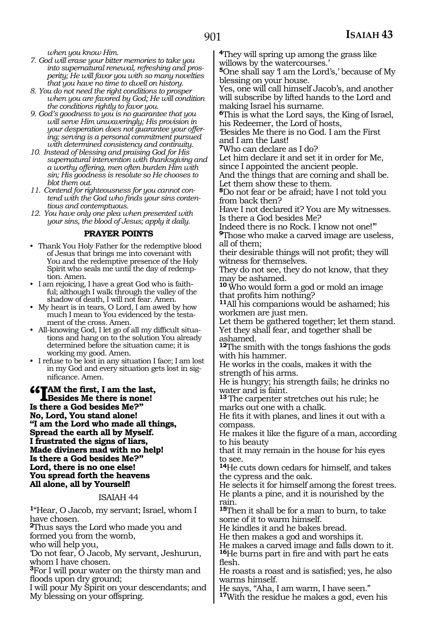*when you know Him.*

- *7. God will erase your bitter memories to take you into supernatural renewal, refreshing and prosperity; He will favor you with so many novelties that you have no time to dwell on history.*
- *8. You do not need the right conditions to prosper when you are favored by God; He will condition the conditions rightly to favor you.*
- *9. God's goodness to you is no guarantee that you will serve Him unwaveringly; His provision in your desperation does not guarantee your offering; serving is a personal commitment pursued with determined consistency and continuity.*
- *10. Instead of blessing and praising God for His supernatural intervention with thanksgiving and a worthy offering, men often burden Him with sin; His goodness is resolute so He chooses to blot them out.*
- *11. Contend for righteousness for you cannot contend with the God who finds your sins contentious and contemptuous.*
- *12. You have only one plea when presented with your sins, the blood of Jesus; apply it daily.*

#### **PRAYER POINTS**

- Thank You Holy Father for the redemptive blood of Jesus that brings me into covenant with You and the redemptive presence of the Holy Spirit who seals me until the day of redemption. Amen.
- I am rejoicing, I have a great God who is faithful; although I walk through the valley of the shadow of death, I will not fear. Amen.
- My heart is in tears, O Lord, I am awed by how much I mean to You evidenced by the testament of the cross. Amen.
- All-knowing God, I let go of all my difficult situations and hang on to the solution You already determined before the situation came; it is working my good. Amen.
- I refuse to be lost in any situation I face; I am lost in my God and every situation gets lost in significance. Amen.

**follow** the first, I am the la<br>Is there a God besides Me?" **am the first, I am the last, Besides Me there is none! No, Lord, You stand alone! "I am the Lord who made all things, Spread the earth all by Myself. I frustrated the signs of liars, Made diviners mad with no help! Is there a God besides Me?"** 

**Lord, there is no one else! You spread forth the heavens All alone, all by Yourself!** 

#### ISAIAH 44

**<sup>1</sup>**"Hear, O Jacob, my servant; Israel, whom I have chosen.

**<sup>2</sup>**Thus says the Lord who made you and formed you from the womb,

who will help you,

'Do not fear, O Jacob, My servant, Jeshurun, whom I have chosen.

**<sup>3</sup>**For I will pour water on the thirsty man and floods upon dry ground;

I will pour My Spirit on your descendants; and My blessing on your offspring.

**<sup>4</sup>**They will spring up among the grass like willows by the watercourses.'

**<sup>5</sup>**One shall say 'I am the Lord's,' because of My blessing on your house.

Yes, one will call himself Jacob's, and another will subscribe by lifted hands to the Lord and making Israel his surname.

**<sup>6</sup>**This is what the Lord says, the King of Israel, his Redeemer, the Lord of hosts,

'Besides Me there is no God. I am the First and I am the Last!

**<sup>7</sup>**Who can declare as I do?

Let him declare it and set it in order for Me, since I appointed the ancient people.

And the things that are coming and shall be. Let them show these to them.

**<sup>8</sup>**Do not fear or be afraid; have I not told you from back then?

Have I not declared it? You are My witnesses. Is there a God besides Me?

Indeed there is no Rock. I know not one!'"

**<sup>9</sup>**Those who make a carved image are useless, all of them;

their desirable things will not profit; they will witness for themselves.

They do not see, they do not know, that they may be ashamed.

**<sup>10</sup>**Who would form a god or mold an image that profits him nothing?

**<sup>11</sup>**All his companions would be ashamed; his workmen are just men.

Let them be gathered together; let them stand. Yet they shall fear, and together shall be ashamed.

**<sup>12</sup>**The smith with the tongs fashions the gods with his hammer.

He works in the coals, makes it with the strength of his arms.

He is hungry; his strength fails; he drinks no water and is faint.

**<sup>13</sup>**The carpenter stretches out his rule; he marks out one with a chalk.

He fits it with planes, and lines it out with a compass.

He makes it like the figure of a man, according to his beauty

that it may remain in the house for his eyes to see.

**<sup>14</sup>**He cuts down cedars for himself, and takes the cypress and the oak.

He selects it for himself among the forest trees. He plants a pine, and it is nourished by the rain.

**<sup>15</sup>**Then it shall be for a man to burn, to take some of it to warm himself.

He kindles it and he bakes bread.

He then makes a god and worships it.

He makes a carved image and falls down to it. **<sup>16</sup>**He burns part in fire and with part he eats flesh.

He roasts a roast and is satisfied; yes, he also warms himself.

He says, "Aha, I am warm, I have seen." **<sup>17</sup>**With the residue he makes a god, even his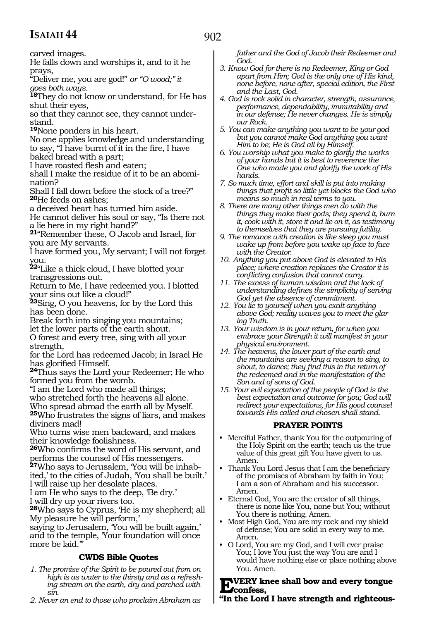carved images.

He falls down and worships it, and to it he prays,

"Deliver me, you are god!" *or "O wood;" it goes both ways.* 

**<sup>18</sup>**They do not know or understand, for He has shut their eyes,

so that they cannot see, they cannot understand.

**<sup>19</sup>**None ponders in his heart.

No one applies knowledge and understanding to say, "I have burnt of it in the fire, I have

baked bread with a part;

I have roasted flesh and eaten;

shall I make the residue of it to be an abomi- nation?

Shall I fall down before the stock of a tree?" **<sup>20</sup>**He feeds on ashes;

a deceived heart has turned him aside.

He cannot deliver his soul or say, "Is there not a lie here in my right hand?"

**<sup>21</sup>**"Remember these, O Jacob and Israel, for you are My servants.

I have formed you, My servant; I will not forget you.

**<sup>22</sup>**"Like a thick cloud, I have blotted your transgressions out.

Return to Me, I have redeemed you. I blotted your sins out like a cloud!"

**<sup>23</sup>**Sing, O you heavens, for by the Lord this has been done.

Break forth into singing you mountains; let the lower parts of the earth shout.

O forest and every tree, sing with all your strength,

for the Lord has redeemed Jacob; in Israel He has glorified Himself.

**<sup>24</sup>**Thus says the Lord your Redeemer; He who formed you from the womb.

"I am the Lord who made all things;

who stretched forth the heavens all alone.

Who spread abroad the earth all by Myself.

**<sup>25</sup>**Who frustrates the signs of liars, and makes diviners mad!

Who turns wise men backward, and makes their knowledge foolishness.

**<sup>26</sup>**Who confirms the word of His servant, and performs the counsel of His messengers.

**27**Who says to Jerusalem, 'You will be inhabited,' to the cities of Judah, 'You shall be built.' I will raise up her desolate places.

I am He who says to the deep, 'Be dry.'

I will dry up your rivers too.

**<sup>28</sup>**Who says to Cyprus, 'He is my shepherd; all My pleasure he will perform,'

saying to Jerusalem, 'You will be built again,' and to the temple, 'Your foundation will once more be laid.'"

#### **CWDS Bible Quotes**

- *1. The promise of the Spirit to be poured out from on high is as water to the thirsty and as a refreshing stream on the earth, dry and parched with sin.*
- *2. Never an end to those who proclaim Abraham as*

*father and the God of Jacob their Redeemer and God.* 

- *3. Know God for there is no Redeemer, King or God apart from Him; God is the only one of His kind, none before, none after, special edition, the First and the Last, God.*
- *4. God is rock solid in character, strength, assurance, performance, dependability, immutability and in our defense; He never changes. He is simply our Rock.*
- *5. You can make anything you want to be your god but you cannot make God anything you want Him to be; He is God all by Himself.*
- *6. You worship what you make to glorify the works of your hands but it is best to reverence the One who made you and glorify the work of His hands.*
- *7. So much time, effort and skill is put into making things that profit so little yet blocks the God who means so much in real terms to you.*
- *8. There are many other things men do with the things they make their gods; they spend it, burn it, cook with it, store it and lie on it, as testimony to themselves that they are pursuing futility.*
- *9. The romance with creation is like sleep you must wake up from before you wake up face to face with the Creator.*
- *10. Anything you put above God is elevated to His place; where creation replaces the Creator it is conflicting confusion that cannot carry.*
- *11. The excess of human wisdom and the lack of understanding defines the simplicity of serving God yet the absence of commitment.*
- *12. You lie to yourself when you exalt anything above God; reality waves you to meet the glaring Truth.*
- *13. Your wisdom is in your return, for when you embrace your Strength it will manifest in your physical environment.*
- *14. The heavens, the lower part of the earth and the mountains are seeking a reason to sing, to shout, to dance; they find this in the return of the redeemed and in the manifestation of the Son and of sons of God.*
- *15. Your evil expectation of the people of God is the best expectation and outcome for you; God will redirect your expectations, for His good counsel towards His called and chosen shall stand.*

#### **PRAYER POINTS**

- Merciful Father, thank You for the outpouring of the Holy Spirit on the earth; teach us the true value of this great gift You have given to us. Amen.
- Thank You Lord Jesus that I am the beneficiary of the promises of Abraham by faith in You; I am a son of Abraham and his successor. Amen.
- Eternal God, You are the creator of all things, there is none like You, none but You; without You there is nothing. Amen.
- Most High God, You are my rock and my shield of defense; You are solid in every way to me. Amen.
- O Lord, You are my God, and I will ever praise You; I love You just the way You are and I would have nothing else or place nothing above You. Amen.

### **Every knee shall bow and every tongue confess,**

**"In the Lord I have strength and righteous-**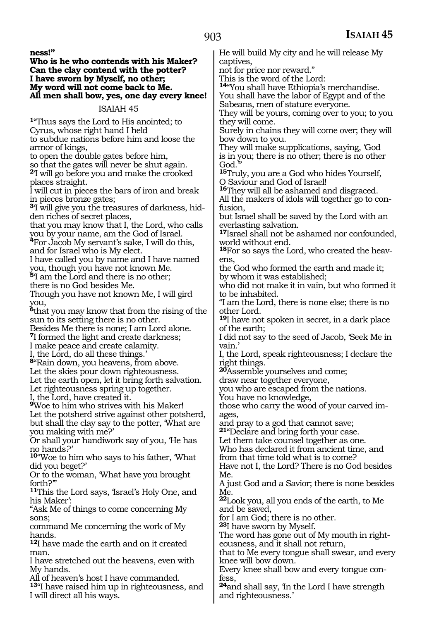**ness!"**

#### **Who is he who contends with his Maker? Can the clay contend with the potter? I have sworn by Myself, no other; My word will not come back to Me. All men shall bow, yes, one day every knee!**

#### ISAIAH 45

**<sup>1</sup>**"Thus says the Lord to His anointed; to Cyrus, whose right hand I held to subdue nations before him and loose the armor of kings,

to open the double gates before him,

so that the gates will never be shut again.

**<sup>2</sup>**'I will go before you and make the crooked places straight.

I will cut in pieces the bars of iron and break in pieces bronze gates;

**3**'I will give you the treasures of darkness, hidden riches of secret places,

that you may know that I, the Lord, who calls you by your name, am the God of Israel.

**<sup>4</sup>**For Jacob My servant's sake, I will do this, and for Israel who is My elect.

I have called you by name and I have named you, though you have not known Me.

**<sup>5</sup>**'I am the Lord and there is no other; there is no God besides Me.

Though you have not known Me, I will gird you,

**<sup>6</sup>**that you may know that from the rising of the sun to its setting there is no other.

Besides Me there is none; I am Lord alone.

**<sup>7</sup>**I formed the light and create darkness;

I make peace and create calamity.

I, the Lord, do all these things.'

**<sup>8</sup>**"Rain down, you heavens, from above.

Let the skies pour down righteousness.

Let the earth open, let it bring forth salvation. Let righteousness spring up together.

I, the Lord, have created it.

**<sup>9</sup>**Woe to him who strives with his Maker! Let the potsherd strive against other potsherd, but shall the clay say to the potter, 'What are you making with me?'

Or shall your handiwork say of you, 'He has no hands*?'*

**<sup>10</sup>**"Woe to him who says to his father, 'What did you beget?'

Or to the woman, 'What have you brought forth?'"

**<sup>11</sup>**This the Lord says, 'Israel's Holy One, and his Maker':

"Ask Me of things to come concerning My sons;

command Me concerning the work of My hands.

**<sup>12</sup>**I have made the earth and on it created man.

I have stretched out the heavens, even with My hands.

All of heaven's host I have commanded.

**<sup>13</sup>**"I have raised him up in righteousness, and I will direct all his ways.

He will build My city and he will release My captives,

not for price nor reward."

This is the word of the Lord:

**<sup>14</sup>**"You shall have Ethiopia's merchandise. You shall have the labor of Egypt and of the

Sabeans, men of stature everyone.

They will be yours, coming over to you; to you they will come.

Surely in chains they will come over; they will bow down to you.

They will make supplications, saying, 'God is in you; there is no other; there is no other God.

**<sup>15</sup>**Truly, you are a God who hides Yourself, O Saviour and God of Israel!

**<sup>16</sup>**They will all be ashamed and disgraced.

All the makers of idols will together go to confusion,

but Israel shall be saved by the Lord with an everlasting salvation.

**<sup>17</sup>**Israel shall not be ashamed nor confounded, world without end.

**18**For so says the Lord, who created the heavens,

the God who formed the earth and made it; by whom it was established;

who did not make it in vain, but who formed it to be inhabited.

"I am the Lord, there is none else; there is no other Lord.

**<sup>19</sup>**I have not spoken in secret, in a dark place of the earth;

I did not say to the seed of Jacob, 'Seek Me in vain.'

I, the Lord, speak righteousness; I declare the right things.

**<sup>20</sup>**Assemble yourselves and come;

draw near together everyone,

you who are escaped from the nations.

You have no knowledge,

those who carry the wood of your carved images,

and pray to a god that cannot save;

**<sup>21</sup>**"Declare and bring forth your case.

Let them take counsel together as one. Who has declared it from ancient time, and

from that time told what is to come?

Have not I, the Lord? There is no God besides Me.

A just God and a Savior; there is none besides Me.

**<sup>22</sup>**Look you, all you ends of the earth, to Me and be saved,

for I am God; there is no other.

**<sup>23</sup>**I have sworn by Myself.

The word has gone out of My mouth in right- eousness, and it shall not return,

that to Me every tongue shall swear, and every knee will bow down.

Every knee shall bow and every tongue confess,

**<sup>24</sup>**and shall say, 'In the Lord I have strength and righteousness.'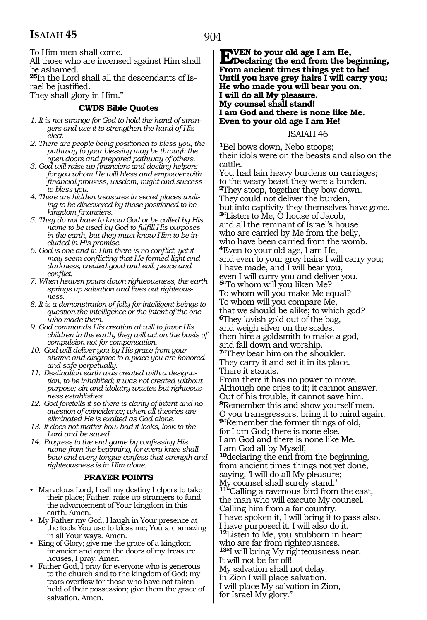To Him men shall come.

All those who are incensed against Him shall be ashamed.

**25**In the Lord shall all the descendants of Israel be justified.

They shall glory in Him."

#### **CWDS Bible Quotes**

- *1. It is not strange for God to hold the hand of strangers and use it to strengthen the hand of His elect.*
- *2. There are people being positioned to bless you; the pathway to your blessing may be through the open doors and prepared pathway of others.*
- *3. God will raise up financiers and destiny helpers for you whom He will bless and empower with financial prowess, wisdom, might and success to bless you.*
- *4. There are hidden treasures in secret places waiting to be discovered by those positioned to be kingdom financiers.*
- *5. They do not have to know God or be called by His name to be used by God to fulfill His purposes in the earth, but they must know Him to be included in His promise.*
- *6. God is one and in Him there is no conflict, yet it may seem conflicting that He formed light and darkness, created good and evil, peace and conflict.*
- *7. When heaven pours down righteousness, the earth springs up salvation and lives out righteousness.*
- *8. It is a demonstration of folly for intelligent beings to question the intelligence or the intent of the one who made them.*
- *9. God commands His creation at will to favor His children in the earth; they will act on the basis of compulsion not for compensation.*
- *10. God will deliver you by His grace from your shame and disgrace to a place you are honored and safe perpetually.*
- *11. Destination earth was created with a designation, to be inhabited; it was not created without purpose; sin and idolatry wastes but righteousness establishes.*
- *12. God foretells it so there is clarity of intent and no question of coincidence; when all theories are eliminated He is exalted as God alone.*
- *13. It does not matter how bad it looks, look to the Lord and be saved.*
- *14. Progress to the end game by confessing His name from the beginning, for every knee shall bow and every tongue confess that strength and righteousness is in Him alone.*

#### **PRAYER POINTS**

- Marvelous Lord, I call my destiny helpers to take their place; Father, raise up strangers to fund the advancement of Your kingdom in this earth. Amen.
- My Father my God, I laugh in Your presence at the tools You use to bless me; You are amazing in all Your ways. Amen.
- King of Glory; give me the grace of a kingdom financier and open the doors of my treasure houses, I pray. Amen.
- Father God, I pray for everyone who is generous to the church and to the kingdom of God; my tears overflow for those who have not taken hold of their possession; give them the grace of salvation. Amen.

**EVEN** to your old age I am He,<br> **Declaring the end from the beginning, From ancient times things yet to be! Until you have grey hairs I will carry you; He who made you will bear you on. I will do all My pleasure. My counsel shall stand! I am God and there is none like Me. Even to your old age I am He!**

#### ISAIAH 46

**<sup>1</sup>**Bel bows down, Nebo stoops; their idols were on the beasts and also on the cattle.

You had lain heavy burdens on carriages; to the weary beast they were a burden. **<sup>2</sup>**They stoop, together they bow down. They could not deliver the burden, but into captivity they themselves have gone. **<sup>3</sup>**"Listen to Me, O house of Jacob, and all the remnant of Israel's house who are carried by Me from the belly, who have been carried from the womb. **<sup>4</sup>**Even to your old age, I am He, and even to your grey hairs I will carry you; I have made, and I will bear you, even I will carry you and deliver you. **<sup>5</sup>**"To whom will you liken Me? To whom will you make Me equal? To whom will you compare Me, that we should be alike; to which god? **<sup>6</sup>**They lavish gold out of the bag, and weigh silver on the scales, then hire a goldsmith to make a god, and fall down and worship. **<sup>7</sup>**"They bear him on the shoulder. They carry it and set it in its place. There it stands. From there it has no power to move. Although one cries to it; it cannot answer. Out of his trouble, it cannot save him. **<sup>8</sup>**Remember this and show yourself men. O you transgressors, bring it to mind again. **<sup>9</sup>**"Remember the former things of old, for I am God; there is none else. I am God and there is none like Me. I am God all by Myself, **<sup>10</sup>**declaring the end from the beginning, from ancient times things not yet done, saying, 'I will do all My pleasure; My counsel shall surely stand.' **<sup>11</sup>**"Calling a ravenous bird from the east, the man who will execute My counsel. Calling him from a far country. I have spoken it, I will bring it to pass also. I have purposed it. I will also do it. **<sup>12</sup>**Listen to Me, you stubborn in heart who are far from righteousness. **<sup>13</sup>**"I will bring My righteousness near. It will not be far off! My salvation shall not delay. In Zion I will place salvation. I will place My salvation in Zion, for Israel My glory."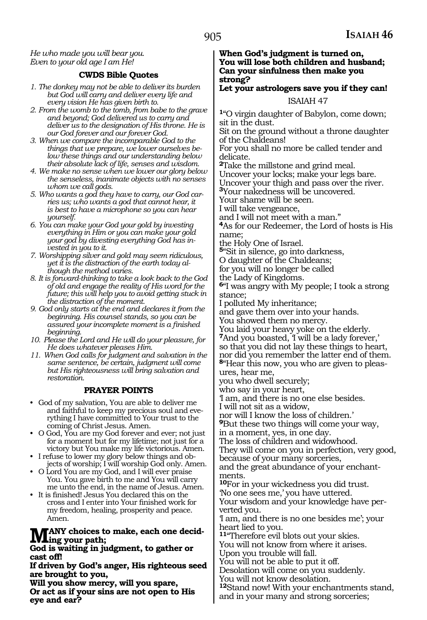#### *He who made you will bear you. Even to your old age I am He!*

#### **CWDS Bible Quotes**

- *1. The donkey may not be able to deliver its burden but God will carry and deliver every life and every vision He has given birth to.*
- *2. From the womb to the tomb, from babe to the grave and beyond; God delivered us to carry and deliver us to the designation of His throne. He is our God forever and our forever God.*
- *3. When we compare the incomparable God to the things that we prepare, we lower ourselves below these things and our understanding below their absolute lack of life, senses and wisdom.*
- *4. We make no sense when we lower our glory below the senseless, inanimate objects with no senses whom we call gods.*
- *5. Who wants a god they have to carry, our God carries us; who wants a god that cannot hear, it is best to have a microphone so you can hear yourself.*
- *6. You can make your God your gold by investing everything in Him or you can make your gold your god by divesting everything God has invested in you to it.*
- *7. Worshipping silver and gold may seem ridiculous, yet it is the distraction of the earth today although the method varies.*
- *8. It is forward-thinking to take a look back to the God of old and engage the reality of His word for the future; this will help you to avoid getting stuck in the distraction of the moment.*
- *9. God only starts at the end and declares it from the beginning. His counsel stands, so you can be assured your incomplete moment is a finished beginning.*
- *10. Please the Lord and He will do your pleasure, for He does whatever pleases Him.*
- *11. When God calls for judgment and salvation in the same sentence, be certain, judgment will come but His righteousness will bring salvation and restoration.*

#### **PRAYER POINTS**

- God of my salvation, You are able to deliver me and faithful to keep my precious soul and everything I have committed to Your trust to the coming of Christ Jesus. Amen.
- O God, You are my God forever and ever; not just for a moment but for my lifetime; not just for a victory but You make my life victorious. Amen.
- I refuse to lower my glory below things and objects of worship; I will worship God only. Amen.
- O Lord You are my God, and I will ever praise You. You gave birth to me and You will carry me unto the end, in the name of Jesus. Amen.
- It is finished! Jesus You declared this on the cross and I enter into Your finished work for my freedom, healing, prosperity and peace. Amen.

#### ANY choices to make, each one decid**ing your path;**

**God is waiting in judgment, to gather or cast off!**

**If driven by God's anger, His righteous seed are brought to you,**

**Will you show mercy, will you spare, Or act as if your sins are not open to His eye and ear?**

**When God's judgment is turned on, You will lose both children and husband; Can your sinfulness then make you strong?**

#### **Let your astrologers save you if they can!**

#### ISAIAH 47

**<sup>1</sup>**"O virgin daughter of Babylon, come down; sit in the dust.

Sit on the ground without a throne daughter of the Chaldeans!

For you shall no more be called tender and delicate.

**<sup>2</sup>**Take the millstone and grind meal.

Uncover your locks; make your legs bare.

Uncover your thigh and pass over the river.

**<sup>3</sup>**Your nakedness will be uncovered*.*

Your shame will be seen.

I will take vengeance,

and I will not meet with a man."

**<sup>4</sup>**As for our Redeemer, the Lord of hosts is His name;

the Holy One of Israel.

**<sup>5</sup>**"Sit in silence, go into darkness,

O daughter of the Chaldeans;

for you will no longer be called

the Lady of Kingdoms.

**<sup>6</sup>**"I was angry with My people; I took a strong stance;

I polluted My inheritance;

and gave them over into your hands.

You showed them no mercy.

You laid your heavy yoke on the elderly.

**<sup>7</sup>**And you boasted, 'I will be a lady forever,' so that you did not lay these things to heart,

nor did you remember the latter end of them. **<sup>8</sup>**"Hear this now, you who are given to pleas- ures, hear me,

you who dwell securely;

who say in your heart,

'I am, and there is no one else besides.

I will not sit as a widow,

nor will I know the loss of children.'

**<sup>9</sup>**But these two things will come your way, in a moment, yes, in one day.

The loss of children and widowhood.

They will come on you in perfection, very good, because of your many sorceries,

and the great abundance of your enchantments.

**<sup>10</sup>**For in your wickedness you did trust.

'No one sees me,' you have uttered. Your wisdom and your knowledge have perverted you.

'I am, and there is no one besides me'; your heart lied to you.

**<sup>11</sup>**"Therefore evil blots out your skies.

You will not know from where it arises.

Upon you trouble will fall.

You will not be able to put it off. Desolation will come on you suddenly.

You will not know desolation.

**<sup>12</sup>**Stand now! With your enchantments stand, and in your many and strong sorceries;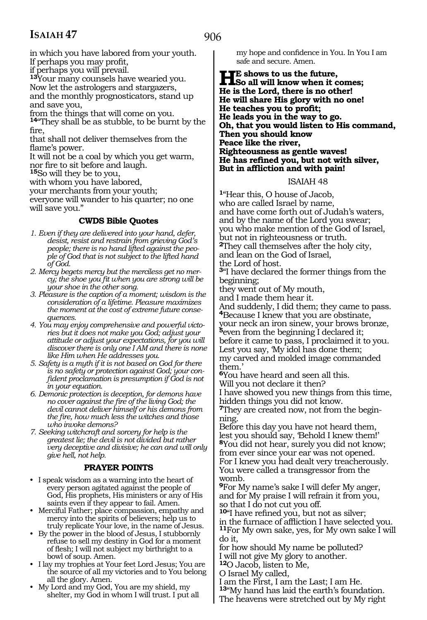906

in which you have labored from your youth. If perhaps you may profit,

if perhaps you will prevail.

**<sup>13</sup>**Your many counsels have wearied you. Now let the astrologers and stargazers, and the monthly prognosticators, stand up and save you,

from the things that will come on you.

**<sup>14</sup>**"They shall be as stubble, to be burnt by the fire,

that shall not deliver themselves from the flame's power.

It will not be a coal by which you get warm, nor fire to sit before and laugh.

**<sup>15</sup>**So will they be to you,

with whom you have labored,

your merchants from your youth;

everyone will wander to his quarter; no one will save you."

#### **CWDS Bible Quotes**

- *1. Even if they are delivered into your hand, defer, desist, resist and restrain from grieving God's people; there is no hand lifted against the people of God that is not subject to the lifted hand of God.*
- *2. Mercy begets mercy but the merciless get no mercy; the shoe you fit when you are strong will be your shoe in the other song.*
- *3. Pleasure is the caption of a moment; wisdom is the consideration of a lifetime. Pleasure maximizes the moment at the cost of extreme future consequences.*
- *4. You may enjoy comprehensive and powerful victories but it does not make you God; adjust your attitude or adjust your expectations, for you will discover there is only one I AM and there is none like Him when He addresses you.*
- *5. Safety is a myth if it is not based on God for there is no safety or protection against God; your confident proclamation is presumption if God is not in your equation.*
- *6. Demonic protection is deception, for demons have no cover against the fire of the living God; the devil cannot deliver himself or his demons from the fire, how much less the witches and those who invoke demons?*
- *7. Seeking witchcraft and sorcery for help is the greatest lie; the devil is not divided but rather very deceptive and divisive; he can and will only give hell, not help.*

#### **PRAYER POINTS**

- I speak wisdom as a warning into the heart of every person agitated against the people of God, His prophets, His ministers or any of His saints even if they appear to fail. Amen.
- Merciful Father; place compassion, empathy and mercy into the spirits of believers; help us to truly replicate Your love, in the name of Jesus.
- By the power in the blood of Jesus, I stubbornly refuse to sell my destiny in God for a moment of flesh; I will not subject my birthright to a bowl of soup. Amen.
- I lay my trophies at Your feet Lord Jesus; You are the source of all my victories and to You belong all the glory. Amen.
- My Lord and my God, You are my shield, my shelter, my God in whom I will trust. I put all

my hope and confidence in You. In You I am safe and secure. Amen.

#### **HE** shows to us the future,<br> **Here** all will know when it comes;<br> **He** is the Lard, there is no other! **He is the Lord, there is no other! He will share His glory with no one! He teaches you to profit; He leads you in the way to go. Oh, that you would listen to His command, Then you should know Peace like the river, Righteousness as gentle waves! He has refined you, but not with silver, But in affliction and with pain!**

#### ISAIAH 48

**<sup>1</sup>**"Hear this, O house of Jacob, who are called Israel by name, and have come forth out of Judah's waters, and by the name of the Lord you swear; you who make mention of the God of Israel, but not in righteousness or truth. **<sup>2</sup>**They call themselves after the holy city, and lean on the God of Israel,

the Lord of host.

**<sup>3</sup>**"I have declared the former things from the beginning;

they went out of My mouth,

and I made them hear it.

And suddenly, I did them; they came to pass. **<sup>4</sup>**Because I knew that you are obstinate,

your neck an iron sinew, your brows bronze, **<sup>5</sup>**even from the beginning I declared it; before it came to pass, I proclaimed it to you. Lest you say, 'My idol has done them; my carved and molded image commanded them.'

**<sup>6</sup>**You have heard and seen all this. Will you not declare it then?

I have showed you new things from this time, hidden things you did not know.

**7**They are created now, not from the beginning.

Before this day you have not heard them, lest you should say, 'Behold I knew them!' **<sup>8</sup>**You did not hear, surely you did not know; from ever since your ear was not opened. For I knew you had dealt very treacherously. You were called a transgressor from the womb.

**<sup>9</sup>**For My name's sake I will defer My anger, and for My praise I will refrain it from you, so that I do not cut you off.

**<sup>10</sup>**"I have refined you, but not as silver;

in the furnace of affliction I have selected you. **<sup>11</sup>**For My own sake, yes, for My own sake I will do it,

for how should My name be polluted?

I will not give My glory to another. **<sup>12</sup>**O Jacob, listen to Me,

O Israel My called,

I am the First, I am the Last; I am He.

**<sup>13</sup>**"My hand has laid the earth's foundation.

The heavens were stretched out by My right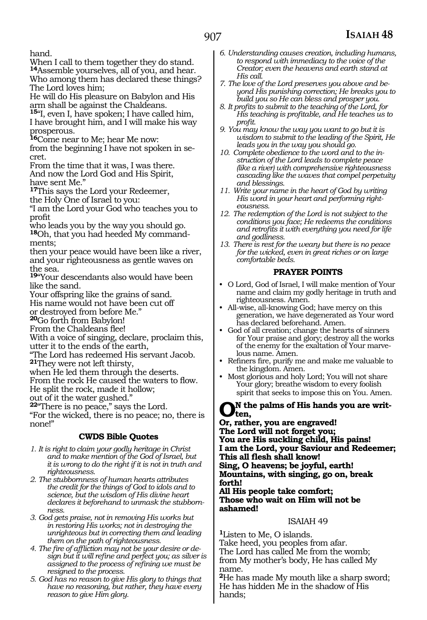hand.

When I call to them together they do stand. **<sup>14</sup>**Assemble yourselves, all of you, and hear. Who among them has declared these things? The Lord loves him;

He will do His pleasure on Babylon and His arm shall be against the Chaldeans.

**<sup>15</sup>**"I, even I, have spoken; I have called him, I have brought him, and I will make his way prosperous.

**<sup>16</sup>**Come near to Me; hear Me now:

from the beginning I have not spoken in se- cret.

From the time that it was, I was there. And now the Lord God and His Spirit, have sent Me."

**<sup>17</sup>**This says the Lord your Redeemer, the Holy One of Israel to you:

"I am the Lord your God who teaches you to profit

who leads you by the way you should go. **18**Oh, that you had heeded My commandments;

then your peace would have been like a river, and your righteousness as gentle waves on the sea.

**<sup>19</sup>**"Your descendants also would have been like the sand.

Your offspring like the grains of sand.

His name would not have been cut off

or destroyed from before Me."

**<sup>20</sup>**Go forth from Babylon!

From the Chaldeans flee!

With a voice of singing, declare, proclaim this, utter it to the ends of the earth,

"The Lord has redeemed His servant Jacob. **<sup>21</sup>**They were not left thirsty,

when He led them through the deserts.

From the rock He caused the waters to flow.

He split the rock, made it hollow;

out of it the water gushed."

**<sup>22</sup>**"There is no peace," says the Lord.

"For the wicked, there is no peace; no, there is none!"

#### **CWDS Bible Quotes**

- *1. It is right to claim your godly heritage in Christ and to make mention of the God of Israel, but it is wrong to do the right if it is not in truth and righteousness.*
- *2. The stubbornness of human hearts attributes the credit for the things of God to idols and to science, but the wisdom of His divine heart declares it beforehand to unmask the stubbornness.*
- *3. God gets praise, not in removing His works but in restoring His works; not in destroying the unrighteous but in correcting them and leading them on the path of righteousness.*
- *4. The fire of affliction may not be your desire or design but it will refine and perfect you; as silver is assigned to the process of refining we must be resigned to the process.*
- *5. God has no reason to give His glory to things that have no reasoning, but rather, they have every reason to give Him glory.*
- *6. Understanding causes creation, including humans, to respond with immediacy to the voice of the Creator; even the heavens and earth stand at His call.*
- *7. The love of the Lord preserves you above and beyond His punishing correction; He breaks you to build you so He can bless and prosper you.*
- *8. It profits to submit to the teaching of the Lord, for His teaching is profitable, and He teaches us to profit.*
- *9. You may know the way you want to go but it is wisdom to submit to the leading of the Spirit, He leads you in the way you should go.*
- *10. Complete obedience to the word and to the instruction of the Lord leads to complete peace (like a river) with comprehensive righteousness cascading like the waves that compel perpetuity and blessings.*
- *11. Write your name in the heart of God by writing His word in your heart and performing righteousness.*
- *12. The redemption of the Lord is not subject to the conditions you face; He redeems the conditions and retrofits it with everything you need for life and godliness.*
- *13. There is rest for the weary but there is no peace for the wicked, even in great riches or on large comfortable beds.*

#### **PRAYER POINTS**

- O Lord, God of Israel, I will make mention of Your name and claim my godly heritage in truth and righteousness. Amen.
- All-wise, all-knowing God; have mercy on this generation, we have degenerated as Your word has declared beforehand. Amen.
- God of all creation; change the hearts of sinners for Your praise and glory; destroy all the works of the enemy for the exaltation of Your marvelous name. Amen.
- Refiners fire, purify me and make me valuable to the kingdom. Amen.
- Most glorious and holy Lord; You will not share Your glory; breathe wisdom to every foolish spirit that seeks to impose this on You. Amen.

#### **On the palms of His hands you are written,**

**Or, rather, you are engraved! The Lord will not forget you; You are His suckling child, His pains! I am the Lord, your Saviour and Redeemer; This all flesh shall know! Sing, O heavens; be joyful, earth! Mountains, with singing, go on, break forth! All His people take comfort; Those who wait on Him will not be ashamed!** 

#### ISAIAH 49

**<sup>1</sup>**Listen to Me, O islands. Take heed, you peoples from afar. The Lord has called Me from the womb; from My mother's body, He has called My name.

**<sup>2</sup>**He has made My mouth like a sharp sword; He has hidden Me in the shadow of His hands;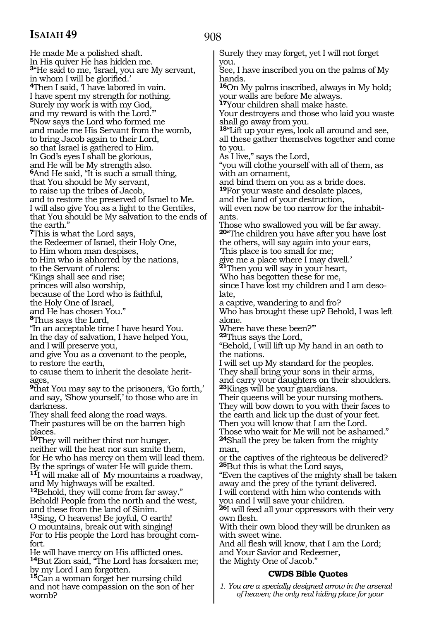He made Me a polished shaft. In His quiver He has hidden me. **<sup>3</sup>**"He said to me, 'Israel, you are My servant, in whom I will be glorified.' **<sup>4</sup>**Then I said, 'I have labored in vain. I have spent my strength for nothing. Surely my work is with my God, and my reward is with the Lord.'" **<sup>5</sup>**Now says the Lord who formed me and made me His Servant from the womb, to bring Jacob again to their Lord, so that Israel is gathered to Him. In God's eyes I shall be glorious, and He will be My strength also. **<sup>6</sup>**And He said, "It is such a small thing, that You should be My servant, to raise up the tribes of Jacob, and to restore the preserved of Israel to Me. I will also give You as a light to the Gentiles, that You should be My salvation to the ends of the earth." **<sup>7</sup>**This is what the Lord says, the Redeemer of Israel, their Holy One, to Him whom man despises, to Him who is abhorred by the nations, to the Servant of rulers: "Kings shall see and rise; princes will also worship, because of the Lord who is faithful, the Holy One of Israel, and He has chosen You." **<sup>8</sup>**Thus says the Lord, "In an acceptable time I have heard You. In the day of salvation, I have helped You, and I will preserve you, and give You as a covenant to the people, to restore the earth, to cause them to inherit the desolate heritages, **<sup>9</sup>**that You may say to the prisoners, 'Go forth,' and say, 'Show yourself,' to those who are in darkness. They shall feed along the road ways. Their pastures will be on the barren high places. **<sup>10</sup>**They will neither thirst nor hunger, neither will the heat nor sun smite them, for He who has mercy on them will lead them. By the springs of water He will guide them. **<sup>11</sup>**I will make all of My mountains a roadway, and My highways will be exalted. **<sup>12</sup>**Behold, they will come from far away." Behold! People from the north and the west, and these from the land of Sinim. **<sup>13</sup>**Sing, O heavens! Be joyful, O earth! O mountains, break out with singing! For to His people the Lord has brought comfort. He will have mercy on His afflicted ones. **<sup>14</sup>**But Zion said, "The Lord has forsaken me; by my Lord I am forgotten. **<sup>15</sup>**Can a woman forget her nursing child and not have compassion on the son of her womb?

### 908

Surely they may forget, yet I will not forget you. See, I have inscribed you on the palms of My hands. **<sup>16</sup>**On My palms inscribed, always in My hold; your walls are before Me always. **<sup>17</sup>**Your children shall make haste. Your destroyers and those who laid you waste shall go away from you. **<sup>18</sup>**"Lift up your eyes, look all around and see, all these gather themselves together and come to you. As I live," says the Lord, "you will clothe yourself with all of them, as with an ornament, and bind them on you as a bride does. **<sup>19</sup>**For your waste and desolate places, and the land of your destruction, will even now be too narrow for the inhabitants. Those who swallowed you will be far away. **<sup>20</sup>**"The children you have after you have lost the others, will say again into your ears, 'This place is too small for me; give me a place where I may dwell.' **<sup>21</sup>**Then you will say in your heart, 'Who has begotten these for me, since I have lost my children and I am desolate, a captive, wandering to and fro? Who has brought these up? Behold, I was left alone. Where have these been?" **<sup>22</sup>**Thus says the Lord, "Behold, I will lift up My hand in an oath to the nations. I will set up My standard for the peoples. They shall bring your sons in their arms, and carry your daughters on their shoulders. **<sup>23</sup>**Kings will be your guardians. Their queens will be your nursing mothers. They will bow down to you with their faces to the earth and lick up the dust of your feet. Then you will know that I am the Lord. Those who wait for Me will not be ashamed." **<sup>24</sup>**Shall the prey be taken from the mighty man, or the captives of the righteous be delivered? **<sup>25</sup>**But this is what the Lord says, "Even the captives of the mighty shall be taken away and the prey of the tyrant delivered. I will contend with him who contends with you and I will save your children. **<sup>26</sup>**I will feed all your oppressors with their very own flesh. With their own blood they will be drunken as with sweet wine. And all flesh will know, that I am the Lord; and Your Savior and Redeemer, the Mighty One of Jacob."

### **CWDS Bible Quotes**

*1. You are a specially designed arrow in the arsenal of heaven; the only real hiding place for your*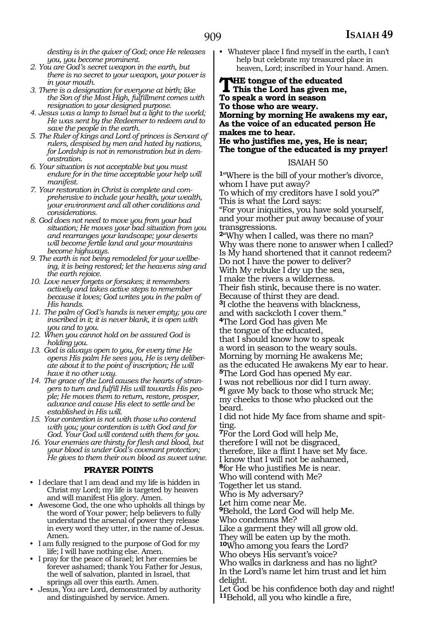*destiny is in the quiver of God; once He releases you, you become prominent.*

- *2. You are God's secret weapon in the earth, but there is no secret to your weapon, your power is in your mouth.*
- *3. There is a designation for everyone at birth; like the Son of the Most High, fulfillment comes with resignation to your designed purpose.*
- *4. Jesus was a lamp to Israel but a light to the world; He was sent by the Redeemer to redeem and to save the people in the earth.*
- *5. The Ruler of kings and Lord of princes is Servant of rulers, despised by men and hated by nations, for Lordship is not in remonstration but in demonstration.*
- *6. Your situation is not acceptable but you must endure for in the time acceptable your help will manifest.*
- *7. Your restoration in Christ is complete and comprehensive to include your health, your wealth, your environment and all other conditions and considerations.*
- *8. God does not need to move you from your bad situation; He moves your bad situation from you and rearranges your landscape; your deserts will become fertile land and your mountains become highways.*
- *9. The earth is not being remodeled for your wellbeing, it is being restored; let the heavens sing and the earth rejoice.*
- *10. Love never forgets or forsakes; it remembers actively and takes active steps to remember because it loves; God writes you in the palm of His hands.*
- *11. The palm of God's hands is never empty; you are inscribed in it; it is never blank, it is open with you and to you.*
- *12. When you cannot hold on be assured God is holding you.*
- *13. God is always open to you, for every time He opens His palm He sees you, He is very deliberate about it to the point of inscription; He will have it no other way.*
- *14. The grace of the Lord causes the hearts of strangers to turn and fulfill His will towards His people; He moves them to return, restore, prosper, advance and cause His elect to settle and be established in His will.*
- *15. Your contention is not with those who contend with you; your contention is with God and for God. Your God will contend with them for you.*
- *16. Your enemies are thirsty for flesh and blood, but your blood is under God's covenant protection; He gives to them their own blood as sweet wine.*

#### **PRAYER POINTS**

- I declare that I am dead and my life is hidden in Christ my Lord; my life is targeted by heaven and will manifest His glory. Amen.
- Awesome God, the one who upholds all things by the word of Your power; help believers to fully understand the arsenal of power they release in every word they utter, in the name of Jesus. Amen.
- I am fully resigned to the purpose of God for my life; I will have nothing else. Amen.
- I pray for the peace of Israel; let her enemies be forever ashamed; thank You Father for Jesus, the well of salvation, planted in Israel, that springs all over this earth. Amen.
- Jesus, You are Lord, demonstrated by authority and distinguished by service. Amen.

• Whatever place I find myself in the earth, I can't help but celebrate my treasured place in heaven, Lord; inscribed in Your hand. Amen.

#### **THE tongue of the educated<br>This the Lord has given me,<br>To speed, a word in sesson To speak a word in season To those who are weary. Morning by morning He awakens my ear, As the voice of an educated person He makes me to hear. He who justifies me, yes, He is near; The tongue of the educated is my prayer!**

#### ISAIAH 50

**<sup>1</sup>**"Where is the bill of your mother's divorce, whom I have put away? To which of my creditors have I sold you?" This is what the Lord says: "For your iniquities, you have sold yourself, and your mother put away because of your transgressions. **<sup>2</sup>**"Why when I called, was there no man? Why was there none to answer when I called? Is My hand shortened that it cannot redeem? Do not I have the power to deliver? With My rebuke I dry up the sea, I make the rivers a wilderness. Their fish stink, because there is no water. Because of thirst they are dead. **<sup>3</sup>**I clothe the heavens with blackness, and with sackcloth I cover them." **<sup>4</sup>**The Lord God has given Me the tongue of the educated, that I should know how to speak a word in season to the weary souls. Morning by morning He awakens Me; as the educated He awakens My ear to hear. **<sup>5</sup>**The Lord God has opened My ear. I was not rebellious nor did I turn away. **<sup>6</sup>**I gave My back to those who struck Me; my cheeks to those who plucked out the beard. I did not hide My face from shame and spit-

ting.

**<sup>7</sup>**For the Lord God will help Me,

therefore I will not be disgraced, therefore, like a flint I have set My face.

I know that I will not be ashamed,

**<sup>8</sup>**for He who justifies Me is near.

Who will contend with Me?

Together let us stand.

Who is My adversary?

Let him come near Me.

**<sup>9</sup>**Behold, the Lord God will help Me.

Who condemns Me?

Like a garment they will all grow old.

They will be eaten up by the moth.

**<sup>10</sup>**Who among you fears the Lord?

Who obeys His servant's voice?

Who walks in darkness and has no light? In the Lord's name let him trust and let him delight.

Let God be his confidence both day and night! **<sup>11</sup>**Behold, all you who kindle a fire,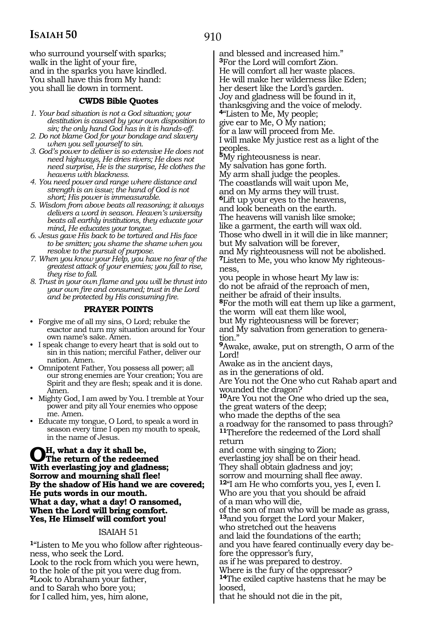who surround yourself with sparks; walk in the light of your fire, and in the sparks you have kindled. You shall have this from My hand: you shall lie down in torment.

#### **CWDS Bible Quotes**

- *1. Your bad situation is not a God situation; your destitution is caused by your own disposition to sin; the only hand God has in it is hands-off.*
- *2. Do not blame God for your bondage and slavery when you sell yourself to sin.*
- *3. God's power to deliver is so extensive He does not need highways, He dries rivers; He does not need surprise, He is the surprise, He clothes the heavens with blackness.*
- *4. You need power and range where distance and strength is an issue; the hand of God is not short; His power is immeasurable.*
- *5. Wisdom from above beats all reasoning; it always delivers a word in season. Heaven's university beats all earthly institutions, they educate your mind, He educates your tongue.*
- *6. Jesus gave His back to be tortured and His face to be smitten; you shame the shame when you resolve to the pursuit of purpose.*
- *7. When you know your Help, you have no fear of the greatest attack of your enemies; you fall to rise, they rise to fall.*
- *8. Trust in your own flame and you will be thrust into your own fire and consumed; trust in the Lord and be protected by His consuming fire.*

#### **PRAYER POINTS**

- Forgive me of all my sins, O Lord; rebuke the exactor and turn my situation around for Your own name's sake. Amen.
- I speak change to every heart that is sold out to sin in this nation; merciful Father, deliver our nation. Amen.
- Omnipotent Father, You possess all power; all our strong enemies are Your creation; You are Spirit and they are flesh; speak and it is done. Amen.
- Mighty God, I am awed by You. I tremble at Your power and pity all Your enemies who oppose me. Amen.
- Educate my tongue, O Lord, to speak a word in season every time I open my mouth to speak, in the name of Jesus.

**Oh, what a day it shall be, The return of the redeemed With everlasting joy and gladness; Sorrow and mourning shall flee! By the shadow of His hand we are covered; He puts words in our mouth. What a day, what a day! O ransomed, When the Lord will bring comfort. Yes, He Himself will comfort you!**

#### ISAIAH 51

**1**"Listen to Me you who follow after righteousness, who seek the Lord. Look to the rock from which you were hewn, to the hole of the pit you were dug from. **<sup>2</sup>**Look to Abraham your father, and to Sarah who bore you; for I called him, yes, him alone,

and blessed and increased him." **<sup>3</sup>**For the Lord will comfort Zion. He will comfort all her waste places. He will make her wilderness like Eden; her desert like the Lord's garden. Joy and gladness will be found in it, thanksgiving and the voice of melody. **<sup>4</sup>**"Listen to Me, My people; give ear to Me, O My nation; for a law will proceed from Me. I will make My justice rest as a light of the peoples. **<sup>5</sup>**My righteousness is near. My salvation has gone forth. My arm shall judge the peoples. The coastlands will wait upon Me, and on My arms they will trust. **<sup>6</sup>**Lift up your eyes to the heavens, and look beneath on the earth. The heavens will vanish like smoke; like a garment, the earth will wax old. Those who dwell in it will die in like manner; but My salvation will be forever, and My righteousness will not be abolished. **7**Listen to Me, you who know My righteousness, you people in whose heart My law is: do not be afraid of the reproach of men, neither be afraid of their insults. **<sup>8</sup>**For the moth will eat them up like a garment, the worm will eat them like wool, but My righteousness will be forever; and My salvation from generation to generation." **<sup>9</sup>**Awake, awake, put on strength, O arm of the Lord! Awake as in the ancient days, as in the generations of old. Are You not the One who cut Rahab apart and wounded the dragon? **<sup>10</sup>**Are You not the One who dried up the sea, the great waters of the deep; who made the depths of the sea a roadway for the ransomed to pass through? **<sup>11</sup>**Therefore the redeemed of the Lord shall return and come with singing to Zion; everlasting joy shall be on their head. They shall obtain gladness and joy; sorrow and mourning shall flee away. **<sup>12</sup>**"I am He who comforts you, yes I, even I. Who are you that you should be afraid of a man who will die, of the son of man who will be made as grass, **<sup>13</sup>**and you forget the Lord your Maker, who stretched out the heavens and laid the foundations of the earth; and you have feared continually every day before the oppressor's fury, as if he was prepared to destroy. Where is the fury of the oppressor? **<sup>14</sup>**The exiled captive hastens that he may be loosed,

that he should not die in the pit,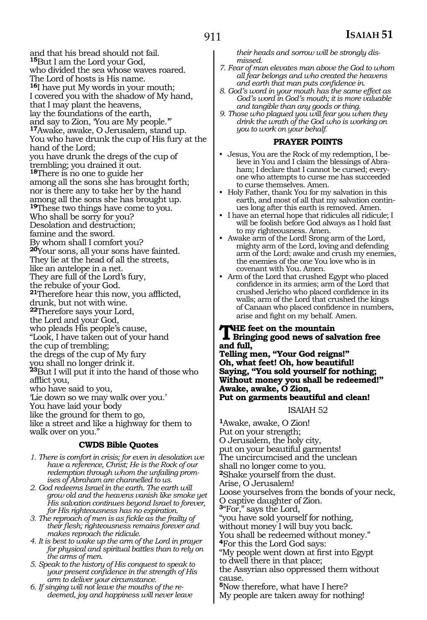and that his bread should not fail. **<sup>15</sup>**But I am the Lord your God, who divided the sea whose waves roared. The Lord of hosts is His name. **<sup>16</sup>**I have put My words in your mouth; I covered you with the shadow of My hand, that I may plant the heavens, lay the foundations of the earth, and say to Zion, 'You are My people.'" **<sup>17</sup>**Awake, awake, O Jerusalem, stand up. You who have drunk the cup of His fury at the hand of the Lord; you have drunk the dregs of the cup of trembling; you drained it out. **<sup>18</sup>**There is no one to guide her among all the sons she has brought forth; nor is there any to take her by the hand among all the sons she has brought up. **<sup>19</sup>**These two things have come to you. Who shall be sorry for you? Desolation and destruction; famine and the sword. By whom shall I comfort you? **<sup>20</sup>**Your sons, all your sons have fainted. They lie at the head of all the streets, like an antelope in a net. They are full of the Lord's fury, the rebuke of your God. **<sup>21</sup>**Therefore hear this now, you afflicted, drunk, but not with wine. **<sup>22</sup>**Therefore says your Lord, the Lord and your God, who pleads His people's cause, "Look, I have taken out of your hand the cup of trembling; the dregs of the cup of My fury you shall no longer drink it. **<sup>23</sup>**But I will put it into the hand of those who afflict you, who have said to you, 'Lie down so we may walk over you.' You have laid your body like the ground for them to go, like a street and like a highway for them to walk over on you."

#### **CWDS Bible Quotes**

- *1. There is comfort in crisis; for even in desolation we have a reference, Christ; He is the Rock of our redemption through whom the unfailing promises of Abraham are channelled to us.*
- *2. God redeems Israel in the earth. The earth will grow old and the heavens vanish like smoke yet His salvation continues beyond Israel to forever, for His righteousness has no expiration.*
- *3. The reproach of men is as fickle as the frailty of their flesh; righteousness remains forever and makes reproach the ridicule.*
- *4. It is best to wake up the arm of the Lord in prayer for physical and spiritual battles than to rely on the arms of men.*
- *5. Speak to the history of His conquest to speak to your present confidence in the strength of His arm to deliver your circumstance.*
- *6. If singing will not leave the mouths of the redeemed, joy and happiness will never leave*

*their heads and sorrow will be strongly dismissed.*

- *7. Fear of man elevates man above the God to whom all fear belongs and who created the heavens and earth that man puts confidence in.*
- *8. God's word in your mouth has the same effect as God's word in God's mouth; it is more valuable and tangible than any goods or thing.*
- *9. Those who plagued you will fear you when they drink the wrath of the God who is working on you to work on your behalf.*

#### **PRAYER POINTS**

- Jesus, You are the Rock of my redemption, I believe in You and I claim the blessings of Abraham; I declare that I cannot be cursed; everyone who attempts to curse me has succeeded to curse themselves. Amen.
- Holy Father, thank You for my salvation in this earth, and most of all that my salvation continues long after this earth is removed. Amen.
- I have an eternal hope that ridicules all ridicule; I will be foolish before God always as I hold fast to my righteousness. Amen.
- Awake arm of the Lord! Srong arm of the Lord, mighty arm of the Lord, loving and defending arm of the Lord; awake and crush my enemies, the enemies of the one You love who is in covenant with You. Amen.
- Arm of the Lord that crushed Egypt who placed confidence in its armies; arm of the Lord that crushed Jericho who placed confidence in its walls; arm of the Lord that crushed the kings of Canaan who placed confidence in numbers, arise and fight on my behalf. Amen.

**THE feet on the mountain<br>Bringing good news of salvation free and full,**

**Telling men, "Your God reigns!" Oh, what feet! Oh, how beautiful! Saying, "You sold yourself for nothing; Without money you shall be redeemed!" Awake, awake, O Zion, Put on garments beautiful and clean!**

#### ISAIAH 52

**<sup>1</sup>**Awake, awake, O Zion! Put on your strength; O Jerusalem, the holy city, put on your beautiful garments! The uncircumcised and the unclean shall no longer come to you. **<sup>2</sup>**Shake yourself from the dust. Arise, O Jerusalem! Loose yourselves from the bonds of your neck, O captive daughter of Zion. **<sup>3</sup>**"For," says the Lord, "you have sold yourself for nothing, without money I will buy you back. You shall be redeemed without money." **<sup>4</sup>**For this the Lord God says: "My people went down at first into Egypt to dwell there in that place; the Assyrian also oppressed them without cause. **<sup>5</sup>**Now therefore, what have I here? My people are taken away for nothing!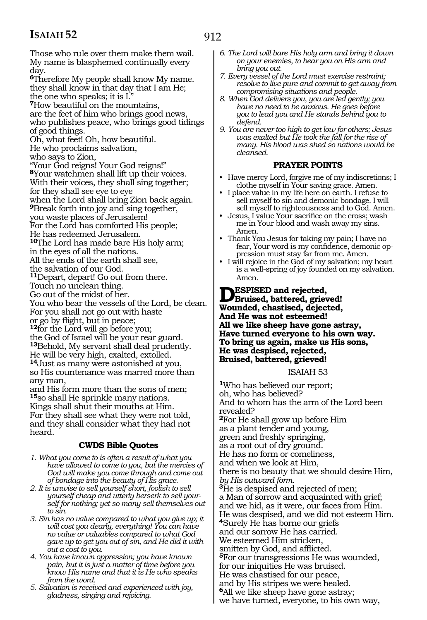Those who rule over them make them wail. My name is blasphemed continually every day. **<sup>6</sup>**Therefore My people shall know My name. they shall know in that day that I am He; the one who speaks; it is I." **<sup>7</sup>**How beautiful on the mountains, are the feet of him who brings good news, who publishes peace, who brings good tidings of good things. Oh, what feet! Oh, how beautiful. He who proclaims salvation, who says to Zion, "Your God reigns! Your God reigns!" **<sup>8</sup>**Your watchmen shall lift up their voices. With their voices, they shall sing together; for they shall see eye to eye when the Lord shall bring Zion back again. **<sup>9</sup>**Break forth into joy and sing together, you waste places of Jerusalem! For the Lord has comforted His people; He has redeemed Jerusalem. **<sup>10</sup>**The Lord has made bare His holy arm; in the eyes of all the nations. All the ends of the earth shall see, the salvation of our God. **<sup>11</sup>**Depart, depart! Go out from there. Touch no unclean thing. Go out of the midst of her. You who bear the vessels of the Lord, be clean. For you shall not go out with haste or go by flight, but in peace; **<sup>12</sup>**for the Lord will go before you; the God of Israel will be your rear guard. **<sup>13</sup>**Behold, My servant shall deal prudently. He will be very high, exalted, extolled. **<sup>14</sup>**Just as many were astonished at you, so His countenance was marred more than any man, and His form more than the sons of men; **<sup>15</sup>**so shall He sprinkle many nations. Kings shall shut their mouths at Him. For they shall see what they were not told, and they shall consider what they had not heard.

#### **CWDS Bible Quotes**

- *1. What you come to is often a result of what you have allowed to come to you, but the mercies of God will make you come through and come out of bondage into the beauty of His grace.*
- *2. It is unwise to sell yourself short, foolish to sell yourself cheap and utterly berserk to sell yourself for nothing; yet so many sell themselves out to sin.*
- *3. Sin has no value compared to what you give up; it will cost you dearly, everything! You can have no value or valuables compared to what God gave up to get you out of sin, and He did it without a cost to you.*
- *4. You have known oppression; you have known pain, but it is just a matter of time before you know His name and that it is He who speaks from the word.*
- *5. Salvation is received and experienced with joy, gladness, singing and rejoicing.*
- *6. The Lord will bare His holy arm and bring it down on your enemies, to bear you on His arm and bring you out.*
- *7. Every vessel of the Lord must exercise restraint; resolve to live pure and commit to get away from compromising situations and people.*
- *8. When God delivers you, you are led gently; you have no need to be anxious. He goes before you to lead you and He stands behind you to defend.*
- *9. You are never too high to get low for others; Jesus was exalted but He took the fall for the rise of many. His blood was shed so nations would be cleansed.*

#### **PRAYER POINTS**

- Have mercy Lord, forgive me of my indiscretions; I clothe myself in Your saving grace. Amen.
- I place value in my life here on earth. I refuse to sell myself to sin and demonic bondage. I will sell myself to righteousness and to God. Amen.
- Jesus, I value Your sacrifice on the cross; wash me in Your blood and wash away my sins. Amen.
- Thank You Jesus for taking my pain; I have no fear, Your word is my confidence, demonic oppression must stay far from me. Amen.
- I will rejoice in the God of my salvation; my heart is a well-spring of joy founded on my salvation. Amen.

#### **Despised and rejected, Bruised, battered, grieved! Wounded, chastised, dejected, And He was not esteemed! All we like sheep have gone astray, Have turned everyone to his own way. To bring us again, make us His sons, He was despised, rejected, Bruised, battered, grieved!**

ISAIAH 53

**<sup>1</sup>**Who has believed our report; oh, who has believed? And to whom has the arm of the Lord been revealed? **<sup>2</sup>**For He shall grow up before Him as a plant tender and young, green and freshly springing, as a root out of dry ground. He has no form or comeliness, and when we look at Him, there is no beauty that we should desire Him, *by His outward form.* **<sup>3</sup>**He is despised and rejected of men; a Man of sorrow and acquainted with grief; and we hid, as it were, our faces from Him. He was despised, and we did not esteem Him. **<sup>4</sup>**Surely He has borne our griefs and our sorrow He has carried. We esteemed Him stricken, smitten by God, and afflicted. **<sup>5</sup>**For our transgressions He was wounded, for our iniquities He was bruised. He was chastised for our peace, and by His stripes we were healed. **<sup>6</sup>**All we like sheep have gone astray; we have turned, everyone, to his own way,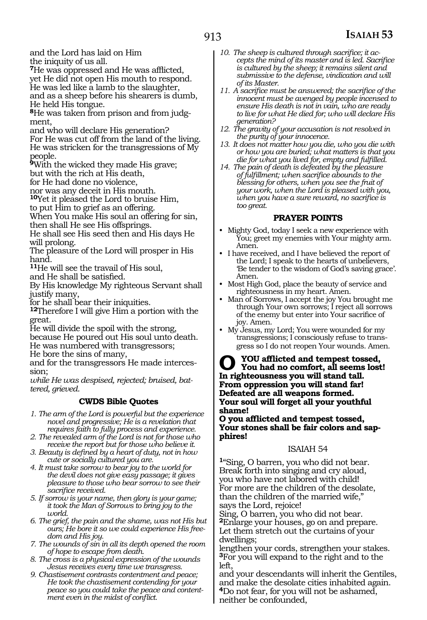and the Lord has laid on Him the iniquity of us all.

**<sup>7</sup>**He was oppressed and He was afflicted, yet He did not open His mouth to respond. He was led like a lamb to the slaughter, and as a sheep before his shearers is dumb, He held His tongue.

**<sup>8</sup>**He was taken from prison and from judg- ment,

and who will declare His generation?

For He was cut off from the land of the living. He was stricken for the transgressions of My people.

**<sup>9</sup>**With the wicked they made His grave;

but with the rich at His death,

for He had done no violence,

nor was any deceit in His mouth.

**<sup>10</sup>**Yet it pleased the Lord to bruise Him, to put Him to grief as an offering.

When You make His soul an offering for sin, then shall He see His offsprings.

He shall see His seed then and His days He will prolong.

The pleasure of the Lord will prosper in His hand.

**<sup>11</sup>**He will see the travail of His soul, and He shall be satisfied.

By His knowledge My righteous Servant shall justify many,

for he shall bear their iniquities.

**<sup>12</sup>**Therefore I will give Him a portion with the great.

He will divide the spoil with the strong, because He poured out His soul unto death. He was numbered with transgressors;

He bore the sins of many,

and for the transgressors He made intercession;

*while He was despised, rejected; bruised, battered, grieved.* 

#### **CWDS Bible Quotes**

*1. The arm of the Lord is powerful but the experience novel and progressive; He is a revelation that requires faith to fully process and experience.*

*2. The revealed arm of the Lord is not for those who receive the report but for those who believe it.* 

*3. Beauty is defined by a heart of duty, not in how cute or socially cultured you are.*

*4. It must take sorrow to bear joy to the world for the devil does not give easy passage; it gives pleasure to those who bear sorrow to see their sacrifice received.* 

*5. If sorrow is your name, then glory is your game; it took the Man of Sorrows to bring joy to the world.*

*6. The grief, the pain and the shame, was not His but ours; He bore it so we could experience His freedom and His joy.*

*7. The wounds of sin in all its depth opened the room of hope to escape from death.* 

*8. The cross is a physical expression of the wounds Jesus receives every time we transgress.*

*9. Chastisement contrasts contentment and peace; He took the chastisement contending for your peace so you could take the peace and contentment even in the midst of conflict.* 

- *10. The sheep is cultured through sacrifice; it accepts the mind of its master and is led. Sacrifice is cultured by the sheep; it remains silent and submissive to the defense, vindication and will of its Master.*
- *11. A sacrifice must be answered; the sacrifice of the innocent must be avenged by people incensed to ensure His death is not in vain, who are ready to live for what He died for; who will declare His generation?*
- *12. The gravity of your accusation is not resolved in the purity of your innocence.*
- *13. It does not matter how you die, who you die with or how you are buried; what matters is that you die for what you lived for, empty and fulfilled.*
- *14. The pain of death is defeated by the pleasure of fulfillment; when sacrifice abounds to the blessing for others, when you see the fruit of your work, when the Lord is pleased with you, when you have a sure reward, no sacrifice is too great.*

#### **PRAYER POINTS**

- Mighty God, today I seek a new experience with You; greet my enemies with Your mighty arm. Amen.
- I have received, and I have believed the report of the Lord; I speak to the hearts of unbelievers, 'Be tender to the wisdom of God's saving grace'. Amen.
- Most High God, place the beauty of service and righteousness in my heart. Amen.
- Man of Sorrows, I accept the joy You brought me through Your own sorrows; I reject all sorrows of the enemy but enter into Your sacrifice of joy. Amen.
- My Jesus, my Lord; You were wounded for my transgressions; I consciously refuse to transgress so I do not reopen Your wounds. Amen.

**O you afflicted and tempest tossed, You had no comfort, all seems lost! In righteousness you will stand tall. From oppression you will stand far! Defeated are all weapons formed. Your soul will forget all your youthful shame!**

**O you afflicted and tempest tossed, Your stones shall be fair colors and sapphires!**

#### ISAIAH 54

**<sup>1</sup>**"Sing, O barren, you who did not bear. Break forth into singing and cry aloud, you who have not labored with child! For more are the children of the desolate, than the children of the married wife," says the Lord, rejoice!

Sing, O barren, you who did not bear. **<sup>2</sup>**Enlarge your houses, go on and prepare. Let them stretch out the curtains of your dwellings;

lengthen your cords, strengthen your stakes. **<sup>3</sup>**For you will expand to the right and to the left,

and your descendants will inherit the Gentiles, and make the desolate cities inhabited again. **<sup>4</sup>**Do not fear, for you will not be ashamed, neither be confounded,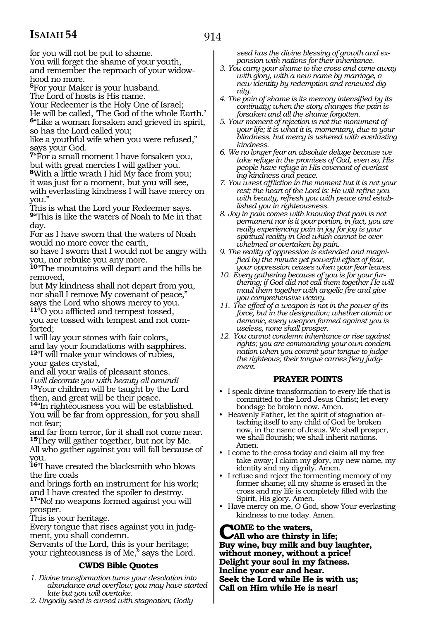914

for you will not be put to shame. You will forget the shame of your youth, and remember the reproach of your widowhood no more.

**<sup>5</sup>**For your Maker is your husband.

The Lord of hosts is His name.

Your Redeemer is the Holy One of Israel;

He will be called, 'The God of the whole Earth.' **<sup>6</sup>**"Like a woman forsaken and grieved in spirit, so has the Lord called you;

like a youthful wife when you were refused," says your God.

**<sup>7</sup>**"For a small moment I have forsaken you, but with great mercies I will gather you. **<sup>8</sup>**With a little wrath I hid My face from you; it was just for a moment, but you will see, with everlasting kindness I will have mercy on you."

This is what the Lord your Redeemer says. **<sup>9</sup>**"This is like the waters of Noah to Me in that day.

For as I have sworn that the waters of Noah would no more cover the earth,

so have I sworn that I would not be angry with you, nor rebuke you any more.

**<sup>10</sup>**"The mountains will depart and the hills be removed,

but My kindness shall not depart from you, nor shall I remove My covenant of peace," says the Lord who shows mercy to you.

**<sup>11</sup>**"O you afflicted and tempest tossed, you are tossed with tempest and not comforted;

I will lay your stones with fair colors, and lay your foundations with sapphires. **<sup>12</sup>**"I will make your windows of rubies, your gates crystal,

and all your walls of pleasant stones. *I will decorate you with beauty all around!* **<sup>13</sup>**Your children will be taught by the Lord then, and great will be their peace.

**<sup>14</sup>**"In righteousness you will be established. You will be far from oppression, for you shall not fear;

and far from terror, for it shall not come near. **<sup>15</sup>**They will gather together, but not by Me. All who gather against you will fall because of you.

**<sup>16</sup>**"I have created the blacksmith who blows the fire coals

and brings forth an instrument for his work; and I have created the spoiler to destroy. **<sup>17</sup>**"No! no weapons formed against you will prosper.

This is your heritage.

Every tongue that rises against you in judgment, you shall condemn.

Servants of the Lord, this is your heritage; your righteousness is of Me," says the Lord.

#### **CWDS Bible Quotes**

- *1. Divine transformation turns your desolation into abundance and overflow; you may have started late but you will overtake.*
- *2. Ungodly seed is cursed with stagnation; Godly*

*seed has the divine blessing of growth and expansion with nations for their inheritance.* 

- *3. You carry your shame to the cross and come away with glory, with a new name by marriage, a new identity by redemption and renewed dignity.*
- *4. The pain of shame is its memory intensified by its continuity; when the story changes the pain is forsaken and all the shame forgotten.*
- *5. Your moment of rejection is not the monument of your life; it is what it is, momentary, due to your blindness, but mercy is ushered with everlasting kindness.*
- *6. We no longer fear an absolute deluge because we take refuge in the promises of God, even so, His people have refuge in His covenant of everlasting kindness and peace.*
- *7. You wrest affliction in the moment but it is not your rest; the heart of the Lord is: He will refine you with beauty, refresh you with peace and established you in righteousness.*
- *8. Joy in pain comes with knowing that pain is not permanent nor is it your portion, in fact, you are really experiencing pain in joy for joy is your spiritual reality in God which cannot be overwhelmed or overtaken by pain.*
- *9. The reality of oppression is extended and magnified by the minute yet powerful effect of fear, your oppression ceases when your fear leaves.*
- *10. Every gathering because of you is for your furthering; if God did not call them together He will maul them together with angelic fire and give you comprehensive victory.*
- *11. The effect of a weapon is not in the power of its force, but in the designation; whether atomic or demonic, every weapon formed against you is useless, none shall prosper.*
- *12. You cannot condemn inheritance or rise against rights; you are commanding your own condemnation when you commit your tongue to judge the righteous; their tongue carries fiery judgment.*

#### **PRAYER POINTS**

- I speak divine transformation to every life that is committed to the Lord Jesus Christ; let every bondage be broken now. Amen.
- Heavenly Father, let the spirit of stagnation attaching itself to any child of God be broken now, in the name of Jesus. We shall prosper, we shall flourish; we shall inherit nations. Amen.
- I come to the cross today and claim all my free take-away; I claim my glory, my new name, my identity and my dignity. Amen.
- I refuse and reject the tormenting memory of my former shame; all my shame is erased in the cross and my life is completely filled with the Spirit, His glory. Amen.
- Have mercy on me, O God, show Your everlasting kindness to me today. Amen.

#### **COME** to the waters,<br> **CAll who are thirsty in life;**<br> **Run wise, buy will, and buy! Buy wine, buy milk and buy laughter, without money, without a price! Delight your soul in my fatness. Incline your ear and hear. Seek the Lord while He is with us; Call on Him while He is near!**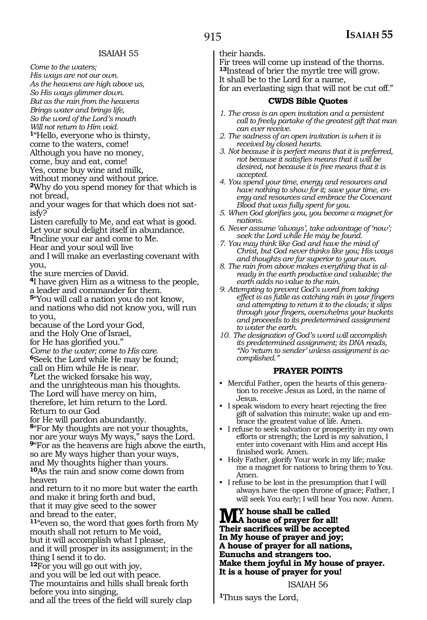*Come to the waters;*

*His ways are not our own. As the heavens are high above us, So His ways glimmer down. But as the rain from the heavens Brings water and brings life,*

*So the word of the Lord's mouth*

*Will not return to Him void.* **<sup>1</sup>**"Hello, everyone who is thirsty,

come to the waters, come!

Although you have no money,

come, buy and eat, come!

Yes, come buy wine and milk,

without money and without price.

**<sup>2</sup>**Why do you spend money for that which is not bread,

and your wages for that which does not satisfy?

Listen carefully to Me, and eat what is good. Let your soul delight itself in abundance.

**<sup>3</sup>**Incline your ear and come to Me.

Hear and your soul will live

and I will make an everlasting covenant with you,

the sure mercies of David.

**<sup>4</sup>**I have given Him as a witness to the people, a leader and commander for them.

**<sup>5</sup>**"You will call a nation you do not know, and nations who did not know you, will run to you,

because of the Lord your God,

and the Holy One of Israel,

for He has glorified you."

*Come to the water; come to His care.*

**<sup>6</sup>**Seek the Lord while He may be found;

call on Him while He is near.

**<sup>7</sup>**Let the wicked forsake his way,

and the unrighteous man his thoughts.

The Lord will have mercy on him,

therefore, let him return to the Lord.

Return to our God

for He will pardon abundantly.

**<sup>8</sup>**"For My thoughts are not your thoughts, nor are your ways My ways," says the Lord.

**<sup>9</sup>**"For as the heavens are high above the earth, so are My ways higher than your ways,

and My thoughts higher than yours. **<sup>10</sup>**As the rain and snow come down from

heaven and return to it no more but water the earth

and make it bring forth and bud,

that it may give seed to the sower and bread to the eater,

**<sup>11</sup>**"even so, the word that goes forth from My mouth shall not return to Me void, but it will accomplish what I please, and it will prosper in its assignment; in the thing I send it to do.

**<sup>12</sup>**For you will go out with joy, and you will be led out with peace. The mountains and hills shall break forth before you into singing,

and all the trees of the field will surely clap

their hands.

Fir trees will come up instead of the thorns. **<sup>13</sup>**Instead of brier the myrtle tree will grow. It shall be to the Lord for a name, for an everlasting sign that will not be cut off."

#### **CWDS Bible Quotes**

- *1. The cross is an open invitation and a persistent call to freely partake of the greatest gift that man can ever receive.*
- *2. The sadness of an open invitation is when it is received by closed hearts.*
- *3. Not because it is perfect means that it is preferred, not because it satisfies means that it will be desired, not because it is free means that it is accepted.*
- *4. You spend your time, energy and resources and have nothing to show for it; save your time, energy and resources and embrace the Covenant Blood that was fully spent for you.*
- *5. When God glorifies you, you become a magnet for nations.*
- *6. Never assume 'always', take advantage of 'now'; seek the Lord while He may be found.*
- *7. You may think like God and have the mind of Christ, but God never thinks like you; His ways and thoughts are far superior to your own.*
- *8. The rain from above makes everything that is already in the earth productive and valuable; the earth adds no value to the rain.*
- *9. Attempting to prevent God's word from taking effect is as futile as catching rain in your fingers and attempting to return it to the clouds; it slips through your fingers, overwhelms your buckets and proceeds to its predetermined assignment to water the earth.*
- *10. The designation of God's word will accomplish its predetermined assignment; its DNA reads, "No 'return to sender' unless assignment is accomplished."*

#### **PRAYER POINTS**

- Merciful Father, open the hearts of this generation to receive Jesus as Lord, in the name of Jesus.
- I speak wisdom to every heart rejecting the free gift of salvation this minute; wake up and embrace the greatest value of life. Amen.
- I refuse to seek salvation or prosperity in my own efforts or strength; the Lord is my salvation, I enter into covenant with Him and accept His finished work. Amen.
- Holy Father, glorify Your work in my life; make me a magnet for nations to bring them to You. Amen.
- I refuse to be lost in the presumption that I will always have the open throne of grace; Father, I will seek You early; I will hear You now. Amen.

**My house shall be called A house of prayer for all! Their sacrifices will be accepted In My house of prayer and joy; A house of prayer for all nations, Eunuchs and strangers too. Make them joyful in My house of prayer. It is a house of prayer for you!**

ISAIAH 56

**<sup>1</sup>**Thus says the Lord,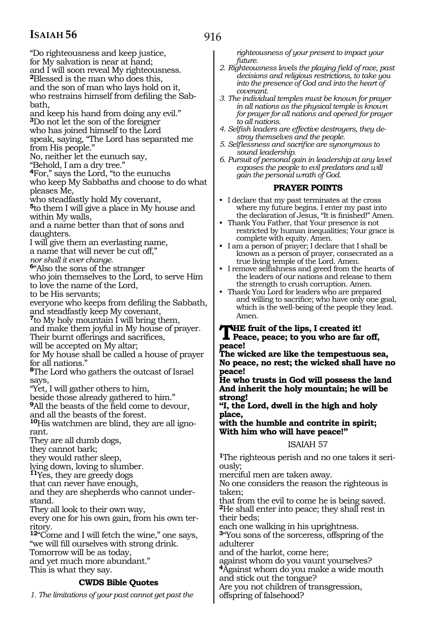"Do righteousness and keep justice, for My salvation is near at hand; and I will soon reveal My righteousness. **<sup>2</sup>**Blessed is the man who does this, and the son of man who lays hold on it, who restrains himself from defiling the Sabbath,

and keep his hand from doing any evil." **<sup>3</sup>**Do not let the son of the foreigner who has joined himself to the Lord speak, saying, "The Lord has separated me from His people."

No, neither let the eunuch say,

"Behold, I am a dry tree."

**<sup>4</sup>**For," says the Lord, "to the eunuchs who keep My Sabbaths and choose to do what pleases Me,

who steadfastly hold My covenant,

**<sup>5</sup>**to them I will give a place in My house and within My walls,

and a name better than that of sons and daughters.

I will give them an everlasting name, a name that will never be cut off,"

*nor shall it ever change.*

**<sup>6</sup>**"Also the sons of the stranger

who join themselves to the Lord, to serve Him to love the name of the Lord,

to be His servants;

everyone who keeps from defiling the Sabbath, and steadfastly keep My covenant,

**<sup>7</sup>**to My holy mountain I will bring them,

and make them joyful in My house of prayer. Their burnt offerings and sacrifices,

will be accepted on My altar;

for My house shall be called a house of prayer for all nations."

**<sup>8</sup>**The Lord who gathers the outcast of Israel says,

"Yet, I will gather others to him,

beside those already gathered to him."

**<sup>9</sup>**All the beasts of the field come to devour, and all the beasts of the forest.

**10**His watchmen are blind, they are all ignorant.

They are all dumb dogs,

they cannot bark;

they would rather sleep,

lying down, loving to slumber.

**<sup>11</sup>**Yes, they are greedy dogs

that can never have enough,

and they are shepherds who cannot understand.

They all look to their own way,

every one for his own gain, from his own territory.

**<sup>12</sup>**"Come and I will fetch the wine," one says, "we will fill ourselves with strong drink. Tomorrow will be as today, and yet much more abundant." This is what they say.

### **CWDS Bible Quotes**

*1. The limitations of your past cannot get past the* 

*righteousness of your present to impact your future.*

- *2. Righteousness levels the playing field of race, past decisions and religious restrictions, to take you into the presence of God and into the heart of covenant.*
- *3. The individual temples must be known for prayer in all nations as the physical temple is known for prayer for all nations and opened for prayer to all nations.*
- *4. Selfish leaders are effective destroyers, they destroy themselves and the people.*
- *5. Selflessness and sacrifice are synonymous to sound leadership.*
- *6. Pursuit of personal gain in leadership at any level exposes the people to evil predators and will gain the personal wrath of God.*

#### **PRAYER POINTS**

- I declare that my past terminates at the cross where my future begins. I enter my past into the declaration of Jesus, "It is finished!" Amen.
- Thank You Father, that Your presence is not restricted by human inequalities; Your grace is complete with equity. Amen.
- I am a person of prayer; I declare that I shall be known as a person of prayer, consecrated as a true living temple of the Lord. Amen.
- I remove selfishness and greed from the hearts of the leaders of our nations and release to them the strength to crush corruption. Amen.
- Thank You Lord for leaders who are prepared and willing to sacrifice; who have only one goal, which is the well-being of the people they lead. Amen.

### **THE fruit of the lips, I created it!**<br>Peace, peace; to you who are far off, **peace!**

**The wicked are like the tempestuous sea, No peace, no rest; the wicked shall have no peace!**

**He who trusts in God will possess the land And inherit the holy mountain; he will be strong!**

**"I, the Lord, dwell in the high and holy place,**

**with the humble and contrite in spirit; With him who will have peace!"**

#### ISAIAH 57

**1**The righteous perish and no one takes it seriously;

merciful men are taken away.

No one considers the reason the righteous is taken;

that from the evil to come he is being saved. **<sup>2</sup>**He shall enter into peace; they shall rest in their beds;

each one walking in his uprightness.

**<sup>3</sup>**"You sons of the sorceress, offspring of the adulterer

and of the harlot, come here;

against whom do you vaunt yourselves? **<sup>4</sup>**Against whom do you make a wide mouth and stick out the tongue?

Are you not children of transgression,

offspring of falsehood?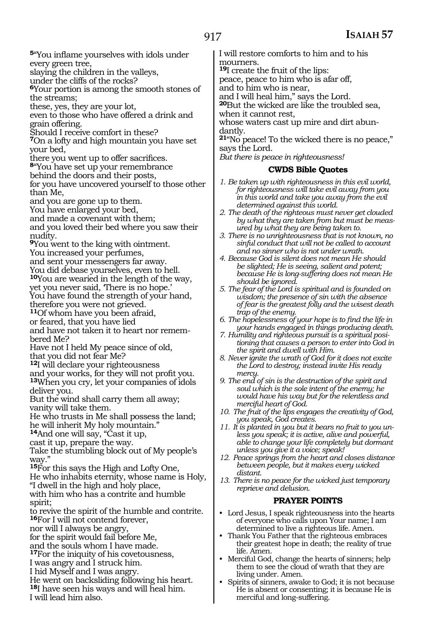**<sup>5</sup>**"You inflame yourselves with idols under every green tree,

slaying the children in the valleys,

under the cliffs of the rocks?

**<sup>6</sup>**Your portion is among the smooth stones of the streams;

these, yes, they are your lot,

even to those who have offered a drink and grain offering.

Should I receive comfort in these?

**<sup>7</sup>**On a lofty and high mountain you have set your bed,

there you went up to offer sacrifices.

**<sup>8</sup>**"You have set up your remembrance

behind the doors and their posts,

for you have uncovered yourself to those other than Me,

and you are gone up to them.

You have enlarged your bed,

and made a covenant with them;

and you loved their bed where you saw their nudity.

**<sup>9</sup>**You went to the king with ointment.

You increased your perfumes,

and sent your messengers far away.

You did debase yourselves, even to hell.

**<sup>10</sup>**You are wearied in the length of the way,

yet you never said, 'There is no hope.' You have found the strength of your hand,

therefore you were not grieved.

**<sup>11</sup>**Of whom have you been afraid,

or feared, that you have lied

and have not taken it to heart nor remembered Me?

Have not I held My peace since of old, that you did not fear Me?

**<sup>12</sup>**I will declare your righteousness

and your works, for they will not profit you. **<sup>13</sup>**When you cry, let your companies of idols deliver you.

But the wind shall carry them all away; vanity will take them.

He who trusts in Me shall possess the land; he will inherit My holy mountain."

**<sup>14</sup>**And one will say, "Cast it up,

cast it up, prepare the way.

Take the stumbling block out of My people's way."

**<sup>15</sup>**For this says the High and Lofty One, He who inhabits eternity, whose name is Holy,

"I dwell in the high and holy place,

with him who has a contrite and humble spirit;

to revive the spirit of the humble and contrite. **<sup>16</sup>**For I will not contend forever,

nor will I always be angry,

for the spirit would fail before Me,

and the souls whom I have made.

**<sup>17</sup>**For the iniquity of his covetousness,

I was angry and I struck him.

I hid Myself and I was angry.

He went on backsliding following his heart.

**<sup>18</sup>**I have seen his ways and will heal him.

I will lead him also.

I will restore comforts to him and to his mourners.

**<sup>19</sup>**I create the fruit of the lips:

peace, peace to him who is afar off, and to him who is near,

and I will heal him," says the Lord.

**<sup>20</sup>**But the wicked are like the troubled sea, when it cannot rest,

whose waters cast up mire and dirt abundantly.

**<sup>21</sup>**"No peace! To the wicked there is no peace," says the Lord.

*But there is peace in righteousness!*

#### **CWDS Bible Quotes**

- *1. Be taken up with righteousness in this evil world, for righteousness will take evil away from you in this world and take you away from the evil determined against this world.*
- *2. The death of the righteous must never get clouded by what they are taken from but must be measured by what they are being taken to.*
- *3. There is no unrighteousness that is not known, no sinful conduct that will not be called to account and no sinner who is not under wrath.*
- *4. Because God is silent does not mean He should be slighted; He is seeing, salient and potent; because He is long-suffering does not mean He should be ignored.*
- *5. The fear of the Lord is spiritual and is founded on wisdom; the presence of sin with the absence of fear is the greatest folly and the wisest death trap of the enemy.*
- *6. The hopelessness of your hope is to find the life in your hands engaged in things producing death.*
- *7. Humility and righteous pursuit is a spiritual positioning that causes a person to enter into God in the spirit and dwell with Him.*
- *8. Never ignite the wrath of God for it does not excite the Lord to destroy; instead invite His ready mercy.*
- *9. The end of sin is the destruction of the spirit and soul which is the sole intent of the enemy; he would have his way but for the relentless and merciful heart of God.*
- *10. The fruit of the lips engages the creativity of God, you speak, God creates.*
- *11. It is planted in you but it bears no fruit to you unless you speak; it is active, alive and powerful, able to change your life completely but dormant unless you give it a voice; speak!*
- *12. Peace springs from the heart and closes distance between people, but it makes every wicked distant.*
- *13. There is no peace for the wicked just temporary reprieve and delusion.*

#### **PRAYER POINTS**

- Lord Jesus, I speak righteousness into the hearts of everyone who calls upon Your name; I am determined to live a righteous life. Amen.
- Thank You Father that the righteous embraces their greatest hope in death; the reality of true life. Amen.
- Merciful God, change the hearts of sinners; help them to see the cloud of wrath that they are living under. Amen.
- Spirits of sinners, awake to God; it is not because He is absent or consenting; it is because He is merciful and long-suffering.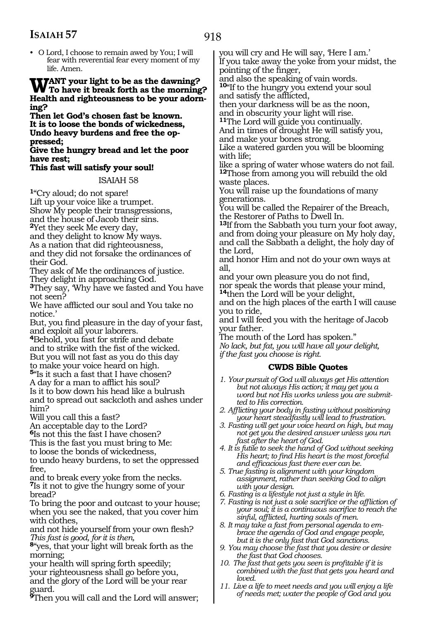- 918
- O Lord, I choose to remain awed by You; I will fear with reverential fear every moment of my life. Amen.

### **Want your light to be as the dawning? To have it break forth as the morning? Health and righteousness to be your adorn ing?**

**Then let God's chosen fast be known. It is to loose the bonds of wickedness, Undo heavy burdens and free the op- pressed;**

#### **Give the hungry bread and let the poor have rest;**

#### **This fast will satisfy your soul!**

ISAIAH 58

**<sup>1</sup>**"Cry aloud; do not spare! Lift up your voice like a trumpet. Show My people their transgressions,

and the house of Jacob their sins.

**<sup>2</sup>**Yet they seek Me every day,

and they delight to know My ways.

As a nation that did righteousness, and they did not forsake the ordinances of

their God. They ask of Me the ordinances of justice. They delight in approaching God.

**<sup>3</sup>**They say, 'Why have we fasted and You have not seen?

We have afflicted our soul and You take no notice.'

But, you find pleasure in the day of your fast, and exploit all your laborers.

**<sup>4</sup>**Behold, you fast for strife and debate and to strike with the fist of the wicked. But you will not fast as you do this day to make your voice heard on high.

**<sup>5</sup>**"Is it such a fast that I have chosen? A day for a man to afflict his soul? Is it to bow down his head like a bulrush

and to spread out sackcloth and ashes under him?

Will you call this a fast?

An acceptable day to the Lord?

**<sup>6</sup>**Is not this the fast I have chosen?

This is the fast you must bring to Me:

to loose the bonds of wickedness,

to undo heavy burdens, to set the oppressed free,

and to break every yoke from the necks. **<sup>7</sup>**Is it not to give the hungry some of your bread?

To bring the poor and outcast to your house; when you see the naked, that you cover him with clothes,

and not hide yourself from your own flesh? *This fast is good, for it is then,*

**<sup>8</sup>**"yes, that your light will break forth as the morning;

your health will spring forth speedily; your righteousness shall go before you, and the glory of the Lord will be your rear guard.

**<sup>9</sup>**Then you will call and the Lord will answer;

you will cry and He will say, 'Here I am.' If you take away the yoke from your midst, the pointing of the finger,

and also the speaking of vain words. **<sup>10</sup>**"If to the hungry you extend your soul and satisfy the afflicted,

then your darkness will be as the noon, and in obscurity your light will rise.

**<sup>11</sup>**The Lord will guide you continually.

And in times of drought He will satisfy you, and make your bones strong.

Like a watered garden you will be blooming with life;

like a spring of water whose waters do not fail. **<sup>12</sup>**Those from among you will rebuild the old waste places.

You will raise up the foundations of many generations.

You will be called the Repairer of the Breach, the Restorer of Paths to Dwell In.

**<sup>13</sup>**If from the Sabbath you turn your foot away, and from doing your pleasure on My holy day, and call the Sabbath a delight, the holy day of the Lord,

and honor Him and not do your own ways at all,

and your own pleasure you do not find, nor speak the words that please your mind, **<sup>14</sup>**then the Lord will be your delight,

and on the high places of the earth I will cause you to ride,

and I will feed you with the heritage of Jacob your father.

The mouth of the Lord has spoken." *No lack, but fat, you will have all your delight, if the fast you choose is right.*

#### **CWDS Bible Quotes**

- *1. Your pursuit of God will always get His attention but not always His action; it may get you a word but not His works unless you are submitted to His correction.*
- *2. Afflicting your body in fasting without positioning your heart steadfastly will lead to frustration.*
- *3. Fasting will get your voice heard on high, but may not get you the desired answer unless you run fast after the heart of God.*
- *4. It is futile to seek the hand of God without seeking His heart; to find His heart is the most forceful and efficacious fast there ever can be.*
- *5. True fasting is alignment with your kingdom assignment, rather than seeking God to align with your design.*
- *6. Fasting is a lifestyle not just a style in life.*
- *7. Fasting is not just a sole sacrifice or the affliction of your soul; it is a continuous sacrifice to reach the sinful, afflicted, hurting souls of men.*
- *8. It may take a fast from personal agenda to embrace the agenda of God and engage people, but it is the only fast that God sanctions.*
- *9. You may choose the fast that you desire or desire the fast that God chooses.*
- *10. The fast that gets you seen is profitable if it is combined with the fast that gets you heard and loved.*
- *11. Live a life to meet needs and you will enjoy a life of needs met; water the people of God and you*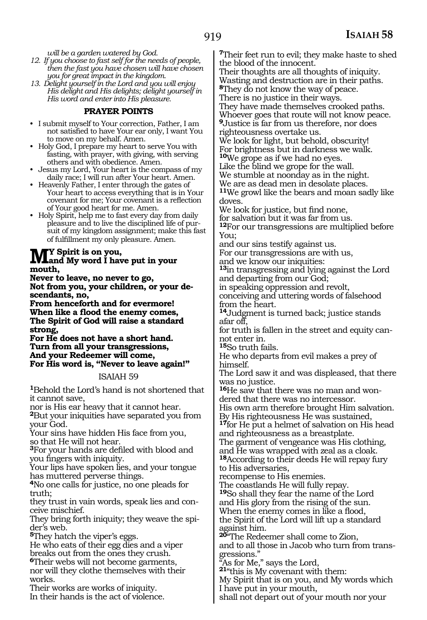*will be a garden watered by God.*

- *12. If you choose to fast self for the needs of people, then the fast you have chosen will have chosen you for great impact in the kingdom.*
- *13. Delight yourself in the Lord and you will enjoy His delight and His delights; delight yourself in His word and enter into His pleasure.*

#### **PRAYER POINTS**

- I submit myself to Your correction, Father, I am not satisfied to have Your ear only, I want You to move on my behalf. Amen.
- Holy God, I prepare my heart to serve You with fasting, with prayer, with giving, with serving others and with obedience. Amen.
- Jesus my Lord, Your heart is the compass of my daily race; I will run after Your heart. Amen.
- Heavenly Father, I enter through the gates of Your heart to access everything that is in Your covenant for me; Your covenant is a reflection of Your good heart for me. Amen.
- Holy Spirit, help me to fast every day from daily pleasure and to live the disciplined life of pursuit of my kingdom assignment; make this fast of fulfillment my only pleasure. Amen.

### **My Spirit is on you, and My word I have put in your mouth,**

**Never to leave, no never to go, Not from you, your children, or your descendants, no,**

**From henceforth and for evermore! When like a flood the enemy comes, The Spirit of God will raise a standard strong,**

**For He does not have a short hand. Turn from all your transgressions, And your Redeemer will come, For His word is, "Never to leave again!"** 

#### ISAIAH 59

**<sup>1</sup>**Behold the Lord's hand is not shortened that it cannot save,

nor is His ear heavy that it cannot hear. **<sup>2</sup>**But your iniquities have separated you from your God.

Your sins have hidden His face from you, so that He will not hear.

**<sup>3</sup>**For your hands are defiled with blood and you fingers with iniquity.

Your lips have spoken lies, and your tongue has muttered perverse things.

**<sup>4</sup>**No one calls for justice, no one pleads for truth;

they trust in vain words, speak lies and conceive mischief.

They bring forth iniquity; they weave the spider's web.

**<sup>5</sup>**They hatch the viper's eggs.

He who eats of their egg dies and a viper breaks out from the ones they crush.

**<sup>6</sup>**Their webs will not become garments, nor will they clothe themselves with their works.

Their works are works of iniquity. In their hands is the act of violence. **<sup>7</sup>**Their feet run to evil; they make haste to shed the blood of the innocent.

Their thoughts are all thoughts of iniquity. Wasting and destruction are in their paths. **<sup>8</sup>**They do not know the way of peace.

There is no justice in their ways.

They have made themselves crooked paths. Whoever goes that route will not know peace. **<sup>9</sup>**Justice is far from us therefore, nor does righteousness overtake us.

We look for light, but behold, obscurity! For brightness but in darkness we walk.

**<sup>10</sup>**We grope as if we had no eyes.

Like the blind we grope for the wall. We stumble at noonday as in the night.

We are as dead men in desolate places. **<sup>11</sup>**We growl like the bears and moan sadly like doves.

We look for justice, but find none,

for salvation but it was far from us.

**<sup>12</sup>**For our transgressions are multiplied before You;

and our sins testify against us.

For our transgressions are with us,

and we know our iniquities:

**<sup>13</sup>**in transgressing and lying against the Lord and departing from our God;

in speaking oppression and revolt,

conceiving and uttering words of falsehood from the heart.

**<sup>14</sup>**Judgment is turned back; justice stands afar off,

for truth is fallen in the street and equity cannot enter in.

**<sup>15</sup>**So truth fails.

He who departs from evil makes a prey of himself.

The Lord saw it and was displeased, that there was no justice.

**16**He saw that there was no man and wondered that there was no intercessor.

His own arm therefore brought Him salvation. By His righteousness He was sustained,

**<sup>17</sup>**for He put a helmet of salvation on His head and righteousness as a breastplate.

The garment of vengeance was His clothing, and He was wrapped with zeal as a cloak. **<sup>18</sup>**According to their deeds He will repay fury

to His adversaries,

recompense to His enemies.

The coastlands He will fully repay.

**<sup>19</sup>**So shall they fear the name of the Lord and His glory from the rising of the sun. When the enemy comes in like a flood,

the Spirit of the Lord will lift up a standard against him.

**<sup>20</sup>**"The Redeemer shall come to Zion, and to all those in Jacob who turn from transgressions."

As for Me," says the Lord,

**<sup>21</sup>**"this is My covenant with them:

My Spirit that is on you, and My words which I have put in your mouth,

shall not depart out of your mouth nor your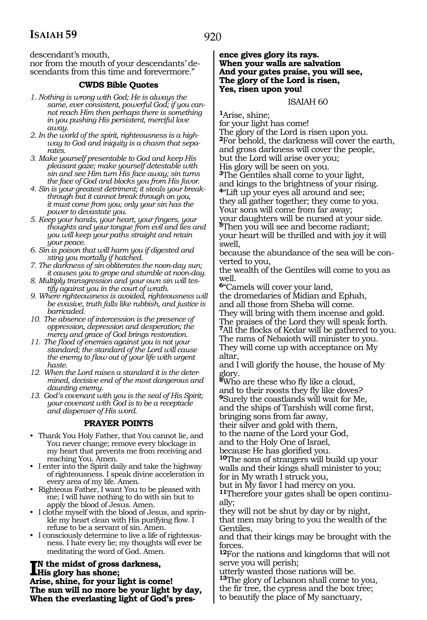descendant's mouth,

nor from the mouth of your descendants' descendants from this time and forevermore."

#### **CWDS Bible Quotes**

- *1. Nothing is wrong with God; He is always the same, ever consistent, powerful God; if you cannot reach Him then perhaps there is something in you pushing His persistent, merciful love away.*
- *2. In the world of the spirit, righteousness is a highway to God and iniquity is a chasm that separates.*
- *3. Make yourself presentable to God and keep His pleasant gaze; make yourself detestable with sin and see Him turn His face away; sin turns the face of God and blocks you from His favor.*
- *4. Sin is your greatest detriment; it steals your breakthrough but it cannot break through on you, it must come from you; only your sin has the power to devastate you.*
- *5. Keep your hands, your heart, your fingers, your thoughts and your tongue from evil and lies and you will keep your paths straight and retain your peace.*
- *6. Sin is poison that will harm you if digested and sting you mortally if hatched.*
- *7. The darkness of sin obliterates the noon-day sun; it causes you to grope and stumble at noon-day.*
- *8. Multiply transgression and your own sin will testify against you in the court of wrath.*
- *9. Where righteousness is avoided, righteousness will be evasive, truth falls like rubbish, and justice is barricaded.*
- *10. The absence of intercession is the presence of oppression, depression and desperation; the mercy and grace of God brings restoration.*
- *11. The flood of enemies against you is not your standard; the standard of the Lord will cause the enemy to flow out of your life with urgent haste.*
- *12. When the Lord raises a standard it is the determined, decisive end of the most dangerous and daunting enemy.*
- *13. God's covenant with you is the seal of His Spirit; your covenant with God is to be a receptacle and dispenser of His word.*

#### **PRAYER POINTS**

- Thank You Holy Father, that You cannot lie, and You never change; remove every blockage in my heart that prevents me from receiving and reaching You. Amen.
- I enter into the Spirit daily and take the highway of righteousness. I speak divine acceleration in every area of my life. Amen.
- Righteous Father, I want You to be pleased with me; I will have nothing to do with sin but to apply the blood of Jesus. Amen.
- I clothe myself with the blood of Jesus, and sprinkle my heart clean with His purifying flow. I refuse to be a servant of sin. Amen.
- I consciously determine to live a life of righteousness. I hate every lie; my thoughts will ever be meditating the word of God. Amen.

### **I**N the midst of gross darkness,<br>His glory has shone;<br>Arise shine for your light is can **His glory has shone;**

**Arise, shine, for your light is come! The sun will no more be your light by day, When the everlasting light of God's pres-** **ence gives glory its rays. When your walls are salvation And your gates praise, you will see, The glory of the Lord is risen, Yes, risen upon you!**

#### ISAIAH 60

**<sup>1</sup>**Arise, shine;

for your light has come! The glory of the Lord is risen upon you. **<sup>2</sup>**For behold, the darkness will cover the earth, and gross darkness will cover the people, but the Lord will arise over you; His glory will be seen on you. **<sup>3</sup>**The Gentiles shall come to your light, and kings to the brightness of your rising. **<sup>4</sup>**"Lift up your eyes all around and see;

they all gather together; they come to you. Your sons will come from far away; your daughters will be nursed at your side.  $5$ Then you will see and become radiant; your heart will be thrilled and with joy it will swell,

because the abundance of the sea will be converted to you,

the wealth of the Gentiles will come to you as well.

**<sup>6</sup>**"Camels will cover your land, the dromedaries of Midian and Ephah, and all those from Sheba will come.

They will bring with them incense and gold. The praises of the Lord they will speak forth. **<sup>7</sup>**All the flocks of Kedar will be gathered to you. The rams of Nebaioth will minister to you. They will come up with acceptance on My altar,

and I will glorify the house, the house of My glory.

**<sup>8</sup>**Who are these who fly like a cloud, and to their roosts they fly like doves? **<sup>9</sup>**Surely the coastlands will wait for Me, and the ships of Tarshish will come first, bringing sons from far away,

their silver and gold with them, to the name of the Lord your God,

and to the Holy One of Israel,

because He has glorified you.

**<sup>10</sup>**The sons of strangers will build up your walls and their kings shall minister to you; for in My wrath I struck you,

but in My favor I had mercy on you.

**11**Therefore your gates shall be open continually;

they will not be shut by day or by night, that men may bring to you the wealth of the Gentiles,

and that their kings may be brought with the forces.

**<sup>12</sup>**For the nations and kingdoms that will not serve you will perish;

utterly wasted those nations will be.

**<sup>13</sup>**The glory of Lebanon shall come to you, the fir tree, the cypress and the box tree;

to beautify the place of My sanctuary,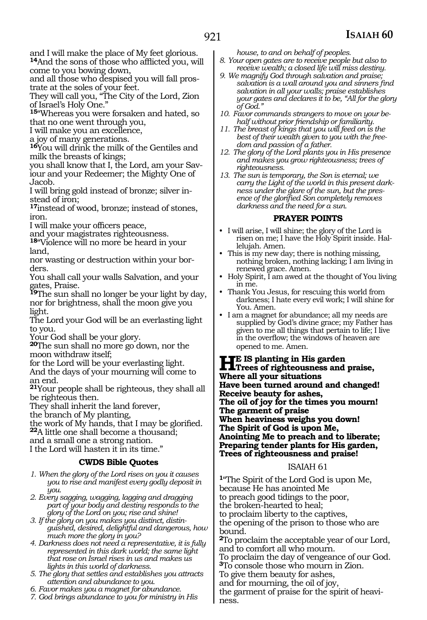and I will make the place of My feet glorious. **<sup>14</sup>**And the sons of those who afflicted you, will

come to you bowing down, and all those who despised you will fall pros-

trate at the soles of your feet. They will call you, "The City of the Lord, Zion

of Israel's Holy One."

**<sup>15</sup>**"Whereas you were forsaken and hated, so that no one went through you,

I will make you an excellence,

a joy of many generations.

**<sup>16</sup>**You will drink the milk of the Gentiles and milk the breasts of kings;

you shall know that I, the Lord, am your Saviour and your Redeemer; the Mighty One of Jacob.

I will bring gold instead of bronze; silver instead of iron;

**<sup>17</sup>**instead of wood, bronze; instead of stones, iron.

I will make your officers peace,

and your magistrates righteousness.

**<sup>18</sup>**"Violence will no more be heard in your land,

nor wasting or destruction within your borders.

You shall call your walls Salvation, and your gates, Praise.

**<sup>19</sup>**The sun shall no longer be your light by day, nor for brightness, shall the moon give you light.

The Lord your God will be an everlasting light to you.

Your God shall be your glory.

**<sup>20</sup>**The sun shall no more go down, nor the moon withdraw itself;

for the Lord will be your everlasting light.

And the days of your mourning will come to an end.

**<sup>21</sup>**Your people shall be righteous, they shall all be righteous then.

They shall inherit the land forever,

the branch of My planting,

the work of My hands, that I may be glorified. **<sup>22</sup>**A little one shall become a thousand;

and a small one a strong nation.

I the Lord will hasten it in its time."

## **CWDS Bible Quotes**

*1. When the glory of the Lord rises on you it causes you to rise and manifest every godly deposit in you.*

*2. Every sagging, wagging, lagging and dragging part of your body and destiny responds to the glory of the Lord on you; rise and shine!*

*3. If the glory on you makes you distinct, distinguished, desired, delightful and dangerous, how much more the glory in you?*

*4. Darkness does not need a representative, it is fully represented in this dark world; the same light that rose on Israel rises in us and makes us lights in this world of darkness.* 

*5. The glory that settles and establishes you attracts attention and abundance to you.*

*6. Favor makes you a magnet for abundance.*

*7. God brings abundance to you for ministry in His* 

*house, to and on behalf of peoples.*

*8. Your open gates are to receive people but also to receive wealth; a closed life will miss destiny.*

- *9. We magnify God through salvation and praise; salvation is a wall around you and sinners find salvation in all your walls; praise establishes your gates and declares it to be, "All for the glory of God."*
- *10. Favor commands strangers to move on your behalf without prior friendship or familiarity.*
- *11. The breast of kings that you will feed on is the best of their wealth given to you with the freedom and passion of a father.*
- *12. The glory of the Lord plants you in His presence and makes you grow righteousness; trees of righteousness.*
- *13. The sun is temporary, the Son is eternal; we carry the Light of the world in this present darkness under the glare of the sun, but the presence of the glorified Son completely removes darkness and the need for a sun.*

## **PRAYER POINTS**

- I will arise, I will shine; the glory of the Lord is risen on me; I have the Holy Spirit inside. Hallelujah. Amen.
- This is my new day; there is nothing missing, nothing broken, nothing lacking; I am living in renewed grace. Amen.
- Holy Spirit, I am awed at the thought of You living in me.
- Thank You Jesus, for rescuing this world from darkness; I hate every evil work; I will shine for You. Amen.
- I am a magnet for abundance; all my needs are supplied by God's divine grace; my Father has given to me all things that pertain to life; I live in the overflow; the windows of heaven are opened to me. Amen.

**He is planting in His garden Trees of righteousness and praise, Where all your situations Have been turned around and changed! Receive beauty for ashes, The oil of joy for the times you mourn! The garment of praise When heaviness weighs you down! The Spirit of God is upon Me, Anointing Me to preach and to liberate; Preparing tender plants for His garden, Trees of righteousness and praise!**

## ISAIAH 61

**<sup>1</sup>**"The Spirit of the Lord God is upon Me, because He has anointed Me to preach good tidings to the poor, the broken-hearted to heal; to proclaim liberty to the captives, the opening of the prison to those who are bound. **<sup>2</sup>**To proclaim the acceptable year of our Lord, and to comfort all who mourn. To proclaim the day of vengeance of our God. **<sup>3</sup>**To console those who mourn in Zion.

To give them beauty for ashes,

and for mourning, the oil of joy,

the garment of praise for the spirit of heaviness.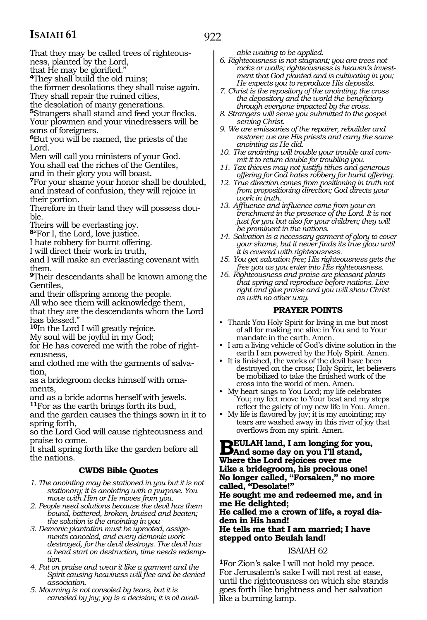# **ISAIAH 61**

922

That they may be called trees of righteousness, planted by the Lord,

that He may be glorified."

**<sup>4</sup>**They shall build the old ruins;

the former desolations they shall raise again. They shall repair the ruined cities,

the desolation of many generations.

**<sup>5</sup>**Strangers shall stand and feed your flocks. Your plowmen and your vinedressers will be sons of foreigners.

**<sup>6</sup>**But you will be named, the priests of the Lord.

Men will call you ministers of your God.

You shall eat the riches of the Gentiles,

and in their glory you will boast.

**<sup>7</sup>**For your shame your honor shall be doubled, and instead of confusion, they will rejoice in their portion.

Therefore in their land they will possess double.

Theirs will be everlasting joy.

**<sup>8</sup>**"For I, the Lord, love justice.

I hate robbery for burnt offering.

I will direct their work in truth,

and I will make an everlasting covenant with them.

**<sup>9</sup>**Their descendants shall be known among the Gentiles,

and their offspring among the people.

All who see them will acknowledge them,

that they are the descendants whom the Lord has blessed."

**<sup>10</sup>**In the Lord I will greatly rejoice.

My soul will be joyful in my God;

for He has covered me with the robe of righteousness,

and clothed me with the garments of salvation,

as a bridegroom decks himself with ornaments,

and as a bride adorns herself with jewels. **<sup>11</sup>**For as the earth brings forth its bud,

and the garden causes the things sown in it to spring forth,

so the Lord God will cause righteousness and praise to come.

It shall spring forth like the garden before all the nations.

## **CWDS Bible Quotes**

- *1. The anointing may be stationed in you but it is not stationary; it is anointing with a purpose. You move with Him or He moves from you.*
- *2. People need solutions because the devil has them bound, battered, broken, bruised and beaten; the solution is the anointing in you*
- *3. Demonic plantation must be uprooted, assignments canceled, and every demonic work destroyed, for the devil destroys. The devil has a head start on destruction, time needs redemption.*
- *4. Put on praise and wear it like a garment and the Spirit causing heaviness will flee and be denied association.*
- *5. Mourning is not consoled by tears, but it is canceled by joy; joy is a decision; it is oil avail-*

*able waiting to be applied.*

- *6. Righteousness is not stagnant; you are trees not rocks or walls; righteousness is heaven's investment that God planted and is cultivating in you; He expects you to reproduce His deposits.*
- *7. Christ is the repository of the anointing; the cross the depository and the world the beneficiary through everyone impacted by the cross.*
- *8. Strangers will serve you submitted to the gospel serving Christ.*
- *9. We are emissaries of the repairer, rebuilder and restorer; we are His priests and carry the same anointing as He did.*
- *10. The anointing will trouble your trouble and commit it to return double for troubling you.*
- *11. Tax thieves may not justify tithes and generous offering for God hates robbery for burnt offering.*
- *12. True direction comes from positioning in truth not from propositioning direction; God directs your work in truth.*
- *13. Affluence and influence come from your entrenchment in the presence of the Lord. It is not just for you but also for your children; they will be prominent in the nations.*
- *14. Salvation is a necessary garment of glory to cover your shame, but it never finds its true glow until it is covered with righteousness.*
- *15. You get salvation free; His righteousness gets the free you as you enter into His righteousness.*
- *16. Righteousness and praise are pleasant plants that spring and reproduce before nations. Live right and give praise and you will show Christ as with no other way.*

## **PRAYER POINTS**

- Thank You Holy Spirit for living in me but most of all for making me alive in You and to Your mandate in the earth. Amen.
- I am a living vehicle of God's divine solution in the earth I am powered by the Holy Spirit. Amen.
- It is finished, the works of the devil have been destroyed on the cross; Holy Spirit, let believers be mobilized to take the finished work of the cross into the world of men. Amen.
- My heart sings to You Lord; my life celebrates You; my feet move to Your beat and my steps reflect the gaiety of my new life in You. Amen.
- My life is flavored by joy; it is my anointing; my tears are washed away in this river of joy that overflows from my spirit. Amen.

**BEULAH land, I am longing for you,**<br>
Where the Lard relations are me **Where the Lord rejoices over me Like a bridegroom, his precious one! No longer called, "Forsaken," no more called, "Desolate!" He sought me and redeemed me, and in me He delighted; He called me a crown of life, a royal diadem in His hand! He tells me that I am married; I have stepped onto Beulah land!** 

## ISAIAH 62

**<sup>1</sup>**For Zion's sake I will not hold my peace. For Jerusalem's sake I will not rest at ease, until the righteousness on which she stands goes forth like brightness and her salvation like a burning lamp.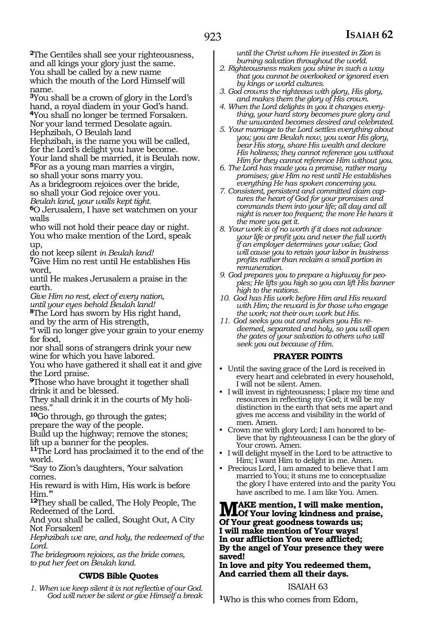**<sup>2</sup>**The Gentiles shall see your righteousness, and all kings your glory just the same. You shall be called by a new name which the mouth of the Lord Himself will name.

**<sup>3</sup>**You shall be a crown of glory in the Lord's hand, a royal diadem in your God's hand. **<sup>4</sup>**You shall no longer be termed Forsaken. Nor your land termed Desolate again.

Hephzibah, O Beulah land

Hephzibah, is the name you will be called, for the Lord's delight you have become.

Your land shall be married, it is Beulah now. **<sup>5</sup>**For as a young man marries a virgin,

so shall your sons marry you.

As a bridegroom rejoices over the bride, so shall your God rejoice over you.

*Beulah land, your walls kept tight.* 

**<sup>6</sup>**O Jerusalem, I have set watchmen on your walls

who will not hold their peace day or night. You who make mention of the Lord, speak up,

do not keep silent *in Beulah land!* 

**<sup>7</sup>**Give Him no rest until He establishes His word,

until He makes Jerusalem a praise in the earth.

*Give Him no rest, elect of every nation,*

*until your eyes behold Beulah land!* 

**<sup>8</sup>**The Lord has sworn by His right hand, and by the arm of His strength,

"I will no longer give your grain to your enemy for food,

nor shall sons of strangers drink your new wine for which you have labored.

You who have gathered it shall eat it and give the Lord praise.

**<sup>9</sup>**Those who have brought it together shall drink it and be blessed.

They shall drink it in the courts of My holiness."

**<sup>10</sup>**Go through, go through the gates;

prepare the way of the people.

Build up the highway; remove the stones;

lift up a banner for the peoples.

**<sup>11</sup>**The Lord has proclaimed it to the end of the world.

"Say to Zion's daughters, 'Your salvation comes.

His reward is with Him, His work is before Him.'"

**<sup>12</sup>**They shall be called, The Holy People, The Redeemed of the Lord.

And you shall be called, Sought Out, A City Not Forsaken!

*Hephzibah we are, and holy, the redeemed of the Lord.* 

*The bridegroom rejoices, as the bride comes, to put her feet on Beulah land.* 

## **CWDS Bible Quotes**

*1. When we keep silent it is not reflective of our God. God will never be silent or give Himself a break*  *until the Christ whom He invested in Zion is burning salvation throughout the world.*

- *2. Righteousness makes you shine in such a way that you cannot be overlooked or ignored even by kings or world cultures.*
- *3. God crowns the righteous with glory, His glory, and makes them the glory of His crown.*
- *4. When the Lord delights in you it changes everything, your hard story becomes pure glory and the unwanted becomes desired and celebrated.*
- *5. Your marriage to the Lord settles everything about you; you are Beulah now, you wear His glory, bear His story, share His wealth and declare His holiness; they cannot reference you without Him for they cannot reference Him without you.*
- *6. The Lord has made you a promise, rather many promises; give Him no rest until He establishes everything He has spoken concerning you.*
- *7. Consistent, persistent and committed claim captures the heart of God for your promises and commands them into your life; all day and all night is never too frequent; the more He hears it the more you get it.*
- *8. Your work is of no worth if it does not advance your life or profit you and never the full worth if an employer determines your value; God will cause you to retain your labor in business profits rather than reclaim a small portion in remuneration.*
- *9. God prepares you to prepare a highway for peoples; He lifts you high so you can lift His banner high to the nations.*
- *10. God has His work before Him and His reward with Him; the reward is for those who engage the work; not their own work but His.*
- *11. God seeks you out and makes you His redeemed, separated and holy, so you will open the gates of your salvation to others who will seek you out because of Him.*

## **PRAYER POINTS**

- Until the saving grace of the Lord is received in every heart and celebrated in every household, I will not be silent. Amen.
- I will invest in righteousness; I place my time and resources in reflecting my God; it will be my distinction in the earth that sets me apart and gives me access and visibility in the world of men. Amen.
- Crown me with glory Lord; I am honored to believe that by righteousness I can be the glory of Your crown. Amen.
- I will delight myself in the Lord to be attractive to Him; I want Him to delight in me. Amen.
- Precious Lord, I am amazed to believe that I am married to You; it stuns me to conceptualize the glory I have entered into and the parity You have ascribed to me. I am like You. Amen.

**MAKE mention, I will make mention,**<br>Of Your loving kindness and praise, **Of Your great goodness towards us; I will make mention of Your ways! In our affliction You were afflicted; By the angel of Your presence they were saved!**

## **In love and pity You redeemed them, And carried them all their days.**

## ISAIAH 63

**<sup>1</sup>**Who is this who comes from Edom,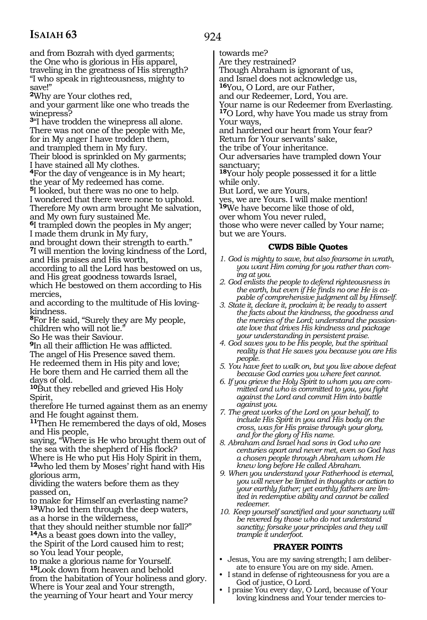# **ISAIAH 63**

and from Bozrah with dyed garments; the One who is glorious in His apparel, traveling in the greatness of His strength? "I who speak in righteousness, mighty to save!"

**<sup>2</sup>**Why are Your clothes red,

and your garment like one who treads the winepress?

**<sup>3</sup>**"I have trodden the winepress all alone. There was not one of the people with Me, for in My anger I have trodden them,

and trampled them in My fury.

Their blood is sprinkled on My garments; I have stained all My clothes.

**<sup>4</sup>**For the day of vengeance is in My heart; the year of My redeemed has come.

**<sup>5</sup>**I looked, but there was no one to help. I wondered that there were none to uphold. Therefore My own arm brought Me salvation, and My own fury sustained Me.

**<sup>6</sup>**I trampled down the peoples in My anger; I made them drunk in My fury,

and brought down their strength to earth." **<sup>7</sup>**I will mention the loving kindness of the Lord, and His praises and His worth,

according to all the Lord has bestowed on us, and His great goodness towards Israel,

which He bestowed on them according to His mercies,

and according to the multitude of His lovingkindness.

**<sup>8</sup>**For He said, "Surely they are My people, children who will not lie."

So He was their Saviour.

**<sup>9</sup>**In all their affliction He was afflicted.

The angel of His Presence saved them.

He redeemed them in His pity and love;

He bore them and He carried them all the days of old.

**<sup>10</sup>**But they rebelled and grieved His Holy Spirit,

therefore He turned against them as an enemy and He fought against them.

**<sup>11</sup>**Then He remembered the days of old, Moses and His people,

saying, "Where is He who brought them out of the sea with the shepherd of His flock?

Where is He who put His Holy Spirit in them, **<sup>12</sup>**who led them by Moses' right hand with His glorious arm,

dividing the waters before them as they passed on,

to make for Himself an everlasting name? **<sup>13</sup>**Who led them through the deep waters, as a horse in the wilderness,

that they should neither stumble nor fall?" **<sup>14</sup>**As a beast goes down into the valley, the Spirit of the Lord caused him to rest; so You lead Your people,

to make a glorious name for Yourself. **<sup>15</sup>**Look down from heaven and behold from the habitation of Your holiness and glory. Where is Your zeal and Your strength, the yearning of Your heart and Your mercy

towards me?

Are they restrained?

Though Abraham is ignorant of us,

and Israel does not acknowledge us,

**<sup>16</sup>**You, O Lord, are our Father,

and our Redeemer, Lord, You are.

Your name is our Redeemer from Everlasting. **<sup>17</sup>**O Lord, why have You made us stray from Your ways,

and hardened our heart from Your fear? Return for Your servants' sake,

the tribe of Your inheritance.

Our adversaries have trampled down Your sanctuary;

**<sup>18</sup>**Your holy people possessed it for a little while only.

But Lord, we are Yours,

yes, we are Yours. I will make mention!

**<sup>19</sup>**We have become like those of old,

over whom You never ruled,

those who were never called by Your name; but we are Yours.

## **CWDS Bible Quotes**

- *1. God is mighty to save, but also fearsome in wrath, you want Him coming for you rather than coming at you.*
- *2. God enlists the people to defend righteousness in the earth, but even if He finds no one He is capable of comprehensive judgment all by Himself.*
- *3. State it, declare it, proclaim it; be ready to assert the facts about the kindness, the goodness and the mercies of the Lord; understand the passionate love that drives His kindness and package your understanding in persistent praise.*
- *4. God saves you to be His people, but the spiritual reality is that He saves you because you are His people.*
- *5. You have feet to walk on, but you live above defeat because God carries you where feet cannot.*
- *6. If you grieve the Holy Spirit to whom you are committed and who is committed to you, you fight against the Lord and commit Him into battle against you.*

*7. The great works of the Lord on your behalf, to include His Spirit in you and His body on the cross, was for His praise through your glory, and for the glory of His name.*

*8. Abraham and Israel had sons in God who are centuries apart and never met, even so God has a chosen people through Abraham whom He knew long before He called Abraham.* 

- *9. When you understand your Fatherhood is eternal, you will never be limited in thoughts or action to your earthly father; yet earthly fathers are limited in redemptive ability and cannot be called redeemer.*
- *10. Keep yourself sanctified and your sanctuary will be revered by those who do not understand sanctity; forsake your principles and they will trample it underfoot.*

## **PRAYER POINTS**

- Jesus, You are my saving strength; I am deliberate to ensure You are on my side. Amen.
- I stand in defense of righteousness for you are a God of justice, O Lord.
- I praise You every day, O Lord, because of Your loving kindness and Your tender mercies to-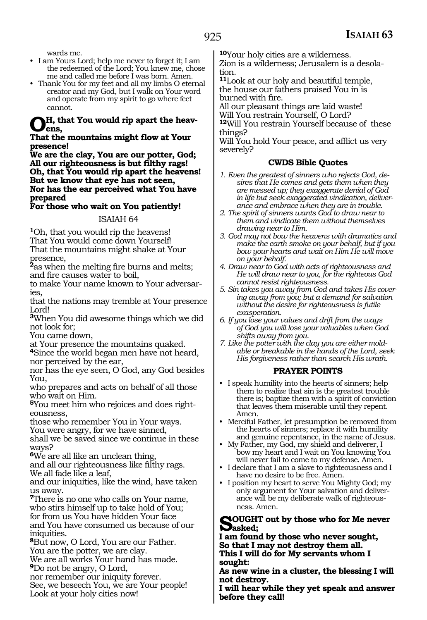wards me.

- I am Yours Lord; help me never to forget it; I am the redeemed of the Lord; You knew me, chose me and called me before I was born. Amen.
- Thank You for my feet and all my limbs O eternal creator and my God, but I walk on Your word and operate from my spirit to go where feet cannot.

## **Oh, that You would rip apart the heavens,**

#### **That the mountains might flow at Your presence!**

**We are the clay, You are our potter, God; All our righteousness is but filthy rags! Oh, that You would rip apart the heavens! But we know that eye has not seen, Nor has the ear perceived what You have prepared**

## **For those who wait on You patiently!**

## ISAIAH 64

**<sup>1</sup>**Oh, that you would rip the heavens! That You would come down Yourself! That the mountains might shake at Your presence,

**<sup>2</sup>**as when the melting fire burns and melts; and fire causes water to boil,

to make Your name known to Your adversaries,

that the nations may tremble at Your presence Lord!

**<sup>3</sup>**When You did awesome things which we did not look for;

You came down,

at Your presence the mountains quaked. **<sup>4</sup>**Since the world began men have not heard, nor perceived by the ear,

nor has the eye seen, O God, any God besides You,

who prepares and acts on behalf of all those who wait on Him.

**5**You meet him who rejoices and does righteousness,

those who remember You in Your ways. You were angry, for we have sinned,

shall we be saved since we continue in these ways?

**<sup>6</sup>**We are all like an unclean thing,

and all our righteousness like filthy rags. We all fade like a leaf,

and our iniquities, like the wind, have taken us away.

**<sup>7</sup>**There is no one who calls on Your name, who stirs himself up to take hold of You; for from us You have hidden Your face and You have consumed us because of our iniquities.

**<sup>8</sup>**But now, O Lord, You are our Father. You are the potter, we are clay.

We are all works Your hand has made. **<sup>9</sup>**Do not be angry, O Lord,

nor remember our iniquity forever.

See, we beseech You, we are Your people! Look at your holy cities now!

**<sup>10</sup>**Your holy cities are a wilderness. Zion is a wilderness; Jerusalem is a desola- tion.

**<sup>11</sup>**Look at our holy and beautiful temple, the house our fathers praised You in is burned with fire.

All our pleasant things are laid waste!

Will You restrain Yourself, O Lord? **<sup>12</sup>**Will You restrain Yourself because of these

things?

Will You hold Your peace, and afflict us very severely?

## **CWDS Bible Quotes**

- *1. Even the greatest of sinners who rejects God, desires that He comes and gets them when they are messed up; they exaggerate denial of God in life but seek exaggerated vindication, deliverance and embrace when they are in trouble.*
- *2. The spirit of sinners wants God to draw near to them and vindicate them without themselves drawing near to Him.*
- *3. God may not bow the heavens with dramatics and make the earth smoke on your behalf, but if you bow your hearts and wait on Him He will move on your behalf.*
- *4. Draw near to God with acts of righteousness and He will draw near to you, for the righteous God cannot resist righteousness.*
- *5. Sin takes you away from God and takes His covering away from you; but a demand for salvation without the desire for righteousness is futile exasperation.*
- *6. If you lose your values and drift from the ways of God you will lose your valuables when God shifts away from you.*
- *7. Like the potter with the clay you are either moldable or breakable in the hands of the Lord, seek His forgiveness rather than search His wrath.*

## **PRAYER POINTS**

- I speak humility into the hearts of sinners; help them to realize that sin is the greatest trouble there is; baptize them with a spirit of conviction that leaves them miserable until they repent. Amen.
- Merciful Father, let presumption be removed from the hearts of sinners; replace it with humility and genuine repentance, in the name of Jesus.
- My Father, my God, my shield and deliverer, I bow my heart and I wait on You knowing You will never fail to come to my defense. Amen.
- I declare that I am a slave to righteousness and I have no desire to be free. Amen.
- I position my heart to serve You Mighty God; my only argument for Your salvation and deliverance will be my deliberate walk of righteousness. Amen.

#### **Sought out by those who for Me never asked;**

**I am found by those who never sought, So that I may not destroy them all. This I will do for My servants whom I sought:**

**As new wine in a cluster, the blessing I will not destroy.**

**I will hear while they yet speak and answer before they call!**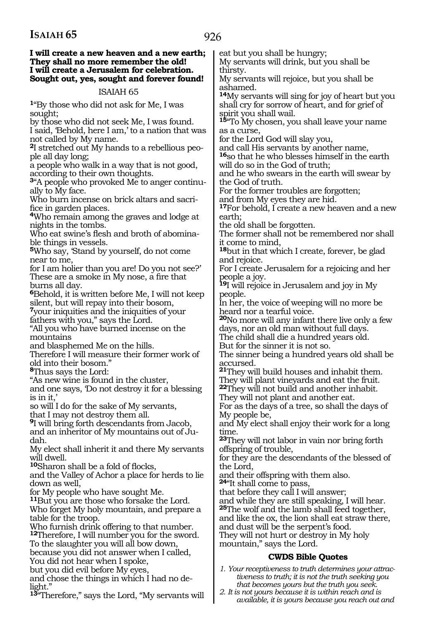#### **I will create a new heaven and a new earth; They shall no more remember the old! I will create a Jerusalem for celebration. Sought out, yes, sought and forever found!**

## ISAIAH 65

**<sup>1</sup>**"By those who did not ask for Me, I was sought;

by those who did not seek Me, I was found. I said, 'Behold, here I am,' to a nation that was not called by My name.

**2**I stretched out My hands to a rebellious people all day long;

a people who walk in a way that is not good, according to their own thoughts.

**3**"A people who provoked Me to anger continually to My face.

Who burn incense on brick altars and sacrifice in garden places.

**<sup>4</sup>**Who remain among the graves and lodge at nights in the tombs.

Who eat swine's flesh and broth of abominable things in vessels.

**<sup>5</sup>**Who say, 'Stand by yourself, do not come near to me,

for I am holier than you are! Do you not see?' These are a smoke in My nose, a fire that burns all day.

**<sup>6</sup>**Behold, it is written before Me, I will not keep silent, but will repay into their bosom,

**<sup>7</sup>**your iniquities and the iniquities of your fathers with you," says the Lord.

"All you who have burned incense on the mountains

and blasphemed Me on the hills.

Therefore I will measure their former work of old into their bosom."

**<sup>8</sup>**Thus says the Lord:

"As new wine is found in the cluster,

and one says, 'Do not destroy it for a blessing is in it,'

so will I do for the sake of My servants,

that I may not destroy them all.

**<sup>9</sup>**I will bring forth descendants from Jacob, and an inheritor of My mountains out of Judah.

My elect shall inherit it and there My servants will dwell.

**<sup>10</sup>**Sharon shall be a fold of flocks,

and the Valley of Achor a place for herds to lie down as well,

for My people who have sought Me.

**<sup>11</sup>**But you are those who forsake the Lord.

Who forget My holy mountain, and prepare a table for the troop.

Who furnish drink offering to that number.

**<sup>12</sup>**Therefore, I will number you for the sword. To the slaughter you will all bow down,

because you did not answer when I called,

You did not hear when I spoke,

but you did evil before My eyes,

and chose the things in which I had no de- light."

**<sup>13</sup>**"Therefore," says the Lord, "My servants will

eat but you shall be hungry;

My servants will drink, but you shall be thirsty.

My servants will rejoice, but you shall be ashamed.

**<sup>14</sup>**My servants will sing for joy of heart but you shall cry for sorrow of heart, and for grief of spirit you shall wail.

**<sup>15</sup>**"To My chosen, you shall leave your name as a curse,

for the Lord God will slay you,

and call His servants by another name,

**<sup>16</sup>**so that he who blesses himself in the earth will do so in the God of truth;

and he who swears in the earth will swear by the God of truth.

For the former troubles are forgotten;

and from My eyes they are hid.

**<sup>17</sup>**For behold, I create a new heaven and a new earth;

the old shall be forgotten.

The former shall not be remembered nor shall it come to mind,

**<sup>18</sup>**but in that which I create, forever, be glad and rejoice.

For I create Jerusalem for a rejoicing and her people a joy.

**<sup>19</sup>**I will rejoice in Jerusalem and joy in My people.

In her, the voice of weeping will no more be heard nor a tearful voice.

**<sup>20</sup>**No more will any infant there live only a few days, nor an old man without full days.

The child shall die a hundred years old.

But for the sinner it is not so.

The sinner being a hundred years old shall be accursed.

**<sup>21</sup>**They will build houses and inhabit them. They will plant vineyards and eat the fruit. **<sup>22</sup>**They will not build and another inhabit.

They will not plant and another eat.

For as the days of a tree, so shall the days of My people be,

and My elect shall enjoy their work for a long time.

**<sup>23</sup>**They will not labor in vain nor bring forth offspring of trouble,

for they are the descendants of the blessed of the Lord,

and their offspring with them also.

**<sup>24</sup>**"It shall come to pass,

that before they call I will answer;

and while they are still speaking, I will hear. **<sup>25</sup>**The wolf and the lamb shall feed together,

and like the ox, the lion shall eat straw there,

and dust will be the serpent's food.

They will not hurt or destroy in My holy mountain," says the Lord.

## **CWDS Bible Quotes**

*1. Your receptiveness to truth determines your attractiveness to truth; it is not the truth seeking you that becomes yours but the truth you seek.*

*2. It is not yours because it is within reach and is available, it is yours because you reach out and*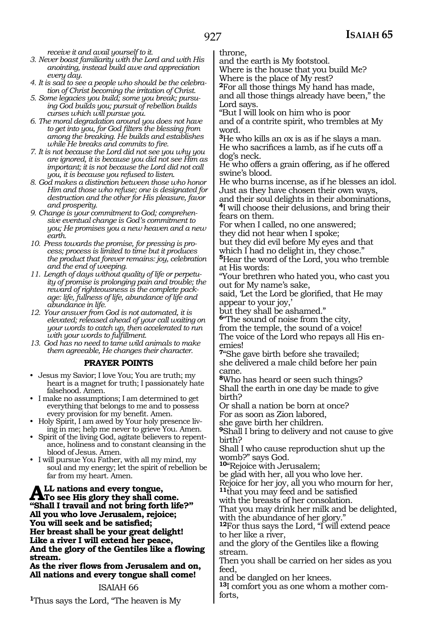*receive it and avail yourself to it.*

- *3. Never boast familiarity with the Lord and with His anointing, instead build awe and appreciation every day.*
- *4. It is sad to see a people who should be the celebration of Christ becoming the irritation of Christ.*
- *5. Some legacies you build; some you break; pursuing God builds you; pursuit of rebellion builds curses which will pursue you.*
- *6. The moral degradation around you does not have to get into you, for God filters the blessing from among the breaking. He builds and establishes while He breaks and commits to fire.*
- *7. It is not because the Lord did not see you why you are ignored, it is because you did not see Him as important; it is not because the Lord did not call you, it is because you refused to listen.*
- *8. God makes a distinction between those who honor Him and those who refuse; one is designated for destruction and the other for His pleasure, favor and prosperity.*
- *9. Change is your commitment to God; comprehensive eventual change is God's commitment to you; He promises you a new heaven and a new earth.*
- *10. Press towards the promise, for pressing is process; process is limited to time but it produces the product that forever remains: joy, celebration and the end of weeping.*
- *11. Length of days without quality of life or perpetuity of promise is prolonging pain and trouble; the reward of righteousness is the complete package: life, fullness of life, abundance of life and abundance in life.*
- *12. Your answer from God is not automated, it is elevated; released ahead of your call waiting on your words to catch up, then accelerated to run with your words to fulfillment.*
- *13. God has no need to tame wild animals to make them agreeable, He changes their character.*

## **PRAYER POINTS**

- Jesus my Savior; I love You; You are truth; my heart is a magnet for truth; I passionately hate falsehood. Amen.
- I make no assumptions; I am determined to get everything that belongs to me and to possess every provision for my benefit. Amen.
- Holy Spirit, I am awed by Your holy presence living in me; help me never to grieve You. Amen.
- Spirit of the living God, agitate believers to repentance, holiness and to constant cleansing in the blood of Jesus. Amen.
- I will pursue You Father, with all my mind, my soul and my energy; let the spirit of rebellion be far from my heart. Amen.

ALL nations and every tongue,<br>To see His glory they shall come. **"Shall I travail and not bring forth life?" All you who love Jerusalem, rejoice; You will seek and be satisfied; Her breast shall be your great delight! Like a river I will extend her peace, And the glory of the Gentiles like a flowing stream.**

**As the river flows from Jerusalem and on, All nations and every tongue shall come!**

## ISAIAH 66

**<sup>1</sup>**Thus says the Lord, "The heaven is My

throne,

and the earth is My footstool. Where is the house that you build Me?

Where is the place of My rest?

**<sup>2</sup>**For all those things My hand has made, and all those things already have been," the Lord says.

"But I will look on him who is poor and of a contrite spirit, who trembles at My word.

**<sup>3</sup>**He who kills an ox is as if he slays a man. He who sacrifices a lamb, as if he cuts off a dog's neck.

He who offers a grain offering, as if he offered swine's blood.

He who burns incense, as if he blesses an idol. Just as they have chosen their own ways, and their soul delights in their abominations, **<sup>4</sup>**I will choose their delusions, and bring their fears on them.

For when I called, no one answered; they did not hear when I spoke;

but they did evil before My eyes and that which I had no delight in, they chose."

**<sup>5</sup>**Hear the word of the Lord, you who tremble at His words:

"Your brethren who hated you, who cast you out for My name's sake,

said, 'Let the Lord be glorified, that He may appear to your joy,'

but they shall be ashamed."

**<sup>6</sup>**"The sound of noise from the city, from the temple, the sound of a voice! The voice of the Lord who repays all His en-

emies! **<sup>7</sup>**"She gave birth before she travailed; she delivered a male child before her pain

came. **<sup>8</sup>**Who has heard or seen such things?

Shall the earth in one day be made to give birth?

Or shall a nation be born at once? For as soon as Zion labored,

she gave birth her children.

**<sup>9</sup>**Shall I bring to delivery and not cause to give birth?

Shall I who cause reproduction shut up the womb?" says God.

**<sup>10</sup>**"Rejoice with Jerusalem;

be glad with her, all you who love her.

Rejoice for her joy, all you who mourn for her, **<sup>11</sup>**that you may feed and be satisfied

with the breasts of her consolation.

That you may drink her milk and be delighted, with the abundance of her glory."

**<sup>12</sup>**For thus says the Lord, "I will extend peace to her like a river,

and the glory of the Gentiles like a flowing stream.

Then you shall be carried on her sides as you feed,

and be dangled on her knees.

**13**I comfort you as one whom a mother comforts,